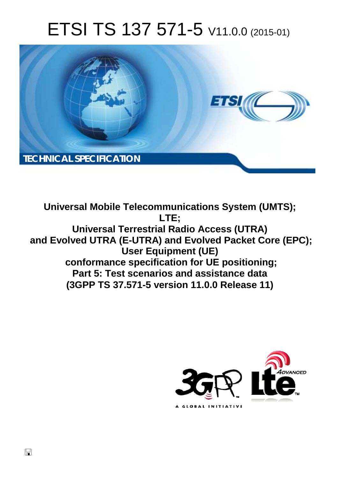# ETSI TS 137 571-5 V11.0.0 (2015-01)



**Universal Mobile Telecommunications System (UMTS); LTE; Universal Terrestrial Radio Access (UTRA) and Evolved UTRA (E-UTRA) and Evolved Packet Core (EPC); User Equipment (UE) conformance specification for UE positioning; Part 5: Test scenarios and assistance data (3GPP TS 37.571-5 version 11.0.0 Release 11)** 

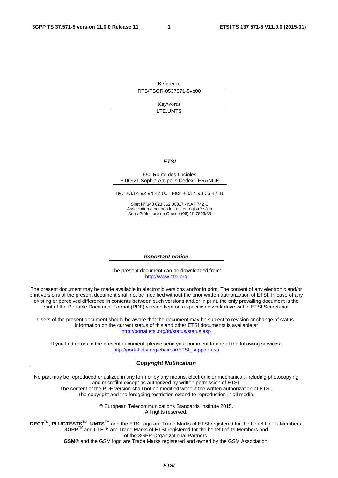Reference RTS/TSGR-0537571-5vb00

> Keywords LTE,UMTS

### *ETSI*

#### 650 Route des Lucioles F-06921 Sophia Antipolis Cedex - FRANCE

Tel.: +33 4 92 94 42 00 Fax: +33 4 93 65 47 16

Siret N° 348 623 562 00017 - NAF 742 C Association à but non lucratif enregistrée à la Sous-Préfecture de Grasse (06) N° 7803/88

#### *Important notice*

The present document can be downloaded from: [http://www.etsi.org](http://www.etsi.org/)

The present document may be made available in electronic versions and/or in print. The content of any electronic and/or print versions of the present document shall not be modified without the prior written authorization of ETSI. In case of any existing or perceived difference in contents between such versions and/or in print, the only prevailing document is the print of the Portable Document Format (PDF) version kept on a specific network drive within ETSI Secretariat.

Users of the present document should be aware that the document may be subject to revision or change of status. Information on the current status of this and other ETSI documents is available at <http://portal.etsi.org/tb/status/status.asp>

If you find errors in the present document, please send your comment to one of the following services: [http://portal.etsi.org/chaircor/ETSI\\_support.asp](http://portal.etsi.org/chaircor/ETSI_support.asp)

#### *Copyright Notification*

No part may be reproduced or utilized in any form or by any means, electronic or mechanical, including photocopying and microfilm except as authorized by written permission of ETSI.

The content of the PDF version shall not be modified without the written authorization of ETSI. The copyright and the foregoing restriction extend to reproduction in all media.

> © European Telecommunications Standards Institute 2015. All rights reserved.

**DECT**TM, **PLUGTESTS**TM, **UMTS**TM and the ETSI logo are Trade Marks of ETSI registered for the benefit of its Members. **3GPP**TM and **LTE**™ are Trade Marks of ETSI registered for the benefit of its Members and of the 3GPP Organizational Partners.

**GSM**® and the GSM logo are Trade Marks registered and owned by the GSM Association.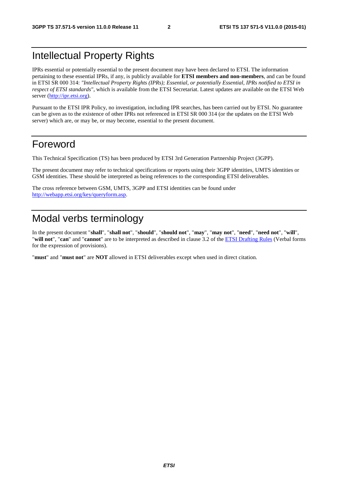## Intellectual Property Rights

IPRs essential or potentially essential to the present document may have been declared to ETSI. The information pertaining to these essential IPRs, if any, is publicly available for **ETSI members and non-members**, and can be found in ETSI SR 000 314: *"Intellectual Property Rights (IPRs); Essential, or potentially Essential, IPRs notified to ETSI in respect of ETSI standards"*, which is available from the ETSI Secretariat. Latest updates are available on the ETSI Web server [\(http://ipr.etsi.org\)](http://webapp.etsi.org/IPR/home.asp).

Pursuant to the ETSI IPR Policy, no investigation, including IPR searches, has been carried out by ETSI. No guarantee can be given as to the existence of other IPRs not referenced in ETSI SR 000 314 (or the updates on the ETSI Web server) which are, or may be, or may become, essential to the present document.

## Foreword

This Technical Specification (TS) has been produced by ETSI 3rd Generation Partnership Project (3GPP).

The present document may refer to technical specifications or reports using their 3GPP identities, UMTS identities or GSM identities. These should be interpreted as being references to the corresponding ETSI deliverables.

The cross reference between GSM, UMTS, 3GPP and ETSI identities can be found under [http://webapp.etsi.org/key/queryform.asp.](http://webapp.etsi.org/key/queryform.asp)

## Modal verbs terminology

In the present document "**shall**", "**shall not**", "**should**", "**should not**", "**may**", "**may not**", "**need**", "**need not**", "**will**", "**will not**", "**can**" and "**cannot**" are to be interpreted as described in clause 3.2 of the [ETSI Drafting Rules](http://portal.etsi.org/Help/editHelp!/Howtostart/ETSIDraftingRules.aspx) (Verbal forms for the expression of provisions).

"**must**" and "**must not**" are **NOT** allowed in ETSI deliverables except when used in direct citation.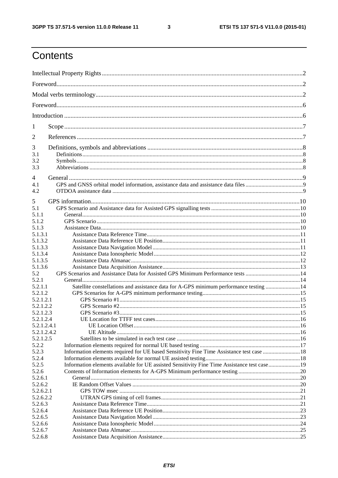$\mathbf{3}$ 

## Contents

| 1              |                                                                                             |  |
|----------------|---------------------------------------------------------------------------------------------|--|
| $\overline{2}$ |                                                                                             |  |
| 3<br>3.1       |                                                                                             |  |
| 3.2            |                                                                                             |  |
| 3.3            |                                                                                             |  |
| $\overline{4}$ |                                                                                             |  |
| 4.1            |                                                                                             |  |
| 4.2            |                                                                                             |  |
|                |                                                                                             |  |
| 5              |                                                                                             |  |
| 5.1            |                                                                                             |  |
| 5.1.1          |                                                                                             |  |
| 5.1.2<br>5.1.3 |                                                                                             |  |
| 5.1.3.1        |                                                                                             |  |
| 5.1.3.2        |                                                                                             |  |
| 5.1.3.3        |                                                                                             |  |
| 5.1.3.4        |                                                                                             |  |
| 5.1.3.5        |                                                                                             |  |
| 5.1.3.6        |                                                                                             |  |
| 5.2            |                                                                                             |  |
| 5.2.1          |                                                                                             |  |
| 5.2.1.1        | Satellite constellations and assistance data for A-GPS minimum performance testing  14      |  |
| 5.2.1.2        |                                                                                             |  |
| 5.2.1.2.1      |                                                                                             |  |
| 5.2.1.2.2      |                                                                                             |  |
| 5.2.1.2.3      |                                                                                             |  |
| 5.2.1.2.4      |                                                                                             |  |
| 5.2.1.2.4.1    |                                                                                             |  |
| 5.2.1.2.4.2    |                                                                                             |  |
| 5.2.1.2.5      |                                                                                             |  |
| 5.2.2<br>5.2.3 | Information elements required for UE based Sensitivity Fine Time Assistance test case  18   |  |
| 5.2.4          |                                                                                             |  |
| 5.2.5          | Information elements available for UE assisted Sensitivity Fine Time Assistance test case19 |  |
| 5.2.6          |                                                                                             |  |
| 5.2.6.1        |                                                                                             |  |
| 5.2.6.2        |                                                                                             |  |
| 5.2.6.2.1      |                                                                                             |  |
| 5.2.6.2.2      |                                                                                             |  |
| 5.2.6.3        |                                                                                             |  |
| 5.2.6.4        |                                                                                             |  |
| 5.2.6.5        |                                                                                             |  |
| 5.2.6.6        |                                                                                             |  |
| 5.2.6.7        |                                                                                             |  |
| 5.2.6.8        |                                                                                             |  |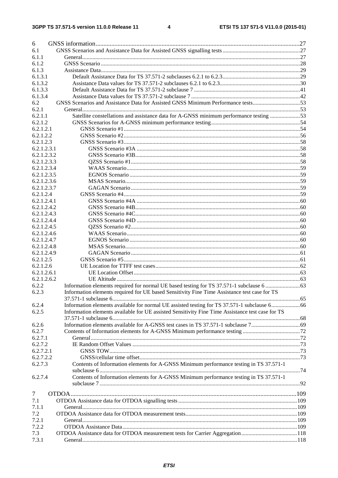$\overline{\mathbf{4}}$ 

| 6           |                                                                                                  |  |
|-------------|--------------------------------------------------------------------------------------------------|--|
| 6.1         |                                                                                                  |  |
| 6.1.1       |                                                                                                  |  |
| 6.1.2       |                                                                                                  |  |
| 6.1.3       |                                                                                                  |  |
| 6.1.3.1     |                                                                                                  |  |
| 6.1.3.2     |                                                                                                  |  |
| 6.1.3.3     |                                                                                                  |  |
| 6.1.3.4     |                                                                                                  |  |
| 6.2         | GNSS Scenarios and Assistance Data for Assisted GNSS Minimum Performance tests53                 |  |
| 6.2.1       |                                                                                                  |  |
| 6.2.1.1     | Satellite constellations and assistance data for A-GNSS minimum performance testing 53           |  |
| 6.2.1.2     |                                                                                                  |  |
| 6.2.1.2.1   |                                                                                                  |  |
| 6.2.1.2.2   |                                                                                                  |  |
| 6.2.1.2.3   |                                                                                                  |  |
| 6.2.1.2.3.1 |                                                                                                  |  |
| 6.2.1.2.3.2 |                                                                                                  |  |
| 6.2.1.2.3.3 |                                                                                                  |  |
| 6.2.1.2.3.4 |                                                                                                  |  |
| 6.2.1.2.3.5 |                                                                                                  |  |
| 6.2.1.2.3.6 |                                                                                                  |  |
| 6.2.1.2.3.7 |                                                                                                  |  |
| 6.2.1.2.4   |                                                                                                  |  |
| 6.2.1.2.4.1 |                                                                                                  |  |
| 6.2.1.2.4.2 |                                                                                                  |  |
| 6.2.1.2.4.3 |                                                                                                  |  |
| 6.2.1.2.4.4 |                                                                                                  |  |
| 6.2.1.2.4.5 |                                                                                                  |  |
| 6.2.1.2.4.6 |                                                                                                  |  |
| 6.2.1.2.4.7 |                                                                                                  |  |
| 6.2.1.2.4.8 |                                                                                                  |  |
| 6.2.1.2.4.9 |                                                                                                  |  |
| 6.2.1.2.5   |                                                                                                  |  |
| 6.2.1.2.6   |                                                                                                  |  |
| 6.2.1.2.6.1 |                                                                                                  |  |
| 6.2.1.2.6.2 |                                                                                                  |  |
| 6.2.2       |                                                                                                  |  |
| 6.2.3       | Information elements required for UE based Sensitivity Fine Time Assistance test case for TS     |  |
|             |                                                                                                  |  |
| 6.2.4       | Information elements available for normal UE assisted testing for TS 37.571-1 subclause 666      |  |
| 6.2.5       | Information elements available for UE assisted Sensitivity Fine Time Assistance test case for TS |  |
|             |                                                                                                  |  |
| 6.2.6       |                                                                                                  |  |
| 6.2.7       |                                                                                                  |  |
| 6.2.7.1     |                                                                                                  |  |
| 6.2.7.2     |                                                                                                  |  |
| 6.2.7.2.1   |                                                                                                  |  |
| 6.2.7.2.2   |                                                                                                  |  |
| 6.2.7.3     | Contents of Information elements for A-GNSS Minimum performance testing in TS 37.571-1           |  |
|             |                                                                                                  |  |
| 6.2.7.4     | Contents of Information elements for A-GNSS Minimum performance testing in TS 37.571-1           |  |
|             |                                                                                                  |  |
|             |                                                                                                  |  |
| 7           |                                                                                                  |  |
| 7.1         |                                                                                                  |  |
| 7.1.1       |                                                                                                  |  |
| 7.2         |                                                                                                  |  |
| 7.2.1       |                                                                                                  |  |
| 7.2.2       |                                                                                                  |  |
| 7.3         |                                                                                                  |  |
| 7.3.1       |                                                                                                  |  |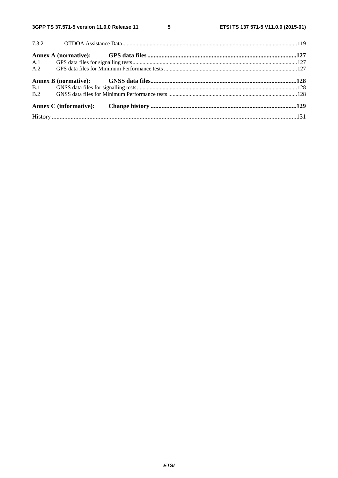$5\phantom{a}$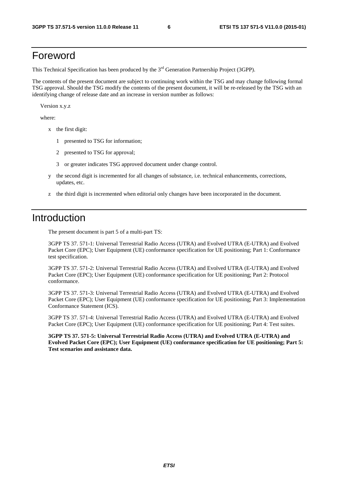## Foreword

This Technical Specification has been produced by the 3<sup>rd</sup> Generation Partnership Project (3GPP).

The contents of the present document are subject to continuing work within the TSG and may change following formal TSG approval. Should the TSG modify the contents of the present document, it will be re-released by the TSG with an identifying change of release date and an increase in version number as follows:

Version x.y.z

where:

- x the first digit:
	- 1 presented to TSG for information;
	- 2 presented to TSG for approval;
	- 3 or greater indicates TSG approved document under change control.
- y the second digit is incremented for all changes of substance, i.e. technical enhancements, corrections, updates, etc.
- z the third digit is incremented when editorial only changes have been incorporated in the document.

## Introduction

The present document is part 5 of a multi-part TS:

3GPP TS 37. 571-1: Universal Terrestrial Radio Access (UTRA) and Evolved UTRA (E-UTRA) and Evolved Packet Core (EPC); User Equipment (UE) conformance specification for UE positioning; Part 1: Conformance test specification.

3GPP TS 37. 571-2: Universal Terrestrial Radio Access (UTRA) and Evolved UTRA (E-UTRA) and Evolved Packet Core (EPC); User Equipment (UE) conformance specification for UE positioning; Part 2: Protocol conformance.

3GPP TS 37. 571-3: Universal Terrestrial Radio Access (UTRA) and Evolved UTRA (E-UTRA) and Evolved Packet Core (EPC); User Equipment (UE) conformance specification for UE positioning; Part 3: Implementation Conformance Statement (ICS).

3GPP TS 37. 571-4: Universal Terrestrial Radio Access (UTRA) and Evolved UTRA (E-UTRA) and Evolved Packet Core (EPC); User Equipment (UE) conformance specification for UE positioning; Part 4: Test suites.

**3GPP TS 37. 571-5: Universal Terrestrial Radio Access (UTRA) and Evolved UTRA (E-UTRA) and Evolved Packet Core (EPC); User Equipment (UE) conformance specification for UE positioning; Part 5: Test scenarios and assistance data.**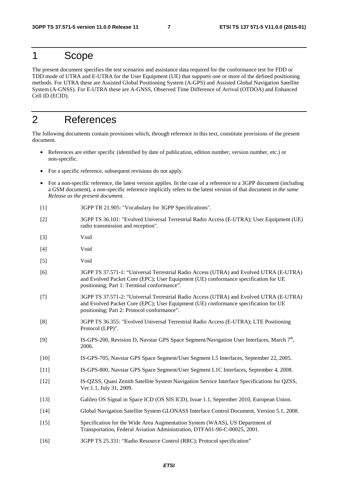## 1 Scope

The present document specifies the test scenarios and assistance data required for the conformance test for FDD or TDD mode of UTRA and E-UTRA for the User Equipment (UE) that supports one or more of the defined positioning methods. For UTRA these are Assisted Global Positioning System (A-GPS) and Assisted Global Navigation Satellite System (A-GNSS). For E-UTRA these are A-GNSS, Observed Time Difference of Arrival (OTDOA) and Enhanced Cell ID (ECID).

## 2 References

The following documents contain provisions which, through reference in this text, constitute provisions of the present document.

- References are either specific (identified by date of publication, edition number, version number, etc.) or non-specific.
- For a specific reference, subsequent revisions do not apply.
- For a non-specific reference, the latest version applies. In the case of a reference to a 3GPP document (including a GSM document), a non-specific reference implicitly refers to the latest version of that document *in the same Release as the present document*.
- [1] 3GPP TR 21.905: "Vocabulary for 3GPP Specifications".
- [2] 3GPP TS 36.101: "Evolved Universal Terrestrial Radio Access (E-UTRA); User Equipment (UE) radio transmission and reception".
- [3] Void
- [4] Void
- [5] Void
- [6] 3GPP TS 37.571-1: "Universal Terrestrial Radio Access (UTRA) and Evolved UTRA (E-UTRA) and Evolved Packet Core (EPC); User Equipment (UE) conformance specification for UE positioning; Part 1: Terminal conformance".
- [7] 3GPP TS 37.571-2: "Universal Terrestrial Radio Access (UTRA) and Evolved UTRA (E-UTRA) and Evolved Packet Core (EPC); User Equipment (UE) conformance specification for UE positioning; Part 2: Protocol conformance".
- [8] 3GPP TS 36.355: "Evolved Universal Terrestrial Radio Access (E-UTRA); LTE Positioning Protocol (LPP)".
- [9] IS-GPS-200, Revision D, Navstar GPS Space Segment/Navigation User Interfaces, March 7<sup>th</sup>, 2006.
- [10] IS-GPS-705, Navstar GPS Space Segment/User Segment L5 Interfaces, September 22, 2005.
- [11] IS-GPS-800, Navstar GPS Space Segment/User Segment L1C Interfaces, September 4, 2008.
- [12] IS-QZSS, Quasi Zenith Satellite System Navigation Service Interface Specifications for QZSS, Ver.1.1, July 31, 2009.
- [13] Galileo OS Signal in Space ICD (OS SIS ICD), Issue 1.1, September 2010, European Union.
- [14] Global Navigation Satellite System GLONASS Interface Control Document, Version 5.1, 2008.
- [15] Specification for the Wide Area Augmentation System (WAAS), US Department of Transportation, Federal Aviation Administration, DTFA01-96-C-00025, 2001.
- [16] 3GPP TS 25.331: "Radio Resource Control (RRC); Protocol specification"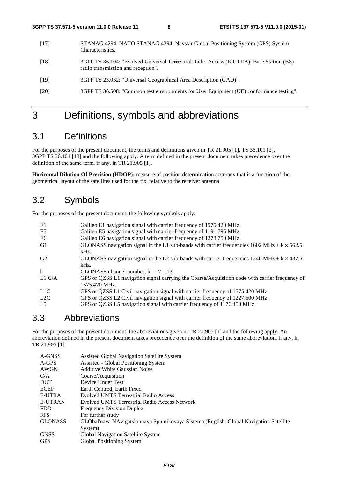- [17] STANAG 4294: NATO STANAG 4294. Navstar Global Positioning System (GPS) System Characteristics.
- [18] 3GPP TS 36.104: "Evolved Universal Terrestrial Radio Access (E-UTRA); Base Station (BS) radio transmission and reception".
- [19] 3GPP TS 23.032: "Universal Geographical Area Description (GAD)".
- [20] 3GPP TS 36.508: "Common test environments for User Equipment (UE) conformance testing".

## 3 Definitions, symbols and abbreviations

## 3.1 Definitions

For the purposes of the present document, the terms and definitions given in TR 21.905 [1], TS 36.101 [2], 3GPP TS 36.104 [18] and the following apply. A term defined in the present document takes precedence over the definition of the same term, if any, in TR 21.905 [1].

**Horizontal Dilution Of Precision (HDOP):** measure of position determination accuracy that is a function of the geometrical layout of the satellites used for the fix, relative to the receiver antenna

## 3.2 Symbols

For the purposes of the present document, the following symbols apply:

| E1             | Galileo E1 navigation signal with carrier frequency of 1575.420 MHz.                                   |
|----------------|--------------------------------------------------------------------------------------------------------|
| E5             | Galileo E5 navigation signal with carrier frequency of 1191.795 MHz.                                   |
| E6             | Galileo E6 navigation signal with carrier frequency of 1278.750 MHz.                                   |
| G1             | GLONASS navigation signal in the L1 sub-bands with carrier frequencies 1602 MHz $\pm$ k $\times$ 562.5 |
|                | kHz.                                                                                                   |
| G <sub>2</sub> | GLONASS navigation signal in the L2 sub-bands with carrier frequencies 1246 MHz $\pm$ k $\times$ 437.5 |
|                | kHz.                                                                                                   |
| k              | GLONASS channel number, $k = -713$ .                                                                   |
| L1 C/A         | GPS or QZSS L1 navigation signal carrying the Coarse/Acquisition code with carrier frequency of        |
|                | 1575.420 MHz.                                                                                          |
| -L1C           | GPS or QZSS L1 Civil navigation signal with carrier frequency of 1575.420 MHz.                         |
| L2C            | GPS or QZSS L2 Civil navigation signal with carrier frequency of 1227.600 MHz.                         |
| L <sub>5</sub> | GPS or QZSS L5 navigation signal with carrier frequency of 1176.450 MHz.                               |

## 3.3 Abbreviations

For the purposes of the present document, the abbreviations given in TR 21.905 [1] and the following apply. An abbreviation defined in the present document takes precedence over the definition of the same abbreviation, if any, in TR 21.905 [1].

| A-GNSS         | Assisted Global Navigation Satellite System                                            |
|----------------|----------------------------------------------------------------------------------------|
| A-GPS          | Assisted - Global Positioning System                                                   |
| <b>AWGN</b>    | <b>Additive White Gaussian Noise</b>                                                   |
| C/A            | Coarse/Acquisition                                                                     |
| <b>DUT</b>     | Device Under Test                                                                      |
| <b>ECEF</b>    | Earth Centred, Earth Fixed                                                             |
| <b>E-UTRA</b>  | <b>Evolved UMTS Terrestrial Radio Access</b>                                           |
| <b>E-UTRAN</b> | <b>Evolved UMTS Terrestrial Radio Access Network</b>                                   |
| <b>FDD</b>     | <b>Frequency Division Duplex</b>                                                       |
| <b>FFS</b>     | For further study                                                                      |
| <b>GLONASS</b> | GLObal'naya NAvigatsionnaya Sputnikovaya Sistema (English: Global Navigation Satellite |
|                | System)                                                                                |
| <b>GNSS</b>    | Global Navigation Satellite System                                                     |
| <b>GPS</b>     | Global Positioning System                                                              |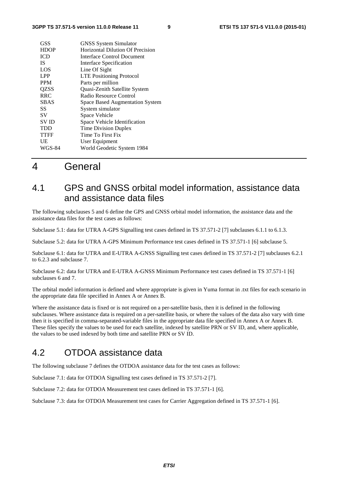| <b>GSS</b>  | <b>GNSS</b> System Simulator           |
|-------------|----------------------------------------|
| <b>HDOP</b> | Horizontal Dilution Of Precision       |
| <b>ICD</b>  | Interface Control Document             |
| <b>IS</b>   | Interface Specification                |
| LOS         | Line Of Sight                          |
| <b>LPP</b>  | <b>LTE Positioning Protocol</b>        |
| <b>PPM</b>  | Parts per million                      |
| QZSS        | Quasi-Zenith Satellite System          |
| <b>RRC</b>  | Radio Resource Control                 |
| <b>SBAS</b> | <b>Space Based Augmentation System</b> |
| SS          | System simulator                       |
| SV          | Space Vehicle                          |
| <b>SVID</b> | Space Vehicle Identification           |
| <b>TDD</b>  | <b>Time Division Duplex</b>            |
| <b>TTFF</b> | Time To First Fix                      |
| UE          | User Equipment                         |
| WGS-84      | World Geodetic System 1984             |
|             |                                        |

## 4 General

## 4.1 GPS and GNSS orbital model information, assistance data and assistance data files

The following subclauses 5 and 6 define the GPS and GNSS orbital model information, the assistance data and the assistance data files for the test cases as follows:

Subclause 5.1: data for UTRA A-GPS Signalling test cases defined in TS 37.571-2 [7] subclauses 6.1.1 to 6.1.3.

Subclause 5.2: data for UTRA A-GPS Minimum Performance test cases defined in TS 37.571-1 [6] subclause 5.

Subclause 6.1: data for UTRA and E-UTRA A-GNSS Signalling test cases defined in TS 37.571-2 [7] subclauses 6.2.1 to 6.2.3 and subclause 7.

Subclause 6.2: data for UTRA and E-UTRA A-GNSS Minimum Performance test cases defined in TS 37.571-1 [6] subclauses 6 and 7.

The orbital model information is defined and where appropriate is given in Yuma format in .txt files for each scenario in the appropriate data file specified in Annex A or Annex B.

Where the assistance data is fixed or is not required on a per-satellite basis, then it is defined in the following subclauses. Where assistance data is required on a per-satellite basis, or where the values of the data also vary with time then it is specified in comma-separated-variable files in the appropriate data file specified in Annex A or Annex B. These files specify the values to be used for each satellite, indexed by satellite PRN or SV ID, and, where applicable, the values to be used indexed by both time and satellite PRN or SV ID.

## 4.2 OTDOA assistance data

The following subclause 7 defines the OTDOA assistance data for the test cases as follows:

Subclause 7.1: data for OTDOA Signalling test cases defined in TS 37.571-2 [7].

Subclause 7.2: data for OTDOA Measurement test cases defined in TS 37.571-1 [6].

Subclause 7.3: data for OTDOA Measurement test cases for Carrier Aggregation defined in TS 37.571-1 [6].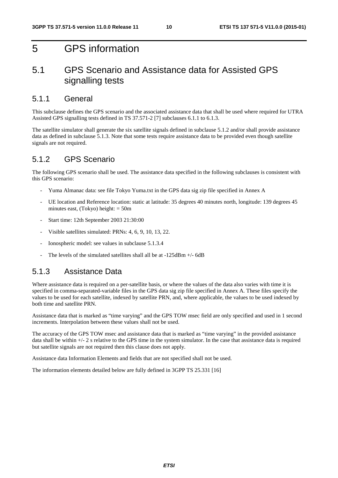## 5 GPS information

## 5.1 GPS Scenario and Assistance data for Assisted GPS signalling tests

## 5.1.1 General

This subclause defines the GPS scenario and the associated assistance data that shall be used where required for UTRA Assisted GPS signalling tests defined in TS 37.571-2 [7] subclauses 6.1.1 to 6.1.3.

The satellite simulator shall generate the six satellite signals defined in subclause 5.1.2 and/or shall provide assistance data as defined in subclause 5.1.3. Note that some tests require assistance data to be provided even though satellite signals are not required.

## 5.1.2 GPS Scenario

The following GPS scenario shall be used. The assistance data specified in the following subclauses is consistent with this GPS scenario:

- Yuma Almanac data: see file Tokyo Yuma.txt in the GPS data sig zip file specified in Annex A
- UE location and Reference location: static at latitude: 35 degrees 40 minutes north, longitude: 139 degrees 45 minutes east, (Tokyo) height:  $= 50m$
- Start time: 12th September 2003 21:30:00
- Visible satellites simulated: PRNs: 4, 6, 9, 10, 13, 22.
- Ionospheric model: see values in subclause 5.1.3.4
- The levels of the simulated satellites shall all be at  $-125dBm + (-6dB)$

## 5.1.3 Assistance Data

Where assistance data is required on a per-satellite basis, or where the values of the data also varies with time it is specified in comma-separated-variable files in the GPS data sig zip file specified in Annex A. These files specify the values to be used for each satellite, indexed by satellite PRN, and, where applicable, the values to be used indexed by both time and satellite PRN.

Assistance data that is marked as "time varying" and the GPS TOW msec field are only specified and used in 1 second increments. Interpolation between these values shall not be used.

The accuracy of the GPS TOW msec and assistance data that is marked as "time varying" in the provided assistance data shall be within  $+/- 2$  s relative to the GPS time in the system simulator. In the case that assistance data is required but satellite signals are not required then this clause does not apply.

Assistance data Information Elements and fields that are not specified shall not be used.

The information elements detailed below are fully defined in 3GPP TS 25.331 [16]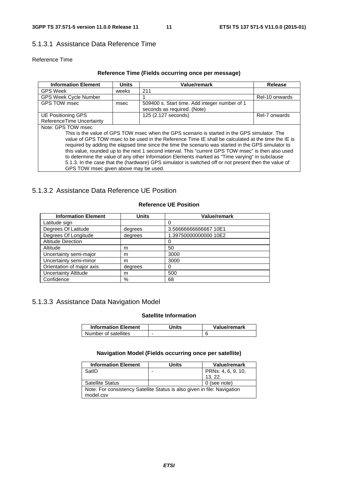## 5.1.3.1 Assistance Data Reference Time

## Reference Time

## **Reference Time (Fields occurring once per message)**

| <b>Information Element</b>                                                                            | <b>Units</b> | <b>Value/remark</b>                           | Release        |  |  |  |
|-------------------------------------------------------------------------------------------------------|--------------|-----------------------------------------------|----------------|--|--|--|
| <b>GPS Week</b>                                                                                       | weeks        | 211                                           |                |  |  |  |
| <b>GPS Week Cycle Number</b>                                                                          |              |                                               | Rel-10 onwards |  |  |  |
| GPS TOW msec                                                                                          | msec         | 509400 s. Start time. Add integer number of 1 |                |  |  |  |
|                                                                                                       |              | seconds as required. (Note)                   |                |  |  |  |
| UE Positioning GPS                                                                                    |              | 125 (2.127 seconds)                           | Rel-7 onwards  |  |  |  |
| ReferenceTime Uncertainty                                                                             |              |                                               |                |  |  |  |
| Note: GPS TOW msec                                                                                    |              |                                               |                |  |  |  |
| This is the value of GPS TOW msec when the GPS scenario is started in the GPS simulator. The          |              |                                               |                |  |  |  |
| value of GPS TOW msec to be used in the Reference Time IE shall be calculated at the time the IE is   |              |                                               |                |  |  |  |
| required by adding the elapsed time since the time the scenario was started in the GPS simulator to   |              |                                               |                |  |  |  |
| this value, rounded up to the next 1 second interval. This "current GPS TOW msec" is then also used   |              |                                               |                |  |  |  |
| to determine the value of any other Information Elements marked as "Time varying" in subclause        |              |                                               |                |  |  |  |
| 5.1.3. In the case that the (hardware) GPS simulator is switched off or not present then the value of |              |                                               |                |  |  |  |
| GPS TOW msec given above may be used.                                                                 |              |                                               |                |  |  |  |

## 5.1.3.2 Assistance Data Reference UE Position

## **Reference UE Position**

| <b>Information Element</b>  | <b>Units</b> | <b>Value/remark</b>   |
|-----------------------------|--------------|-----------------------|
| Latitude sign               |              |                       |
| Degrees Of Latitude         | degrees      | 3.56666666666667 10E1 |
| Degrees Of Longitude        | degrees      | 1.39750000000000 10E2 |
| <b>Altitude Direction</b>   |              |                       |
| Altitude                    | m            | 50                    |
| Uncertainty semi-major      | m            | 3000                  |
| Uncertainty semi-minor      | m            | 3000                  |
| Orientation of major axis   | degrees      | 0                     |
| <b>Uncertainty Altitude</b> | m            | 500                   |
| Confidence                  | %            | 68                    |

## 5.1.3.3 Assistance Data Navigation Model

## **Satellite Information**

| <b>Information Element</b> | Jnits | Value/remark |
|----------------------------|-------|--------------|
| Number of satellites       | -     |              |

### **Navigation Model (Fields occurring once per satellite)**

| <b>Information Element</b>                                               | <b>Units</b>             | <b>Value/remark</b> |  |
|--------------------------------------------------------------------------|--------------------------|---------------------|--|
| SatID                                                                    | $\overline{\phantom{0}}$ | PRNs: 4, 6, 9, 10,  |  |
|                                                                          |                          | 13.22.              |  |
| <b>Satellite Status</b>                                                  |                          | 0 (see note)        |  |
| Note: For consistency Satellite Status is also given in file: Navigation |                          |                     |  |
| model.csv                                                                |                          |                     |  |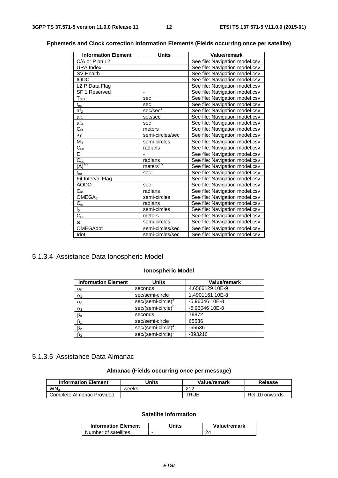| <b>Information Element</b> | <b>Units</b>          | <b>Value/remark</b>            |
|----------------------------|-----------------------|--------------------------------|
| C/A or P on L2             |                       | See file: Navigation model.csv |
| <b>URA Index</b>           |                       | See file: Navigation model.csv |
| SV Health                  |                       | See file: Navigation model.csv |
| <b>IODC</b>                |                       | See file: Navigation model.csv |
| L <sub>2</sub> P Data Flag |                       | See file: Navigation model.csv |
| SF 1 Reserved              |                       | See file: Navigation model.csv |
| $T_{GD}$                   | sec                   | See file: Navigation model.csv |
| $t_{oc}$                   | sec                   | See file: Navigation model.csv |
| af <sub>2</sub>            | sec/sec <sup>2</sup>  | See file: Navigation model.csv |
| af <sub>1</sub>            | sec/sec               | See file: Navigation model.csv |
| af <sub>0</sub>            | sec                   | See file: Navigation model.csv |
| $C_{rs}$                   | meters                | See file: Navigation model.csv |
| $\Delta n$                 | semi-circles/sec      | See file: Navigation model.csv |
| M <sub>0</sub>             | semi-circles          | See file: Navigation model.csv |
| $\overline{C_{uc}}$        | radians               | See file: Navigation model.csv |
| Ē                          |                       | See file: Navigation model.csv |
| $C_{us}$                   | radians               | See file: Navigation model.csv |
| $(A)^{1/2}$                | meters <sup>1/2</sup> | See file: Navigation model.csv |
| $t_{oe}$                   | sec                   | See file: Navigation model.csv |
| Fit Interval Flag          |                       | See file: Navigation model.csv |
| <b>AODO</b>                | sec                   | See file: Navigation model.csv |
| $C_{ic}$                   | radians               | See file: Navigation model.csv |
| OMEGA <sub>0</sub>         | semi-circles          | See file: Navigation model.csv |
| $C_{is}$                   | radians               | See file: Navigation model.csv |
| $i_0$                      | semi-circles          | See file: Navigation model.csv |
| $\overline{C_{rc}}$        | meters                | See file: Navigation model.csv |
| $\omega$                   | semi-circles          | See file: Navigation model.csv |
| <b>OMEGAdot</b>            | semi-circles/sec      | See file: Navigation model.csv |
| Idot                       | semi-circles/sec      | See file: Navigation model.csv |

## **Ephemeris and Clock correction Information Elements (Fields occurring once per satellite)**

## 5.1.3.4 Assistance Data Ionospheric Model

## **Ionospheric Model**

| <b>Information Element</b> | <b>Units</b>                   | <b>Value/remark</b> |
|----------------------------|--------------------------------|---------------------|
| $\alpha_0$                 | seconds                        | 4.6566129 10E-9     |
| $\alpha_1$                 | sec/semi-circle                | 1.4901161 10E-8     |
| $\alpha_2$                 | $sec/(semi-circle)^2$          | -5.96046 10E-8      |
| $\alpha_3$                 | sec/(semi-circle) <sup>3</sup> | -5.96046 10E-8      |
| $\beta_0$                  | seconds                        | 79872               |
| $\beta_1$                  | sec/semi-circle                | 65536               |
| $\beta_2$                  | sec/(semi-circle) <sup>2</sup> | $-65536$            |
| $\beta_3$                  | sec/(semi-circle) <sup>3</sup> | $-393216$           |

## 5.1.3.5 Assistance Data Almanac

## **Almanac (Fields occurring once per message)**

| <b>Information Element</b> | Units | Value/remark | Release        |
|----------------------------|-------|--------------|----------------|
| WN <sub>a</sub>            | weeks | 212          |                |
| Complete Almanac Provided  |       | TRUE         | Rel-10 onwards |

## **Satellite Information**

| <b>Information Element</b> | Units | Value/remark |
|----------------------------|-------|--------------|
| Number of satellites       |       |              |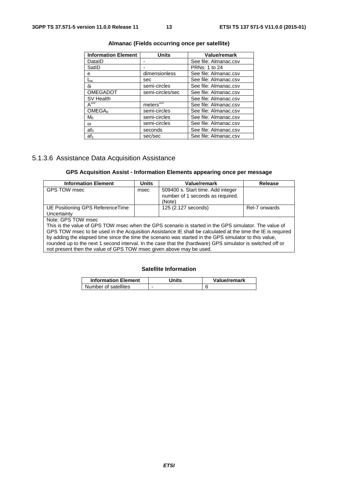| <b>Information Element</b> | Units                  | <b>Value/remark</b>   |
|----------------------------|------------------------|-----------------------|
| DataID                     |                        | See file: Almanac.csv |
| SatID                      |                        | <b>PRNs: 1 to 24</b>  |
| e                          | dimensionless          | See file: Almanac.csv |
| $t_{oa}$                   | sec                    | See file: Almanac.csv |
| δi                         | semi-circles           | See file: Almanac.csv |
| <b>OMEGADOT</b>            | semi-circles/sec       | See file: Almanac.csv |
| SV Health                  |                        | See file: Almanac.csv |
| $A^{1/2}$                  | meters $\sqrt[1/2]{ }$ | See file: Almanac.csv |
| OMEGA <sub>0</sub>         | semi-circles           | See file: Almanac.csv |
| $M_0$                      | semi-circles           | See file: Almanac.csv |
| $\omega$                   | semi-circles           | See file: Almanac.csv |
| af <sub>0</sub>            | seconds                | See file: Almanac.csv |
| af <sub>1</sub>            | sec/sec                | See file: Almanac.csv |

### **Almanac (Fields occurring once per satellite)**

## 5.1.3.6 Assistance Data Acquisition Assistance

## **GPS Acquisition Assist - Information Elements appearing once per message**

| <b>Information Element</b>                                                                                     | <b>Units</b> | Value/remark                      | <b>Release</b> |
|----------------------------------------------------------------------------------------------------------------|--------------|-----------------------------------|----------------|
| GPS TOW msec                                                                                                   | msec         | 509400 s. Start time. Add integer |                |
|                                                                                                                |              | number of 1 seconds as required.  |                |
|                                                                                                                |              | (Note)                            |                |
| UE Positioning GPS Reference Time                                                                              |              | 125 (2.127 seconds)               | Rel-7 onwards  |
| Uncertainty                                                                                                    |              |                                   |                |
| Note: GPS TOW msec                                                                                             |              |                                   |                |
| This is the value of GPS TOW msec when the GPS scenario is started in the GPS simulator. The value of          |              |                                   |                |
| GPS TOW msec to be used in the Acquisition Assistance IE shall be calculated at the time the IE is required    |              |                                   |                |
| by adding the elapsed time since the time the scenario was started in the GPS simulator to this value,         |              |                                   |                |
| re the local contract the problem of the decouple of the district of the formulation of the contract of the co |              |                                   |                |

rounded up to the next 1 second interval. In the case that the (hardware) GPS simulator is switched off or not present then the value of GPS TOW msec given above may be used.

## **Satellite Information**

| <b>Information Element</b> | Units | Value/remark |
|----------------------------|-------|--------------|
| Number of satellites       |       |              |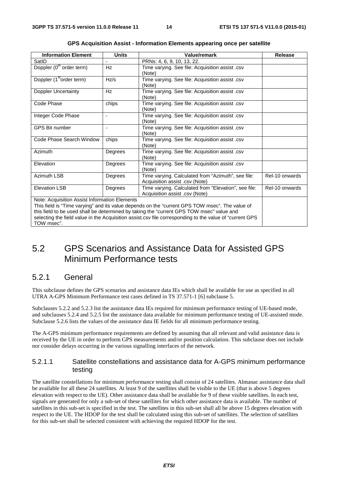| <b>Information Element</b>                    | <b>Units</b>             | Value/remark                                                                                             | <b>Release</b> |
|-----------------------------------------------|--------------------------|----------------------------------------------------------------------------------------------------------|----------------|
| SatID                                         |                          | PRNs: 4, 6, 9, 10, 13, 22.                                                                               |                |
| Doppler (0 <sup>th</sup> order term)          | Hz                       | Time varying. See file: Acquisition assist .csv                                                          |                |
|                                               |                          | (Note)                                                                                                   |                |
| Doppler (1 <sup>st</sup> order term)          | Hz/s                     | Time varying. See file: Acquisition assist .csv                                                          |                |
|                                               |                          | (Note)                                                                                                   |                |
| Doppler Uncertainty                           | Hz                       | Time varying. See file: Acquisition assist .csv                                                          |                |
|                                               |                          | (Note)                                                                                                   |                |
| Code Phase                                    | chips                    | Time varying. See file: Acquisition assist .csv                                                          |                |
|                                               |                          | (Note)                                                                                                   |                |
| Integer Code Phase                            | $\overline{\phantom{0}}$ | Time varying. See file: Acquisition assist .csv                                                          |                |
|                                               |                          | (Note)                                                                                                   |                |
| <b>GPS Bit number</b>                         | $\overline{\phantom{a}}$ | Time varying. See file: Acquisition assist .csv                                                          |                |
|                                               |                          | (Note)                                                                                                   |                |
| Code Phase Search Window                      | chips                    | Time varying. See file: Acquisition assist .csv                                                          |                |
|                                               |                          | (Note)                                                                                                   |                |
| Azimuth                                       | Degrees                  | Time varying. See file: Acquisition assist .csv                                                          |                |
|                                               |                          | (Note)                                                                                                   |                |
| Elevation                                     | Degrees                  | Time varying. See file: Acquisition assist .csv                                                          |                |
|                                               |                          | (Note)                                                                                                   |                |
| Azimuth LSB                                   | Degrees                  | Time varying. Calculated from "Azimuth", see file:                                                       | Rel-10 onwards |
|                                               |                          | Acquisition assist .csv (Note)                                                                           |                |
| <b>Elevation LSB</b>                          | Degrees                  | Time varying. Calculated from "Elevation", see file:                                                     | Rel-10 onwards |
|                                               |                          | Acquisition assist .csv (Note)                                                                           |                |
| Note: Acquisition Assist Information Elements |                          |                                                                                                          |                |
|                                               |                          | This field is "Time varying" and its value depends on the "current GPS TOW msec". The value of           |                |
|                                               |                          | this field to be used shall be determined by taking the "current GPS TOW msec" value and                 |                |
|                                               |                          | selecting the field value in the Acquisition assist.csv file corresponding to the value of "current GPS" |                |

|  | GPS Acquisition Assist - Information Elements appearing once per satellite |  |  |
|--|----------------------------------------------------------------------------|--|--|
|--|----------------------------------------------------------------------------|--|--|

## 5.2 GPS Scenarios and Assistance Data for Assisted GPS Minimum Performance tests

## 5.2.1 General

TOW msec".

This subclause defines the GPS scenarios and assistance data IEs which shall be available for use as specified in all UTRA A-GPS Minimum Performance test cases defined in TS 37.571-1 [6] subclause 5.

Subclauses 5.2.2 and 5.2.3 list the assistance data IEs required for minimum performance testing of UE-based mode, and subclauses 5.2.4 and 5.2.5 list the assistance data available for minimum performance testing of UE-assisted mode. Subclause 5.2.6 lists the values of the assistance data IE fields for all minimum performance testing.

The A-GPS minimum performance requirements are defined by assuming that all relevant and valid assistance data is received by the UE in order to perform GPS measurements and/or position calculation. This subclause does not include nor consider delays occurring in the various signalling interfaces of the network.

## 5.2.1.1 Satellite constellations and assistance data for A-GPS minimum performance testing

The satellite constellations for minimum performance testing shall consist of 24 satellites. Almanac assistance data shall be available for all these 24 satellites. At least 9 of the satellites shall be visible to the UE (that is above 5 degrees elevation with respect to the UE). Other assistance data shall be available for 9 of these visible satellites. In each test, signals are generated for only a sub-set of these satellites for which other assistance data is available. The number of satellites in this sub-set is specified in the test. The satellites in this sub-set shall all be above 15 degrees elevation with respect to the UE. The HDOP for the test shall be calculated using this sub-set of satellites. The selection of satellites for this sub-set shall be selected consistent with achieving the required HDOP for the test.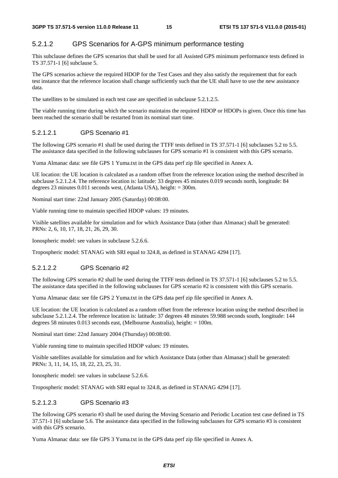## 5.2.1.2 GPS Scenarios for A-GPS minimum performance testing

This subclause defines the GPS scenarios that shall be used for all Assisted GPS minimum performance tests defined in TS 37.571-1 [6] subclause 5.

The GPS scenarios achieve the required HDOP for the Test Cases and they also satisfy the requirement that for each test instance that the reference location shall change sufficiently such that the UE shall have to use the new assistance data.

The satellites to be simulated in each test case are specified in subclause 5.2.1.2.5.

The viable running time during which the scenario maintains the required HDOP or HDOPs is given. Once this time has been reached the scenario shall be restarted from its nominal start time.

## 5.2.1.2.1 GPS Scenario #1

The following GPS scenario #1 shall be used during the TTFF tests defined in TS 37.571-1 [6] subclauses 5.2 to 5.5. The assistance data specified in the following subclauses for GPS scenario #1 is consistent with this GPS scenario.

Yuma Almanac data: see file GPS 1 Yuma.txt in the GPS data perf zip file specified in Annex A.

UE location: the UE location is calculated as a random offset from the reference location using the method described in subclause 5.2.1.2.4. The reference location is: latitude: 33 degrees 45 minutes 0.019 seconds north, longitude: 84 degrees 23 minutes 0.011 seconds west, (Atlanta USA), height: = 300m.

Nominal start time: 22nd January 2005 (Saturday) 00:08:00.

Viable running time to maintain specified HDOP values: 19 minutes.

Visible satellites available for simulation and for which Assistance Data (other than Almanac) shall be generated: PRNs: 2, 6, 10, 17, 18, 21, 26, 29, 30.

Ionospheric model: see values in subclause 5.2.6.6.

Tropospheric model: STANAG with SRI equal to 324.8, as defined in STANAG 4294 [17].

## 5.2.1.2.2 GPS Scenario #2

The following GPS scenario #2 shall be used during the TTFF tests defined in TS 37.571-1 [6] subclauses 5.2 to 5.5. The assistance data specified in the following subclauses for GPS scenario #2 is consistent with this GPS scenario.

Yuma Almanac data: see file GPS 2 Yuma.txt in the GPS data perf zip file specified in Annex A.

UE location: the UE location is calculated as a random offset from the reference location using the method described in subclause 5.2.1.2.4. The reference location is: latitude: 37 degrees 48 minutes 59.988 seconds south, longitude: 144 degrees 58 minutes 0.013 seconds east, (Melbourne Australia), height: = 100m.

Nominal start time: 22nd January 2004 (Thursday) 00:08:00.

Viable running time to maintain specified HDOP values: 19 minutes.

Visible satellites available for simulation and for which Assistance Data (other than Almanac) shall be generated: PRNs: 3, 11, 14, 15, 18, 22, 23, 25, 31.

Ionospheric model: see values in subclause 5.2.6.6.

Tropospheric model: STANAG with SRI equal to 324.8, as defined in STANAG 4294 [17].

## 5.2.1.2.3 GPS Scenario #3

The following GPS scenario #3 shall be used during the Moving Scenario and Periodic Location test case defined in TS 37.571-1 [6] subclause 5.6. The assistance data specified in the following subclauses for GPS scenario #3 is consistent with this GPS scenario.

Yuma Almanac data: see file GPS 3 Yuma.txt in the GPS data perf zip file specified in Annex A.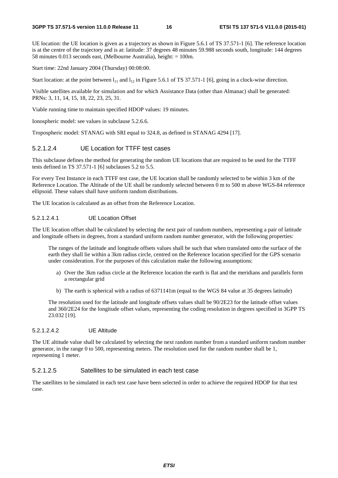UE location: the UE location is given as a trajectory as shown in Figure 5.6.1 of TS 37.571-1 [6]. The reference location is at the centre of the trajectory and is at: latitude: 37 degrees 48 minutes 59.988 seconds south, longitude: 144 degrees 58 minutes 0.013 seconds east, (Melbourne Australia), height: = 100m.

Start time: 22nd January 2004 (Thursday) 00:08:00.

Start location: at the point between  $l_{11}$  and  $l_{12}$  in Figure 5.6.1 of TS 37.571-1 [6], going in a clock-wise direction.

Visible satellites available for simulation and for which Assistance Data (other than Almanac) shall be generated: PRNs: 3, 11, 14, 15, 18, 22, 23, 25, 31.

Viable running time to maintain specified HDOP values: 19 minutes.

Ionospheric model: see values in subclause 5.2.6.6.

Tropospheric model: STANAG with SRI equal to 324.8, as defined in STANAG 4294 [17].

#### 5.2.1.2.4 UE Location for TTFF test cases

This subclause defines the method for generating the random UE locations that are required to be used for the TTFF tests defined in TS 37.571-1 [6] subclauses 5.2 to 5.5.

For every Test Instance in each TTFF test case, the UE location shall be randomly selected to be within 3 km of the Reference Location. The Altitude of the UE shall be randomly selected between 0 m to 500 m above WGS-84 reference ellipsoid. These values shall have uniform random distributions.

The UE location is calculated as an offset from the Reference Location.

#### 5.2.1.2.4.1 UE Location Offset

The UE location offset shall be calculated by selecting the next pair of random numbers, representing a pair of latitude and longitude offsets in degrees, from a standard uniform random number generator, with the following properties:

 The ranges of the latitude and longitude offsets values shall be such that when translated onto the surface of the earth they shall lie within a 3km radius circle, centred on the Reference location specified for the GPS scenario under consideration. For the purposes of this calculation make the following assumptions:

- a) Over the 3km radius circle at the Reference location the earth is flat and the meridians and parallels form a rectangular grid
- b) The earth is spherical with a radius of 6371141m (equal to the WGS 84 value at 35 degrees latitude)

 The resolution used for the latitude and longitude offsets values shall be 90/2E23 for the latitude offset values and 360/2E24 for the longitude offset values, representing the coding resolution in degrees specified in 3GPP TS 23.032 [19].

#### 5.2.1.2.4.2 UE Altitude

The UE altitude value shall be calculated by selecting the next random number from a standard uniform random number generator, in the range 0 to 500, representing meters. The resolution used for the random number shall be 1, representing 1 meter.

### 5.2.1.2.5 Satellites to be simulated in each test case

The satellites to be simulated in each test case have been selected in order to achieve the required HDOP for that test case.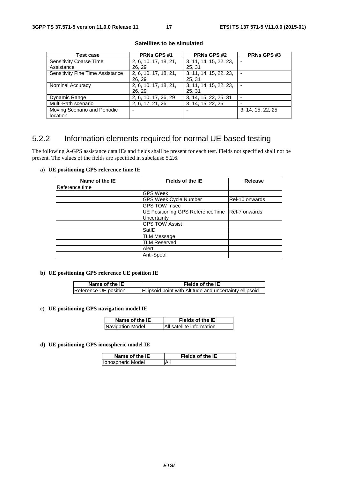| Test case                               | <b>PRNs GPS#1</b>     | <b>PRNs GPS #2</b>     | <b>PRNs GPS#3</b> |
|-----------------------------------------|-----------------------|------------------------|-------------------|
| <b>Sensitivity Coarse Time</b>          | 2, 6, 10, 17, 18, 21, | 3, 11, 14, 15, 22, 23, |                   |
| Assistance                              | 26, 29                | 25, 31                 |                   |
| <b>Sensitivity Fine Time Assistance</b> | 2, 6, 10, 17, 18, 21, | 3, 11, 14, 15, 22, 23, |                   |
|                                         | 26, 29                | 25, 31                 |                   |
| Nominal Accuracy                        | 2, 6, 10, 17, 18, 21, | 3, 11, 14, 15, 22, 23, |                   |
|                                         | 26, 29                | 25, 31                 |                   |
| Dynamic Range                           | 2, 6, 10, 17, 26, 29  | 3, 14, 15, 22, 25, 31  |                   |
| Multi-Path scenario                     | 2, 6, 17, 21, 26      | 3, 14, 15, 22, 25      |                   |
| Moving Scenario and Periodic            | -                     |                        | 3, 14, 15, 22, 25 |
| location                                |                       |                        |                   |

#### **Satellites to be simulated**

## 5.2.2 Information elements required for normal UE based testing

The following A-GPS assistance data IEs and fields shall be present for each test. Fields not specified shall not be present. The values of the fields are specified in subclause 5.2.6.

#### **a) UE positioning GPS reference time IE**

| Name of the IE | Fields of the IE                                  | Release        |
|----------------|---------------------------------------------------|----------------|
| Reference time |                                                   |                |
|                | <b>GPS Week</b>                                   |                |
|                | <b>GPS Week Cycle Number</b>                      | Rel-10 onwards |
|                | GPS TOW msec                                      |                |
|                | UE Positioning GPS Reference Time   Rel-7 onwards |                |
|                | Uncertainty                                       |                |
|                | <b>GPS TOW Assist</b>                             |                |
|                | SatID                                             |                |
|                | <b>TLM Message</b>                                |                |
|                | <b>TLM Reserved</b>                               |                |
|                | Alert                                             |                |
|                | Anti-Spoof                                        |                |

### **b) UE positioning GPS reference UE position IE**

| Name of the IE        | Fields of the IE                                        |
|-----------------------|---------------------------------------------------------|
| Reference UE position | Ellipsoid point with Altitude and uncertainty ellipsoid |

#### **c) UE positioning GPS navigation model IE**

| Name of the IE   | Fields of the IE          |
|------------------|---------------------------|
| Navigation Model | All satellite information |

#### **d) UE positioning GPS ionospheric model IE**

| Name of the IE    | <b>Fields of the IE</b> |
|-------------------|-------------------------|
| Ionospheric Model | All                     |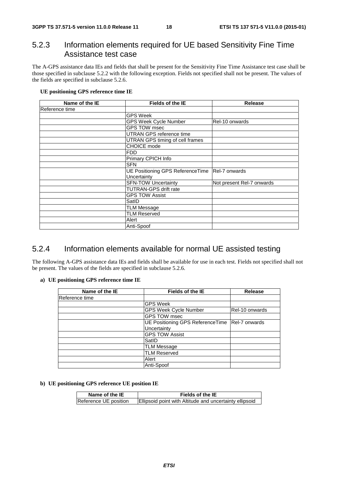## 5.2.3 Information elements required for UE based Sensitivity Fine Time Assistance test case

The A-GPS assistance data IEs and fields that shall be present for the Sensitivity Fine Time Assistance test case shall be those specified in subclause 5.2.2 with the following exception. Fields not specified shall not be present. The values of the fields are specified in subclause 5.2.6.

### **UE positioning GPS reference time IE**

| Name of the IE | <b>Fields of the IE</b>                          | Release                   |
|----------------|--------------------------------------------------|---------------------------|
| Reference time |                                                  |                           |
|                | <b>GPS Week</b>                                  |                           |
|                | <b>GPS Week Cycle Number</b>                     | Rel-10 onwards            |
|                | <b>GPS TOW msec</b>                              |                           |
|                | UTRAN GPS reference time                         |                           |
|                | UTRAN GPS timing of cell frames                  |                           |
|                | CHOICE mode                                      |                           |
|                | <b>FDD</b>                                       |                           |
|                | Primary CPICH Info                               |                           |
|                | <b>SFN</b>                                       |                           |
|                | UE Positioning GPS ReferenceTime   Rel-7 onwards |                           |
|                | Uncertainty                                      |                           |
|                | <b>SFN-TOW Uncertainty</b>                       | Not present Rel-7 onwards |
|                | <b>TUTRAN-GPS drift rate</b>                     |                           |
|                | <b>GPS TOW Assist</b>                            |                           |
|                | SatID                                            |                           |
|                | <b>TLM Message</b>                               |                           |
|                | <b>TLM Reserved</b>                              |                           |
|                | Alert                                            |                           |
|                | Anti-Spoof                                       |                           |

## 5.2.4 Information elements available for normal UE assisted testing

The following A-GPS assistance data IEs and fields shall be available for use in each test. Fields not specified shall not be present. The values of the fields are specified in subclause 5.2.6.

#### **a) UE positioning GPS reference time IE**

| Name of the IE | <b>Fields of the IE</b>                           | <b>Release</b> |
|----------------|---------------------------------------------------|----------------|
| Reference time |                                                   |                |
|                | <b>GPS Week</b>                                   |                |
|                | <b>GPS Week Cycle Number</b>                      | Rel-10 onwards |
|                | <b>GPS TOW msec</b>                               |                |
|                | UE Positioning GPS Reference Time   Rel-7 onwards |                |
|                | Uncertainty                                       |                |
|                | <b>GPS TOW Assist</b>                             |                |
|                | SatID                                             |                |
|                | <b>TLM Message</b>                                |                |
|                | <b>TLM Reserved</b>                               |                |
|                | Alert                                             |                |
|                | Anti-Spoof                                        |                |

## **b) UE positioning GPS reference UE position IE**

| Name of the IE        | Fields of the IE                                        |
|-----------------------|---------------------------------------------------------|
| Reference UE position | Ellipsoid point with Altitude and uncertainty ellipsoid |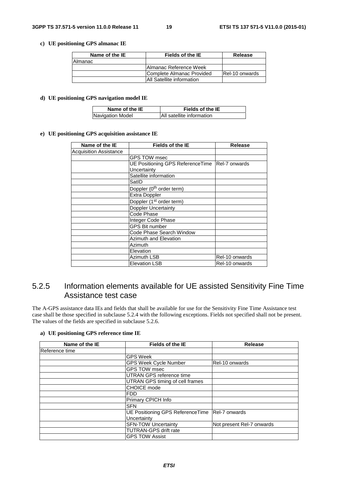### **c) UE positioning GPS almanac IE**

| Name of the IE | Fields of the IE                  | Release        |
|----------------|-----------------------------------|----------------|
| Almanac        |                                   |                |
|                | <b>IAImanac Reference Week</b>    |                |
|                | Complete Almanac Provided         | Rel-10 onwards |
|                | <b>IAII Satellite information</b> |                |

#### **d) UE positioning GPS navigation model IE**

| Name of the IE   | Fields of the IE          |
|------------------|---------------------------|
| Navigation Model | All satellite information |

#### **e) UE positioning GPS acquisition assistance IE**

| Name of the IE                | Fields of the IE                                  | <b>Release</b> |
|-------------------------------|---------------------------------------------------|----------------|
| <b>Acquisition Assistance</b> |                                                   |                |
|                               | <b>GPS TOW msec</b>                               |                |
|                               | UE Positioning GPS Reference Time   Rel-7 onwards |                |
|                               | Uncertainty                                       |                |
|                               | Satellite information                             |                |
|                               | SatID                                             |                |
|                               | Doppler (0 <sup>th</sup> order term)              |                |
|                               | <b>Extra Doppler</b>                              |                |
|                               | Doppler (1 <sup>st</sup> order term)              |                |
|                               | <b>Doppler Uncertainty</b>                        |                |
|                               | Code Phase                                        |                |
|                               | Integer Code Phase                                |                |
|                               | <b>GPS Bit number</b>                             |                |
|                               | Code Phase Search Window                          |                |
|                               | <b>Azimuth and Elevation</b>                      |                |
|                               | Azimuth                                           |                |
|                               | Elevation                                         |                |
|                               | <b>Azimuth LSB</b>                                | Rel-10 onwards |
|                               | <b>Elevation LSB</b>                              | Rel-10 onwards |

## 5.2.5 Information elements available for UE assisted Sensitivity Fine Time Assistance test case

The A-GPS assistance data IEs and fields that shall be available for use for the Sensitivity Fine Time Assistance test case shall be those specified in subclause 5.2.4 with the following exceptions. Fields not specified shall not be present. The values of the fields are specified in subclause 5.2.6.

#### **a) UE positioning GPS reference time IE**

| Name of the IE | <b>Fields of the IE</b>          | Release                   |
|----------------|----------------------------------|---------------------------|
| Reference time |                                  |                           |
|                | <b>GPS Week</b>                  |                           |
|                | <b>GPS Week Cycle Number</b>     | IRel-10 onwards           |
|                | <b>GPS TOW msec</b>              |                           |
|                | UTRAN GPS reference time         |                           |
|                | UTRAN GPS timing of cell frames  |                           |
|                | <b>CHOICE</b> mode               |                           |
|                | <b>IFDD</b>                      |                           |
|                | Primary CPICH Info               |                           |
|                | <b>SFN</b>                       |                           |
|                | UE Positioning GPS ReferenceTime | <b>Rel-7 onwards</b>      |
|                | Uncertainty                      |                           |
|                | <b>SFN-TOW Uncertainty</b>       | Not present Rel-7 onwards |
|                | TUTRAN-GPS drift rate            |                           |
|                | <b>GPS TOW Assist</b>            |                           |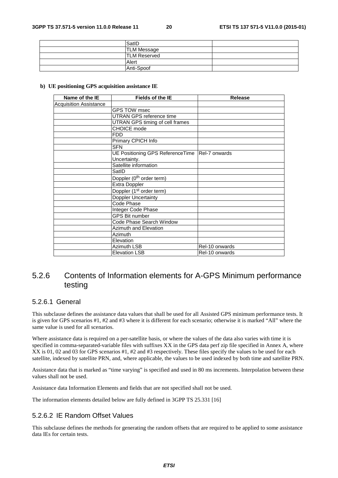| SatID               |  |
|---------------------|--|
| <b>TLM Message</b>  |  |
| <b>TLM Reserved</b> |  |
| Alert               |  |
| Anti-Spoof          |  |

#### **b) UE positioning GPS acquisition assistance IE**

| Name of the IE                | <b>Fields of the IE</b>                           | <b>Release</b> |
|-------------------------------|---------------------------------------------------|----------------|
| <b>Acquisition Assistance</b> |                                                   |                |
|                               | GPS TOW msec                                      |                |
|                               | UTRAN GPS reference time                          |                |
|                               | UTRAN GPS timing of cell frames                   |                |
|                               | <b>CHOICE</b> mode                                |                |
|                               | <b>FDD</b>                                        |                |
|                               | Primary CPICH Info                                |                |
|                               | <b>SFN</b>                                        |                |
|                               | UE Positioning GPS Reference Time   Rel-7 onwards |                |
|                               | Uncertainty.                                      |                |
|                               | Satellite information                             |                |
|                               | SatID                                             |                |
|                               | Doppler (0 <sup>th</sup> order term)              |                |
|                               | <b>Extra Doppler</b>                              |                |
|                               | Doppler (1 <sup>st</sup> order term)              |                |
|                               | Doppler Uncertainty                               |                |
|                               | Code Phase                                        |                |
|                               | Integer Code Phase                                |                |
|                               | <b>GPS Bit number</b>                             |                |
|                               | Code Phase Search Window                          |                |
|                               | Azimuth and Elevation                             |                |
|                               | Azimuth                                           |                |
|                               | Elevation                                         |                |
|                               | Azimuth LSB                                       | Rel-10 onwards |
|                               | <b>Elevation LSB</b>                              | Rel-10 onwards |

## 5.2.6 Contents of Information elements for A-GPS Minimum performance testing

## 5.2.6.1 General

This subclause defines the assistance data values that shall be used for all Assisted GPS minimum performance tests. It is given for GPS scenarios #1, #2 and #3 where it is different for each scenario; otherwise it is marked "All" where the same value is used for all scenarios.

Where assistance data is required on a per-satellite basis, or where the values of the data also varies with time it is specified in comma-separated-variable files with suffixes XX in the GPS data perf zip file specified in Annex A, where XX is 01, 02 and 03 for GPS scenarios #1, #2 and #3 respectively. These files specify the values to be used for each satellite, indexed by satellite PRN, and, where applicable, the values to be used indexed by both time and satellite PRN.

Assistance data that is marked as "time varying" is specified and used in 80 ms increments. Interpolation between these values shall not be used.

Assistance data Information Elements and fields that are not specified shall not be used.

The information elements detailed below are fully defined in 3GPP TS 25.331 [16]

## 5.2.6.2 IE Random Offset Values

This subclause defines the methods for generating the random offsets that are required to be applied to some assistance data IEs for certain tests.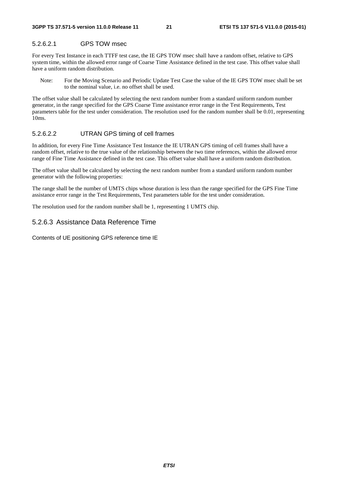## 5.2.6.2.1 GPS TOW msec

For every Test Instance in each TTFF test case, the IE GPS TOW msec shall have a random offset, relative to GPS system time, within the allowed error range of Coarse Time Assistance defined in the test case. This offset value shall have a uniform random distribution.

Note: For the Moving Scenario and Periodic Update Test Case the value of the IE GPS TOW msec shall be set to the nominal value, i.e. no offset shall be used.

The offset value shall be calculated by selecting the next random number from a standard uniform random number generator, in the range specified for the GPS Coarse Time assistance error range in the Test Requirements, Test parameters table for the test under consideration. The resolution used for the random number shall be 0.01, representing 10ms.

### 5.2.6.2.2 UTRAN GPS timing of cell frames

In addition, for every Fine Time Assistance Test Instance the IE UTRAN GPS timing of cell frames shall have a random offset, relative to the true value of the relationship between the two time references, within the allowed error range of Fine Time Assistance defined in the test case. This offset value shall have a uniform random distribution.

The offset value shall be calculated by selecting the next random number from a standard uniform random number generator with the following properties:

The range shall be the number of UMTS chips whose duration is less than the range specified for the GPS Fine Time assistance error range in the Test Requirements, Test parameters table for the test under consideration.

The resolution used for the random number shall be 1, representing 1 UMTS chip.

## 5.2.6.3 Assistance Data Reference Time

Contents of UE positioning GPS reference time IE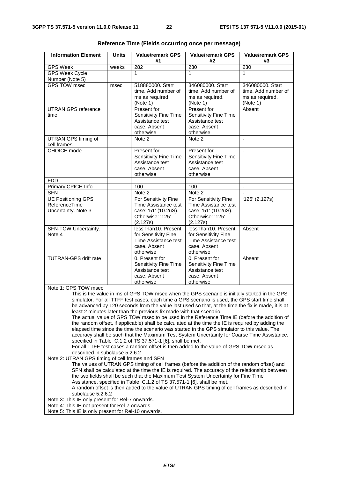| <b>Information Element</b>                                                                                                                                                                                                                                                                                                                                                                                                                                                                                                                               | <b>Units</b> | <b>Value/remark GPS</b><br>#1                                                                        | <b>Value/remark GPS</b><br>#2                                                                        | <b>Value/remark GPS</b><br>#3                                          |
|----------------------------------------------------------------------------------------------------------------------------------------------------------------------------------------------------------------------------------------------------------------------------------------------------------------------------------------------------------------------------------------------------------------------------------------------------------------------------------------------------------------------------------------------------------|--------------|------------------------------------------------------------------------------------------------------|------------------------------------------------------------------------------------------------------|------------------------------------------------------------------------|
| <b>GPS Week</b>                                                                                                                                                                                                                                                                                                                                                                                                                                                                                                                                          | weeks        | 282                                                                                                  | 230                                                                                                  | 230                                                                    |
| <b>GPS Week Cycle</b><br>Number (Note 5)                                                                                                                                                                                                                                                                                                                                                                                                                                                                                                                 |              | 1                                                                                                    | 1                                                                                                    | 1                                                                      |
| <b>GPS TOW msec</b>                                                                                                                                                                                                                                                                                                                                                                                                                                                                                                                                      | msec         | 518880000. Start<br>time. Add number of<br>ms as required.<br>(Note 1)                               | 346080000. Start<br>time. Add number of<br>ms as required.<br>(Note 1)                               | 346080000. Start<br>time. Add number of<br>ms as required.<br>(Note 1) |
| <b>UTRAN GPS reference</b><br>time                                                                                                                                                                                                                                                                                                                                                                                                                                                                                                                       |              | Present for<br>Sensitivity Fine Time<br>Assistance test<br>case. Absent<br>otherwise                 | Present for<br>Sensitivity Fine Time<br>Assistance test<br>case. Absent<br>otherwise                 | Absent                                                                 |
| UTRAN GPS timing of<br>cell frames                                                                                                                                                                                                                                                                                                                                                                                                                                                                                                                       |              | Note 2                                                                                               | Note 2                                                                                               | $\blacksquare$                                                         |
| <b>CHOICE</b> mode                                                                                                                                                                                                                                                                                                                                                                                                                                                                                                                                       |              | Present for<br>Sensitivity Fine Time<br>Assistance test<br>case. Absent<br>otherwise                 | Present for<br>Sensitivity Fine Time<br>Assistance test<br>case. Absent<br>otherwise                 |                                                                        |
| <b>FDD</b>                                                                                                                                                                                                                                                                                                                                                                                                                                                                                                                                               |              |                                                                                                      |                                                                                                      | $\blacksquare$                                                         |
| Primary CPICH Info                                                                                                                                                                                                                                                                                                                                                                                                                                                                                                                                       |              | 100                                                                                                  | 100                                                                                                  |                                                                        |
| <b>SFN</b>                                                                                                                                                                                                                                                                                                                                                                                                                                                                                                                                               |              | Note 2                                                                                               | Note 2                                                                                               |                                                                        |
| <b>UE Positioning GPS</b><br>ReferenceTime<br>Uncertainty. Note 3                                                                                                                                                                                                                                                                                                                                                                                                                                                                                        |              | For Sensitivity Fine<br>Time Assistance test<br>case: '51' (10.2uS).<br>Otherwise: '125'<br>(2.127s) | For Sensitivity Fine<br>Time Assistance test<br>case: '51' (10.2uS).<br>Otherwise: '125'<br>(2.127s) | $'125'$ (2.127s)                                                       |
| SFN-TOW Uncertainty.<br>Note 4                                                                                                                                                                                                                                                                                                                                                                                                                                                                                                                           |              | lessThan10. Present<br>for Sensitivity Fine<br>Time Assistance test<br>case. Absent<br>otherwise     | lessThan10. Present<br>for Sensitivity Fine<br>Time Assistance test<br>case. Absent<br>otherwise     | Absent                                                                 |
| <b>TUTRAN-GPS drift rate</b>                                                                                                                                                                                                                                                                                                                                                                                                                                                                                                                             |              | 0. Present for<br>Sensitivity Fine Time<br>Assistance test<br>case. Absent<br>otherwise              | 0. Present for<br>Sensitivity Fine Time<br>Assistance test<br>case. Absent<br>otherwise              | Absent                                                                 |
| Note 1: GPS TOW msec<br>This is the value in ms of GPS TOW msec when the GPS scenario is initially started in the GPS<br>simulator. For all TTFF test cases, each time a GPS scenario is used, the GPS start time shall<br>be advanced by 120 seconds from the value last used so that, at the time the fix is made, it is at<br>least 2 minutes later than the previous fix made with that scenario.                                                                                                                                                    |              |                                                                                                      |                                                                                                      |                                                                        |
| The actual value of GPS TOW msec to be used in the Reference Time IE (before the addition of<br>the random offset, if applicable) shall be calculated at the time the IE is required by adding the<br>elapsed time since the time the scenario was started in the GPS simulator to this value. The<br>accuracy shall be such that the Maximum Test System Uncertainty for Coarse Time Assistance,<br>specified in Table C.1.2 of TS 37.571-1 [6], shall be met.<br>For all TTFF test cases a random offset is then added to the value of GPS TOW msec as |              |                                                                                                      |                                                                                                      |                                                                        |

**Reference Time (Fields occurring once per message)** 

described in subclause 5.2.6.2 Note 2: UTRAN GPS timing of cell frames and SFN

The values of UTRAN GPS timing of cell frames (before the addition of the random offset) and SFN shall be calculated at the time the IE is required. The accuracy of the relationship between the two fields shall be such that the Maximum Test System Uncertainty for Fine Time Assistance, specified in Table C.1.2 of TS 37.571-1 [6], shall be met. A random offset is then added to the value of UTRAN GPS timing of cell frames as described in subclause 5.2.6.2

Note 3: This IE only present for Rel-7 onwards.

Note 4: This IE not present for Rel-7 onwards.

Note 5: This IE is only present for Rel-10 onwards.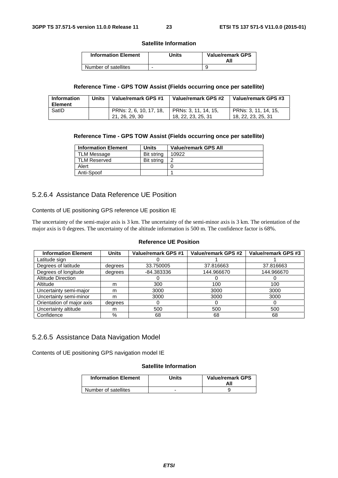#### **Satellite Information**

| <b>Information Element</b> | Units | <b>Value/remark GPS</b><br>All |
|----------------------------|-------|--------------------------------|
| Number of satellites       | -     |                                |

#### **Reference Time - GPS TOW Assist (Fields occurring once per satellite)**

| <b>Information</b><br><b>Element</b> | Units | Value/remark GPS #1                       | Value/remark GPS #2                        | Value/remark GPS #3                        |
|--------------------------------------|-------|-------------------------------------------|--------------------------------------------|--------------------------------------------|
| SatID                                |       | PRNs: 2, 6, 10, 17, 18,<br>21, 26, 29, 30 | PRNs: 3, 11, 14, 15,<br>18, 22, 23, 25, 31 | PRNs: 3, 11, 14, 15,<br>18, 22, 23, 25, 31 |

#### **Reference Time - GPS TOW Assist (Fields occurring once per satellite)**

| <b>Information Element</b> | Units      | <b>Value/remark GPS All</b> |
|----------------------------|------------|-----------------------------|
| <b>TLM Message</b>         | Bit string | 10922                       |
| TLM Reserved               | Bit string |                             |
| Alert                      |            |                             |
| Anti-Spoof                 |            |                             |

## 5.2.6.4 Assistance Data Reference UE Position

Contents of UE positioning GPS reference UE position IE

The uncertainty of the semi-major axis is 3 km. The uncertainty of the semi-minor axis is 3 km. The orientation of the major axis is 0 degrees. The uncertainty of the altitude information is 500 m. The confidence factor is 68%.

## **Reference UE Position**

| <b>Information Element</b> | <b>Units</b> | Value/remark GPS #1 | Value/remark GPS #2 | <b>Value/remark GPS #3</b> |
|----------------------------|--------------|---------------------|---------------------|----------------------------|
| Latitude sign              |              |                     |                     |                            |
| Degrees of latitude        | degrees      | 33.750005           | 37.816663           | 37.816663                  |
| Degrees of longitude       | degrees      | -84.383336          | 144.966670          | 144.966670                 |
| <b>Altitude Direction</b>  |              |                     |                     |                            |
| Altitude                   | m            | 300                 | 100                 | 100                        |
| Uncertainty semi-major     | m            | 3000                | 3000                | 3000                       |
| Uncertainty semi-minor     | m            | 3000                | 3000                | 3000                       |
| Orientation of major axis  | degrees      | 0                   | U                   | $\mathbf{U}$               |
| Uncertainty altitude       | m            | 500                 | 500                 | 500                        |
| Confidence                 | %            | 68                  | 68                  | 68                         |

## 5.2.6.5 Assistance Data Navigation Model

Contents of UE positioning GPS navigation model IE

#### **Satellite Information**

| <b>Information Element</b> | Units | <b>Value/remark GPS</b><br>All |
|----------------------------|-------|--------------------------------|
| Number of satellites       |       |                                |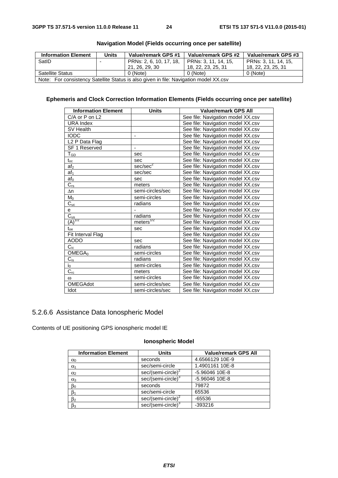| <b>Information Element</b>                                                            | <b>Units</b> | Value/remark GPS #1     | Value/remark GPS #2  | Value/remark GPS #3  |
|---------------------------------------------------------------------------------------|--------------|-------------------------|----------------------|----------------------|
| SatID                                                                                 |              | PRNs: 2, 6, 10, 17, 18, | PRNs: 3, 11, 14, 15, | PRNs: 3, 11, 14, 15, |
|                                                                                       |              | 21, 26, 29, 30          | 18, 22, 23, 25, 31   | 18, 22, 23, 25, 31   |
| <b>Satellite Status</b>                                                               |              | 0 (Note)                | 0 (Note)             | 0 (Note)             |
| Note: For consistency Satellite Status is also given in file: Navigation model XX.csv |              |                         |                      |                      |

## **Navigation Model (Fields occurring once per satellite)**

## **Ephemeris and Clock Correction Information Elements (Fields occurring once per satellite)**

| <b>Information Element</b>   | <b>Units</b>                 | <b>Value/remark GPS All</b>       |
|------------------------------|------------------------------|-----------------------------------|
| $C/A$ or $P$ on $L2$         |                              | See file: Navigation model XX.csv |
| <b>URA Index</b>             |                              | See file: Navigation model XX.csv |
| SV Health                    |                              | See file: Navigation model XX.csv |
| <b>IODC</b>                  | $\qquad \qquad \blacksquare$ | See file: Navigation model XX.csv |
| L <sub>2</sub> P Data Flag   |                              | See file: Navigation model XX.csv |
| SF 1 Reserved                | $\overline{\phantom{a}}$     | See file: Navigation model XX.csv |
| $T_{\underline{GD}}$         | sec                          | See file: Navigation model XX.csv |
| $\mathfrak{t}_{\mathrm{oc}}$ | sec                          | See file: Navigation model XX.csv |
| af <sub>2</sub>              | sec/sec <sup>2</sup>         | See file: Navigation model XX.csv |
| af <sub>1</sub>              | sec/sec                      | See file: Navigation model XX.csv |
| af <sub>0</sub>              | sec                          | See file: Navigation model XX.csv |
| $C_{rs}$                     | meters                       | See file: Navigation model XX.csv |
| $\Delta n$                   | semi-circles/sec             | See file: Navigation model XX.csv |
| $M_0$                        | semi-circles                 | See file: Navigation model XX.csv |
| $C_{uc}$                     | radians                      | See file: Navigation model XX.csv |
| е                            |                              | See file: Navigation model XX.csv |
| $\overline{C_{us}}$          | radians                      | See file: Navigation model XX.csv |
| $\frac{1}{2}$<br>(A)         | meters <sup>1/2</sup>        | See file: Navigation model XX.csv |
| $\mathfrak{t}_{\text{oe}}$   | sec                          | See file: Navigation model XX.csv |
| Fit Interval Flag            |                              | See file: Navigation model XX.csv |
| <b>AODO</b>                  | sec                          | See file: Navigation model XX.csv |
| $C_{ic}$                     | radians                      | See file: Navigation model XX.csv |
| OMEGA <sub>0</sub>           | semi-circles                 | See file: Navigation model XX.csv |
| $C_{is}$                     | radians                      | See file: Navigation model XX.csv |
| $i_0$                        | semi-circles                 | See file: Navigation model XX.csv |
| $C_{\rm rc}$                 | meters                       | See file: Navigation model XX.csv |
| $\omega$                     | semi-circles                 | See file: Navigation model XX.csv |
| OMEGAdot                     | semi-circles/sec             | See file: Navigation model XX.csv |
| Idot                         | semi-circles/sec             | See file: Navigation model XX.csv |

## 5.2.6.6 Assistance Data Ionospheric Model

Contents of UE positioning GPS ionospheric model IE

## **Ionospheric Model**

| <b>Information Element</b> | <b>Units</b>                   | <b>Value/remark GPS All</b> |
|----------------------------|--------------------------------|-----------------------------|
| $\alpha_0$                 | seconds                        | 4.6566129 10E-9             |
| $\alpha_1$                 | sec/semi-circle                | 1.4901161 10E-8             |
| $\alpha$ <sub>2</sub>      | $sec/(semi-circle)^2$          | -5.96046 10E-8              |
| $\alpha_3$                 | sec/(semi-circle) <sup>3</sup> | -5.96046 10E-8              |
| $\beta_0$                  | seconds                        | 79872                       |
| $\beta_1$                  | sec/semi-circle                | 65536                       |
| $\beta_2$                  | $sec/(semi-circle)^2$          | $-65536$                    |
| $\beta_3$                  | sec/(semi-circle) <sup>3</sup> | $-393216$                   |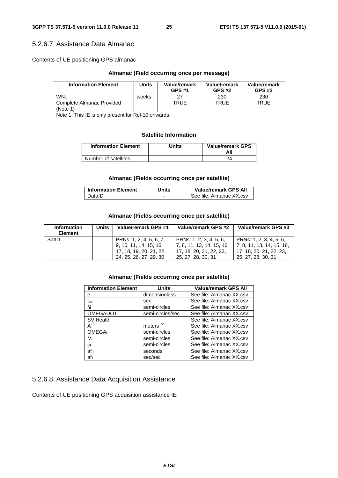## 5.2.6.7 Assistance Data Almanac

Contents of UE positioning GPS almanac

## **Almanac (Field occurring once per message)**

| <b>Information Element</b>                          | Units | Value/remark<br><b>GPS #1</b> | Value/remark<br><b>GPS #2</b> | Value/remark<br><b>GPS #3</b> |
|-----------------------------------------------------|-------|-------------------------------|-------------------------------|-------------------------------|
| WN <sub>a</sub>                                     | weeks | 27                            | 230                           | 230                           |
| Complete Almanac Provided                           |       | TRUF                          | TRUF                          | <b>TRUE</b>                   |
| (Note 1)                                            |       |                               |                               |                               |
| Note 1: This IE is only present for Rel-10 onwards. |       |                               |                               |                               |

#### **Satellite Information**

| <b>Information Element</b> | Units | <b>Value/remark GPS</b><br>All |
|----------------------------|-------|--------------------------------|
| Number of satellites       |       |                                |

### **Almanac (Fields occurring once per satellite)**

| <b>Information Element</b> | Units | <b>Value/remark GPS All</b> |
|----------------------------|-------|-----------------------------|
| DatalD                     |       | See file: Almanac XX.csv    |

### **Almanac (Fields occurring once per satellite)**

| <b>Information</b><br><b>Element</b> | <b>Units</b> | Value/remark GPS #1                                                                                    | Value/remark GPS #2                                                                                   | Value/remark GPS #3                                                                                     |
|--------------------------------------|--------------|--------------------------------------------------------------------------------------------------------|-------------------------------------------------------------------------------------------------------|---------------------------------------------------------------------------------------------------------|
| SatID                                | ۰            | PRNs: 1, 2, 4, 5, 6, 7,<br>9, 10, 11, 14, 15, 16,<br>17, 18, 19, 20, 21, 22,<br>24, 25, 26, 27, 29, 30 | PRNs: 1, 2, 3, 4, 5, 6,<br>7, 8, 11, 13, 14, 15, 16,<br>17, 18, 20, 21, 22, 23,<br>25, 27, 28, 30, 31 | PRNs: 1, 2, 3, 4, 5, 6,<br>  7, 8, 11, 13, 14, 15, 16,<br>17, 18, 20, 21, 22, 23,<br>25, 27, 28, 30, 31 |

## **Almanac (Fields occurring once per satellite)**

| <b>Information Element</b> | Units                 | <b>Value/remark GPS All</b> |
|----------------------------|-----------------------|-----------------------------|
| е                          | dimensionless         | See file: Almanac XX.csv    |
| $\rm t_{oa}$               | sec                   | See file: Almanac XX.csv    |
| δi                         | semi-circles          | See file: Almanac XX.csv    |
| <b>OMEGADOT</b>            | semi-circles/sec      | See file: Almanac XX.csv    |
| SV Health                  |                       | See file: Almanac XX.csv    |
| $A^{1/2}$                  | meters <sup>1/2</sup> | See file: Almanac XX.csv    |
| OMEGA <sub>0</sub>         | semi-circles          | See file: Almanac XX.csv    |
| $M_0$                      | semi-circles          | See file: Almanac XX.csv    |
| $\omega$                   | semi-circles          | See file: Almanac XX.csv    |
| af <sub>0</sub>            | seconds               | See file: Almanac XX.csv    |
| af <sub>1</sub>            | sec/sec               | See file: Almanac XX.csv    |

## 5.2.6.8 Assistance Data Acquisition Assistance

Contents of UE positioning GPS acquisition assistance IE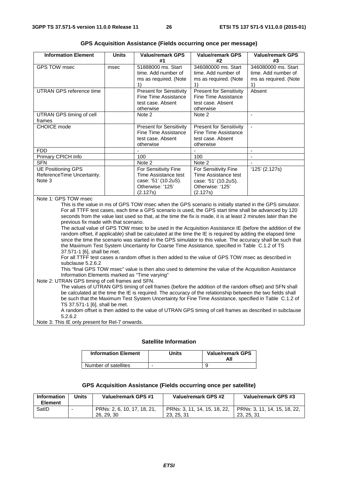| <b>Information Element</b>                                                                                                                                                                                                                                                                                                                                                                                                                                                                                                                                                                                                                                                                                                                                                                                                                                                       | <b>Units</b> | <b>Value/remark GPS</b><br>#1                                                                        | <b>Value/remark GPS</b><br>#2                                                                        | <b>Value/remark GPS</b><br>#3                                             |
|----------------------------------------------------------------------------------------------------------------------------------------------------------------------------------------------------------------------------------------------------------------------------------------------------------------------------------------------------------------------------------------------------------------------------------------------------------------------------------------------------------------------------------------------------------------------------------------------------------------------------------------------------------------------------------------------------------------------------------------------------------------------------------------------------------------------------------------------------------------------------------|--------------|------------------------------------------------------------------------------------------------------|------------------------------------------------------------------------------------------------------|---------------------------------------------------------------------------|
| <b>GPS TOW msec</b>                                                                                                                                                                                                                                                                                                                                                                                                                                                                                                                                                                                                                                                                                                                                                                                                                                                              | msec         | 51888000 ms. Start<br>time. Add number of<br>ms as required. (Note<br>1)                             | 346080000 ms. Start<br>time. Add number of<br>ms as required. (Note<br>1)                            | 346080000 ms. Start<br>time. Add number of<br>ms as required. (Note<br>1) |
| <b>UTRAN GPS reference time</b>                                                                                                                                                                                                                                                                                                                                                                                                                                                                                                                                                                                                                                                                                                                                                                                                                                                  |              | <b>Present for Sensitivity</b><br>Fine Time Assistance<br>test case. Absent<br>otherwise             | <b>Present for Sensitivity</b><br>Fine Time Assistance<br>test case. Absent<br>otherwise             | Absent                                                                    |
| UTRAN GPS timing of cell<br>frames                                                                                                                                                                                                                                                                                                                                                                                                                                                                                                                                                                                                                                                                                                                                                                                                                                               |              | Note 2                                                                                               | Note 2                                                                                               | $\overline{a}$                                                            |
| <b>CHOICE</b> mode                                                                                                                                                                                                                                                                                                                                                                                                                                                                                                                                                                                                                                                                                                                                                                                                                                                               |              | <b>Present for Sensitivity</b><br><b>Fine Time Assistance</b><br>test case. Absent<br>otherwise      | <b>Present for Sensitivity</b><br><b>Fine Time Assistance</b><br>test case. Absent<br>otherwise      | $\bar{\phantom{a}}$                                                       |
| <b>FDD</b>                                                                                                                                                                                                                                                                                                                                                                                                                                                                                                                                                                                                                                                                                                                                                                                                                                                                       |              |                                                                                                      |                                                                                                      | $\overline{\phantom{a}}$                                                  |
| Primary CPICH Info                                                                                                                                                                                                                                                                                                                                                                                                                                                                                                                                                                                                                                                                                                                                                                                                                                                               |              | 100                                                                                                  | 100                                                                                                  | $\mathbf{r}$                                                              |
| <b>SFN</b>                                                                                                                                                                                                                                                                                                                                                                                                                                                                                                                                                                                                                                                                                                                                                                                                                                                                       |              | Note <sub>2</sub>                                                                                    | Note 2                                                                                               |                                                                           |
| <b>UE Positioning GPS</b><br>ReferenceTime Uncertainty.<br>Note 3                                                                                                                                                                                                                                                                                                                                                                                                                                                                                                                                                                                                                                                                                                                                                                                                                |              | For Sensitivity Fine<br>Time Assistance test<br>case: '51' (10.2uS).<br>Otherwise: '125'<br>(2.127s) | For Sensitivity Fine<br>Time Assistance test<br>case: '51' (10.2uS).<br>Otherwise: '125'<br>(2.127s) | '125' (2.127s)                                                            |
| Note 1: GPS TOW msec<br>This is the value in ms of GPS TOW msec when the GPS scenario is initially started in the GPS simulator.<br>For all TTFF test cases, each time a GPS scenario is used, the GPS start time shall be advanced by 120<br>seconds from the value last used so that, at the time the fix is made, it is at least 2 minutes later than the<br>previous fix made with that scenario.<br>The actual value of GPS TOW msec to be used in the Acquisition Assistance IE (before the addition of the<br>random offset, if applicable) shall be calculated at the time the IE is required by adding the elapsed time<br>since the time the scenario was started in the GPS simulator to this value. The accuracy shall be such that<br>the Maximum Test System Uncertainty for Coarse Time Assistance, specified in Table C.1.2 of TS<br>37.571-1 [6], shall be met. |              |                                                                                                      |                                                                                                      |                                                                           |
| For all TTFF test cases a random offset is then added to the value of GPS TOW msec as described in<br>subclause 5.2.6.2<br>This "final GPS TOW msec" value is then also used to determine the value of the Acquisition Assistance<br>Information Elements marked as "Time varying"<br>Note 2: UTRAN GPS timing of cell frames and SFN.<br>The values of UTRAN GPS timing of cell frames (before the addition of the random offset) and SFN shall                                                                                                                                                                                                                                                                                                                                                                                                                                 |              |                                                                                                      |                                                                                                      |                                                                           |
| be calculated at the time the IE is required. The accuracy of the relationship between the two fields shall<br>be such that the Maximum Test System Uncertainty for Fine Time Assistance, specified in Table C.1.2 of<br>TS 37.571-1 [6], shall be met.                                                                                                                                                                                                                                                                                                                                                                                                                                                                                                                                                                                                                          |              |                                                                                                      |                                                                                                      |                                                                           |

**GPS Acquisition Assistance (Fields occurring once per message)** 

A random offset is then added to the value of UTRAN GPS timing of cell frames as described in subclause 5.2.6.2

Note 3: This IE only present for Rel-7 onwards.

## **Satellite Information**

| <b>Information Element</b> | <b>Jnits</b> | <b>Value/remark GPS</b><br>Αll |
|----------------------------|--------------|--------------------------------|
| Number of satellites       | -            |                                |

### **GPS Acquisition Assistance (Fields occurring once per satellite)**

| <b>Information</b><br>Element | Units | Value/remark GPS #1                       | Value/remark GPS #2                        | Value/remark GPS #3                        |
|-------------------------------|-------|-------------------------------------------|--------------------------------------------|--------------------------------------------|
| SatID                         |       | PRNs: 2, 6, 10, 17, 18, 21,<br>26, 29, 30 | PRNs: 3, 11, 14, 15, 18, 22,<br>23, 25, 31 | PRNs: 3, 11, 14, 15, 18, 22,<br>23, 25, 31 |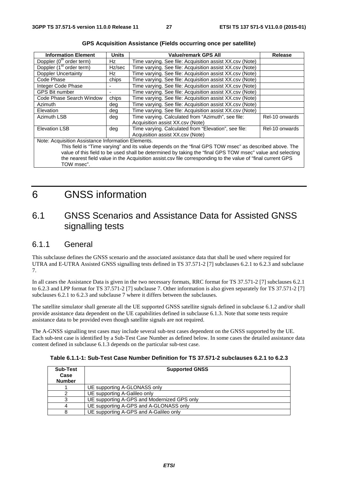| <b>Information Element</b>                                                                                  | <b>Units</b> | <b>Value/remark GPS All</b>                              | <b>Release</b> |
|-------------------------------------------------------------------------------------------------------------|--------------|----------------------------------------------------------|----------------|
| Doppler (0 <sup>th</sup> order term)                                                                        | Hz           | Time varying. See file: Acquisition assist XX.csv (Note) |                |
| Doppler (1 <sup>st</sup> order term)                                                                        | Hz/sec       | Time varying. See file: Acquisition assist XX.csv (Note) |                |
| <b>Doppler Uncertainty</b>                                                                                  | Hz           | Time varying. See file: Acquisition assist XX.csv (Note) |                |
| Code Phase                                                                                                  | chips        | Time varying. See file: Acquisition assist XX.csv (Note) |                |
| Integer Code Phase                                                                                          |              | Time varying. See file: Acquisition assist XX.csv (Note) |                |
| <b>GPS Bit number</b>                                                                                       |              | Time varying. See file: Acquisition assist XX.csv (Note) |                |
| Code Phase Search Window                                                                                    | chips        | Time varying. See file: Acquisition assist XX.csv (Note) |                |
| Azimuth                                                                                                     | deg          | Time varying. See file: Acquisition assist XX.csv (Note) |                |
| Elevation                                                                                                   | deg          | Time varying. See file: Acquisition assist XX.csv (Note) |                |
| <b>Azimuth LSB</b>                                                                                          | deg          | Time varying. Calculated from "Azimuth", see file:       | Rel-10 onwards |
|                                                                                                             |              | Acquisition assist XX.csv (Note)                         |                |
| <b>Elevation LSB</b>                                                                                        | deg          | Time varying. Calculated from "Elevation", see file:     | Rel-10 onwards |
|                                                                                                             |              | Acquisition assist XX.csv (Note)                         |                |
| Note: Acquisition Assistance Information Elements.                                                          |              |                                                          |                |
| This field is "Time varying" and its value depends on the "final GPS TOW msec" as described above. The      |              |                                                          |                |
| value of this field to be used shall be determined by taking the "final GPS TOW msec" value and selecting   |              |                                                          |                |
| the nearest field value in the Acquisition assist.csv file corresponding to the value of "final current GPS |              |                                                          |                |

| <b>GPS Acquisition Assistance (Fields occurring once per satellite)</b> |  |  |  |  |  |
|-------------------------------------------------------------------------|--|--|--|--|--|
|-------------------------------------------------------------------------|--|--|--|--|--|

TOW msec".

## 6 GNSS information

## 6.1 GNSS Scenarios and Assistance Data for Assisted GNSS signalling tests

## 6.1.1 General

This subclause defines the GNSS scenario and the associated assistance data that shall be used where required for UTRA and E-UTRA Assisted GNSS signalling tests defined in TS 37.571-2 [7] subclauses 6.2.1 to 6.2.3 and subclause 7.

In all cases the Assistance Data is given in the two necessary formats, RRC format for TS 37.571-2 [7] subclauses 6.2.1 to 6.2.3 and LPP format for TS 37.571-2 [7] subclause 7. Other information is also given separately for TS 37.571-2 [7] subclauses 6.2.1 to 6.2.3 and subclause 7 where it differs between the subclauses.

The satellite simulator shall generate all the UE supported GNSS satellite signals defined in subclause 6.1.2 and/or shall provide assistance data dependent on the UE capabilities defined in subclause 6.1.3. Note that some tests require assistance data to be provided even though satellite signals are not required.

The A-GNSS signalling test cases may include several sub-test cases dependent on the GNSS supported by the UE. Each sub-test case is identified by a Sub-Test Case Number as defined below. In some cases the detailed assistance data content defined in subclause 6.1.3 depends on the particular sub-test case.

| <b>Sub-Test</b><br>Case<br><b>Number</b> | <b>Supported GNSS</b>                       |  |
|------------------------------------------|---------------------------------------------|--|
|                                          | UE supporting A-GLONASS only                |  |
|                                          | UE supporting A-Galileo only                |  |
| 3                                        | UE supporting A-GPS and Modernized GPS only |  |
|                                          | UE supporting A-GPS and A-GLONASS only      |  |
| 8                                        | UE supporting A-GPS and A-Galileo only      |  |

**Table 6.1.1-1: Sub-Test Case Number Definition for TS 37.571-2 subclauses 6.2.1 to 6.2.3**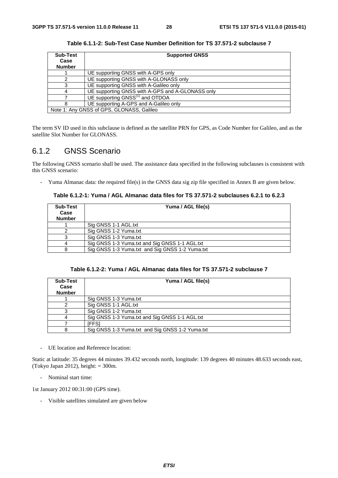| Sub-Test      | <b>Supported GNSS</b>                            |
|---------------|--------------------------------------------------|
| Case          |                                                  |
| <b>Number</b> |                                                  |
|               | UE supporting GNSS with A-GPS only               |
|               | UE supporting GNSS with A-GLONASS only           |
|               | UE supporting GNSS with A-Galileo only           |
|               | UE supporting GNSS with A-GPS and A-GLONASS only |
|               | UE supporting GNSS <sup>(1)</sup> and OTDOA      |
|               | UE supporting A-GPS and A-Galileo only           |
|               | Note 1: Any GNSS of GPS, GLONASS, Galileo        |

**Table 6.1.1-2: Sub-Test Case Number Definition for TS 37.571-2 subclause 7** 

The term SV ID used in this subclause is defined as the satellite PRN for GPS, as Code Number for Galileo, and as the satellite Slot Number for GLONASS.

## 6.1.2 GNSS Scenario

The following GNSS scenario shall be used. The assistance data specified in the following subclauses is consistent with this GNSS scenario:

- Yuma Almanac data: the required file(s) in the GNSS data sig zip file specified in Annex B are given below.

#### **Table 6.1.2-1: Yuma / AGL Almanac data files for TS 37.571-2 subclauses 6.2.1 to 6.2.3**

| Sub-Test<br>Case<br><b>Number</b> | Yuma / AGL file(s)                              |
|-----------------------------------|-------------------------------------------------|
|                                   | Sig GNSS 1-1 AGL.txt                            |
|                                   | Sig GNSS 1-2 Yuma.txt                           |
|                                   | Sig GNSS 1-3 Yuma.txt                           |
|                                   | Sig GNSS 1-3 Yuma.txt and Sig GNSS 1-1 AGL.txt  |
|                                   | Sig GNSS 1-3 Yuma.txt and Sig GNSS 1-2 Yuma.txt |

|  |  | Table 6.1.2-2: Yuma / AGL Almanac data files for TS 37.571-2 subclause 7 |
|--|--|--------------------------------------------------------------------------|
|--|--|--------------------------------------------------------------------------|

| Sub-Test<br>Case<br><b>Number</b> | Yuma / AGL file(s)                              |
|-----------------------------------|-------------------------------------------------|
|                                   | Sig GNSS 1-3 Yuma.txt                           |
|                                   | Sig GNSS 1-1 AGL.txt                            |
|                                   | Sig GNSS 1-2 Yuma.txt                           |
|                                   | Sig GNSS 1-3 Yuma.txt and Sig GNSS 1-1 AGL.txt  |
|                                   | IFFS1                                           |
|                                   | Sig GNSS 1-3 Yuma.txt and Sig GNSS 1-2 Yuma.txt |

- UE location and Reference location:

Static at latitude: 35 degrees 44 minutes 39.432 seconds north, longitude: 139 degrees 40 minutes 48.633 seconds east, (Tokyo Japan 2012), height:  $= 300$ m.

- Nominal start time:

1st January 2012 00:31:00 (GPS time).

- Visible satellites simulated are given below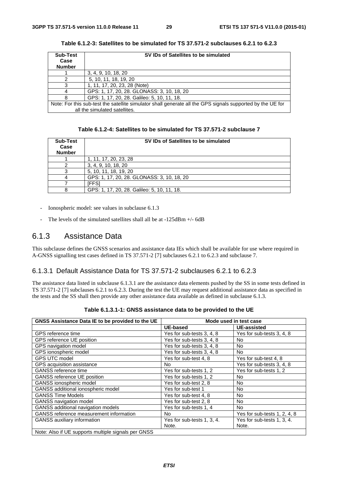| <b>Sub-Test</b><br>Case<br><b>Number</b> | SV IDs of Satellites to be simulated                                                                       |
|------------------------------------------|------------------------------------------------------------------------------------------------------------|
|                                          |                                                                                                            |
|                                          | 3, 4, 9, 10, 18, 20                                                                                        |
|                                          | 5, 10, 11, 18, 19, 20                                                                                      |
|                                          | 1, 11, 17, 20, 23, 28 (Note)                                                                               |
|                                          | GPS: 1, 17, 20, 28. GLONASS: 3, 10, 18, 20                                                                 |
|                                          | GPS: 1, 17, 20, 28. Galileo: 5, 10, 11, 18.                                                                |
|                                          | Note: For this sub-test the satellite simulator shall generate all the GPS signals supported by the UE for |
|                                          | all the simulated satellites.                                                                              |

**Table 6.1.2-3: Satellites to be simulated for TS 37.571-2 subclauses 6.2.1 to 6.2.3** 

|  |  | Table 6.1.2-4: Satellites to be simulated for TS 37.571-2 subclause 7 |
|--|--|-----------------------------------------------------------------------|
|--|--|-----------------------------------------------------------------------|

| Sub-Test<br>Case<br><b>Number</b> | SV IDs of Satellites to be simulated        |
|-----------------------------------|---------------------------------------------|
|                                   | 1, 11, 17, 20, 23, 28                       |
|                                   | 3, 4, 9, 10, 18, 20                         |
|                                   | 5, 10, 11, 18, 19, 20                       |
|                                   | GPS: 1, 17, 20, 28. GLONASS: 3, 10, 18, 20  |
|                                   | [FFS]                                       |
|                                   | GPS: 1, 17, 20, 28. Galileo: 5, 10, 11, 18. |

- Ionospheric model: see values in subclause 6.1.3
- The levels of the simulated satellites shall all be at  $-125dBm + / -6dB$

## 6.1.3 Assistance Data

This subclause defines the GNSS scenarios and assistance data IEs which shall be available for use where required in A-GNSS signalling test cases defined in TS 37.571-2 [7] subclauses 6.2.1 to 6.2.3 and subclause 7.

## 6.1.3.1 Default Assistance Data for TS 37.571-2 subclauses 6.2.1 to 6.2.3

The assistance data listed in subclause 6.1.3.1 are the assistance data elements pushed by the SS in some tests defined in TS 37.571-2 [7] subclauses 6.2.1 to 6.2.3. During the test the UE may request additional assistance data as specified in the tests and the SS shall then provide any other assistance data available as defined in subclause 6.1.3.

| GNSS Assistance Data IE to be provided to the UE    | Mode used in test case     |                              |  |
|-----------------------------------------------------|----------------------------|------------------------------|--|
|                                                     | <b>UE-based</b>            | <b>UE-assisted</b>           |  |
| GPS reference time                                  | Yes for sub-tests 3, 4, 8  | Yes for sub-tests 3, 4, 8    |  |
| GPS reference UE position                           | Yes for sub-tests 3, 4, 8  | No                           |  |
| GPS navigation model                                | Yes for sub-tests 3, 4, 8  | No                           |  |
| GPS ionospheric model                               | Yes for sub-tests 3, 4, 8  | No.                          |  |
| <b>GPS UTC model</b>                                | Yes for sub-test 4, 8      | Yes for sub-test 4, 8        |  |
| GPS acquisition assistance                          | <b>No</b>                  | Yes for sub-tests 3, 4, 8    |  |
| <b>GANSS</b> reference time                         | Yes for sub-tests 1, 2     | Yes for sub-tests 1, 2       |  |
| GANSS reference UE position                         | Yes for sub-tests 1, 2     | No.                          |  |
| GANSS ionospheric model                             | Yes for sub-test 2, 8      | <b>No</b>                    |  |
| GANSS additional ionospheric model                  | Yes for sub-test 1         | No                           |  |
| <b>GANSS Time Models</b>                            | Yes for sub-test 4, 8      | No                           |  |
| <b>GANSS navigation model</b>                       | Yes for sub-test 2, 8      | No                           |  |
| GANSS additional navigation models                  | Yes for sub-tests 1, 4     | <b>No</b>                    |  |
| <b>GANSS</b> reference measurement information      | No                         | Yes for sub-tests 1, 2, 4, 8 |  |
| <b>GANSS auxiliary information</b>                  | Yes for sub-tests 1, 3, 4. | Yes for sub-tests 1, 3, 4.   |  |
|                                                     | Note.                      | Note.                        |  |
| Note: Also if UE supports multiple signals per GNSS |                            |                              |  |

**Table 6.1.3.1-1: GNSS assistance data to be provided to the UE**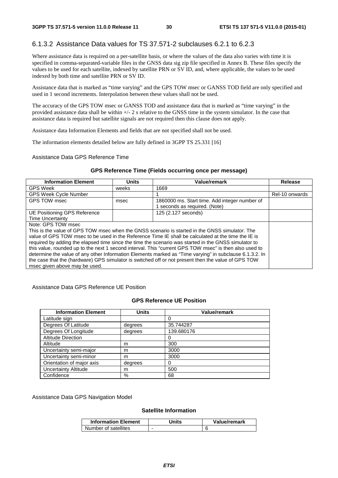## 6.1.3.2 Assistance Data values for TS 37.571-2 subclauses 6.2.1 to 6.2.3

Where assistance data is required on a per-satellite basis, or where the values of the data also varies with time it is specified in comma-separated-variable files in the GNSS data sig zip file specified in Annex B. These files specify the values to be used for each satellite, indexed by satellite PRN or SV ID, and, where applicable, the values to be used indexed by both time and satellite PRN or SV ID.

Assistance data that is marked as "time varying" and the GPS TOW msec or GANSS TOD field are only specified and used in 1 second increments. Interpolation between these values shall not be used.

The accuracy of the GPS TOW msec or GANSS TOD and assistance data that is marked as "time varying" in the provided assistance data shall be within +/- 2 s relative to the GNSS time in the system simulator. In the case that assistance data is required but satellite signals are not required then this clause does not apply.

Assistance data Information Elements and fields that are not specified shall not be used.

The information elements detailed below are fully defined in 3GPP TS 25.331 [16]

#### Assistance Data GPS Reference Time

#### **GPS Reference Time (Fields occurring once per message)**

| <b>Information Element</b>                                                                              | <b>Units</b> | Value/remark                                  | Release        |
|---------------------------------------------------------------------------------------------------------|--------------|-----------------------------------------------|----------------|
| <b>GPS Week</b>                                                                                         | weeks        | 1669                                          |                |
| <b>GPS Week Cycle Number</b>                                                                            |              |                                               | Rel-10 onwards |
| GPS TOW msec                                                                                            | msec         | 1860000 ms. Start time. Add integer number of |                |
|                                                                                                         |              | 1 seconds as required. (Note)                 |                |
| UE Positioning GPS Reference                                                                            |              | 125 (2.127 seconds)                           |                |
| <b>Time Uncertainty</b>                                                                                 |              |                                               |                |
| Note: GPS TOW msec                                                                                      |              |                                               |                |
| This is the value of GPS TOW msec when the GNSS scenario is started in the GNSS simulator. The          |              |                                               |                |
| value of GPS TOW msec to be used in the Reference Time IE shall be calculated at the time the IE is     |              |                                               |                |
| required by adding the elapsed time since the time the scenario was started in the GNSS simulator to    |              |                                               |                |
| this value, rounded up to the next 1 second interval. This "current GPS TOW msec" is then also used to  |              |                                               |                |
| determine the value of any other Information Elements marked as "Time varying" in subclause 6.1.3.2. In |              |                                               |                |
| the case that the (hardware) GPS simulator is switched off or not present then the value of GPS TOW     |              |                                               |                |
| msec given above may be used.                                                                           |              |                                               |                |

Assistance Data GPS Reference UE Position

#### **GPS Reference UE Position**

| <b>Information Element</b>  | <b>Units</b> | Value/remark |
|-----------------------------|--------------|--------------|
| Latitude sign               |              |              |
| Degrees Of Latitude         | degrees      | 35.744287    |
| Degrees Of Longitude        | degrees      | 139.680176   |
| <b>Altitude Direction</b>   |              |              |
| Altitude                    | m            | 300          |
| Uncertainty semi-major      | m            | 3000         |
| Uncertainty semi-minor      | m            | 3000         |
| Orientation of major axis   | degrees      |              |
| <b>Uncertainty Altitude</b> | m            | 500          |
| Confidence                  | %            | 68           |

Assistance Data GPS Navigation Model

#### **Satellite Information**

| <b>Information Element</b> | Units | Value/remark |
|----------------------------|-------|--------------|
| Number of satellites       |       |              |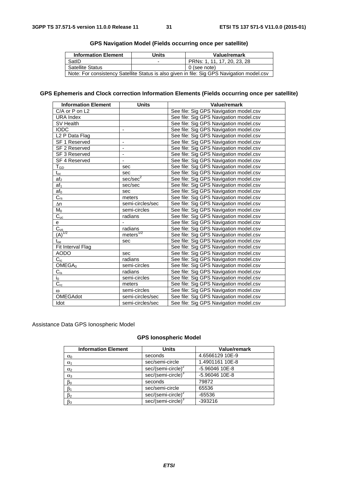| <b>Information Element</b>                                                                 | <b>Units</b> | Value/remark                |
|--------------------------------------------------------------------------------------------|--------------|-----------------------------|
| SatID                                                                                      |              | PRNs: 1, 11, 17, 20, 23, 28 |
| <b>Satellite Status</b>                                                                    |              | 0 (see note)                |
| Note: For consistency Satellite Status is also given in file: Sig GPS Navigation model.csv |              |                             |

## **GPS Navigation Model (Fields occurring once per satellite)**

## **GPS Ephemeris and Clock correction Information Elements (Fields occurring once per satellite)**

| <b>Information Element</b> | <b>Units</b>          | Value/remark                           |
|----------------------------|-----------------------|----------------------------------------|
| C/A or P on L2             |                       | See file: Sig GPS Navigation model.csv |
| <b>URA Index</b>           |                       | See file: Sig GPS Navigation model.csv |
| SV Health                  |                       | See file: Sig GPS Navigation model.csv |
| <b>IODC</b>                | -                     | See file: Sig GPS Navigation model.csv |
| L <sub>2</sub> P Data Flag |                       | See file: Sig GPS Navigation model.csv |
| SF 1 Reserved              | -                     | See file: Sig GPS Navigation model.csv |
| SF 2 Reserved              | $\overline{a}$        | See file: Sig GPS Navigation model.csv |
| SF 3 Reserved              |                       | See file: Sig GPS Navigation model.csv |
| SF 4 Reserved              | -                     | See file: Sig GPS Navigation model.csv |
| $\mathsf{T}_{\mathsf{GD}}$ | sec                   | See file: Sig GPS Navigation model.csv |
| $t_{oc}$                   | sec                   | See file: Sig GPS Navigation model.csv |
| af <sub>2</sub>            | sec/sec <sup>2</sup>  | See file: Sig GPS Navigation model.csv |
| $af_1$                     | sec/sec               | See file: Sig GPS Navigation model.csv |
| af <sub>0</sub>            | sec                   | See file: Sig GPS Navigation model.csv |
| $C_{rs}$                   | meters                | See file: Sig GPS Navigation model.csv |
| $\Delta n$                 | semi-circles/sec      | See file: Sig GPS Navigation model.csv |
| $M_0$                      | semi-circles          | See file: Sig GPS Navigation model.csv |
| $C_{\text{uc}}$            | radians               | See file: Sig GPS Navigation model.csv |
| e                          |                       | See file: Sig GPS Navigation model.csv |
| $C_{us}$                   | radians               | See file: Sig GPS Navigation model.csv |
| $(A)^{1/2}$                | meters <sup>1/2</sup> | See file: Sig GPS Navigation model.csv |
| $t_{oe}$                   | sec                   | See file: Sig GPS Navigation model.csv |
| Fit Interval Flag          |                       | See file: Sig GPS Navigation model.csv |
| <b>AODO</b>                | sec                   | See file: Sig GPS Navigation model.csv |
| $C_{ic}$                   | radians               | See file: Sig GPS Navigation model.csv |
| OMEGA <sub>0</sub>         | semi-circles          | See file: Sig GPS Navigation model.csv |
| $C_{is}$                   | radians               | See file: Sig GPS Navigation model.csv |
| $i_0$                      | semi-circles          | See file: Sig GPS Navigation model.csv |
| $C_{rc}$                   | meters                | See file: Sig GPS Navigation model.csv |
| $\omega$                   | semi-circles          | See file: Sig GPS Navigation model.csv |
| <b>OMEGAdot</b>            | semi-circles/sec      | See file: Sig GPS Navigation model.csv |
| Idot                       | semi-circles/sec      | See file: Sig GPS Navigation model.csv |

Assistance Data GPS Ionospheric Model

### **GPS Ionospheric Model**

| <b>Information Element</b> | <b>Units</b>                   | Value/remark    |
|----------------------------|--------------------------------|-----------------|
| $\alpha_0$                 | seconds                        | 4.6566129 10E-9 |
| $\alpha_1$                 | sec/semi-circle                | 1.4901161 10E-8 |
| $\alpha_2$                 | $sec/(semi-circle)^2$          | -5.96046 10E-8  |
| $\alpha_3$                 | sec/(semi-circle) <sup>3</sup> | -5.96046 10E-8  |
| $\beta_0$                  | seconds                        | 79872           |
| $\beta_1$                  | sec/semi-circle                | 65536           |
| $\beta_2$                  | $sec/(semi-circle)^2$          | $-65536$        |
| $\beta_3$                  | sec/(semi-circle) <sup>3</sup> | $-393216$       |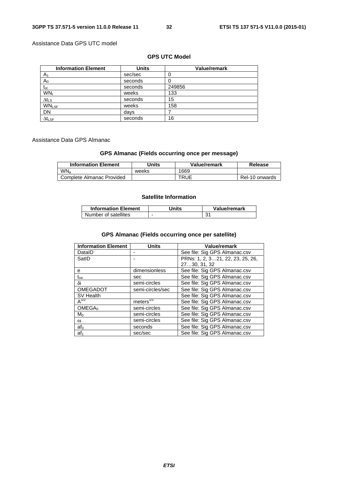## Assistance Data GPS UTC model

## **GPS UTC Model**

| <b>Information Element</b> | <b>Units</b> | <b>Value/remark</b> |
|----------------------------|--------------|---------------------|
| A1                         | sec/sec      |                     |
| $\mathsf A_0$              | seconds      |                     |
| $t_{ot}$                   | seconds      | 249856              |
| WN <sub>t</sub>            | weeks        | 133                 |
| $\Delta t_{LS}$            | seconds      | 15                  |
| <b>WNLSF</b>               | weeks        | 158                 |
| <b>DN</b>                  | days         |                     |
| $\Delta t_{\textsf{LSF}}$  | seconds      | 16                  |

## Assistance Data GPS Almanac

## **GPS Almanac (Fields occurring once per message)**

| <b>Information Element</b> | Units | Value/remark | Release        |
|----------------------------|-------|--------------|----------------|
| WN <sub>a</sub>            | weeks | 1669         |                |
| Complete Almanac Provided  |       | TRUE         | Rel-10 onwards |

## **Satellite Information**

| <b>Information Element</b> | Units | Value/remark |
|----------------------------|-------|--------------|
| Number of satellites       |       |              |

## **GPS Almanac (Fields occurring once per satellite)**

| <b>Information Element</b> | <b>Units</b>           | Value/remark                     |
|----------------------------|------------------------|----------------------------------|
| DataID                     |                        | See file: Sig GPS Almanac.csv    |
| SatID                      |                        | PRNs: 1, 2, 321, 22, 23, 25, 26, |
|                            |                        | 2730, 31, 32                     |
| е                          | dimensionless          | See file: Sig GPS Almanac.csv    |
| $\rm t_{oa}$               | sec                    | See file: Sig GPS Almanac.csv    |
| δi                         | semi-circles           | See file: Sig GPS Almanac.csv    |
| <b>OMEGADOT</b>            | semi-circles/sec       | See file: Sig GPS Almanac.csv    |
| SV Health                  |                        | See file: Sig GPS Almanac.csv    |
| $A^{1/2}$                  | meters $\sqrt[772]{ }$ | See file: Sig GPS Almanac.csv    |
| OMEGA <sub>0</sub>         | semi-circles           | See file: Sig GPS Almanac.csv    |
| $M_0$                      | semi-circles           | See file: Sig GPS Almanac.csv    |
| $\omega$                   | semi-circles           | See file: Sig GPS Almanac.csv    |
| af <sub>0</sub>            | seconds                | See file: Sig GPS Almanac.csv    |
| $af_1$                     | sec/sec                | See file: Sig GPS Almanac.csv    |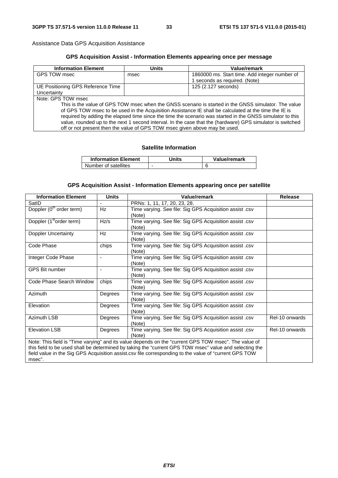Assistance Data GPS Acquisition Assistance

## **GPS Acquisition Assist - Information Elements appearing once per message**

| <b>Information Element</b>                                                                                 | Units | Value/remark                                  |  |
|------------------------------------------------------------------------------------------------------------|-------|-----------------------------------------------|--|
| GPS TOW msec                                                                                               | msec  | 1860000 ms. Start time. Add integer number of |  |
|                                                                                                            |       | seconds as required. (Note)                   |  |
| UE Positioning GPS Reference Time                                                                          |       | 125 (2.127 seconds)                           |  |
| Uncertainty                                                                                                |       |                                               |  |
| Note: GPS TOW msec                                                                                         |       |                                               |  |
| This is the value of GPS TOW msec when the GNSS scenario is started in the GNSS simulator. The value       |       |                                               |  |
| of GPS TOW msec to be used in the Acquisition Assistance IE shall be calculated at the time the IE is      |       |                                               |  |
| required by adding the elapsed time since the time the scenario was started in the GNSS simulator to this  |       |                                               |  |
| value, rounded up to the next 1 second interval. In the case that the (hardware) GPS simulator is switched |       |                                               |  |
| off or not present then the value of GPS TOW msec given above may be used.                                 |       |                                               |  |

## **Satellite Information**

| <b>Information Element</b> | Jnits | Value/remark |
|----------------------------|-------|--------------|
| Number of satellites       |       |              |

## **GPS Acquisition Assist - Information Elements appearing once per satellite**

| <b>Information Element</b>                                                                                                                                                                                                                                                                                                        | <b>Units</b>   | Value/remark                                                      | <b>Release</b> |
|-----------------------------------------------------------------------------------------------------------------------------------------------------------------------------------------------------------------------------------------------------------------------------------------------------------------------------------|----------------|-------------------------------------------------------------------|----------------|
| SatID                                                                                                                                                                                                                                                                                                                             |                | PRNs: 1, 11, 17, 20, 23, 28.                                      |                |
| Doppler (0 <sup>th</sup> order term)                                                                                                                                                                                                                                                                                              | Hz             | Time varying. See file: Sig GPS Acquisition assist .csv<br>(Note) |                |
| Doppler (1 <sup>st</sup> order term)                                                                                                                                                                                                                                                                                              | Hz/s           | Time varying. See file: Sig GPS Acquisition assist .csv<br>(Note) |                |
| Doppler Uncertainty                                                                                                                                                                                                                                                                                                               | <b>Hz</b>      | Time varying. See file: Sig GPS Acquisition assist .csv<br>(Note) |                |
| Code Phase                                                                                                                                                                                                                                                                                                                        | chips          | Time varying. See file: Sig GPS Acquisition assist .csv<br>(Note) |                |
| Integer Code Phase                                                                                                                                                                                                                                                                                                                | $\blacksquare$ | Time varying. See file: Sig GPS Acquisition assist .csv<br>(Note) |                |
| <b>GPS Bit number</b>                                                                                                                                                                                                                                                                                                             |                | Time varying. See file: Sig GPS Acquisition assist .csv<br>(Note) |                |
| Code Phase Search Window                                                                                                                                                                                                                                                                                                          | chips          | Time varying. See file: Sig GPS Acquisition assist .csv<br>(Note) |                |
| Azimuth                                                                                                                                                                                                                                                                                                                           | Degrees        | Time varying. See file: Sig GPS Acquisition assist .csv<br>(Note) |                |
| Elevation                                                                                                                                                                                                                                                                                                                         | Degrees        | Time varying. See file: Sig GPS Acquisition assist .csv<br>(Note) |                |
| Azimuth LSB                                                                                                                                                                                                                                                                                                                       | Degrees        | Time varying. See file: Sig GPS Acquisition assist .csv<br>(Note) | Rel-10 onwards |
| <b>Elevation LSB</b>                                                                                                                                                                                                                                                                                                              | Degrees        | Time varying. See file: Sig GPS Acquisition assist .csv<br>(Note) | Rel-10 onwards |
| Note: This field is "Time varying" and its value depends on the "current GPS TOW msec". The value of<br>this field to be used shall be determined by taking the "current GPS TOW msec" value and selecting the<br>field value in the Sig GPS Acquisition assist.csv file corresponding to the value of "current GPS TOW<br>msec". |                |                                                                   |                |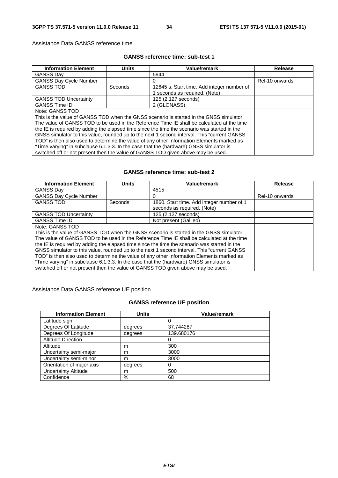Assistance Data GANSS reference time

### **GANSS reference time: sub-test 1**

| <b>Information Element</b>                                                                   | <b>Units</b> | Value/remark                               | <b>Release</b> |
|----------------------------------------------------------------------------------------------|--------------|--------------------------------------------|----------------|
| <b>GANSS Dav</b>                                                                             |              | 5844                                       |                |
| <b>GANSS Day Cycle Number</b>                                                                |              | 0                                          | Rel-10 onwards |
| <b>GANSS TOD</b>                                                                             | Seconds      | 12645 s. Start time. Add integer number of |                |
|                                                                                              |              | seconds as required. (Note)                |                |
| <b>GANSS TOD Uncertainty</b>                                                                 |              | 125 (2.127 seconds)                        |                |
| <b>GANSS Time ID</b>                                                                         |              | 2 (GLONASS)                                |                |
| Note: GANSS TOD                                                                              |              |                                            |                |
| This is the value of GANSS TOD when the GNSS scenario is started in the GNSS simulator.      |              |                                            |                |
| The value of GANSS TOD to be used in the Reference Time IE shall be calculated at the time   |              |                                            |                |
| the IE is required by adding the elapsed time since the time the scenario was started in the |              |                                            |                |
| GNSS simulator to this value, rounded up to the next 1 second interval. This "current GANSS" |              |                                            |                |
| TOD" is then also used to determine the value of any other Information Elements marked as    |              |                                            |                |
| "Time varying" in subclause 6.1.3.3. In the case that the (hardware) GNSS simulator is       |              |                                            |                |
| switched off or not present then the value of GANSS TOD given above may be used.             |              |                                            |                |

## **GANSS reference time: sub-test 2**

| <b>Information Element</b>                                                                   | <b>Units</b> | Value/remark                              | <b>Release</b> |
|----------------------------------------------------------------------------------------------|--------------|-------------------------------------------|----------------|
| <b>GANSS Dav</b>                                                                             |              | 4515                                      |                |
| <b>GANSS Day Cycle Number</b>                                                                |              | 0                                         | Rel-10 onwards |
| <b>GANSS TOD</b>                                                                             | Seconds      | 1860. Start time. Add integer number of 1 |                |
|                                                                                              |              | seconds as required. (Note)               |                |
| <b>GANSS TOD Uncertainty</b>                                                                 |              | 125 (2.127 seconds)                       |                |
| <b>GANSS Time ID</b>                                                                         |              | Not present (Galileo)                     |                |
| Note: GANSS TOD                                                                              |              |                                           |                |
| This is the value of GANSS TOD when the GNSS scenario is started in the GNSS simulator.      |              |                                           |                |
| The value of GANSS TOD to be used in the Reference Time IE shall be calculated at the time   |              |                                           |                |
| the IE is required by adding the elapsed time since the time the scenario was started in the |              |                                           |                |
| GNSS simulator to this value, rounded up to the next 1 second interval. This "current GANSS" |              |                                           |                |
| TOD" is then also used to determine the value of any other Information Elements marked as    |              |                                           |                |
| "Time varying" in subclause 6.1.3.3. In the case that the (hardware) GNSS simulator is       |              |                                           |                |
| switched off or not present then the value of GANSS TOD given above may be used.             |              |                                           |                |

## Assistance Data GANSS reference UE position

## **GANSS reference UE position**

| <b>Information Element</b> | <b>Units</b> | <b>Value/remark</b> |
|----------------------------|--------------|---------------------|
| Latitude sign              |              |                     |
| Degrees Of Latitude        | degrees      | 37.744287           |
| Degrees Of Longitude       | degrees      | 139.680176          |
| <b>Altitude Direction</b>  |              |                     |
| Altitude                   | m            | 300                 |
| Uncertainty semi-major     | m            | 3000                |
| Uncertainty semi-minor     | m            | 3000                |
| Orientation of major axis  | degrees      |                     |
| Uncertainty Altitude       | m            | 500                 |
| Confidence                 | %            | 68                  |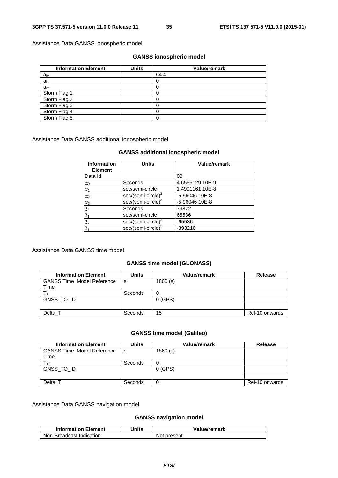Assistance Data GANSS ionospheric model

### **GANSS ionospheric model**

| <b>Information Element</b> | <b>Units</b> | <b>Value/remark</b> |
|----------------------------|--------------|---------------------|
| $a_{i0}$                   |              | 64.4                |
| $a_{i1}$                   |              |                     |
| $a_{i2}$                   |              |                     |
| Storm Flag 1               |              |                     |
| Storm Flag 2               |              |                     |
| Storm Flag 3               |              |                     |
| Storm Flag 4               |              |                     |
| Storm Flag 5               |              |                     |

Assistance Data GANSS additional ionospheric model

## **GANSS additional ionospheric model**

| <b>Information</b><br><b>Element</b> | <b>Units</b>                   | <b>Value/remark</b> |
|--------------------------------------|--------------------------------|---------------------|
| Data Id                              |                                | 00                  |
| $\alpha_0$                           | Seconds                        | 4.6566129 10E-9     |
| $\alpha_1$                           | sec/semi-circle                | 1.4901161 10E-8     |
| $\alpha_2$                           | sec/(semi-circle) <sup>2</sup> | -5.96046 10E-8      |
| $\alpha_3$                           | sec/(semi-circle) <sup>3</sup> | -5.96046 10E-8      |
| $\beta_0$                            | Seconds                        | 79872               |
| $\beta_1$                            | sec/semi-circle                | 65536               |
| $\beta_2$                            | sec/(semi-circle) <sup>2</sup> | -65536              |
| $\beta_3$                            | sec/(semi-circle) <sup>3</sup> | -393216             |

#### Assistance Data GANSS time model

## **GANSS time model (GLONASS)**

| <b>Information Element</b>        | Units   | <b>Value/remark</b> | Release        |
|-----------------------------------|---------|---------------------|----------------|
| <b>GANSS Time Model Reference</b> | s       | 1860(s)             |                |
| Time                              |         |                     |                |
| $T_{\sf A0}$                      | Seconds |                     |                |
| GNSS TO ID                        |         | 0 (GPS)             |                |
|                                   |         |                     |                |
| Delta T                           | Seconds | 15                  | Rel-10 onwards |

## **GANSS time model (Galileo)**

| <b>Information Element</b>                | Units   | <b>Value/remark</b> | Release        |
|-------------------------------------------|---------|---------------------|----------------|
| <b>GANSS Time Model Reference</b><br>Time | s       | 1860(s)             |                |
| $\mathsf{T}_{\mathsf{A}0}$                | Seconds |                     |                |
| GNSS TO ID                                |         | 0 (GPS)             |                |
|                                           |         |                     |                |
| Delta 1                                   | Seconds | 0                   | Rel-10 onwards |

Assistance Data GANSS navigation model

### **GANSS navigation model**

| <b>Information Element</b> | Units | Value/remark |
|----------------------------|-------|--------------|
| Non-Broadcast Indication   |       | Not present  |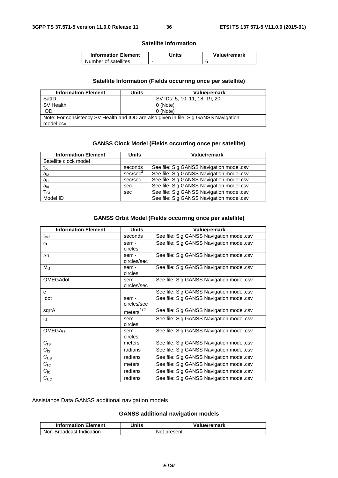### **Satellite Information**

| <b>Information Element</b> | Units | Value/remark |
|----------------------------|-------|--------------|
| Number of satellites       | -     |              |

# **Satellite Information (Fields occurring once per satellite)**

| <b>Information Element</b>                                                                        | Units | Value/remark                  |  |
|---------------------------------------------------------------------------------------------------|-------|-------------------------------|--|
| SatID                                                                                             |       | SV IDs: 5, 10, 11, 18, 19, 20 |  |
| SV Health                                                                                         |       | 0 (Note)                      |  |
| <b>IOD</b>                                                                                        |       | 0 (Note)                      |  |
| Note: For consistency SV Health and IOD are also given in file: Sig GANSS Navigation<br>model.csv |       |                               |  |

# **GANSS Clock Model (Fields occurring once per satellite)**

| <b>Information Element</b> | <b>Units</b>         | Value/remark                             |
|----------------------------|----------------------|------------------------------------------|
| Satellite clock model      |                      |                                          |
| $t_{\rm oc}$               | seconds              | See file: Sig GANSS Navigation model.csv |
| $a_{f2}$                   | sec/sec <sup>2</sup> | See file: Sig GANSS Navigation model.csv |
| a <sub>f1</sub>            | sec/sec              | See file: Sig GANSS Navigation model.csv |
| $a_{f0}$                   | sec                  | See file: Sig GANSS Navigation model.csv |
| T <sub>GD</sub>            | sec                  | See file: Sig GANSS Navigation model.csv |
| Model ID                   |                      | See file: Sig GANSS Navigation model.csv |

## **GANSS Orbit Model (Fields occurring once per satellite)**

| <b>Information Element</b> | <b>Units</b>         | <b>Value/remark</b>                      |
|----------------------------|----------------------|------------------------------------------|
| $t_{\rm oe}$               | seconds              | See file: Sig GANSS Navigation model.csv |
| $\omega$                   | semi-<br>circles     | See file: Sig GANSS Navigation model.csv |
| $\Delta n$                 | semi-<br>circles/sec | See file: Sig GANSS Navigation model.csv |
| M <sub>0</sub>             | semi-<br>circles     | See file: Sig GANSS Navigation model.csv |
| <b>OMEGAdot</b>            | semi-<br>circles/sec | See file: Sig GANSS Navigation model.csv |
| e                          |                      | See file: Sig GANSS Navigation model.csv |
| Idot                       | semi-<br>circles/sec | See file: Sig GANSS Navigation model.csv |
| sqrtA                      | meters $1/2$         | See file: Sig GANSS Navigation model.csv |
| $i_{0}$                    | semi-<br>circles     | See file: Sig GANSS Navigation model.csv |
| OMEGA <sub>0</sub>         | semi-<br>circles     | See file: Sig GANSS Navigation model.csv |
| $C_{rs}$                   | meters               | See file: Sig GANSS Navigation model.csv |
| $C_{\text{is}}$            | radians              | See file: Sig GANSS Navigation model.csv |
| $C_{US}$                   | radians              | See file: Sig GANSS Navigation model.csv |
| $C_{\text{rc}}$            | meters               | See file: Sig GANSS Navigation model.csv |
| $C_{iC}$                   | radians              | See file: Sig GANSS Navigation model.csv |
| $C_{UC}$                   | radians              | See file: Sig GANSS Navigation model.csv |

Assistance Data GANSS additional navigation models

# **GANSS additional navigation models**

| <b>Information Element</b> | Units | Value/remark |
|----------------------------|-------|--------------|
| Non-Broadcast Indication   |       | Not present  |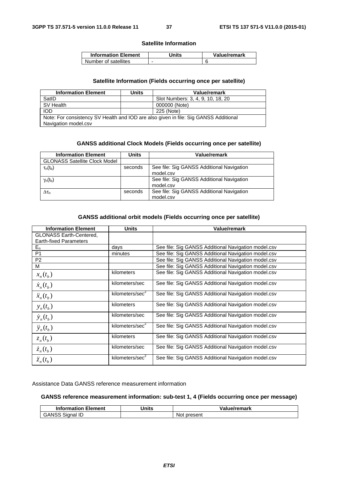#### **Satellite Information**

| <b>Information Element</b> | Jnits | Value/remark |
|----------------------------|-------|--------------|
| Number of satellites       |       |              |

#### **Satellite Information (Fields occurring once per satellite)**

| <b>Information Element</b>                                                           | Units | Value/remark                      |  |
|--------------------------------------------------------------------------------------|-------|-----------------------------------|--|
| SatID                                                                                |       | Slot Numbers: 3, 4, 9, 10, 18, 20 |  |
| SV Health                                                                            |       | 000000 (Note)                     |  |
| <b>IOD</b>                                                                           |       | 225 (Note)                        |  |
| Note: For consistency SV Health and IOD are also given in file: Sig GANSS Additional |       |                                   |  |
| Navigation model.csv                                                                 |       |                                   |  |

## **GANSS additional Clock Models (Fields occurring once per satellite)**

| <b>Information Element</b>           | Units   | Value/remark                                           |
|--------------------------------------|---------|--------------------------------------------------------|
| <b>GLONASS Satellite Clock Model</b> |         |                                                        |
| $\tau_n(t_b)$                        | seconds | See file: Sig GANSS Additional Navigation<br>model.csv |
| $\gamma_n(t_b)$                      |         | See file: Sig GANSS Additional Navigation<br>model.csv |
| $\Delta\tau$ n                       | seconds | See file: Sig GANSS Additional Navigation<br>model.csv |

## **GANSS additional orbit models (Fields occurring once per satellite)**

| <b>Information Element</b>                                      | <b>Units</b>                | Value/remark                                        |
|-----------------------------------------------------------------|-----------------------------|-----------------------------------------------------|
| <b>GLONASS Earth-Centered,</b><br><b>Earth-fixed Parameters</b> |                             |                                                     |
| $E_n$                                                           | days                        | See file: Sig GANSS Additional Navigation model.csv |
| P <sub>1</sub>                                                  | minutes                     | See file: Sig GANSS Additional Navigation model.csv |
| P <sub>2</sub>                                                  |                             | See file: Sig GANSS Additional Navigation model.csv |
| м                                                               |                             | See file: Sig GANSS Additional Navigation model.csv |
| $x_n(t_b)$                                                      | kilometers                  | See file: Sig GANSS Additional Navigation model.csv |
| $\dot{x}_n(t_h)$                                                | kilometers/sec              | See file: Sig GANSS Additional Navigation model.csv |
| $\ddot{x}_n(t_h)$                                               | kilometers/sec <sup>2</sup> | See file: Sig GANSS Additional Navigation model.csv |
| $y_n(t_b)$                                                      | kilometers                  | See file: Sig GANSS Additional Navigation model.csv |
| $\dot{y}_n(t_h)$                                                | kilometers/sec              | See file: Sig GANSS Additional Navigation model.csv |
| $\ddot{y}_n(t_h)$                                               | kilometers/sec <sup>2</sup> | See file: Sig GANSS Additional Navigation model.csv |
| $z_n(t_h)$                                                      | kilometers                  | See file: Sig GANSS Additional Navigation model.csv |
| $\dot{z}_n(t_h)$                                                | kilometers/sec              | See file: Sig GANSS Additional Navigation model.csv |
| $\ddot{z}_n(t_h)$                                               | kilometers/sec <sup>2</sup> | See file: Sig GANSS Additional Navigation model.csv |

Assistance Data GANSS reference measurement information

## **GANSS reference measurement information: sub-test 1, 4 (Fields occurring once per message)**

| <b>Information Element</b> | Units | Value/remark |
|----------------------------|-------|--------------|
| <b>GANSS Signal ID</b>     |       | Not present  |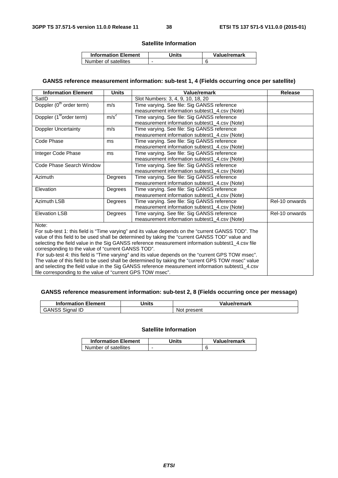### **Satellite Information**

| <b>Information Element</b> | Jnits | Value/remark |
|----------------------------|-------|--------------|
| Number of satellites       | -     |              |

# **GANSS reference measurement information: sub-test 1, 4 (Fields occurring once per satellite)**

| <b>Information Element</b>                                                                                                                                    | <b>Units</b>                                                                                   | Value/remark                                                                                       | <b>Release</b> |  |  |
|---------------------------------------------------------------------------------------------------------------------------------------------------------------|------------------------------------------------------------------------------------------------|----------------------------------------------------------------------------------------------------|----------------|--|--|
| SatID                                                                                                                                                         |                                                                                                | Slot Numbers: 3, 4, 9, 10, 18, 20                                                                  |                |  |  |
| Doppler (0 <sup>th</sup> order term)                                                                                                                          | m/s                                                                                            | Time varying. See file: Sig GANSS reference                                                        |                |  |  |
|                                                                                                                                                               |                                                                                                | measurement information subtest1_4.csv (Note)                                                      |                |  |  |
| Doppler (1 <sup>st</sup> order term)                                                                                                                          | m/s <sup>2</sup>                                                                               | Time varying. See file: Sig GANSS reference                                                        |                |  |  |
|                                                                                                                                                               |                                                                                                | measurement information subtest1_4.csv (Note)                                                      |                |  |  |
| <b>Doppler Uncertainty</b>                                                                                                                                    | m/s                                                                                            | Time varying. See file: Sig GANSS reference                                                        |                |  |  |
|                                                                                                                                                               |                                                                                                | measurement information subtest1_4.csv (Note)                                                      |                |  |  |
| Code Phase                                                                                                                                                    | ms                                                                                             | Time varying. See file: Sig GANSS reference                                                        |                |  |  |
|                                                                                                                                                               |                                                                                                | measurement information subtest1_4.csv (Note)                                                      |                |  |  |
| Integer Code Phase                                                                                                                                            | ms                                                                                             | Time varying. See file: Sig GANSS reference                                                        |                |  |  |
|                                                                                                                                                               |                                                                                                | measurement information subtest1 4.csv (Note)                                                      |                |  |  |
| Code Phase Search Window                                                                                                                                      |                                                                                                | Time varying. See file: Sig GANSS reference                                                        |                |  |  |
|                                                                                                                                                               |                                                                                                | measurement information subtest1_4.csv (Note)                                                      |                |  |  |
| Azimuth                                                                                                                                                       | Degrees                                                                                        | Time varying. See file: Sig GANSS reference                                                        |                |  |  |
|                                                                                                                                                               |                                                                                                | measurement information subtest1_4.csv (Note)                                                      |                |  |  |
| Elevation                                                                                                                                                     | Degrees                                                                                        | Time varying. See file: Sig GANSS reference                                                        |                |  |  |
|                                                                                                                                                               |                                                                                                | measurement information subtest1_4.csv (Note)                                                      |                |  |  |
| Azimuth LSB                                                                                                                                                   | Degrees                                                                                        | Time varying. See file: Sig GANSS reference                                                        | Rel-10 onwards |  |  |
|                                                                                                                                                               |                                                                                                | measurement information subtest1_4.csv (Note)                                                      |                |  |  |
| <b>Elevation LSB</b>                                                                                                                                          | Degrees                                                                                        | Time varying. See file: Sig GANSS reference                                                        | Rel-10 onwards |  |  |
|                                                                                                                                                               |                                                                                                | measurement information subtest1 4.csv (Note)                                                      |                |  |  |
| Note:                                                                                                                                                         |                                                                                                |                                                                                                    |                |  |  |
|                                                                                                                                                               |                                                                                                | For sub-test 1: this field is "Time varying" and its value depends on the "current GANSS TOD". The |                |  |  |
|                                                                                                                                                               | value of this field to be used shall be determined by taking the "current GANSS TOD" value and |                                                                                                    |                |  |  |
| selecting the field value in the Sig GANSS reference measurement information subtest1_4.csv file                                                              |                                                                                                |                                                                                                    |                |  |  |
| corresponding to the value of "current GANSS TOD".                                                                                                            |                                                                                                |                                                                                                    |                |  |  |
| For sub-test 4: this field is "Time varying" and its value depends on the "current GPS TOW msec".                                                             |                                                                                                |                                                                                                    |                |  |  |
| The value of this field to be used shall be determined by taking the "current GPS TOW msec" value                                                             |                                                                                                |                                                                                                    |                |  |  |
| and selecting the field value in the Sig GANSS reference measurement information subtest1_4.csv<br>file corresponding to the value of "current GPS TOW msec". |                                                                                                |                                                                                                    |                |  |  |
|                                                                                                                                                               |                                                                                                |                                                                                                    |                |  |  |

# **GANSS reference measurement information: sub-test 2, 8 (Fields occurring once per message)**

| --<br>Element<br><b>Information E</b>                        | Jnits | Value/remark    |
|--------------------------------------------------------------|-------|-----------------|
| $\Lambda$ <sub>NIC</sub><br>$\sim$<br>Sidnal ID<br>w.<br>າວປ |       | present<br>'NOL |

# **Satellite Information**

| <b>Information Element</b> | Jnits | Value/remark |
|----------------------------|-------|--------------|
| Number of satellites       | -     |              |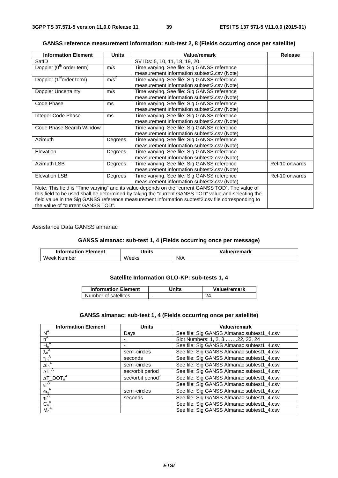| <b>Information Element</b>                                                                        | <b>Units</b>     | <b>Value/remark</b>                                                                                 | <b>Release</b> |
|---------------------------------------------------------------------------------------------------|------------------|-----------------------------------------------------------------------------------------------------|----------------|
| SatID                                                                                             |                  | SV IDs: 5, 10, 11, 18, 19, 20.                                                                      |                |
| Doppler (0 <sup>th</sup> order term)                                                              | m/s              | Time varying. See file: Sig GANSS reference                                                         |                |
|                                                                                                   |                  | measurement information subtest2.csv (Note)                                                         |                |
| Doppler (1 <sup>st</sup> order term)                                                              | m/s <sup>2</sup> | Time varying. See file: Sig GANSS reference                                                         |                |
|                                                                                                   |                  | measurement information subtest2.csv (Note)                                                         |                |
| Doppler Uncertainty                                                                               | m/s              | Time varying. See file: Sig GANSS reference                                                         |                |
|                                                                                                   |                  | measurement information subtest2.csv (Note)                                                         |                |
| Code Phase                                                                                        | ms               | Time varying. See file: Sig GANSS reference                                                         |                |
|                                                                                                   |                  | measurement information subtest2.csv (Note)                                                         |                |
| Integer Code Phase                                                                                | ms               | Time varying. See file: Sig GANSS reference                                                         |                |
|                                                                                                   |                  | measurement information subtest2.csv (Note)                                                         |                |
| Code Phase Search Window                                                                          |                  | Time varying. See file: Sig GANSS reference                                                         |                |
|                                                                                                   |                  | measurement information subtest2.csv (Note)                                                         |                |
| Azimuth                                                                                           | Degrees          | Time varying. See file: Sig GANSS reference                                                         |                |
|                                                                                                   |                  | measurement information subtest2.csv (Note)                                                         |                |
| Elevation                                                                                         | Degrees          | Time varying. See file: Sig GANSS reference                                                         |                |
|                                                                                                   |                  | measurement information subtest2.csv (Note)                                                         |                |
| Azimuth LSB                                                                                       | Degrees          | Time varying. See file: Sig GANSS reference                                                         | Rel-10 onwards |
|                                                                                                   |                  | measurement information subtest2.csv (Note)                                                         |                |
| <b>Elevation LSB</b>                                                                              | Degrees          | Time varying. See file: Sig GANSS reference                                                         | Rel-10 onwards |
|                                                                                                   |                  | measurement information subtest2.csv (Note)                                                         |                |
| Note: This field is "Time varying" and its value depends on the "current GANSS TOD". The value of |                  |                                                                                                     |                |
|                                                                                                   |                  | this field to be used shall be determined by taking the "current GANSS TOD" value and selecting the |                |
| field value in the Sig GANSS reference measurement information subtest2.csv file corresponding to |                  |                                                                                                     |                |
| the value of "current GANSS TOD".                                                                 |                  |                                                                                                     |                |

## **GANSS reference measurement information: sub-test 2, 8 (Fields occurring once per satellite)**

Assistance Data GANSS almanac

## **GANSS almanac: sub-test 1, 4 (Fields occurring once per message)**

| Element<br>Information | Inite<br>шь  | /remark |
|------------------------|--------------|---------|
| Week<br>Number         | <b>Weeks</b> | N/A     |

# **Satellite Information GLO-KP: sub-tests 1, 4**

| <b>Information Element</b> | Units | Value/remark |
|----------------------------|-------|--------------|
| Number of satellites       | -     | 24           |

# **GANSS almanac: sub-test 1, 4 (Fields occurring once per satellite)**

| <b>Information Element</b>                                                   | <b>Units</b>                  | Value/remark                               |
|------------------------------------------------------------------------------|-------------------------------|--------------------------------------------|
| $N^A$                                                                        | Days                          | See file: Sig GANSS Almanac subtest1_4.csv |
| $n^A$                                                                        |                               | Slot Numbers: 1, 2, 3 22, 23, 24           |
| $H_n^A$                                                                      |                               | See file: Sig GANSS Almanac subtest1_4.csv |
|                                                                              | semi-circles                  | See file: Sig GANSS Almanac subtest1_4.csv |
| $\frac{\lambda_n^A}{t_{\lambda n}^A}$ $\frac{t_{\lambda n}^A}{\Delta i_n^A}$ | seconds                       | See file: Sig GANSS Almanac subtest1_4.csv |
|                                                                              | semi-circles                  | See file: Sig GANSS Almanac subtest1_4.csv |
| $\Delta T_n^A$                                                               | sec/orbit period              | See file: Sig GANSS Almanac subtest1_4.csv |
| $\Delta T$ _DOT <sub>n</sub> <sup>A</sup>                                    | sec/orbit period <sup>2</sup> | See file: Sig GANSS Almanac subtest1_4.csv |
| $\varepsilon_n^{\ A}$                                                        |                               | See file: Sig GANSS Almanac subtest1_4.csv |
|                                                                              | semi-circles                  | See file: Sig GANSS Almanac subtest1_4.csv |
| $\frac{\omega_n^A}{\tau_n^A}$                                                | seconds                       | See file: Sig GANSS Almanac subtest1_4.csv |
| $C_n^A$                                                                      |                               | See file: Sig GANSS Almanac subtest1_4.csv |
| $M_n^A$                                                                      |                               | See file: Sig GANSS Almanac subtest1_4.csv |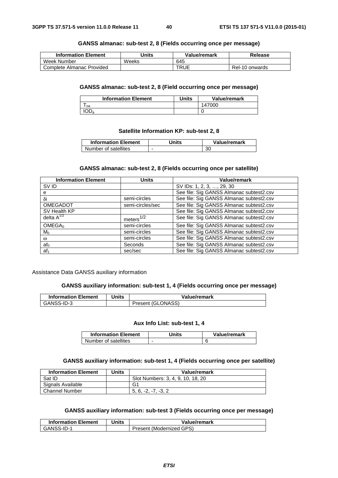## **GANSS almanac: sub-test 2, 8 (Fields occurring once per message)**

| <b>Information Element</b> | Units | Value/remark | Release        |
|----------------------------|-------|--------------|----------------|
| Week Number                | Weeks | 645          |                |
| Complete Almanac Provided  |       | TRUE         | Rel-10 onwards |

#### **GANSS almanac: sub-test 2, 8 (Field occurring once per message)**

| <b>Information Element</b> | Units | Value/remark |
|----------------------------|-------|--------------|
| oa                         |       | 147000       |
| IOD <sub>a</sub>           |       |              |

## **Satellite Information KP: sub-test 2, 8**

| <b>Information Element</b> | Jnits | Value/remark |
|----------------------------|-------|--------------|
| Number of satellites       |       | 30           |

### **GANSS almanac: sub-test 2, 8 (Fields occurring once per satellite)**

| <b>Information Element</b> | Units            | Value/remark                             |  |
|----------------------------|------------------|------------------------------------------|--|
| SV ID                      |                  | SV IDs: 1, 2, 3, , 29, 30                |  |
| е                          |                  | See file: Sig GANSS Almanac subtest2.csv |  |
| δi                         | semi-circles     | See file: Sig GANSS Almanac subtest2.csv |  |
| <b>OMEGADOT</b>            | semi-circles/sec | See file: Sig GANSS Almanac subtest2.csv |  |
| SV Health KP               |                  | See file: Sig GANSS Almanac subtest2.csv |  |
| delta $A^{1/2}$            | meters $1/2$     | See file: Sig GANSS Almanac subtest2.csv |  |
| OMEGA <sub>0</sub>         | semi-circles     | See file: Sig GANSS Almanac subtest2.csv |  |
| $M_0$                      | semi-circles     | See file: Sig GANSS Almanac subtest2.csv |  |
| $\omega$                   | semi-circles     | See file: Sig GANSS Almanac subtest2.csv |  |
| $af_0$                     | Seconds          | See file: Sig GANSS Almanac subtest2.csv |  |
| af <sub>1</sub>            | sec/sec          | See file: Sig GANSS Almanac subtest2.csv |  |

#### Assistance Data GANSS auxiliary information

## **GANSS auxiliary information: sub-test 1, 4 (Fields occurring once per message)**

| <b>Information Element</b> | Units | Value/remark      |
|----------------------------|-------|-------------------|
| GANSS-ID-3                 |       | Present (GLONASS) |

#### **Aux Info List: sub-test 1, 4**

| <b>Information Element</b> | Jnits | Value/remark |
|----------------------------|-------|--------------|
| Number of satellites       | -     |              |

## **GANSS auxiliary information: sub-test 1, 4 (Fields occurring once per satellite)**

| <b>Information Element</b> | <b>Units</b> | Value/remark                      |
|----------------------------|--------------|-----------------------------------|
| Sat ID                     |              | Slot Numbers: 3, 4, 9, 10, 18, 20 |
| Signals Available          |              | G1                                |
| <b>Channel Number</b>      |              | $5.6. -2. -7. -3.2$               |

# **GANSS auxiliary information: sub-test 3 (Fields occurring once per message)**

| <b>Information Element</b> | Units | Value/remark             |
|----------------------------|-------|--------------------------|
| GANSS-ID-1                 |       | Present (Modernized GPS) |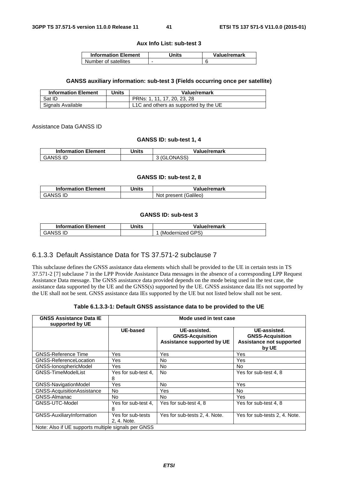#### **Aux Info List: sub-test 3**

| <b>Information Element</b> | Jnits | Value/remark |
|----------------------------|-------|--------------|
| Number of satellites       | -     |              |

#### **GANSS auxiliary information: sub-test 3 (Fields occurring once per satellite)**

| <b>Information Element</b> | Units | Value/remark                          |
|----------------------------|-------|---------------------------------------|
| Sat ID                     |       | PRNs: 1, 11, 17, 20, 23, 28           |
| Signals Available          |       | L1C and others as supported by the UE |

Assistance Data GANSS ID

#### **GANSS ID: sub-test 1, 4**

| <b>Information Element</b> | Units | Value/remark |
|----------------------------|-------|--------------|
| <b>GANSS ID</b>            |       | 3 (GLONASS)  |

#### **GANSS ID: sub-test 2, 8**

| <b>Information Element</b> | Jnits | Value/remark          |
|----------------------------|-------|-----------------------|
| GANSS ID                   |       | Not present (Galileo) |

## **GANSS ID: sub-test 3**

| <b>Information Element</b> | Jnits | Value/remark     |
|----------------------------|-------|------------------|
| <b>GANSS ID</b>            |       | (Modernized GPS) |

# 6.1.3.3 Default Assistance Data for TS 37.571-2 subclause 7

This subclause defines the GNSS assistance data elements which shall be provided to the UE in certain tests in TS 37.571-2 [7] subclause 7 in the LPP Provide Assistance Data messages in the absence of a corresponding LPP Request Assistance Data message. The GNSS assistance data provided depends on the mode being used in the test case, the assistance data supported by the UE and the GNSS(s) supported by the UE. GNSS assistance data IEs not supported by the UE shall not be sent. GNSS assistance data IEs supported by the UE but not listed below shall not be sent.

#### **Table 6.1.3.3-1: Default GNSS assistance data to be provided to the UE**

| <b>GNSS Assistance Data IE</b><br>supported by UE   | Mode used in test case           |                                                                              |                                                                                     |  |
|-----------------------------------------------------|----------------------------------|------------------------------------------------------------------------------|-------------------------------------------------------------------------------------|--|
|                                                     | <b>UE-based</b>                  | UE-assisted.<br><b>GNSS-Acquisition</b><br><b>Assistance supported by UE</b> | UE-assisted.<br><b>GNSS-Acquisition</b><br><b>Assistance not supported</b><br>by UE |  |
| <b>GNSS-Reference Time</b>                          | Yes                              | Yes                                                                          | Yes                                                                                 |  |
| GNSS-ReferenceLocation                              | Yes                              | No                                                                           | Yes                                                                                 |  |
| GNSS-IonosphericModel                               | Yes                              | No.                                                                          | No.                                                                                 |  |
| <b>GNSS-TimeModelList</b>                           | Yes for sub-test 4,<br>8         | <b>No</b>                                                                    | Yes for sub-test 4, 8                                                               |  |
| <b>GNSS-NavigationModel</b>                         | Yes                              | No                                                                           | Yes                                                                                 |  |
| GNSS-AcquisitionAssistance                          | No.                              | Yes                                                                          | No.                                                                                 |  |
| GNSS-Almanac                                        | No.                              | <b>No</b>                                                                    | Yes                                                                                 |  |
| GNSS-UTC-Model                                      | Yes for sub-test 4.<br>8         | Yes for sub-test 4, 8                                                        | Yes for sub-test 4, 8                                                               |  |
| GNSS-AuxiliaryInformation                           | Yes for sub-tests<br>2, 4. Note. | Yes for sub-tests 2, 4. Note.                                                | Yes for sub-tests 2, 4. Note.                                                       |  |
| Note: Also if UE supports multiple signals per GNSS |                                  |                                                                              |                                                                                     |  |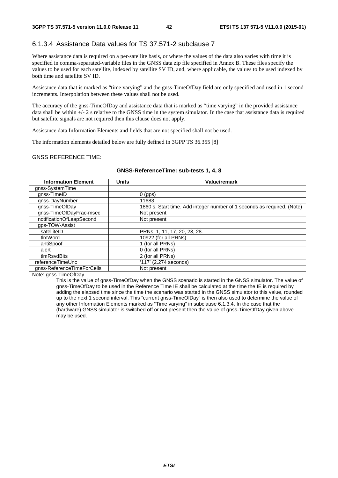# 6.1.3.4 Assistance Data values for TS 37.571-2 subclause 7

Where assistance data is required on a per-satellite basis, or where the values of the data also varies with time it is specified in comma-separated-variable files in the GNSS data zip file specified in Annex B. These files specify the values to be used for each satellite, indexed by satellite SV ID, and, where applicable, the values to be used indexed by both time and satellite SV ID.

Assistance data that is marked as "time varying" and the gnss-TimeOfDay field are only specified and used in 1 second increments. Interpolation between these values shall not be used.

The accuracy of the gnss-TimeOfDay and assistance data that is marked as "time varying" in the provided assistance data shall be within +/- 2 s relative to the GNSS time in the system simulator. In the case that assistance data is required but satellite signals are not required then this clause does not apply.

Assistance data Information Elements and fields that are not specified shall not be used.

The information elements detailed below are fully defined in 3GPP TS 36.355 [8]

#### GNSS REFERENCE TIME:

may be used.

| <b>Information Element</b>                                                                                   | <b>Units</b> | Value/remark                                                                                              |  |
|--------------------------------------------------------------------------------------------------------------|--------------|-----------------------------------------------------------------------------------------------------------|--|
| gnss-SystemTime                                                                                              |              |                                                                                                           |  |
| gnss-TimeID                                                                                                  |              | $0$ (gps)                                                                                                 |  |
| gnss-DayNumber                                                                                               |              | 11683                                                                                                     |  |
| gnss-TimeOfDay                                                                                               |              | 1860 s. Start time. Add integer number of 1 seconds as required. (Note)                                   |  |
| gnss-TimeOfDayFrac-msec                                                                                      |              | Not present                                                                                               |  |
| notificationOfLeapSecond                                                                                     |              | Not present                                                                                               |  |
| qps-TOW-Assist                                                                                               |              |                                                                                                           |  |
| satelliteID                                                                                                  |              | PRNs: 1, 11, 17, 20, 23, 28.                                                                              |  |
| tlmWord                                                                                                      |              | 10922 (for all PRNs)                                                                                      |  |
| antiSpoof                                                                                                    |              | 1 (for all PRNs)                                                                                          |  |
| alert                                                                                                        |              | 0 (for all PRNs)                                                                                          |  |
| tlmRsvdBits                                                                                                  |              | 2 (for all PRNs)                                                                                          |  |
| referenceTimeUnc                                                                                             |              | '117' (2.274 seconds)                                                                                     |  |
| anss-ReferenceTimeForCells                                                                                   |              | Not present                                                                                               |  |
| Note: gnss-TimeOfDay                                                                                         |              |                                                                                                           |  |
|                                                                                                              |              | This is the value of gnss-TimeOfDay when the GNSS scenario is started in the GNSS simulator. The value of |  |
|                                                                                                              |              | gnss-TimeOfDay to be used in the Reference Time IE shall be calculated at the time the IE is required by  |  |
| adding the elapsed time since the time the scenario was started in the GNSS simulator to this value, rounded |              |                                                                                                           |  |
| up to the next 1 second interval. This "current gnss-TimeOfDay" is then also used to determine the value of  |              |                                                                                                           |  |
| any other Information Elements marked as "Time varying" in subclause 6.1.3.4. In the case that the           |              |                                                                                                           |  |
| (hardware) GNSS simulator is switched off or not present then the value of gnss-TimeOfDay given above        |              |                                                                                                           |  |

#### **GNSS-ReferenceTime: sub-tests 1, 4, 8**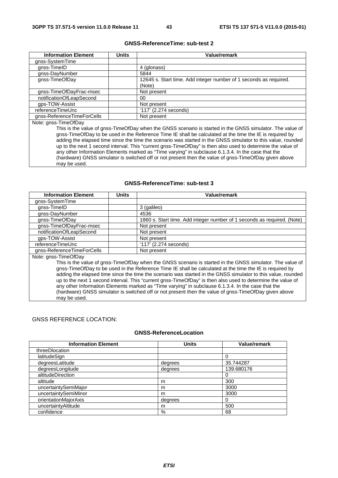# **GNSS-ReferenceTime: sub-test 2**

| <b>Information Element</b> | <b>Units</b> | Value/remark                                                                                              |
|----------------------------|--------------|-----------------------------------------------------------------------------------------------------------|
| gnss-SystemTime            |              |                                                                                                           |
| gnss-TimeID                |              | 4 (glonass)                                                                                               |
| gnss-DayNumber             |              | 5844                                                                                                      |
| gnss-TimeOfDay             |              | 12645 s. Start time. Add integer number of 1 seconds as required.                                         |
|                            |              | (Note)                                                                                                    |
| gnss-TimeOfDayFrac-msec    |              | Not present                                                                                               |
| notificationOfLeapSecond   |              | 00                                                                                                        |
| qps-TOW-Assist             |              | Not present                                                                                               |
| referenceTimeUnc           |              | $'117'$ (2.274 seconds)                                                                                   |
| gnss-ReferenceTimeForCells |              | Not present                                                                                               |
| Note: gnss-TimeOfDay       |              |                                                                                                           |
|                            |              | This is the value of anss-TimeOfDay when the GNSS scenario is started in the GNSS simulator. The value of |

s the value of gnss-TimeOfDay when the GNSS scenario is started in the GNSS simulator. gnss-TimeOfDay to be used in the Reference Time IE shall be calculated at the time the IE is required by adding the elapsed time since the time the scenario was started in the GNSS simulator to this value, rounded up to the next 1 second interval. This "current gnss-TimeOfDay" is then also used to determine the value of any other Information Elements marked as "Time varying" in subclause 6.1.3.4. In the case that the (hardware) GNSS simulator is switched off or not present then the value of gnss-TimeOfDay given above may be used.

#### **GNSS-ReferenceTime: sub-test 3**

| <b>Information Element</b>                                                                                   | <b>Units</b> | Value/remark                                                                                              |
|--------------------------------------------------------------------------------------------------------------|--------------|-----------------------------------------------------------------------------------------------------------|
| gnss-SystemTime                                                                                              |              |                                                                                                           |
| gnss-TimeID                                                                                                  |              | 3 (galileo)                                                                                               |
| gnss-DayNumber                                                                                               |              | 4536                                                                                                      |
| gnss-TimeOfDay                                                                                               |              | 1860 s. Start time. Add integer number of 1 seconds as required. (Note)                                   |
| gnss-TimeOfDayFrac-msec                                                                                      |              | Not present                                                                                               |
| notificationOfLeapSecond                                                                                     |              | Not present                                                                                               |
| qps-TOW-Assist                                                                                               |              | Not present                                                                                               |
| referenceTimeUnc                                                                                             |              | '117' (2.274 seconds)                                                                                     |
| gnss-ReferenceTimeForCells                                                                                   |              | Not present                                                                                               |
| Note: gnss-TimeOfDay                                                                                         |              |                                                                                                           |
|                                                                                                              |              | This is the value of gnss-TimeOfDay when the GNSS scenario is started in the GNSS simulator. The value of |
| gnss-TimeOfDay to be used in the Reference Time IE shall be calculated at the time the IE is required by     |              |                                                                                                           |
| adding the elapsed time since the time the scenario was started in the GNSS simulator to this value, rounded |              |                                                                                                           |
| up to the next 1 second interval. This "current gnss-TimeOfDay" is then also used to determine the value of  |              |                                                                                                           |
| any other Information Elements marked as "Time varying" in subclause 6.1.3.4. In the case that the           |              |                                                                                                           |
|                                                                                                              |              | (hardware) GNSS simulator is switched off or not present then the value of gnss-TimeOfDay given above     |

#### GNSS REFERENCE LOCATION:

may be used.

# **GNSS-ReferenceLocation**

| <b>Information Element</b> | <b>Units</b> | Value/remark |
|----------------------------|--------------|--------------|
| threeDlocation             |              |              |
| latitudeSign               |              |              |
| degreesLatitude            | degrees      | 35.744287    |
| degreesLongitude           | degrees      | 139.680176   |
| altitudeDirection          |              |              |
| altitude                   | m            | 300          |
| uncertaintySemiMajor       | m            | 3000         |
| uncertaintySemiMinor       | m            | 3000         |
| orientationMajorAxis       | degrees      | 0            |
| uncertaintyAltitude        | m            | 500          |
| confidence                 | %            | 68           |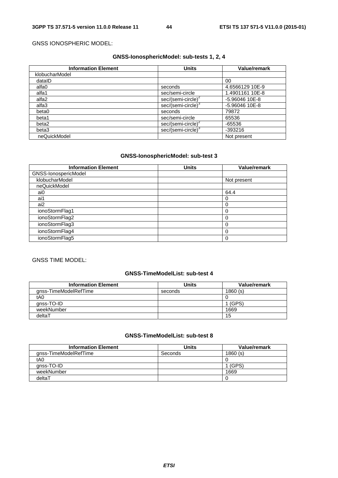### GNSS IONOSPHERIC MODEL:

# **GNSS-IonosphericModel: sub-tests 1, 2, 4**

| <b>Information Element</b> | <b>Units</b>                   | <b>Value/remark</b> |
|----------------------------|--------------------------------|---------------------|
| klobucharModel             |                                |                     |
| datalD                     |                                | 00                  |
| alfa0                      | seconds                        | 4.6566129 10E-9     |
| alfa1                      | sec/semi-circle                | 1.4901161 10E-8     |
| alfa2                      | sec/(semi-circle) <sup>2</sup> | -5.96046 10E-8      |
| alfa3                      | sec/(semi-circle) <sup>3</sup> | -5.96046 10E-8      |
| beta0                      | seconds                        | 79872               |
| beta1                      | sec/semi-circle                | 65536               |
| beta2                      | sec/(semi-circle) <sup>2</sup> | $-65536$            |
| beta3                      | sec/(semi-circle) <sup>3</sup> | -393216             |
| neQuickModel               |                                | Not present         |

# **GNSS-IonosphericModel: sub-test 3**

| <b>Information Element</b> | <b>Units</b> | Value/remark |
|----------------------------|--------------|--------------|
| GNSS-IonospericModel       |              |              |
| klobucharModel             |              | Not present  |
| neQuickModel               |              |              |
| ai0                        |              | 64.4         |
| ai1                        |              |              |
| ai2                        |              |              |
| ionoStormFlag1             |              |              |
| ionoStormFlag2             |              | $\theta$     |
| ionoStormFlag3             |              | 0            |
| ionoStormFlag4             |              |              |
| ionoStormFlag5             |              |              |

# GNSS TIME MODEL:

# **GNSS-TimeModelList: sub-test 4**

| <b>Information Element</b> | <b>Units</b> | Value/remark |
|----------------------------|--------------|--------------|
| gnss-TimeModelRefTime      | seconds      | 1860(s)      |
| t <sub>A0</sub>            |              |              |
| gnss-TO-ID                 |              | (GPS)        |
| weekNumber                 |              | 1669         |
| deltaT                     |              | 15           |

# **GNSS-TimeModelList: sub-test 8**

| <b>Information Element</b> | Units   | Value/remark |
|----------------------------|---------|--------------|
| gnss-TimeModelRefTime      | Seconds | 1860(s)      |
| tA0                        |         |              |
| qnss-TO-ID                 |         | (GPS)        |
| weekNumber                 |         | 1669         |
| deltaT                     |         |              |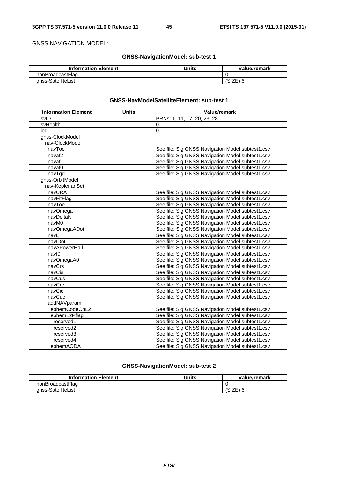GNSS NAVIGATION MODEL:

# **GNSS-NavigationModel: sub-test 1**

| <b>Information Element</b> | Units | Value/remark |
|----------------------------|-------|--------------|
| nonBroadcastFlag           |       |              |
| anss-SatelliteList         |       |              |

## **GNSS-NavModelSatelliteElement: sub-test 1**

| <b>Information Element</b> | <b>Units</b> | Value/remark                                     |
|----------------------------|--------------|--------------------------------------------------|
| svID                       |              | PRNs: 1, 11, 17, 20, 23, 28                      |
| svHealth                   |              | $\Omega$                                         |
| iod                        |              | $\Omega$                                         |
| gnss-ClockModel            |              |                                                  |
| nav-ClockModel             |              |                                                  |
| navToc                     |              | See file: Sig GNSS Navigation Model subtest1.csv |
| navaf <sub>2</sub>         |              | See file: Sig GNSS Navigation Model subtest1.csv |
| navaf1                     |              | See file: Sig GNSS Navigation Model subtest1.csv |
| navaf0                     |              | See file: Sig GNSS Navigation Model subtest1.csv |
| navTgd                     |              | See file: Sig GNSS Navigation Model subtest1.csv |
| gnss-OrbitModel            |              |                                                  |
| nav-KeplerianSet           |              |                                                  |
| navURA                     |              | See file: Sig GNSS Navigation Model subtest1.csv |
| navFitFlag                 |              | See file: Sig GNSS Navigation Model subtest1.csv |
| navToe                     |              | See file: Sig GNSS Navigation Model subtest1.csv |
| navOmega                   |              | See file: Sig GNSS Navigation Model subtest1.csv |
| navDeltaN                  |              | See file: Sig GNSS Navigation Model subtest1.csv |
| navM0                      |              | See file: Sig GNSS Navigation Model subtest1.csv |
| navOmegaADot               |              | See file: Sig GNSS Navigation Model subtest1.csv |
| navE                       |              | See file: Sig GNSS Navigation Model subtest1.csv |
| navIDot                    |              | See file: Sig GNSS Navigation Model subtest1.csv |
| navAPowerHalf              |              | See file: Sig GNSS Navigation Model subtest1.csv |
| navl0                      |              | See file: Sig GNSS Navigation Model subtest1.csv |
| navOmegaA0                 |              | See file: Sig GNSS Navigation Model subtest1.csv |
| navCrs                     |              | See file: Sig GNSS Navigation Model subtest1.csv |
| navCis                     |              | See file: Sig GNSS Navigation Model subtest1.csv |
| navCus                     |              | See file: Sig GNSS Navigation Model subtest1.csv |
| navCrc                     |              | See file: Sig GNSS Navigation Model subtest1.csv |
| navCic                     |              | See file: Sig GNSS Navigation Model subtest1.csv |
| navCuc                     |              | See file: Sig GNSS Navigation Model subtest1.csv |
| addNAVparam                |              |                                                  |
| ephemCodeOnL2              |              | See file: Sig GNSS Navigation Model subtest1.csv |
| ephemL2Pflag               |              | See file: Sig GNSS Navigation Model subtest1.csv |
| reserved1                  |              | See file: Sig GNSS Navigation Model subtest1.csv |
| reserved2                  |              | See file: Sig GNSS Navigation Model subtest1.csv |
| reserved3                  |              | See file: Sig GNSS Navigation Model subtest1.csv |
| reserved4                  |              | See file: Sig GNSS Navigation Model subtest1.csv |
| ephemAODA                  |              | See file: Sig GNSS Navigation Model subtest1.csv |

# **GNSS-NavigationModel: sub-test 2**

| <b>Information Element</b> | Units | Value/remark |
|----------------------------|-------|--------------|
| nonBroadcastFlag           |       |              |
| anss-SatelliteList         |       | 7⊏<br>∟בו    |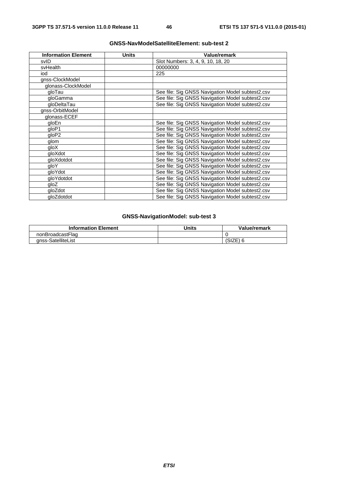| <b>Information Element</b> | <b>Units</b> | <b>Value/remark</b>                              |
|----------------------------|--------------|--------------------------------------------------|
| svID                       |              | Slot Numbers: 3, 4, 9, 10, 18, 20                |
| svHealth                   |              | 00000000                                         |
| iod                        |              | 225                                              |
| gnss-ClockModel            |              |                                                  |
| glonass-ClockModel         |              |                                                  |
| gloTau                     |              | See file: Sig GNSS Navigation Model subtest2.csv |
| gloGamma                   |              | See file: Sig GNSS Navigation Model subtest2.csv |
| gloDeltaTau                |              | See file: Sig GNSS Navigation Model subtest2.csv |
| gnss-OrbitModel            |              |                                                  |
| glonass-ECEF               |              |                                                  |
| gloEn                      |              | See file: Sig GNSS Navigation Model subtest2.csv |
| qloP1                      |              | See file: Sig GNSS Navigation Model subtest2.csv |
| qloP2                      |              | See file: Sig GNSS Navigation Model subtest2.csv |
| glom                       |              | See file: Sig GNSS Navigation Model subtest2.csv |
| gloX                       |              | See file: Sig GNSS Navigation Model subtest2.csv |
| gloXdot                    |              | See file: Sig GNSS Navigation Model subtest2.csv |
| gloXdotdot                 |              | See file: Sig GNSS Navigation Model subtest2.csv |
| qloY                       |              | See file: Sig GNSS Navigation Model subtest2.csv |
| gloYdot                    |              | See file: Sig GNSS Navigation Model subtest2.csv |
| gloYdotdot                 |              | See file: Sig GNSS Navigation Model subtest2.csv |
| gloZ                       |              | See file: Sig GNSS Navigation Model subtest2.csv |
| gloZdot                    |              | See file: Sig GNSS Navigation Model subtest2.csv |
| gloZdotdot                 |              | See file: Sig GNSS Navigation Model subtest2.csv |

# **GNSS-NavModelSatelliteElement: sub-test 2**

# **GNSS-NavigationModel: sub-test 3**

| <b>Information Element</b> | Jnits | Value/remark |
|----------------------------|-------|--------------|
| nonBroadcastFlag           |       |              |
| anss-SatelliteList         |       | . ۱۷۱ ب      |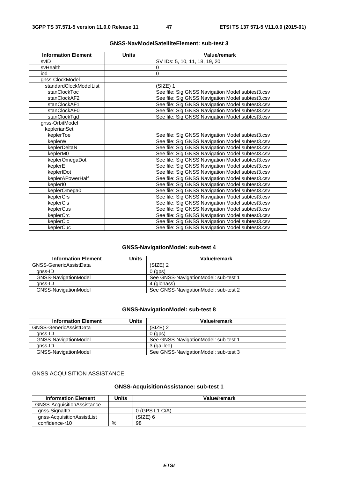| <b>Information Element</b> | <b>Units</b> | Value/remark                                     |
|----------------------------|--------------|--------------------------------------------------|
| svID                       |              | SV IDs: 5, 10, 11, 18, 19, 20                    |
| svHealth                   |              | $\Omega$                                         |
| iod                        |              | $\mathbf 0$                                      |
| gnss-ClockModel            |              |                                                  |
| standardClockModelList     |              | $(SIZE)$ 1                                       |
| stanClockToc               |              | See file: Sig GNSS Navigation Model subtest3.csv |
| stanClockAF2               |              | See file: Sig GNSS Navigation Model subtest3.csv |
| stanClockAF1               |              | See file: Sig GNSS Navigation Model subtest3.csv |
| stanClockAF0               |              | See file: Sig GNSS Navigation Model subtest3.csv |
| stanClockTgd               |              | See file: Sig GNSS Navigation Model subtest3.csv |
| gnss-OrbitModel            |              |                                                  |
| keplerianSet               |              |                                                  |
| keplerToe                  |              | See file: Sig GNSS Navigation Model subtest3.csv |
| keplerW                    |              | See file: Sig GNSS Navigation Model subtest3.csv |
| keplerDeltaN               |              | See file: Sig GNSS Navigation Model subtest3.csv |
| keplerM0                   |              | See file: Sig GNSS Navigation Model subtest3.csv |
| keplerOmegaDot             |              | See file: Sig GNSS Navigation Model subtest3.csv |
| keplerE                    |              | See file: Sig GNSS Navigation Model subtest3.csv |
| keplerIDot                 |              | See file: Sig GNSS Navigation Model subtest3.csv |
| keplerAPowerHalf           |              | See file: Sig GNSS Navigation Model subtest3.csv |
| kepler <sub>I0</sub>       |              | See file: Sig GNSS Navigation Model subtest3.csv |
| keplerOmega0               |              | See file: Sig GNSS Navigation Model subtest3.csv |
| keplerCrs                  |              | See file: Sig GNSS Navigation Model subtest3.csv |
| keplerCis                  |              | See file: Sig GNSS Navigation Model subtest3.csv |
| keplerCus                  |              | See file: Sig GNSS Navigation Model subtest3.csv |
| keplerCrc                  |              | See file: Sig GNSS Navigation Model subtest3.csv |
| keplerCic                  |              | See file: Sig GNSS Navigation Model subtest3.csv |
| keplerCuc                  |              | See file: Sig GNSS Navigation Model subtest3.csv |

# **GNSS-NavModelSatelliteElement: sub-test 3**

# **GNSS-NavigationModel: sub-test 4**

| <b>Information Element</b>  | Units | Value/remark                         |
|-----------------------------|-------|--------------------------------------|
| GNSS-GenericAssistData      |       | $(SIZE)$ 2                           |
| anss-ID                     |       | $0$ (gps)                            |
| GNSS-NavigationModel        |       | See GNSS-NavigationModel: sub-test 1 |
| qnss-ID                     |       | 4 (glonass)                          |
| <b>GNSS-NavigationModel</b> |       | See GNSS-NavigationModel: sub-test 2 |

# **GNSS-NavigationModel: sub-test 8**

| <b>Information Element</b>  | Units | Value/remark                         |
|-----------------------------|-------|--------------------------------------|
| GNSS-GenericAssistData      |       | $(SIZE)$ 2                           |
| anss-ID                     |       | $0$ (aps)                            |
| <b>GNSS-NavigationModel</b> |       | See GNSS-NavigationModel: sub-test 1 |
| anss-ID                     |       | 3 (galileo)                          |
| GNSS-NavigationModel        |       | See GNSS-NavigationModel: sub-test 3 |

# GNSS ACQUISITION ASSISTANCE:

# **GNSS-AcquisitionAssistance: sub-test 1**

| <b>Information Element</b> | Units | Value/remark   |
|----------------------------|-------|----------------|
| GNSS-AcquisitionAssistance |       |                |
| gnss-SignallD              |       | 0 (GPS L1 C/A) |
| gnss-AcquisitionAssistList |       | (SIZE) 6       |
| confidence-r10             | %     | 98             |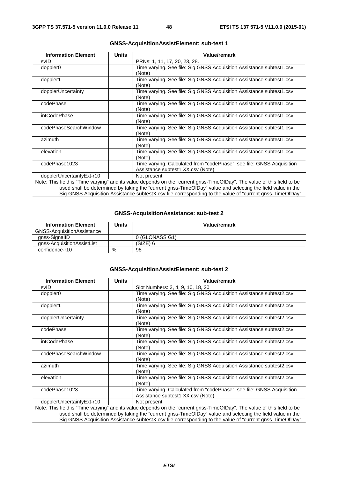| <b>Information Element</b> | <b>Units</b> | <b>Value/remark</b>                                                                                                     |
|----------------------------|--------------|-------------------------------------------------------------------------------------------------------------------------|
| svID                       |              | PRNs: 1, 11, 17, 20, 23, 28.                                                                                            |
| doppler <sub>0</sub>       |              | Time varying. See file: Sig GNSS Acquisition Assistance subtest1.csv                                                    |
|                            |              | (Note)                                                                                                                  |
| doppler1                   |              | Time varying. See file: Sig GNSS Acquisition Assistance subtest1.csv                                                    |
|                            |              | (Note)                                                                                                                  |
| dopplerUncertainty         |              | Time varying. See file: Sig GNSS Acquisition Assistance subtest1.csv                                                    |
|                            |              | (Note)                                                                                                                  |
| codePhase                  |              | Time varying. See file: Sig GNSS Acquisition Assistance subtest1.csv                                                    |
|                            |              | (Note)                                                                                                                  |
| intCodePhase               |              | Time varying. See file: Sig GNSS Acquisition Assistance subtest1.csv                                                    |
|                            |              | (Note)                                                                                                                  |
| codePhaseSearchWindow      |              | Time varying. See file: Sig GNSS Acquisition Assistance subtest1.csv                                                    |
|                            |              | (Note)                                                                                                                  |
| azimuth                    |              | Time varying. See file: Sig GNSS Acquisition Assistance subtest1.csv                                                    |
|                            |              | (Note)                                                                                                                  |
| elevation                  |              | Time varying. See file: Sig GNSS Acquisition Assistance subtest1.csv                                                    |
|                            |              | (Note)                                                                                                                  |
| codePhase1023              |              | Time varying. Calculated from "codePhase", see file: GNSS Acquisition                                                   |
|                            |              | Assistance subtest1 XX.csv (Note)                                                                                       |
| dopplerUncertaintyExt-r10  |              | Not present                                                                                                             |
|                            |              | Note: This field is "Time varying" and its value depends on the "current gnss-TimeOfDay". The value of this field to be |
|                            |              | used shall be determined by taking the "current gnss-TimeOfDay" value and selecting the field value in the              |
|                            |              | Sig GNSS Acquisition Assistance subtestX.csv file corresponding to the value of "current gnss-TimeOfDay".               |

# **GNSS-AcquisitionAssistElement: sub-test 1**

## **GNSS-AcquisitionAssistance: sub-test 2**

| <b>Information Element</b>        | Units | Value/remark   |
|-----------------------------------|-------|----------------|
| <b>GNSS-AcquisitionAssistance</b> |       |                |
| anss-SignalID                     |       | 0 (GLONASS G1) |
| gnss-AcquisitionAssistList        |       | (SIZE) 6       |
| confidence-r10                    | %     | 98             |

## **GNSS-AcquisitionAssistElement: sub-test 2**

| <b>Information Element</b> | <b>Units</b> | Value/remark                                                                                                            |
|----------------------------|--------------|-------------------------------------------------------------------------------------------------------------------------|
| svID                       |              | Slot Numbers: 3, 4, 9, 10, 18, 20                                                                                       |
| doppler <sub>0</sub>       |              | Time varying. See file: Sig GNSS Acquisition Assistance subtest2.csv                                                    |
|                            |              | (Note)                                                                                                                  |
| doppler1                   |              | Time varying. See file: Sig GNSS Acquisition Assistance subtest2.csv                                                    |
|                            |              | (Note)                                                                                                                  |
| dopplerUncertainty         |              | Time varying. See file: Sig GNSS Acquisition Assistance subtest2.csv                                                    |
|                            |              | (Note)                                                                                                                  |
| codePhase                  |              | Time varying. See file: Sig GNSS Acquisition Assistance subtest2.csv                                                    |
|                            |              | (Note)                                                                                                                  |
| intCodePhase               |              | Time varying. See file: Sig GNSS Acquisition Assistance subtest2.csv                                                    |
|                            |              | (Note)                                                                                                                  |
| codePhaseSearchWindow      |              | Time varying. See file: Sig GNSS Acquisition Assistance subtest2.csv                                                    |
|                            |              | (Note)                                                                                                                  |
| azimuth                    |              | Time varying. See file: Sig GNSS Acquisition Assistance subtest2.csv                                                    |
|                            |              | (Note)                                                                                                                  |
| elevation                  |              | Time varying. See file: Sig GNSS Acquisition Assistance subtest2.csv                                                    |
|                            |              | (Note)                                                                                                                  |
| codePhase1023              |              | Time varying. Calculated from "codePhase", see file: GNSS Acquisition                                                   |
|                            |              | Assistance subtest1 XX.csv (Note)                                                                                       |
| dopplerUncertaintyExt-r10  |              | Not present                                                                                                             |
|                            |              | Note: This field is "Time varying" and its value depends on the "current gnss-TimeOfDay". The value of this field to be |
|                            |              | used shall be determined by taking the "current gnss-TimeOfDay" value and selecting the field value in the              |
|                            |              | Sig GNSS Acquisition Assistance subtestX.csv file corresponding to the value of "current gnss-TimeOfDay".               |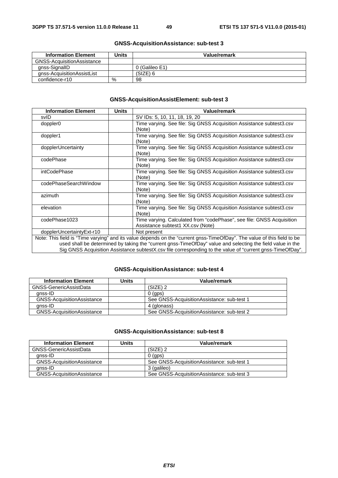| <b>Information Element</b> | Units | Value/remark   |
|----------------------------|-------|----------------|
| GNSS-AcquisitionAssistance |       |                |
| gnss-SignallD              |       | 0 (Galileo E1) |
| gnss-AcquisitionAssistList |       | (SIZE) 6       |
| confidence-r10             | %     | 98             |

# **GNSS-AcquisitionAssistance: sub-test 3**

# **GNSS-AcquisitionAssistElement: sub-test 3**

| <b>Information Element</b> | <b>Units</b> | <b>Value/remark</b>                                                                                                     |
|----------------------------|--------------|-------------------------------------------------------------------------------------------------------------------------|
| svID                       |              | SV IDs: 5, 10, 11, 18, 19, 20                                                                                           |
| doppler <sub>0</sub>       |              | Time varying. See file: Sig GNSS Acquisition Assistance subtest3.csv                                                    |
|                            |              | (Note)                                                                                                                  |
| doppler1                   |              | Time varying. See file: Sig GNSS Acquisition Assistance subtest3.csv                                                    |
|                            |              | (Note)                                                                                                                  |
| dopplerUncertainty         |              | Time varying. See file: Sig GNSS Acquisition Assistance subtest3.csv                                                    |
|                            |              | (Note)                                                                                                                  |
| codePhase                  |              | Time varying. See file: Sig GNSS Acquisition Assistance subtest3.csv                                                    |
|                            |              | (Note)                                                                                                                  |
| intCodePhase               |              | Time varying. See file: Sig GNSS Acquisition Assistance subtest3.csv                                                    |
|                            |              | (Note)                                                                                                                  |
| codePhaseSearchWindow      |              | Time varying. See file: Sig GNSS Acquisition Assistance subtest3.csv                                                    |
|                            |              | (Note)                                                                                                                  |
| azimuth                    |              | Time varying. See file: Sig GNSS Acquisition Assistance subtest3.csv                                                    |
|                            |              | (Note)                                                                                                                  |
| elevation                  |              | Time varying. See file: Sig GNSS Acquisition Assistance subtest3.csv                                                    |
|                            |              | (Note)                                                                                                                  |
| codePhase1023              |              | Time varying. Calculated from "codePhase", see file: GNSS Acquisition                                                   |
|                            |              | Assistance subtest1 XX.csv (Note)                                                                                       |
| dopplerUncertaintyExt-r10  |              | Not present                                                                                                             |
|                            |              | Note: This field is "Time varying" and its value depends on the "current gnss-TimeOfDay". The value of this field to be |
|                            |              | used shall be determined by taking the "current gnss-TimeOfDay" value and selecting the field value in the              |
|                            |              | Sig GNSS Acquisition Assistance subtestX.csv file corresponding to the value of "current gnss-TimeOfDay".               |

## **GNSS-AcquisitionAssistance: sub-test 4**

| <b>Information Element</b>        | Units | Value/remark                                |
|-----------------------------------|-------|---------------------------------------------|
| GNSS-GenericAssistData            |       | $(SIZE)$ 2                                  |
| anss-ID                           |       | $0$ (aps)                                   |
| <b>GNSS-AcquisitionAssistance</b> |       | See GNSS-AcquisitionAssistance: sub-test 1  |
| anss-ID                           |       | 4 (glonass)                                 |
| <b>GNSS-AcquisitionAssistance</b> |       | See GNSS-Acquisition Assistance: sub-test 2 |

## **GNSS-AcquisitionAssistance: sub-test 8**

| <b>Information Element</b>        | Units | Value/remark                               |
|-----------------------------------|-------|--------------------------------------------|
| GNSS-GenericAssistData            |       | (SIZE) 2                                   |
| anss-ID                           |       | $0$ (aps)                                  |
| <b>GNSS-AcquisitionAssistance</b> |       | See GNSS-AcquisitionAssistance: sub-test 1 |
| anss-ID                           |       | 3 (galileo)                                |
| <b>GNSS-AcquisitionAssistance</b> |       | See GNSS-AcquisitionAssistance: sub-test 3 |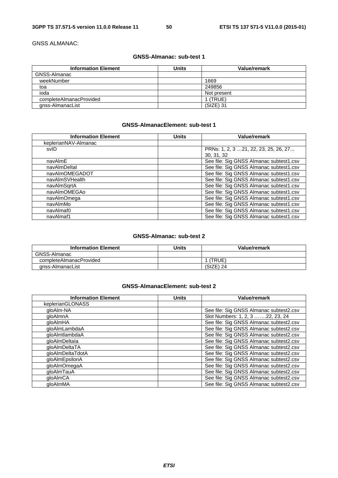GNSS ALMANAC:

# **GNSS-Almanac: sub-test 1**

| <b>Information Element</b> | <b>Units</b> | Value/remark |
|----------------------------|--------------|--------------|
| GNSS-Almanac               |              |              |
| weekNumber                 |              | 1669         |
| toa                        |              | 249856       |
| ioda                       |              | Not present  |
| completeAlmanacProvided    |              | (TRUE)       |
| gnss-AlmanacList           |              | (SIZE) 31    |

# **GNSS-AlmanacElement: sub-test 1**

| <b>Information Element</b> | <b>Units</b> | Value/remark                            |
|----------------------------|--------------|-----------------------------------------|
| keplerianNAV-Almanac       |              |                                         |
| svID                       |              | PRNs: 1, 2, 3 21, 22, 23, 25, 26, 27    |
|                            |              | 30, 31, 32                              |
| navAlmE                    |              | See file: Sig GNSS Almanac subtest1.csv |
| navAlmDeltal               |              | See file: Sig GNSS Almanac subtest1.csv |
| navAlmOMEGADOT             |              | See file: Sig GNSS Almanac subtest1.csv |
| navAlmSVHealth             |              | See file: Sig GNSS Almanac subtest1.csv |
| navAlmSqrtA                |              | See file: Sig GNSS Almanac subtest1.csv |
| navAlmOMEGAo               |              | See file: Sig GNSS Almanac subtest1.csv |
| navAlmOmega                |              | See file: Sig GNSS Almanac subtest1.csv |
| navAlmMo                   |              | See file: Sig GNSS Almanac subtest1.csv |
| navAlmaf0                  |              | See file: Sig GNSS Almanac subtest1.csv |
| navAlmaf1                  |              | See file: Sig GNSS Almanac subtest1.csv |

# **GNSS-Almanac: sub-test 2**

| <b>Information Element</b> | Units | Value/remark |
|----------------------------|-------|--------------|
| GNSS-Almanac               |       |              |
| completeAlmanacProvided    |       | (TRUE)       |
| anss-AlmanacList           |       | $(SIZE)$ 24  |

# **GNSS-AlmanacElement: sub-test 2**

| <b>Information Element</b> | <b>Units</b> | Value/remark                            |
|----------------------------|--------------|-----------------------------------------|
| keplerianGLONASS           |              |                                         |
| gloAlm-NA                  |              | See file: Sig GNSS Almanac subtest2.csv |
| qloAlmnA                   |              | Slot Numbers: 1, 2, 3 22, 23, 24        |
| gloAlmHA                   |              | See file: Sig GNSS Almanac subtest2.csv |
| qloAlmLambdaA              |              | See file: Sig GNSS Almanac subtest2.csv |
| gloAlmtlambdaA             |              | See file: Sig GNSS Almanac subtest2.csv |
| gloAlmDeltala              |              | See file: Sig GNSS Almanac subtest2.csv |
| gloAlmDeltaTA              |              | See file: Sig GNSS Almanac subtest2.csv |
| gloAlmDeltaTdotA           |              | See file: Sig GNSS Almanac subtest2.csv |
| gloAlmEpsilonA             |              | See file: Sig GNSS Almanac subtest2.csv |
| gloAlmOmegaA               |              | See file: Sig GNSS Almanac subtest2.csv |
| dloAlmTauA                 |              | See file: Sig GNSS Almanac subtest2.csv |
| qloAlmCA                   |              | See file: Sig GNSS Almanac subtest2.csv |
| aloAlmMA                   |              | See file: Sig GNSS Almanac subtest2.csv |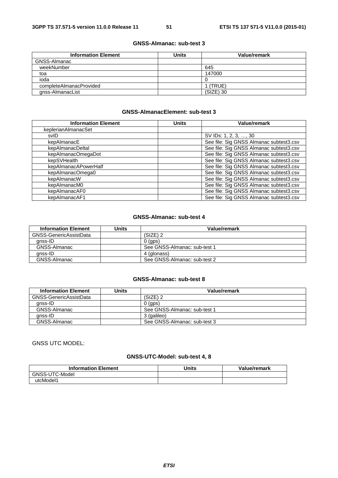# **GNSS-Almanac: sub-test 3**

| <b>Information Element</b> | <b>Units</b> | Value/remark |
|----------------------------|--------------|--------------|
| GNSS-Almanac               |              |              |
| weekNumber                 |              | 645          |
| toa                        |              | 147000       |
| ioda                       |              |              |
| completeAlmanacProvided    |              | 1 (TRUE)     |
| gnss-AlmanacList           |              | (SIZE) 30    |

# **GNSS-AlmanacElement: sub-test 3**

| <b>Information Element</b> | <b>Units</b> | <b>Value/remark</b>                     |
|----------------------------|--------------|-----------------------------------------|
| keplerianAlmanacSet        |              |                                         |
| svID                       |              | SV IDs: 1, 2, 3, , 30                   |
| kepAlmanacE                |              | See file: Sig GNSS Almanac subtest3.csv |
| kepAlmanacDeltal           |              | See file: Sig GNSS Almanac subtest3.csv |
| kepAlmanacOmegaDot         |              | See file: Sig GNSS Almanac subtest3.csv |
| kepSVHealth                |              | See file: Sig GNSS Almanac subtest3.csv |
| kepAlmanacAPowerHalf       |              | See file: Sig GNSS Almanac subtest3.csv |
| kepAlmanacOmega0           |              | See file: Sig GNSS Almanac subtest3.csv |
| kepAlmanacW                |              | See file: Sig GNSS Almanac subtest3.csv |
| kepAlmanacM0               |              | See file: Sig GNSS Almanac subtest3.csv |
| kepAlmanacAF0              |              | See file: Sig GNSS Almanac subtest3.csv |
| kepAlmanacAF1              |              | See file: Sig GNSS Almanac subtest3.csv |

### **GNSS-Almanac: sub-test 4**

| <b>Information Element</b> | Units | Value/remark                 |
|----------------------------|-------|------------------------------|
| GNSS-GenericAssistData     |       | $(SIZE)$ 2                   |
| anss-ID                    |       | $0$ (aps)                    |
| GNSS-Almanac               |       | See GNSS-Almanac: sub-test 1 |
| anss-ID                    |       | 4 (glonass)                  |
| GNSS-Almanac               |       | See GNSS-Almanac: sub-test 2 |

### **GNSS-Almanac: sub-test 8**

| <b>Information Element</b> | Units | Value/remark                 |
|----------------------------|-------|------------------------------|
| GNSS-GenericAssistData     |       | (SIZE) 2                     |
| anss-ID                    |       | $0$ (gps)                    |
| GNSS-Almanac               |       | See GNSS-Almanac: sub-test 1 |
| anss-ID                    |       | 3 (galileo)                  |
| GNSS-Almanac               |       | See GNSS-Almanac: sub-test 3 |

GNSS UTC MODEL:

# **GNSS-UTC-Model: sub-test 4, 8**

| <b>Information Element</b> | <b>Units</b> | Value/remark |
|----------------------------|--------------|--------------|
| GNSS-UTC-Model             |              |              |
| utcModel1                  |              |              |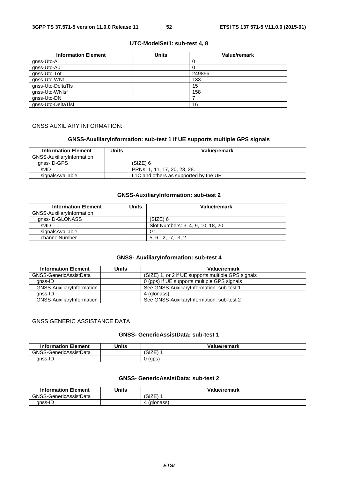## **UTC-ModelSet1: sub-test 4, 8**

| <b>Information Element</b> | <b>Units</b> | <b>Value/remark</b> |
|----------------------------|--------------|---------------------|
| gnss-Utc-A1                |              |                     |
| gnss-Utc-A0                |              |                     |
| gnss-Utc-Tot               |              | 249856              |
| gnss-Utc-WNt               |              | 133                 |
| gnss-Utc-DeltaTls          |              | 15                  |
| gnss-Utc-WNIsf             |              | 158                 |
| gnss-Utc-DN                |              |                     |
| gnss-Utc-DeltaTlsf         |              | 16                  |

#### GNSS AUXILIARY INFORMATION:

# **GNSS-AuxiliaryInformation: sub-test 1 if UE supports multiple GPS signals**

| <b>Information Element</b>       | Units | Value/remark                          |
|----------------------------------|-------|---------------------------------------|
| <b>GNSS-AuxiliaryInformation</b> |       |                                       |
| anss-ID-GPS                      |       | (SIZE) 6                              |
| svID                             |       | PRNs: 1, 11, 17, 20, 23, 28.          |
| signalsAvailable                 |       | L1C and others as supported by the UE |

## **GNSS-AuxiliaryInformation: sub-test 2**

| <b>Information Element</b> | Units | Value/remark                      |
|----------------------------|-------|-----------------------------------|
| GNSS-AuxiliaryInformation  |       |                                   |
| gnss-ID-GLONASS            |       | (SIZE) 6                          |
| svID                       |       | Slot Numbers: 3, 4, 9, 10, 18, 20 |
| signalsAvailable           |       | G1                                |
| channelNumber              |       | $5, 6, -2, -7, -3, 2$             |

# **GNSS- AuxiliaryInformation: sub-test 4**

| <b>Information Element</b> | Units | Value/remark                                       |
|----------------------------|-------|----------------------------------------------------|
| GNSS-GenericAssistData     |       | (SIZE) 1, or 2 if UE supports multiple GPS signals |
| gnss-ID                    |       | 0 (gps) if UE supports multiple GPS signals        |
| GNSS-AuxiliaryInformation  |       | See GNSS-AuxiliaryInformation: sub-test 1          |
| anss-ID                    |       | 4 (glonass)                                        |
| GNSS-AuxiliaryInformation  |       | See GNSS-AuxiliaryInformation: sub-test 2          |

# GNSS GENERIC ASSISTANCE DATA

# **GNSS- GenericAssistData: sub-test 1**

| <b>Information Element</b> | Units | Value/remark          |
|----------------------------|-------|-----------------------|
| GNSS-GenericAssistData     |       | $\rightarrow$<br>OI∠⊏ |
| anss-I                     |       | (gps                  |

# **GNSS- GenericAssistData: sub-test 2**

| <b>Information Element</b> | Jnits | Value/remark |
|----------------------------|-------|--------------|
| GNSS-GenericAssistData     |       | 'SIZE        |
| gnss-ID                    |       | (glonass)    |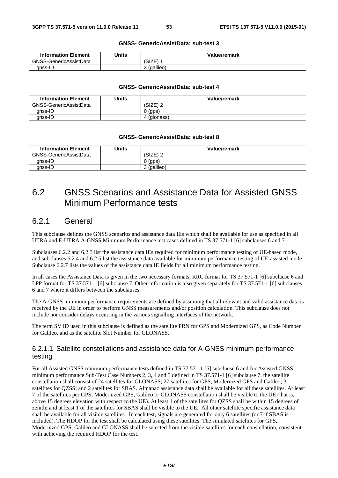#### **GNSS- GenericAssistData: sub-test 3**

| <b>Information Element</b> | Units | Value/remark |
|----------------------------|-------|--------------|
| GNSS-GenericAssistData     |       | 'SIZE        |
| anss-ID                    |       | (galileo)    |

#### **GNSS- GenericAssistData: sub-test 4**

| <b>Information Element</b> | Units | Value/remark |
|----------------------------|-------|--------------|
| GNSS-GenericAssistData     |       | (SIZE) 2     |
| anss-ID                    |       | ີ (gps)      |
| anss-ID                    |       | (glonass)    |

#### **GNSS- GenericAssistData: sub-test 8**

| <b>Information Element</b> | Units | Value/remark     |
|----------------------------|-------|------------------|
| GNSS-GenericAssistData     |       | (SIZE)<br>$\sim$ |
| anss-ID                    |       | (gps)            |
| gnss-ID                    |       | (galileo)<br>ັ   |

# 6.2 GNSS Scenarios and Assistance Data for Assisted GNSS Minimum Performance tests

# 6.2.1 General

This subclause defines the GNSS scenarios and assistance data IEs which shall be available for use as specified in all UTRA and E-UTRA A-GNSS Minimum Performance test cases defined in TS 37.571-1 [6] subclauses 6 and 7.

Subclauses 6.2.2 and 6.2.3 list the assistance data IEs required for minimum performance testing of UE-based mode, and subclauses 6.2.4 and 6.2.5 list the assistance data available for minimum performance testing of UE-assisted mode. Subclause 6.2.7 lists the values of the assistance data IE fields for all minimum performance testing.

In all cases the Assistance Data is given in the two necessary formats, RRC format for TS 37.571-1 [6] subclause 6 and LPP format for TS 37.571-1 [6] subclause 7. Other information is also given separately for TS 37.571-1 [6] subclauses 6 and 7 where it differs between the subclauses.

The A-GNSS minimum performance requirements are defined by assuming that all relevant and valid assistance data is received by the UE in order to perform GNSS measurements and/or position calculation. This subclause does not include nor consider delays occurring in the various signalling interfaces of the network.

The term SV ID used in this subclause is defined as the satellite PRN for GPS and Modernized GPS, as Code Number for Galileo, and as the satellite Slot Number for GLONASS.

# 6.2.1.1 Satellite constellations and assistance data for A-GNSS minimum performance testing

For all Assisted GNSS minimum performance tests defined in TS 37.571-1 [6] subclause 6 and for Assisted GNSS minimum performance Sub-Test Case Numbers 2, 3, 4 and 5 defined in TS 37.571-1 [6] subclause 7, the satellite constellation shall consist of 24 satellites for GLONASS; 27 satellites for GPS, Modernized GPS and Galileo; 3 satellites for QZSS; and 2 satellites for SBAS. Almanac assistance data shall be available for all these satellites. At least 7 of the satellites per GPS, Modernized GPS, Galileo or GLONASS constellation shall be visible to the UE (that is, above 15 degrees elevation with respect to the UE). At least 1 of the satellites for QZSS shall be within 15 degrees of zenith; and at least 1 of the satellites for SBAS shall be visible to the UE. All other satellite specific assistance data shall be available for all visible satellites. In each test, signals are generated for only 6 satellites (or 7 if SBAS is included). The HDOP for the test shall be calculated using these satellites. The simulated satellites for GPS, Modernized GPS, Galileo and GLONASS shall be selected from the visible satellites for each constellation, consistent with achieving the required HDOP for the test.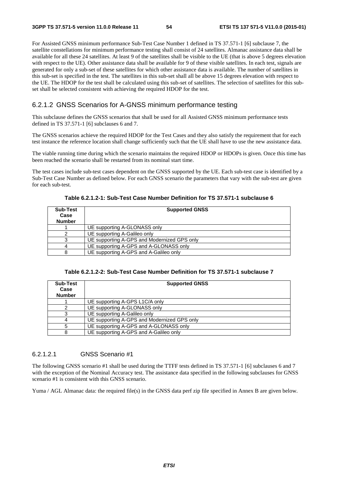For Assisted GNSS minimum performance Sub-Test Case Number 1 defined in TS 37.571-1 [6] subclause 7, the satellite constellations for minimum performance testing shall consist of 24 satellites. Almanac assistance data shall be available for all these 24 satellites. At least 9 of the satellites shall be visible to the UE (that is above 5 degrees elevation with respect to the UE). Other assistance data shall be available for 9 of these visible satellites. In each test, signals are generated for only a sub-set of these satellites for which other assistance data is available. The number of satellites in this sub-set is specified in the test. The satellites in this sub-set shall all be above 15 degrees elevation with respect to the UE. The HDOP for the test shall be calculated using this sub-set of satellites. The selection of satellites for this subset shall be selected consistent with achieving the required HDOP for the test.

# 6.2.1.2 GNSS Scenarios for A-GNSS minimum performance testing

This subclause defines the GNSS scenarios that shall be used for all Assisted GNSS minimum performance tests defined in TS 37.571-1 [6] subclauses 6 and 7.

The GNSS scenarios achieve the required HDOP for the Test Cases and they also satisfy the requirement that for each test instance the reference location shall change sufficiently such that the UE shall have to use the new assistance data.

The viable running time during which the scenario maintains the required HDOP or HDOPs is given. Once this time has been reached the scenario shall be restarted from its nominal start time.

The test cases include sub-test cases dependent on the GNSS supported by the UE. Each sub-test case is identified by a Sub-Test Case Number as defined below. For each GNSS scenario the parameters that vary with the sub-test are given for each sub-test.

| <b>Sub-Test</b><br>Case<br><b>Number</b> | <b>Supported GNSS</b>                       |
|------------------------------------------|---------------------------------------------|
|                                          | UE supporting A-GLONASS only                |
|                                          | UE supporting A-Galileo only                |
|                                          | UE supporting A-GPS and Modernized GPS only |
|                                          | UE supporting A-GPS and A-GLONASS only      |
| 8                                        | UE supporting A-GPS and A-Galileo only      |

**Table 6.2.1.2-1: Sub-Test Case Number Definition for TS 37.571-1 subclause 6** 

|  | Table 6.2.1.2-2: Sub-Test Case Number Definition for TS 37.571-1 subclause 7 |
|--|------------------------------------------------------------------------------|
|--|------------------------------------------------------------------------------|

| <b>Sub-Test</b><br>Case<br><b>Number</b> | <b>Supported GNSS</b>                       |
|------------------------------------------|---------------------------------------------|
|                                          | UE supporting A-GPS L1C/A only              |
|                                          | UE supporting A-GLONASS only                |
|                                          | UE supporting A-Galileo only                |
|                                          | UE supporting A-GPS and Modernized GPS only |
|                                          | UE supporting A-GPS and A-GLONASS only      |
| 8                                        | UE supporting A-GPS and A-Galileo only      |

# 6.2.1.2.1 GNSS Scenario #1

The following GNSS scenario #1 shall be used during the TTFF tests defined in TS 37.571-1 [6] subclauses 6 and 7 with the exception of the Nominal Accuracy test. The assistance data specified in the following subclauses for GNSS scenario #1 is consistent with this GNSS scenario.

Yuma / AGL Almanac data: the required file(s) in the GNSS data perf zip file specified in Annex B are given below.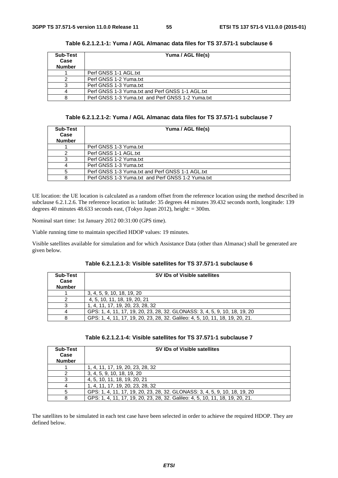| <b>Sub-Test</b><br>Case<br><b>Number</b> | Yuma / AGL file(s)                                |
|------------------------------------------|---------------------------------------------------|
|                                          | Perf GNSS 1-1 AGL.txt                             |
|                                          | Perf GNSS 1-2 Yuma.txt                            |
|                                          | Perf GNSS 1-3 Yuma.txt                            |
|                                          | Perf GNSS 1-3 Yuma.txt and Perf GNSS 1-1 AGL.txt  |
|                                          | Perf GNSS 1-3 Yuma.txt and Perf GNSS 1-2 Yuma.txt |

**Table 6.2.1.2.1-1: Yuma / AGL Almanac data files for TS 37.571-1 subclause 6** 

**Table 6.2.1.2.1-2: Yuma / AGL Almanac data files for TS 37.571-1 subclause 7** 

| Sub-Test<br>Case<br><b>Number</b> | Yuma / AGL file(s)                                |
|-----------------------------------|---------------------------------------------------|
|                                   | Perf GNSS 1-3 Yuma.txt                            |
|                                   | Perf GNSS 1-1 AGL.txt                             |
|                                   | Perf GNSS 1-2 Yuma.txt                            |
|                                   | Perf GNSS 1-3 Yuma.txt                            |
|                                   | Perf GNSS 1-3 Yuma.txt and Perf GNSS 1-1 AGL.txt  |
|                                   | Perf GNSS 1-3 Yuma.txt and Perf GNSS 1-2 Yuma.txt |

UE location: the UE location is calculated as a random offset from the reference location using the method described in subclause 6.2.1.2.6. The reference location is: latitude: 35 degrees 44 minutes 39.432 seconds north, longitude: 139 degrees 40 minutes 48.633 seconds east, (Tokyo Japan 2012), height: = 300m.

Nominal start time: 1st January 2012 00:31:00 (GPS time).

Viable running time to maintain specified HDOP values: 19 minutes.

Visible satellites available for simulation and for which Assistance Data (other than Almanac) shall be generated are given below.

| Table 6.2.1.2.1-3: Visible satellites for TS 37.571-1 subclause 6 |
|-------------------------------------------------------------------|
|-------------------------------------------------------------------|

| Sub-Test<br>Case<br><b>Number</b> | <b>SV IDs of Visible satellites</b>                                           |
|-----------------------------------|-------------------------------------------------------------------------------|
|                                   | 3, 4, 5, 9, 10, 18, 19, 20                                                    |
|                                   | 4, 5, 10, 11, 18, 19, 20, 21                                                  |
|                                   | 1, 4, 11, 17, 19, 20, 23, 28, 32                                              |
|                                   | GPS: 1, 4, 11, 17, 19, 20, 23, 28, 32. GLONASS: 3, 4, 5, 9, 10, 18, 19, 20    |
|                                   | GPS: 1, 4, 11, 17, 19, 20, 23, 28, 32. Galileo: 4, 5, 10, 11, 18, 19, 20, 21. |

|  |  | Table        6.2.1.2.1-4: Visible satellites for TS        37.571-1 subclause 7 |
|--|--|---------------------------------------------------------------------------------|
|--|--|---------------------------------------------------------------------------------|

| Sub-Test<br>Case<br><b>Number</b> | <b>SV IDs of Visible satellites</b>                                           |
|-----------------------------------|-------------------------------------------------------------------------------|
|                                   | 1, 4, 11, 17, 19, 20, 23, 28, 32                                              |
|                                   | 3, 4, 5, 9, 10, 18, 19, 20                                                    |
|                                   | 4, 5, 10, 11, 18, 19, 20, 21                                                  |
|                                   | 1, 4, 11, 17, 19, 20, 23, 28, 32                                              |
|                                   | GPS: 1, 4, 11, 17, 19, 20, 23, 28, 32, GLONASS: 3, 4, 5, 9, 10, 18, 19, 20    |
| 8                                 | GPS: 1, 4, 11, 17, 19, 20, 23, 28, 32. Galileo: 4, 5, 10, 11, 18, 19, 20, 21. |

The satellites to be simulated in each test case have been selected in order to achieve the required HDOP. They are defined below.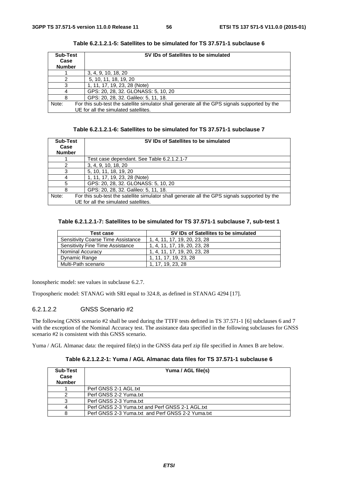| <b>Sub-Test</b><br>Case<br><b>Number</b> | SV IDs of Satellites to be simulated                                                          |  |
|------------------------------------------|-----------------------------------------------------------------------------------------------|--|
|                                          | 3, 4, 9, 10, 18, 20                                                                           |  |
|                                          | 5, 10, 11, 18, 19, 20                                                                         |  |
|                                          | 1, 11, 17, 19, 23, 28 (Note)                                                                  |  |
|                                          | GPS: 20, 28, 32. GLONASS: 5, 10, 20                                                           |  |
| 8                                        | GPS: 20, 28, 32. Galileo: 5, 11, 18.                                                          |  |
| Note:                                    | For this sub-test the satellite simulator shall generate all the GPS signals supported by the |  |
|                                          | UE for all the simulated satellites.                                                          |  |

**Table 6.2.1.2.1-5: Satellites to be simulated for TS 37.571-1 subclause 6** 

| Table 6.2.1.2.1-6: Satellites to be simulated for TS 37.571-1 subclause 7 |  |  |
|---------------------------------------------------------------------------|--|--|
|---------------------------------------------------------------------------|--|--|

| <b>Sub-Test</b><br>Case<br><b>Number</b> | SV IDs of Satellites to be simulated                                                          |
|------------------------------------------|-----------------------------------------------------------------------------------------------|
|                                          | Test case dependant. See Table 6.2.1.2.1-7                                                    |
| $\mathcal{P}$                            | 3, 4, 9, 10, 18, 20                                                                           |
| 3                                        | 5, 10, 11, 18, 19, 20                                                                         |
|                                          | 1, 11, 17, 19, 23, 28 (Note)                                                                  |
| 5                                        | GPS: 20, 28, 32. GLONASS: 5, 10, 20                                                           |
| 8                                        | GPS: 20, 28, 32. Galileo: 5, 11, 18.                                                          |
| Note:                                    | For this sub-test the satellite simulator shall generate all the GPS signals supported by the |
|                                          | UE for all the simulated satellites.                                                          |

# **Table 6.2.1.2.1-7: Satellites to be simulated for TS 37.571-1 subclause 7, sub-test 1**

| Test case                                 | SV IDs of Satellites to be simulated |
|-------------------------------------------|--------------------------------------|
| <b>Sensitivity Coarse Time Assistance</b> | 1, 4, 11, 17, 19, 20, 23, 28         |
| Sensitivity Fine Time Assistance          | 1, 4, 11, 17, 19, 20, 23, 28         |
| <b>Nominal Accuracy</b>                   | 1, 4, 11, 17, 19, 20, 23, 28         |
| Dynamic Range                             | 1. 11. 17. 19. 23. 28                |
| Multi-Path scenario                       | 1. 17. 19. 23. 28                    |

Ionospheric model: see values in subclause 6.2.7.

Tropospheric model: STANAG with SRI equal to 324.8, as defined in STANAG 4294 [17].

# 6.2.1.2.2 GNSS Scenario #2

The following GNSS scenario #2 shall be used during the TTFF tests defined in TS 37.571-1 [6] subclauses 6 and 7 with the exception of the Nominal Accuracy test. The assistance data specified in the following subclauses for GNSS scenario #2 is consistent with this GNSS scenario.

Yuma / AGL Almanac data: the required file(s) in the GNSS data perf zip file specified in Annex B are below.

**Table 6.2.1.2.2-1: Yuma / AGL Almanac data files for TS 37.571-1 subclause 6** 

| <b>Sub-Test</b><br>Case<br><b>Number</b> | Yuma / AGL file(s)                                |  |
|------------------------------------------|---------------------------------------------------|--|
|                                          | Perf GNSS 2-1 AGL.txt                             |  |
|                                          | Perf GNSS 2-2 Yuma.txt                            |  |
|                                          | Perf GNSS 2-3 Yuma.txt                            |  |
|                                          | Perf GNSS 2-3 Yuma.txt and Perf GNSS 2-1 AGL.txt  |  |
| 8                                        | Perf GNSS 2-3 Yuma.txt and Perf GNSS 2-2 Yuma.txt |  |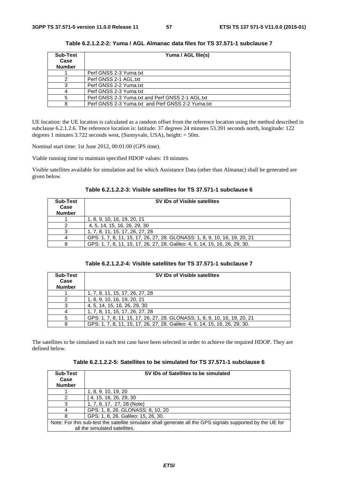| Sub-Test<br>Case | Yuma / AGL file(s)                                |  |
|------------------|---------------------------------------------------|--|
| <b>Number</b>    |                                                   |  |
|                  | Perf GNSS 2-3 Yuma.txt                            |  |
|                  | Perf GNSS 2-1 AGL.txt                             |  |
|                  | Perf GNSS 2-2 Yuma.txt                            |  |
|                  | Perf GNSS 2-3 Yuma.txt                            |  |
|                  | Perf GNSS 2-3 Yuma.txt and Perf GNSS 2-1 AGL.txt  |  |
|                  | Perf GNSS 2-3 Yuma.txt and Perf GNSS 2-2 Yuma.txt |  |

**Table 6.2.1.2.2-2: Yuma / AGL Almanac data files for TS 37.571-1 subclause 7** 

UE location: the UE location is calculated as a random offset from the reference location using the method described in subclause 6.2.1.2.6. The reference location is: latitude: 37 degrees 24 minutes 53.391 seconds north, longitude: 122 degrees 1 minutes 3.722 seconds west, (Sunnyvale, USA), height: = 50m.

Nominal start time: 1st June 2012, 00:01:00 (GPS time).

Viable running time to maintain specified HDOP values: 19 minutes.

Visible satellites available for simulation and for which Assistance Data (other than Almanac) shall be generated are given below.

**Table 6.2.1.2.2-3: Visible satellites for TS 37.571-1 subclause 6** 

| <b>Sub-Test</b><br>Case<br><b>Number</b> | <b>SV IDs of Visible satellites</b>                                          |
|------------------------------------------|------------------------------------------------------------------------------|
|                                          | 1, 8, 9, 10, 16, 19, 20, 21                                                  |
|                                          | 4, 5, 14, 15, 16, 26, 29, 30                                                 |
|                                          | 1, 7, 8, 11, 15, 17, 26, 27, 28                                              |
|                                          | GPS: 1, 7, 8, 11, 15, 17, 26, 27, 28. GLONASS: 1, 8, 9, 10, 16, 19, 20, 21   |
|                                          | GPS: 1, 7, 8, 11, 15, 17, 26, 27, 28. Galileo: 4, 5, 14, 15, 16, 26, 29, 30. |

| Table        6.2.1.2.2-4: Visible satellites for TS        37.571-1 subclause 7 |  |
|---------------------------------------------------------------------------------|--|
|---------------------------------------------------------------------------------|--|

| <b>Sub-Test</b><br>Case<br><b>Number</b> | <b>SV IDs of Visible satellites</b>                                          |  |
|------------------------------------------|------------------------------------------------------------------------------|--|
|                                          | 1, 7, 8, 11, 15, 17, 26, 27, 28                                              |  |
|                                          | 1, 8, 9, 10, 16, 19, 20, 21                                                  |  |
|                                          | 4, 5, 14, 15, 16, 26, 29, 30                                                 |  |
|                                          | 1, 7, 8, 11, 15, 17, 26, 27, 28                                              |  |
|                                          | GPS: 1, 7, 8, 11, 15, 17, 26, 27, 28. GLONASS: 1, 8, 9, 10, 16, 19, 20, 21   |  |
|                                          | GPS: 1, 7, 8, 11, 15, 17, 26, 27, 28. Galileo: 4, 5, 14, 15, 16, 26, 29, 30. |  |

The satellites to be simulated in each test case have been selected in order to achieve the required HDOP. They are defined below.

|  | Table 6.2.1.2.2-5: Satellites to be simulated for TS 37.571-1 subclause 6 |
|--|---------------------------------------------------------------------------|
|--|---------------------------------------------------------------------------|

| <b>Sub-Test</b><br>Case<br><b>Number</b> | SV IDs of Satellites to be simulated                                                                       |
|------------------------------------------|------------------------------------------------------------------------------------------------------------|
|                                          | 1, 8, 9, 10, 19, 20                                                                                        |
|                                          | 4, 15, 16, 26, 29, 30                                                                                      |
|                                          | 1, 7, 8, 17, 27, 28 (Note)                                                                                 |
|                                          | GPS: 1, 8, 26. GLONASS: 8, 10, 20                                                                          |
| 8                                        | GPS: 1, 8, 26. Galileo: 15, 26, 30.                                                                        |
|                                          | Note: For this sub-test the satellite simulator shall generate all the GPS signals supported by the UE for |
|                                          | all the simulated satellites.                                                                              |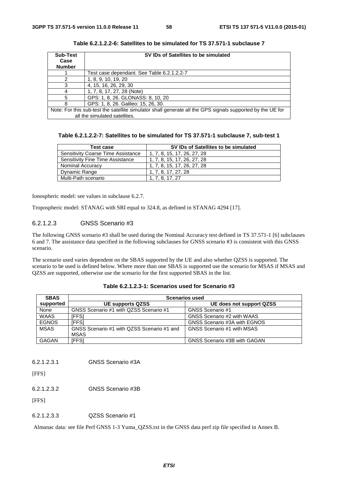| <b>Sub-Test</b><br>Case<br><b>Number</b> | SV IDs of Satellites to be simulated                                                                       |
|------------------------------------------|------------------------------------------------------------------------------------------------------------|
|                                          | Test case dependant. See Table 6.2.1.2.2-7                                                                 |
| 2                                        | 1, 8, 9, 10, 19, 20                                                                                        |
| 3                                        | 4, 15, 16, 26, 29, 30                                                                                      |
|                                          | 1, 7, 8, 17, 27, 28 (Note)                                                                                 |
| 5                                        | GPS: 1, 8, 26. GLONASS: 8, 10, 20                                                                          |
| 8                                        | GPS: 1, 8, 26. Galileo: 15, 26, 30.                                                                        |
|                                          | Note: For this sub-test the satellite simulator shall generate all the GPS signals supported by the UE for |
|                                          | all the simulated satellites.                                                                              |

**Table 6.2.1.2.2-6: Satellites to be simulated for TS 37.571-1 subclause 7** 

| Table 6.2.1.2.2-7: Satellites to be simulated for TS 37.571-1 subclause 7, sub-test 1 |  |
|---------------------------------------------------------------------------------------|--|
|---------------------------------------------------------------------------------------|--|

| Test case                                 | SV IDs of Satellites to be simulated |
|-------------------------------------------|--------------------------------------|
| <b>Sensitivity Coarse Time Assistance</b> | 1, 7, 8, 15, 17, 26, 27, 28          |
| Sensitivity Fine Time Assistance          | 1, 7, 8, 15, 17, 26, 27, 28          |
| <b>Nominal Accuracy</b>                   | 1, 7, 8, 15, 17, 26, 27, 28          |
| Dynamic Range                             | 1.7.8.17.27.28                       |
| Multi-Path scenario                       | 1. 7. 8. 17. 27                      |

Ionospheric model: see values in subclause 6.2.7.

Tropospheric model: STANAG with SRI equal to 324.8, as defined in STANAG 4294 [17].

# 6.2.1.2.3 GNSS Scenario #3

The following GNSS scenario #3 shall be used during the Nominal Accuracy test defined in TS 37.571-1 [6] subclauses 6 and 7. The assistance data specified in the following subclauses for GNSS scenario #3 is consistent with this GNSS scenario.

The scenario used varies dependent on the SBAS supported by the UE and also whether QZSS is supported. The scenario to be used is defined below. Where more than one SBAS is supported use the scenario for MSAS if MSAS and QZSS are supported, otherwise use the scenario for the first supported SBAS in the list.

| <b>SBAS</b>  | <b>Scenarios used</b>                                     |                                     |  |
|--------------|-----------------------------------------------------------|-------------------------------------|--|
| supported    | <b>UE supports QZSS</b>                                   | UE does not support QZSS            |  |
| None         | GNSS Scenario #1 with QZSS Scenario #1                    | GNSS Scenario #1                    |  |
| <b>WAAS</b>  | IFFSI                                                     | GNSS Scenario #2 with WAAS          |  |
| <b>EGNOS</b> | <b>IFFSI</b>                                              | GNSS Scenario #3A with EGNOS        |  |
| <b>MSAS</b>  | GNSS Scenario #1 with QZSS Scenario #1 and<br><b>MSAS</b> | GNSS Scenario #1 with MSAS          |  |
| <b>GAGAN</b> | <b>IFFSI</b>                                              | <b>GNSS Scenario #3B with GAGAN</b> |  |

| Table 6.2.1.2.3-1: Scenarios used for Scenario #3 |  |  |  |
|---------------------------------------------------|--|--|--|
|---------------------------------------------------|--|--|--|

6.2.1.2.3.1 GNSS Scenario #3A

[FFS]

6.2.1.2.3.2 GNSS Scenario #3B

[FFS]

6.2.1.2.3.3 QZSS Scenario #1

Almanac data: see file Perf GNSS 1-3 Yuma\_QZSS.txt in the GNSS data perf zip file specified in Annex B.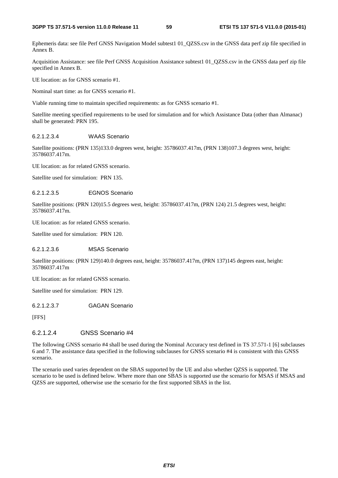Ephemeris data: see file Perf GNSS Navigation Model subtest1 01 QZSS.csv in the GNSS data perf zip file specified in Annex B.

Acquisition Assistance: see file Perf GNSS Acquisition Assistance subtest1 01\_QZSS.csv in the GNSS data perf zip file specified in Annex B.

UE location: as for GNSS scenario #1.

Nominal start time: as for GNSS scenario #1.

Viable running time to maintain specified requirements: as for GNSS scenario #1.

Satellite meeting specified requirements to be used for simulation and for which Assistance Data (other than Almanac) shall be generated: PRN 195.

#### 6.2.1.2.3.4 WAAS Scenario

Satellite positions: (PRN 135)133.0 degrees west, height: 35786037.417m, (PRN 138)107.3 degrees west, height: 35786037.417m.

UE location: as for related GNSS scenario.

Satellite used for simulation: PRN 135.

#### 6.2.1.2.3.5 EGNOS Scenario

Satellite positions: (PRN 120)15.5 degrees west, height: 35786037.417m, (PRN 124) 21.5 degrees west, height: 35786037.417m.

UE location: as for related GNSS scenario.

Satellite used for simulation: PRN 120.

#### 6.2.1.2.3.6 MSAS Scenario

Satellite positions: (PRN 129)140.0 degrees east, height: 35786037.417m, (PRN 137)145 degrees east, height: 35786037.417m

UE location: as for related GNSS scenario.

Satellite used for simulation: PRN 129.

#### 6.2.1.2.3.7 GAGAN Scenario

[FFS]

# 6.2.1.2.4 GNSS Scenario #4

The following GNSS scenario #4 shall be used during the Nominal Accuracy test defined in TS 37.571-1 [6] subclauses 6 and 7. The assistance data specified in the following subclauses for GNSS scenario #4 is consistent with this GNSS scenario.

The scenario used varies dependent on the SBAS supported by the UE and also whether QZSS is supported. The scenario to be used is defined below. Where more than one SBAS is supported use the scenario for MSAS if MSAS and QZSS are supported, otherwise use the scenario for the first supported SBAS in the list.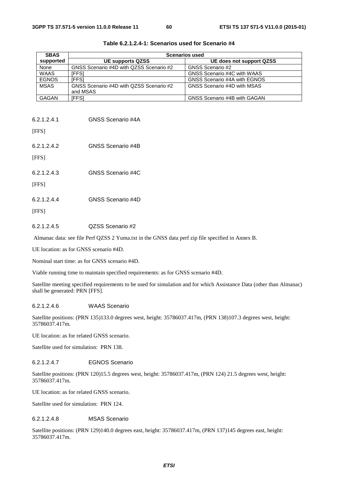| <b>SBAS</b>  | <b>Scenarios used</b>                   |                              |  |
|--------------|-----------------------------------------|------------------------------|--|
| supported    | <b>UE supports QZSS</b>                 | UE does not support QZSS     |  |
| None         | GNSS Scenario #4D with QZSS Scenario #2 | GNSS Scenario #2             |  |
| <b>WAAS</b>  | IFFS1                                   | GNSS Scenario #4C with WAAS  |  |
| <b>EGNOS</b> | <b>IFFS1</b>                            | GNSS Scenario #4A with EGNOS |  |
| <b>MSAS</b>  | GNSS Scenario #4D with QZSS Scenario #2 | GNSS Scenario #4D with MSAS  |  |
|              | and MSAS                                |                              |  |
| <b>GAGAN</b> | [FFS]                                   | GNSS Scenario #4B with GAGAN |  |

| Table 6.2.1.2.4-1: Scenarios used for Scenario #4 |  |
|---------------------------------------------------|--|
|---------------------------------------------------|--|

| 6.2.1.2.4.1 | GNSS Scenario #4A |
|-------------|-------------------|
| [FFS]       |                   |
| 6.2.1.2.4.2 | GNSS Scenario #4B |

[FFS]

| 6.2.1.2.4.3 | GNSS Scenario #4C |
|-------------|-------------------|
|             |                   |

[FFS]

[FFS]

#### 6.2.1.2.4.5 QZSS Scenario #2

Almanac data: see file Perf QZSS 2 Yuma.txt in the GNSS data perf zip file specified in Annex B.

UE location: as for GNSS scenario #4D.

Nominal start time: as for GNSS scenario #4D.

Viable running time to maintain specified requirements: as for GNSS scenario #4D.

Satellite meeting specified requirements to be used for simulation and for which Assistance Data (other than Almanac) shall be generated: PRN [FFS].

#### 6.2.1.2.4.6 WAAS Scenario

Satellite positions: (PRN 135)133.0 degrees west, height: 35786037.417m, (PRN 138)107.3 degrees west, height: 35786037.417m.

UE location: as for related GNSS scenario.

Satellite used for simulation: PRN 138.

# 6.2.1.2.4.7 EGNOS Scenario

Satellite positions: (PRN 120)15.5 degrees west, height: 35786037.417m, (PRN 124) 21.5 degrees west, height: 35786037.417m.

UE location: as for related GNSS scenario.

Satellite used for simulation: PRN 124.

## 6.2.1.2.4.8 MSAS Scenario

Satellite positions: (PRN 129)140.0 degrees east, height: 35786037.417m, (PRN 137)145 degrees east, height: 35786037.417m.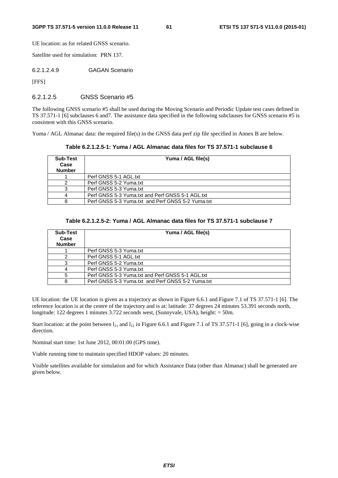UE location: as for related GNSS scenario.

Satellite used for simulation: PRN 137.

6.2.1.2.4.9 GAGAN Scenario

[FFS]

### 6.2.1.2.5 GNSS Scenario #5

The following GNSS scenario #5 shall be used during the Moving Scenario and Periodic Update test cases defined in TS 37.571-1 [6] subclauses 6 and7. The assistance data specified in the following subclauses for GNSS scenario #5 is consistent with this GNSS scenario.

Yuma / AGL Almanac data: the required file(s) in the GNSS data perf zip file specified in Annex B are below.

**Table 6.2.1.2.5-1: Yuma / AGL Almanac data files for TS 37.571-1 subclause 6** 

| <b>Sub-Test</b><br>Case<br><b>Number</b> | Yuma / AGL file(s)                                |
|------------------------------------------|---------------------------------------------------|
|                                          | Perf GNSS 5-1 AGL.txt                             |
|                                          | Perf GNSS 5-2 Yuma.txt                            |
|                                          | Perf GNSS 5-3 Yuma.txt                            |
|                                          | Perf GNSS 5-3 Yuma.txt and Perf GNSS 5-1 AGL.txt  |
|                                          | Perf GNSS 5-3 Yuma.txt and Perf GNSS 5-2 Yuma.txt |

## **Table 6.2.1.2.5-2: Yuma / AGL Almanac data files for TS 37.571-1 subclause 7**

| <b>Sub-Test</b><br>Case<br><b>Number</b> | Yuma / AGL file(s)                                |
|------------------------------------------|---------------------------------------------------|
|                                          | Perf GNSS 5-3 Yuma.txt                            |
|                                          | Perf GNSS 5-1 AGL.txt                             |
|                                          | Perf GNSS 5-2 Yuma.txt                            |
|                                          | Perf GNSS 5-3 Yuma.txt                            |
|                                          | Perf GNSS 5-3 Yuma.txt and Perf GNSS 5-1 AGL.txt  |
|                                          | Perf GNSS 5-3 Yuma.txt and Perf GNSS 5-2 Yuma.txt |

UE location: the UE location is given as a trajectory as shown in Figure 6.6.1 and Figure 7.1 of TS 37.571-1 [6]. The reference location is at the centre of the trajectory and is at: latitude: 37 degrees 24 minutes 53.391 seconds north, longitude: 122 degrees 1 minutes 3.722 seconds west, (Sunnyvale, USA), height: = 50m.

Start location: at the point between  $l_{11}$  and  $l_{12}$  in Figure 6.6.1 and Figure 7.1 of TS 37.571-1 [6], going in a clock-wise direction.

Nominal start time: 1st June 2012, 00:01:00 (GPS time).

Viable running time to maintain specified HDOP values: 20 minutes.

Visible satellites available for simulation and for which Assistance Data (other than Almanac) shall be generated are given below.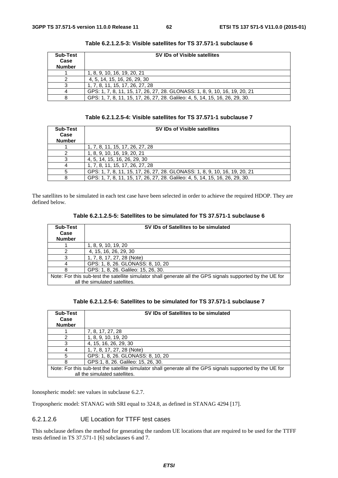| Sub-Test<br>Case<br><b>Number</b> | SV IDs of Visible satellites                                                 |  |  |
|-----------------------------------|------------------------------------------------------------------------------|--|--|
|                                   | 1, 8, 9, 10, 16, 19, 20, 21                                                  |  |  |
|                                   | 4, 5, 14, 15, 16, 26, 29, 30                                                 |  |  |
|                                   | 1, 7, 8, 11, 15, 17, 26, 27, 28                                              |  |  |
|                                   | GPS: 1, 7, 8, 11, 15, 17, 26, 27, 28. GLONASS: 1, 8, 9, 10, 16, 19, 20, 21   |  |  |
|                                   | GPS: 1, 7, 8, 11, 15, 17, 26, 27, 28. Galileo: 4, 5, 14, 15, 16, 26, 29, 30. |  |  |

**Table 6.2.1.2.5-3: Visible satellites for TS 37.571-1 subclause 6** 

| Table 6.2.1.2.5-4: Visible satellites for TS 37.571-1 subclause 7 |  |  |  |
|-------------------------------------------------------------------|--|--|--|
|-------------------------------------------------------------------|--|--|--|

| Sub-Test<br>Case<br><b>Number</b> | SV IDs of Visible satellites                                                 |
|-----------------------------------|------------------------------------------------------------------------------|
|                                   | 1, 7, 8, 11, 15, 17, 26, 27, 28                                              |
|                                   | 1, 8, 9, 10, 16, 19, 20, 21                                                  |
|                                   | 4, 5, 14, 15, 16, 26, 29, 30                                                 |
|                                   | 1, 7, 8, 11, 15, 17, 26, 27, 28                                              |
|                                   | GPS: 1, 7, 8, 11, 15, 17, 26, 27, 28. GLONASS: 1, 8, 9, 10, 16, 19, 20, 21   |
|                                   | GPS: 1, 7, 8, 11, 15, 17, 26, 27, 28. Galileo: 4, 5, 14, 15, 16, 26, 29, 30. |

The satellites to be simulated in each test case have been selected in order to achieve the required HDOP. They are defined below.

| Table 6.2.1.2.5-5: Satellites to be simulated for TS 37.571-1 subclause 6 |  |  |  |
|---------------------------------------------------------------------------|--|--|--|
|---------------------------------------------------------------------------|--|--|--|

| <b>Sub-Test</b><br>Case<br><b>Number</b> | SV IDs of Satellites to be simulated                                                                       |  |
|------------------------------------------|------------------------------------------------------------------------------------------------------------|--|
|                                          | 1, 8, 9, 10, 19, 20                                                                                        |  |
|                                          | 4, 15, 16, 26, 29, 30                                                                                      |  |
| 3                                        | 1, 7, 8, 17, 27, 28 (Note)                                                                                 |  |
|                                          | GPS: 1, 8, 26. GLONASS: 8, 10, 20                                                                          |  |
|                                          | GPS: 1, 8, 26. Galileo: 15, 26, 30.                                                                        |  |
|                                          | Note: For this sub-test the satellite simulator shall generate all the GPS signals supported by the UE for |  |
|                                          | all the simulated satellites.                                                                              |  |

| Table 6.2.1.2.5-6: Satellites to be simulated for TS 37.571-1 subclause 7 |  |  |  |
|---------------------------------------------------------------------------|--|--|--|
|---------------------------------------------------------------------------|--|--|--|

| Sub-Test                                                                                                   | SV IDs of Satellites to be simulated |  |
|------------------------------------------------------------------------------------------------------------|--------------------------------------|--|
| Case                                                                                                       |                                      |  |
| <b>Number</b>                                                                                              |                                      |  |
|                                                                                                            | 7, 8, 17, 27, 28                     |  |
| 2                                                                                                          | 1, 8, 9, 10, 19, 20                  |  |
| 3                                                                                                          | 4, 15, 16, 26, 29, 30                |  |
|                                                                                                            | 1, 7, 8, 17, 27, 28 (Note)           |  |
| 5                                                                                                          | GPS: 1, 8, 26. GLONASS: 8, 10, 20    |  |
| 8                                                                                                          | GPS:1, 8, 26. Galileo: 15, 26, 30.   |  |
| Note: For this sub-test the satellite simulator shall generate all the GPS signals supported by the UE for |                                      |  |
|                                                                                                            | all the simulated satellites.        |  |

Ionospheric model: see values in subclause 6.2.7.

Tropospheric model: STANAG with SRI equal to 324.8, as defined in STANAG 4294 [17].

# 6.2.1.2.6 UE Location for TTFF test cases

This subclause defines the method for generating the random UE locations that are required to be used for the TTFF tests defined in TS 37.571-1 [6] subclauses 6 and 7.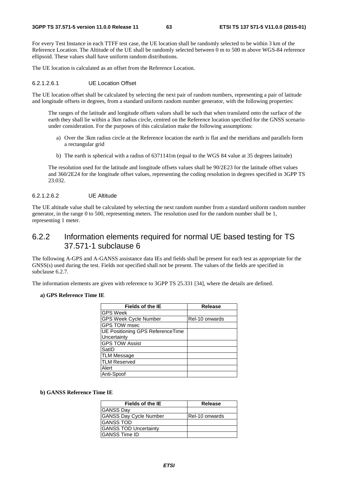For every Test Instance in each TTFF test case, the UE location shall be randomly selected to be within 3 km of the Reference Location. The Altitude of the UE shall be randomly selected between 0 m to 500 m above WGS-84 reference ellipsoid. These values shall have uniform random distributions.

The UE location is calculated as an offset from the Reference Location.

#### 6.2.1.2.6.1 UE Location Offset

The UE location offset shall be calculated by selecting the next pair of random numbers, representing a pair of latitude and longitude offsets in degrees, from a standard uniform random number generator, with the following properties:

 The ranges of the latitude and longitude offsets values shall be such that when translated onto the surface of the earth they shall lie within a 3km radius circle, centred on the Reference location specified for the GNSS scenario under consideration. For the purposes of this calculation make the following assumptions:

- a) Over the 3km radius circle at the Reference location the earth is flat and the meridians and parallels form a rectangular grid
- b) The earth is spherical with a radius of 6371141m (equal to the WGS 84 value at 35 degrees latitude)

 The resolution used for the latitude and longitude offsets values shall be 90/2E23 for the latitude offset values and 360/2E24 for the longitude offset values, representing the coding resolution in degrees specified in 3GPP TS 23.032.

### 6.2.1.2.6.2 UE Altitude

The UE altitude value shall be calculated by selecting the next random number from a standard uniform random number generator, in the range 0 to 500, representing meters. The resolution used for the random number shall be 1, representing 1 meter.

# 6.2.2 Information elements required for normal UE based testing for TS 37.571-1 subclause 6

The following A-GPS and A-GANSS assistance data IEs and fields shall be present for each test as appropriate for the GNSS(s) used during the test. Fields not specified shall not be present. The values of the fields are specified in subclause 6.2.7.

The information elements are given with reference to 3GPP TS 25.331 [34], where the details are defined.

#### **a) GPS Reference Time IE**

| Fields of the IE                        | <b>Release</b> |
|-----------------------------------------|----------------|
| <b>GPS Week</b>                         |                |
| <b>GPS Week Cycle Number</b>            | Rel-10 onwards |
| GPS TOW msec                            |                |
| <b>UE Positioning GPS ReferenceTime</b> |                |
| Uncertainty                             |                |
| <b>GPS TOW Assist</b>                   |                |
| SatID                                   |                |
| <b>TLM Message</b>                      |                |
| <b>TLM Reserved</b>                     |                |
| Alert                                   |                |
| Anti-Spoof                              |                |

### **b) GANSS Reference Time IE**

| <b>Fields of the IE</b>       | Release        |
|-------------------------------|----------------|
| <b>GANSS Day</b>              |                |
| <b>GANSS Day Cycle Number</b> | Rel-10 onwards |
| <b>IGANSS TOD</b>             |                |
| <b>GANSS TOD Uncertainty</b>  |                |
| <b>IGANSS Time ID</b>         |                |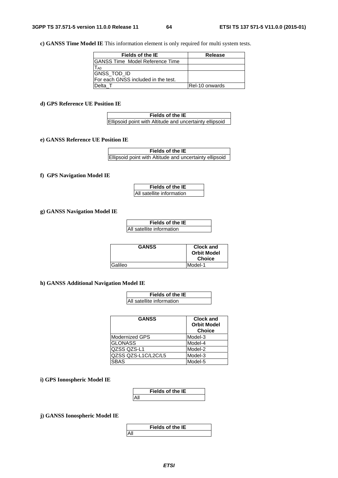**c) GANSS Time Model IE** This information element is only required for multi system tests.

| <b>Fields of the IE</b>              | Release        |
|--------------------------------------|----------------|
| IGANSS Time Model Reference Time     |                |
| T <sub>A0</sub>                      |                |
| <b>GNSS_TOD_ID</b>                   |                |
| IFor each GNSS included in the test. |                |
| Delta T                              | Rel-10 onwards |

**d) GPS Reference UE Position IE**

| Fields of the IE                                        |  |
|---------------------------------------------------------|--|
| Ellipsoid point with Altitude and uncertainty ellipsoid |  |

### **e) GANSS Reference UE Position IE**

| Fields of the IE                                        |  |
|---------------------------------------------------------|--|
| Ellipsoid point with Altitude and uncertainty ellipsoid |  |

#### **f) GPS Navigation Model IE**

**Fields of the IE** All satellite information

## **g) GANSS Navigation Model IE**

| <b>Fields of the IE</b>   |
|---------------------------|
| All satellite information |

| <b>GANSS</b>    | Clock and          |
|-----------------|--------------------|
|                 | <b>Orbit Model</b> |
|                 | <b>Choice</b>      |
| <b>IGalileo</b> | Model-1            |

#### **h) GANSS Additional Navigation Model IE**

| Fields of the IE                 |
|----------------------------------|
| <b>All satellite information</b> |

| <b>GANSS</b>          | <b>Clock and</b><br><b>Orbit Model</b><br><b>Choice</b> |
|-----------------------|---------------------------------------------------------|
| <b>Modernized GPS</b> | Model-3                                                 |
| <b>GLONASS</b>        | Model-4                                                 |
| QZSS QZS-L1           | Model-2                                                 |
| QZSS QZS-L1C/L2C/L5   | Model-3                                                 |
| <b>SBAS</b>           | Model-5                                                 |

## **i) GPS Ionospheric Model IE**

|     | <b>Fields of the IE</b> |  |
|-----|-------------------------|--|
| All |                         |  |

**j) GANSS Ionospheric Model IE**

**Fields of the IE** All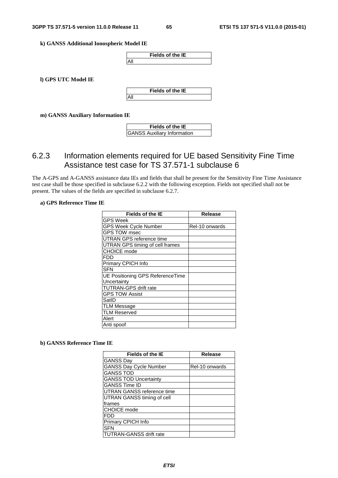**k) GANSS Additional Ionospheric Model IE**



**l) GPS UTC Model IE**



**m) GANSS Auxiliary Information IE**

| Fields of the IE                   |  |
|------------------------------------|--|
| <b>GANSS Auxiliary Information</b> |  |

# 6.2.3 Information elements required for UE based Sensitivity Fine Time Assistance test case for TS 37.571-1 subclause 6

The A-GPS and A-GANSS assistance data IEs and fields that shall be present for the Sensitivity Fine Time Assistance test case shall be those specified in subclause 6.2.2 with the following exception. Fields not specified shall not be present. The values of the fields are specified in subclause 6.2.7.

# **a) GPS Reference Time IE**

| <b>Fields of the IE</b>          | <b>Release</b> |
|----------------------------------|----------------|
| <b>GPS Week</b>                  |                |
| GPS Week Cycle Number            | Rel-10 onwards |
| <b>GPS TOW msec</b>              |                |
| UTRAN GPS reference time         |                |
| UTRAN GPS timing of cell frames  |                |
| <b>CHOICE</b> mode               |                |
| FDD                              |                |
| Primary CPICH Info               |                |
| <b>SFN</b>                       |                |
| UE Positioning GPS ReferenceTime |                |
| Uncertainty                      |                |
| <b>TUTRAN-GPS drift rate</b>     |                |
| <b>GPS TOW Assist</b>            |                |
| SatID                            |                |
| <b>TLM Message</b>               |                |
| <b>TLM Reserved</b>              |                |
| Alert                            |                |
| Anti spoof                       |                |

#### **b) GANSS Reference Time IE**

| <b>Fields of the IE</b>        | <b>Release</b> |
|--------------------------------|----------------|
| <b>GANSS Day</b>               |                |
| <b>GANSS Day Cycle Number</b>  | Rel-10 onwards |
| <b>GANSS TOD</b>               |                |
| <b>GANSS TOD Uncertainty</b>   |                |
| <b>GANSS Time ID</b>           |                |
| UTRAN GANSS reference time     |                |
| UTRAN GANSS timing of cell     |                |
| frames                         |                |
| <b>CHOICE</b> mode             |                |
| <b>FDD</b>                     |                |
| Primary CPICH Info             |                |
| <b>SFN</b>                     |                |
| <b>TUTRAN-GANSS drift rate</b> |                |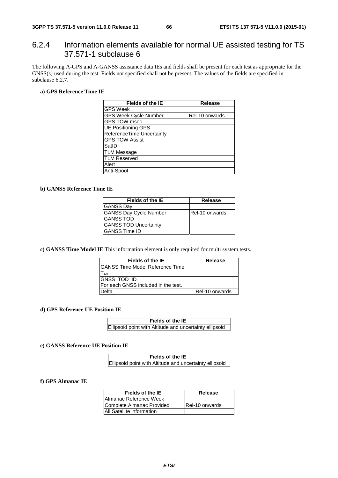# 6.2.4 Information elements available for normal UE assisted testing for TS 37.571-1 subclause 6

The following A-GPS and A-GANSS assistance data IEs and fields shall be present for each test as appropriate for the GNSS(s) used during the test. Fields not specified shall not be present. The values of the fields are specified in subclause 6.2.7.

# **a) GPS Reference Time IE**

| Fields of the IE             | <b>Release</b> |
|------------------------------|----------------|
| GPS Week                     |                |
| <b>GPS Week Cycle Number</b> | Rel-10 onwards |
| <b>GPS TOW msec</b>          |                |
| <b>UE Positioning GPS</b>    |                |
| ReferenceTime Uncertainty    |                |
| <b>GPS TOW Assist</b>        |                |
| SatlD                        |                |
| TLM Message                  |                |
| <b>TLM Reserved</b>          |                |
| Alert                        |                |
| Anti-Spoof                   |                |

### **b) GANSS Reference Time IE**

| Fields of the IE              | Release        |
|-------------------------------|----------------|
| <b>GANSS Day</b>              |                |
| <b>GANSS Day Cycle Number</b> | Rel-10 onwards |
| <b>GANSS TOD</b>              |                |
| <b>GANSS TOD Uncertainty</b>  |                |
| <b>GANSS Time ID</b>          |                |

**c) GANSS Time Model IE** This information element is only required for multi system tests.

| Fields of the IE                     | Release               |
|--------------------------------------|-----------------------|
| IGANSS Time Model Reference Time     |                       |
| l A0                                 |                       |
| GNSS_TOD_ID                          |                       |
| IFor each GNSS included in the test. |                       |
| Delta T                              | <b>Rel-10 onwards</b> |

#### **d) GPS Reference UE Position IE**

| Fields of the IE                                        |  |
|---------------------------------------------------------|--|
| Ellipsoid point with Altitude and uncertainty ellipsoid |  |

### **e) GANSS Reference UE Position IE**

| Fields of the IE                                        |
|---------------------------------------------------------|
| Ellipsoid point with Altitude and uncertainty ellipsoid |

#### **f) GPS Almanac IE**

| Fields of the IE          | Release                |
|---------------------------|------------------------|
| Almanac Reference Week    |                        |
| Complete Almanac Provided | <b>IRel-10 onwards</b> |
| All Satellite information |                        |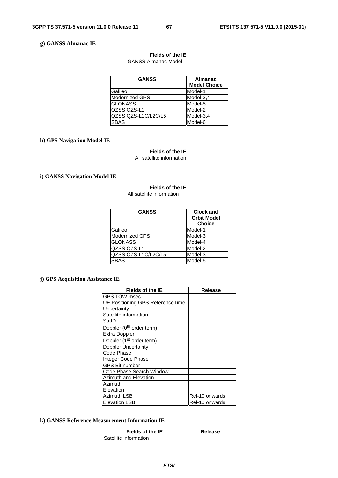## **g) GANSS Almanac IE**

| Fields of the IE            |
|-----------------------------|
| <b>IGANSS Almanac Model</b> |

| <b>GANSS</b>          | <b>Almanac</b><br><b>Model Choice</b> |
|-----------------------|---------------------------------------|
| Galileo               | Model-1                               |
| <b>Modernized GPS</b> | Model-3,4                             |
| <b>GLONASS</b>        | Model-5                               |
| <b>QZSS QZS-L1</b>    | Model-2                               |
| QZSS QZS-L1C/L2C/L5   | Model-3,4                             |
| <b>SBAS</b>           | Model-6                               |

## **h) GPS Navigation Model IE**

| <b>Fields of the IE</b>   |
|---------------------------|
| All satellite information |

## **i) GANSS Navigation Model IE**

| Fields of the IE          |
|---------------------------|
| All satellite information |

| <b>GANSS</b>          | <b>Clock and</b><br><b>Orbit Model</b><br><b>Choice</b> |
|-----------------------|---------------------------------------------------------|
| Galileo               | Model-1                                                 |
| <b>Modernized GPS</b> | Model-3                                                 |
| <b>GLONASS</b>        | Model-4                                                 |
| QZSS QZS-L1           | Model-2                                                 |
| QZSS QZS-L1C/L2C/L5   | Model-3                                                 |
| <b>SBAS</b>           | Model-5                                                 |

# **j) GPS Acquisition Assistance IE**

| <b>Fields of the IE</b>              | <b>Release</b> |
|--------------------------------------|----------------|
| GPS TOW msec                         |                |
| UE Positioning GPS ReferenceTime     |                |
| Uncertainty                          |                |
| Satellite information                |                |
| SatID                                |                |
| Doppler (0 <sup>th</sup> order term) |                |
| <b>Extra Doppler</b>                 |                |
| Doppler (1 <sup>st</sup> order term) |                |
| Doppler Uncertainty                  |                |
| Code Phase                           |                |
| Integer Code Phase                   |                |
| <b>GPS Bit number</b>                |                |
| Code Phase Search Window             |                |
| Azimuth and Elevation                |                |
| Azimuth                              |                |
| Elevation                            |                |
| <b>Azimuth LSB</b>                   | Rel-10 onwards |
| <b>Elevation LSB</b>                 | Rel-10 onwards |

# **k) GANSS Reference Measurement Information IE**

| Fields of the IE      | Release |
|-----------------------|---------|
| Satellite information |         |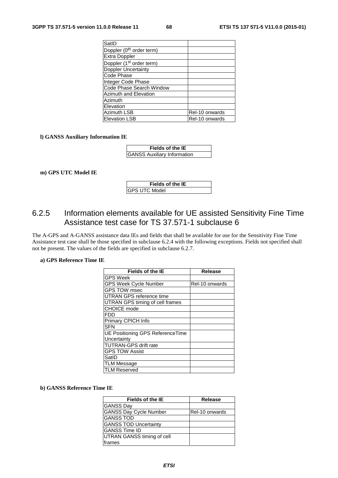| SatID                                |                |
|--------------------------------------|----------------|
| Doppler (0 <sup>th</sup> order term) |                |
| Extra Doppler                        |                |
| Doppler (1 <sup>st</sup> order term) |                |
| Doppler Uncertainty                  |                |
| Code Phase                           |                |
| Integer Code Phase                   |                |
| Code Phase Search Window             |                |
| Azimuth and Elevation                |                |
| Azimuth                              |                |
| Elevation                            |                |
| Azimuth LSB                          | Rel-10 onwards |
| <b>Elevation LSB</b>                 | Rel-10 onwards |

#### **l) GANSS Auxiliary Information IE**

| Fields of the IE                   |  |
|------------------------------------|--|
| <b>GANSS Auxiliary Information</b> |  |

#### **m) GPS UTC Model IE**

| Fields of the IE |
|------------------|
| IGPS UTC Model   |

# 6.2.5 Information elements available for UE assisted Sensitivity Fine Time Assistance test case for TS 37.571-1 subclause 6

The A-GPS and A-GANSS assistance data IEs and fields that shall be available for use for the Sensitivity Fine Time Assistance test case shall be those specified in subclause 6.2.4 with the following exceptions. Fields not specified shall not be present. The values of the fields are specified in subclause 6.2.7.

#### **a) GPS Reference Time IE**

| <b>Fields of the IE</b>          | Release        |
|----------------------------------|----------------|
| <b>GPS Week</b>                  |                |
| GPS Week Cycle Number            | Rel-10 onwards |
| <b>GPS TOW msec</b>              |                |
| UTRAN GPS reference time         |                |
| UTRAN GPS timing of cell frames  |                |
| <b>CHOICE</b> mode               |                |
| FDD                              |                |
| Primary CPICH Info               |                |
| <b>SFN</b>                       |                |
| UE Positioning GPS ReferenceTime |                |
| Uncertainty                      |                |
| <b>TUTRAN-GPS drift rate</b>     |                |
| <b>GPS TOW Assist</b>            |                |
| SatID                            |                |
| <b>TLM Message</b>               |                |
| <b>TLM Reserved</b>              |                |

### **b) GANSS Reference Time IE**

| <b>Fields of the IE</b>       | Release        |
|-------------------------------|----------------|
| <b>GANSS Day</b>              |                |
| <b>GANSS Day Cycle Number</b> | Rel-10 onwards |
| <b>GANSS TOD</b>              |                |
| <b>GANSS TOD Uncertainty</b>  |                |
| <b>GANSS Time ID</b>          |                |
| UTRAN GANSS timing of cell    |                |
| frames                        |                |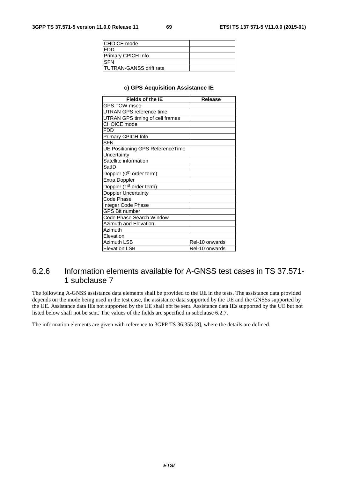| <b>CHOICE</b> mode             |  |
|--------------------------------|--|
| IFDD                           |  |
| Primary CPICH Info             |  |
| <b>SFN</b>                     |  |
| <b>TUTRAN-GANSS drift rate</b> |  |

#### **c) GPS Acquisition Assistance IE**

| <b>Fields of the IE</b>              | <b>Release</b> |
|--------------------------------------|----------------|
| <b>GPS TOW msec</b>                  |                |
| UTRAN GPS reference time             |                |
| UTRAN GPS timing of cell frames      |                |
| <b>CHOICE</b> mode                   |                |
| FDD                                  |                |
| Primary CPICH Info                   |                |
| <b>SFN</b>                           |                |
| UE Positioning GPS ReferenceTime     |                |
| Uncertainty                          |                |
| Satellite information                |                |
| SatID                                |                |
| Doppler (0 <sup>th</sup> order term) |                |
| Extra Doppler                        |                |
| Doppler (1 <sup>st</sup> order term) |                |
| Doppler Uncertainty                  |                |
| Code Phase                           |                |
| Integer Code Phase                   |                |
| <b>GPS Bit number</b>                |                |
| Code Phase Search Window             |                |
| Azimuth and Elevation                |                |
| Azimuth                              |                |
| Elevation                            |                |
| Azimuth LSB                          | Rel-10 onwards |
| <b>Elevation LSB</b>                 | Rel-10 onwards |

# 6.2.6 Information elements available for A-GNSS test cases in TS 37.571- 1 subclause 7

The following A-GNSS assistance data elements shall be provided to the UE in the tests. The assistance data provided depends on the mode being used in the test case, the assistance data supported by the UE and the GNSSs supported by the UE. Assistance data IEs not supported by the UE shall not be sent. Assistance data IEs supported by the UE but not listed below shall not be sent. The values of the fields are specified in subclause 6.2.7.

The information elements are given with reference to 3GPP TS 36.355 [8], where the details are defined.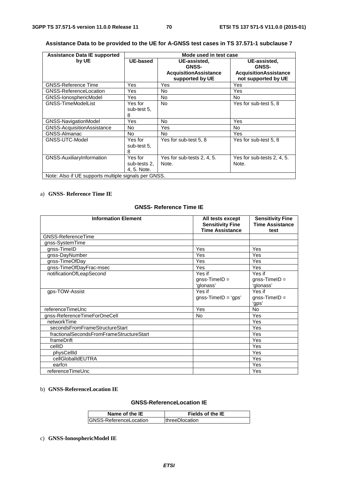| <b>Assistance Data IE supported</b> | Mode used in test case                               |                              |                              |
|-------------------------------------|------------------------------------------------------|------------------------------|------------------------------|
| by UE                               | UE-based                                             | UE-assisted.<br><b>GNSS-</b> | UE-assisted.<br><b>GNSS-</b> |
|                                     |                                                      | <b>AcquisitionAssistance</b> | <b>AcquisitionAssistance</b> |
|                                     |                                                      | supported by UE              | not supported by UE          |
| <b>GNSS-Reference Time</b>          | Yes                                                  | Yes                          | Yes                          |
| <b>GNSS-ReferenceLocation</b>       | Yes                                                  | No.                          | Yes                          |
| GNSS-IonosphericModel               | Yes                                                  | <b>No</b>                    | No.                          |
| <b>GNSS-TimeModelList</b>           | Yes for                                              | <b>No</b>                    | Yes for sub-test 5, 8        |
|                                     | sub-test 5.                                          |                              |                              |
|                                     | 8                                                    |                              |                              |
| GNSS-NavigationModel                | Yes                                                  | No.                          | Yes                          |
| GNSS-AcquisitionAssistance          | No                                                   | Yes                          | No.                          |
| GNSS-Almanac                        | No.                                                  | No.                          | Yes                          |
| GNSS-UTC-Model                      | Yes for                                              | Yes for sub-test 5, 8        | Yes for sub-test 5, 8        |
|                                     | sub-test 5.                                          |                              |                              |
|                                     | 8                                                    |                              |                              |
| GNSS-AuxiliaryInformation           | Yes for                                              | Yes for sub-tests 2, 4, 5.   | Yes for sub-tests 2, 4, 5.   |
|                                     | sub-tests 2.                                         | Note.                        | Note.                        |
|                                     | 4, 5. Note.                                          |                              |                              |
|                                     | Note: Also if UE supports multiple signals per GNSS. |                              |                              |

# **Assistance Data to be provided to the UE for A-GNSS test cases in TS 37.571-1 subclause 7**

# a) **GNSS- Reference Time IE**

# **GNSS- Reference Time IE**

| <b>Information Element</b>               | All tests except<br><b>Sensitivity Fine</b><br><b>Time Assistance</b> | <b>Sensitivity Fine</b><br><b>Time Assistance</b><br>test |
|------------------------------------------|-----------------------------------------------------------------------|-----------------------------------------------------------|
| <b>GNSS-ReferenceTime</b>                |                                                                       |                                                           |
| gnss-SystemTime                          |                                                                       |                                                           |
| gnss-TimeID                              | Yes                                                                   | Yes                                                       |
| gnss-DayNumber                           | Yes                                                                   | Yes                                                       |
| gnss-TimeOfDay                           | Yes                                                                   | Yes                                                       |
| gnss-TimeOfDayFrac-msec                  | Yes                                                                   | Yes                                                       |
| notificationOfLeapSecond                 | Yes if<br>$q$ nss-TimelD =<br>'glonass'                               | Yes if<br>$q$ nss-TimelD =<br>'glonass'                   |
| gps-TOW-Assist                           | Yes if<br>$gnss-TimelD = 'gps'$                                       | Yes if<br>$gnss-TimelD =$<br>'gps'                        |
| referenceTimeUnc                         | Yes                                                                   | No                                                        |
| gnss-ReferenceTimeForOneCell             | <b>No</b>                                                             | Yes                                                       |
| networkTime                              |                                                                       | Yes                                                       |
| secondsFromFrameStructureStart           |                                                                       | Yes                                                       |
| fractionalSecondsFromFrameStructureStart |                                                                       | Yes                                                       |
| frameDrift                               |                                                                       | Yes                                                       |
| cellID                                   |                                                                       | Yes                                                       |
| physCellId                               |                                                                       | Yes                                                       |
| cellGlobalIdEUTRA                        |                                                                       | Yes                                                       |
| earfcn                                   |                                                                       | Yes                                                       |
| referenceTimeUnc                         |                                                                       | Yes                                                       |

### b) **GNSS-ReferenceLocation IE**

# **GNSS-ReferenceLocation IE**

| Name of the IE          | Fields of the IE       |
|-------------------------|------------------------|
| IGNSS-ReferenceLocation | <b>IthreeDlocation</b> |

# c) **GNSS-IonosphericModel IE**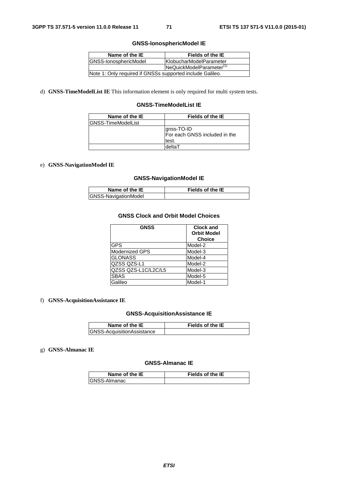## **GNSS-IonosphericModel IE**

| Name of the IE                                            | Fields of the IE         |
|-----------------------------------------------------------|--------------------------|
| <b>IGNSS-IonosphericModel</b>                             | IKlobucharModelParameter |
| NeQuickModelParameter <sup>(1)</sup>                      |                          |
| Note 1: Only required if GNSSs supported include Galileo. |                          |

d) **GNSS-TimeModelList IE** This information element is only required for multi system tests.

# **GNSS-TimeModelList IE**

| Name of the IE      | Fields of the IE                                     |
|---------------------|------------------------------------------------------|
| IGNSS-TimeModelList |                                                      |
|                     | gnss-TO-ID<br>For each GNSS included in the<br>test. |
|                     | deltaT                                               |

# e) **GNSS-NavigationModel IE**

## **GNSS-NavigationModel IE**

| Name of the IE       | <b>Fields of the IE</b> |
|----------------------|-------------------------|
| GNSS-NavigationModel |                         |

# **GNSS Clock and Orbit Model Choices**

| <b>GNSS</b>           | <b>Clock and</b><br><b>Orbit Model</b><br><b>Choice</b> |
|-----------------------|---------------------------------------------------------|
| <b>GPS</b>            | Model-2                                                 |
| <b>Modernized GPS</b> | Model-3                                                 |
| <b>GLONASS</b>        | Model-4                                                 |
| QZSS QZS-L1           | Model-2                                                 |
| QZSS QZS-L1C/L2C/L5   | Model-3                                                 |
| <b>SBAS</b>           | Model-5                                                 |
| Galileo               | Model-1                                                 |

# f) **GNSS-AcquisitionAssistance IE**

### **GNSS-AcquisitionAssistance IE**

| Name of the IE                    | <b>Fields of the IE</b> |
|-----------------------------------|-------------------------|
| <b>GNSS-AcquisitionAssistance</b> |                         |

## g) **GNSS-Almanac IE**

## **GNSS-Almanac IE**

| Name of the IE       | <b>Fields of the IE</b> |
|----------------------|-------------------------|
| <b>IGNSS-Almanac</b> |                         |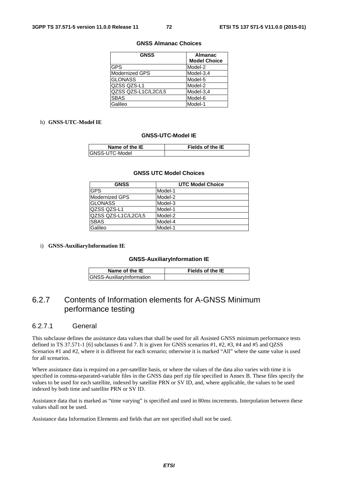#### **GNSS Almanac Choices**

| <b>GNSS</b>         | <b>Almanac</b>      |
|---------------------|---------------------|
|                     | <b>Model Choice</b> |
| <b>IGPS</b>         | Model-2             |
| Modernized GPS      | Model-3,4           |
| <b>GLONASS</b>      | Model-5             |
| lQZSS QZS-L1        | Model-2             |
| QZSS QZS-L1C/L2C/L5 | Model-3.4           |
| <b>SBAS</b>         | Model-6             |
| Galileo             | Model-1             |

## h) **GNSS-UTC-Model IE**

#### **GNSS-UTC-Model IE**

| Name of the IE | <b>Fields of the IE</b> |
|----------------|-------------------------|
| GNSS-UTC-Model |                         |

#### **GNSS UTC Model Choices**

| <b>GNSS</b>         | <b>UTC Model Choice</b> |
|---------------------|-------------------------|
| <b>GPS</b>          | Model-1                 |
| Modernized GPS      | Model-2                 |
| <b>GLONASS</b>      | Model-3                 |
| QZSS QZS-L1         | Model-1                 |
| QZSS QZS-L1C/L2C/L5 | Model-2                 |
| <b>SBAS</b>         | Model-4                 |
| Galileo             | Model-1                 |

i) **GNSS-AuxiliaryInformation IE**

#### **GNSS-AuxiliaryInformation IE**

| Name of the IE                    | <b>Fields of the IE</b> |
|-----------------------------------|-------------------------|
| <b>IGNSS-AuxiliarvInformation</b> |                         |

# 6.2.7 Contents of Information elements for A-GNSS Minimum performance testing

### 6.2.7.1 General

This subclause defines the assistance data values that shall be used for all Assisted GNSS minimum performance tests defined in TS 37.571-1 [6] subclauses 6 and 7. It is given for GNSS scenarios #1, #2, #3, #4 and #5 and QZSS Scenarios #1 and #2, where it is different for each scenario; otherwise it is marked "All" where the same value is used for all scenarios.

Where assistance data is required on a per-satellite basis, or where the values of the data also varies with time it is specified in comma-separated-variable files in the GNSS data perf zip file specified in Annex B. These files specify the values to be used for each satellite, indexed by satellite PRN or SV ID, and, where applicable, the values to be used indexed by both time and satellite PRN or SV ID.

Assistance data that is marked as "time varying" is specified and used in 80ms increments. Interpolation between these values shall not be used.

Assistance data Information Elements and fields that are not specified shall not be used.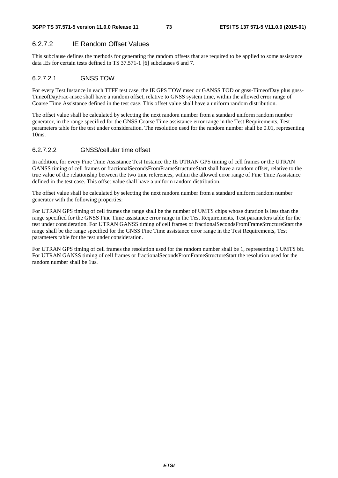# 6.2.7.2 IE Random Offset Values

This subclause defines the methods for generating the random offsets that are required to be applied to some assistance data IEs for certain tests defined in TS 37.571-1 [6] subclauses 6 and 7.

## 6.2.7.2.1 GNSS TOW

For every Test Instance in each TTFF test case, the IE GPS TOW msec or GANSS TOD or gnss-TimeofDay plus gnss-TimeofDayFrac-msec shall have a random offset, relative to GNSS system time, within the allowed error range of Coarse Time Assistance defined in the test case. This offset value shall have a uniform random distribution.

The offset value shall be calculated by selecting the next random number from a standard uniform random number generator, in the range specified for the GNSS Coarse Time assistance error range in the Test Requirements, Test parameters table for the test under consideration. The resolution used for the random number shall be 0.01, representing  $10<sub>ms</sub>$ .

## 6.2.7.2.2 GNSS/cellular time offset

In addition, for every Fine Time Assistance Test Instance the IE UTRAN GPS timing of cell frames or the UTRAN GANSS timing of cell frames or fractionalSecondsFromFrameStructureStart shall have a random offset, relative to the true value of the relationship between the two time references, within the allowed error range of Fine Time Assistance defined in the test case. This offset value shall have a uniform random distribution.

The offset value shall be calculated by selecting the next random number from a standard uniform random number generator with the following properties:

For UTRAN GPS timing of cell frames the range shall be the number of UMTS chips whose duration is less than the range specified for the GNSS Fine Time assistance error range in the Test Requirements, Test parameters table for the test under consideration. For UTRAN GANSS timing of cell frames or fractionalSecondsFromFrameStructureStart the range shall be the range specified for the GNSS Fine Time assistance error range in the Test Requirements, Test parameters table for the test under consideration.

For UTRAN GPS timing of cell frames the resolution used for the random number shall be 1, representing 1 UMTS bit. For UTRAN GANSS timing of cell frames or fractionalSecondsFromFrameStructureStart the resolution used for the random number shall be 1us.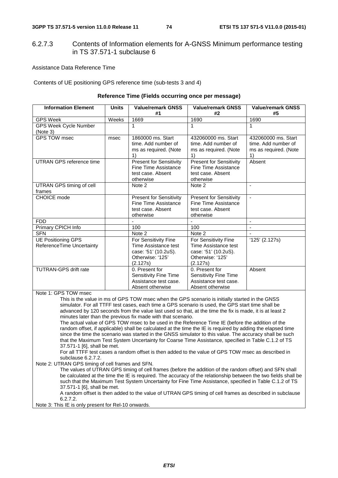## 6.2.7.3 Contents of Information elements for A-GNSS Minimum performance testing in TS 37.571-1 subclause 6

Assistance Data Reference Time

Contents of UE positioning GPS reference time (sub-tests 3 and 4)

### **Reference Time (Fields occurring once per message)**

| <b>Information Element</b>                                                                                                                                                                                                                                                                                                                                                                                                                                                                                                                                                                                                                                                                                                                                                                                                                                                                                                                                                     | <b>Units</b> | <b>Value/remark GNSS</b><br>#1                                                                       | <b>Value/remark GNSS</b><br>#2                                                                              | <b>Value/remark GNSS</b><br>#5                                            |
|--------------------------------------------------------------------------------------------------------------------------------------------------------------------------------------------------------------------------------------------------------------------------------------------------------------------------------------------------------------------------------------------------------------------------------------------------------------------------------------------------------------------------------------------------------------------------------------------------------------------------------------------------------------------------------------------------------------------------------------------------------------------------------------------------------------------------------------------------------------------------------------------------------------------------------------------------------------------------------|--------------|------------------------------------------------------------------------------------------------------|-------------------------------------------------------------------------------------------------------------|---------------------------------------------------------------------------|
| <b>GPS Week</b>                                                                                                                                                                                                                                                                                                                                                                                                                                                                                                                                                                                                                                                                                                                                                                                                                                                                                                                                                                | Weeks        | 1669                                                                                                 | 1690                                                                                                        | 1690                                                                      |
| <b>GPS Week Cycle Number</b><br>(Note 3)                                                                                                                                                                                                                                                                                                                                                                                                                                                                                                                                                                                                                                                                                                                                                                                                                                                                                                                                       |              | 1                                                                                                    | $\mathbf{1}$                                                                                                | $\mathbf{1}$                                                              |
| <b>GPS TOW msec</b>                                                                                                                                                                                                                                                                                                                                                                                                                                                                                                                                                                                                                                                                                                                                                                                                                                                                                                                                                            | msec         | 1860000 ms. Start<br>time. Add number of<br>ms as required. (Note<br>1)                              | 432060000 ms. Start<br>time. Add number of<br>ms as required. (Note<br>1)                                   | 432060000 ms. Start<br>time. Add number of<br>ms as required. (Note<br>1) |
| <b>UTRAN GPS reference time</b>                                                                                                                                                                                                                                                                                                                                                                                                                                                                                                                                                                                                                                                                                                                                                                                                                                                                                                                                                |              | <b>Present for Sensitivity</b><br><b>Fine Time Assistance</b><br>test case. Absent<br>otherwise      | <b>Present for Sensitivity</b><br><b>Fine Time Assistance</b><br>test case. Absent<br>otherwise             | Absent                                                                    |
| UTRAN GPS timing of cell<br>frames                                                                                                                                                                                                                                                                                                                                                                                                                                                                                                                                                                                                                                                                                                                                                                                                                                                                                                                                             |              | Note 2                                                                                               | Note 2                                                                                                      | $\blacksquare$                                                            |
| <b>CHOICE</b> mode                                                                                                                                                                                                                                                                                                                                                                                                                                                                                                                                                                                                                                                                                                                                                                                                                                                                                                                                                             |              | <b>Present for Sensitivity</b><br>Fine Time Assistance<br>test case. Absent<br>otherwise             | <b>Present for Sensitivity</b><br>Fine Time Assistance<br>test case. Absent<br>otherwise                    | $\overline{a}$                                                            |
| <b>FDD</b>                                                                                                                                                                                                                                                                                                                                                                                                                                                                                                                                                                                                                                                                                                                                                                                                                                                                                                                                                                     |              | $\overline{a}$                                                                                       | $\overline{a}$                                                                                              | $\blacksquare$                                                            |
| Primary CPICH Info                                                                                                                                                                                                                                                                                                                                                                                                                                                                                                                                                                                                                                                                                                                                                                                                                                                                                                                                                             |              | 100                                                                                                  | 100                                                                                                         | ÷,                                                                        |
| <b>SFN</b>                                                                                                                                                                                                                                                                                                                                                                                                                                                                                                                                                                                                                                                                                                                                                                                                                                                                                                                                                                     |              | Note 2                                                                                               | Note 2                                                                                                      | ä,                                                                        |
| <b>UE Positioning GPS</b><br><b>ReferenceTime Uncertainty</b>                                                                                                                                                                                                                                                                                                                                                                                                                                                                                                                                                                                                                                                                                                                                                                                                                                                                                                                  |              | For Sensitivity Fine<br>Time Assistance test<br>case: '51' (10.2uS).<br>Otherwise: '125'<br>(2.127s) | <b>For Sensitivity Fine</b><br>Time Assistance test<br>case: '51' (10.2uS).<br>Otherwise: '125'<br>(2.127s) | '125' (2.127s)                                                            |
| <b>TUTRAN-GPS drift rate</b>                                                                                                                                                                                                                                                                                                                                                                                                                                                                                                                                                                                                                                                                                                                                                                                                                                                                                                                                                   |              | 0. Present for<br><b>Sensitivity Fine Time</b><br>Assistance test case.<br>Absent otherwise          | 0. Present for<br><b>Sensitivity Fine Time</b><br>Assistance test case.<br>Absent otherwise                 | Absent                                                                    |
| Note 1: GPS TOW msec                                                                                                                                                                                                                                                                                                                                                                                                                                                                                                                                                                                                                                                                                                                                                                                                                                                                                                                                                           |              |                                                                                                      |                                                                                                             |                                                                           |
| This is the value in ms of GPS TOW msec when the GPS scenario is initially started in the GNSS<br>simulator. For all TTFF test cases, each time a GPS scenario is used, the GPS start time shall be<br>advanced by 120 seconds from the value last used so that, at the time the fix is made, it is at least 2<br>minutes later than the previous fix made with that scenario.<br>The actual value of GPS TOW msec to be used in the Reference Time IE (before the addition of the<br>random offset, if applicable) shall be calculated at the time the IE is required by adding the elapsed time<br>since the time the scenario was started in the GNSS simulator to this value. The accuracy shall be such<br>that the Maximum Test System Uncertainty for Coarse Time Assistance, specified in Table C.1.2 of TS<br>37.571-1 [6], shall be met.<br>For all TTFF test cases a random offset is then added to the value of GPS TOW msec as described in<br>subclause 6.2.7.2. |              |                                                                                                      |                                                                                                             |                                                                           |
| Note 2: UTRAN GPS timing of cell frames and SFN.                                                                                                                                                                                                                                                                                                                                                                                                                                                                                                                                                                                                                                                                                                                                                                                                                                                                                                                               |              |                                                                                                      |                                                                                                             |                                                                           |

The values of UTRAN GPS timing of cell frames (before the addition of the random offset) and SFN shall be calculated at the time the IE is required. The accuracy of the relationship between the two fields shall be such that the Maximum Test System Uncertainty for Fine Time Assistance, specified in Table C.1.2 of TS 37.571-1 [6], shall be met.

A random offset is then added to the value of UTRAN GPS timing of cell frames as described in subclause 6.2.7.2.

Note 3: This IE is only present for Rel-10 onwards.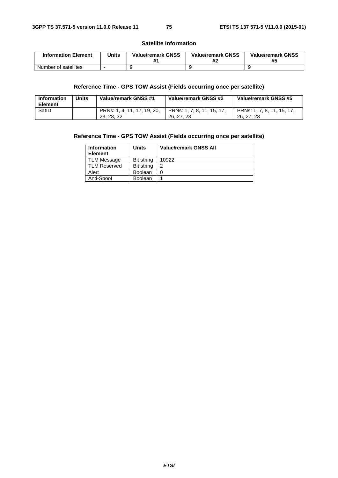### **Satellite Information**

| <b>Information Element</b> | Units | <b>Value/remark GNSS</b> | <b>Value/remark GNSS</b><br>#2 | <b>Value/remark GNSS</b><br>#5 |
|----------------------------|-------|--------------------------|--------------------------------|--------------------------------|
| Number of satellites       |       |                          |                                |                                |

## **Reference Time - GPS TOW Assist (Fields occurring once per satellite)**

| <b>Information</b><br><b>Element</b> | Units | Value/remark GNSS #1                      | Value/remark GNSS #2                     | Value/remark GNSS #5                     |
|--------------------------------------|-------|-------------------------------------------|------------------------------------------|------------------------------------------|
| SatID                                |       | PRNs: 1, 4, 11, 17, 19, 20,<br>23, 28, 32 | PRNs: 1, 7, 8, 11, 15, 17,<br>26, 27, 28 | PRNs: 1, 7, 8, 11, 15, 17,<br>26, 27, 28 |

## **Reference Time - GPS TOW Assist (Fields occurring once per satellite)**

| <b>Information</b><br><b>Element</b> | Units             | <b>Value/remark GNSS All</b> |
|--------------------------------------|-------------------|------------------------------|
| TLM Message                          | Bit string        | 10922                        |
| <b>TLM Reserved</b>                  | <b>Bit string</b> | າ                            |
| Alert                                | <b>Boolean</b>    |                              |
| Anti-Spoof                           | <b>Boolean</b>    |                              |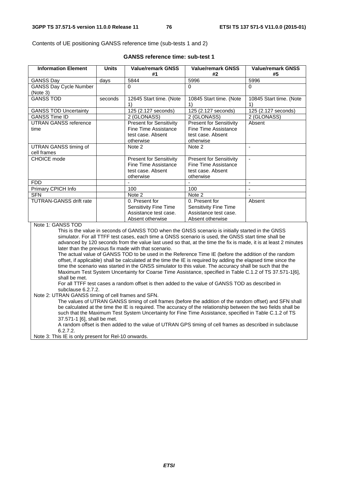Contents of UE positioning GANSS reference time (sub-tests 1 and 2)

| <b>GANSS reference time: sub-test 1</b> |  |
|-----------------------------------------|--|
|-----------------------------------------|--|

| <b>Information Element</b>                                                                                                                                                                       | <b>Units</b>                                                                                                                                                                                                             | <b>Value/remark GNSS</b><br>#1                                                                                                                                                                                                                                                                                                                                                                                                                                                                                                                                                                                                                                                                                                                                                                                                                                                                                                                                                                                                                                                                                                        | <b>Value/remark GNSS</b><br>#2                                                                                                                                                                                                                                                                                           | <b>Value/remark GNSS</b><br>#5                           |  |
|--------------------------------------------------------------------------------------------------------------------------------------------------------------------------------------------------|--------------------------------------------------------------------------------------------------------------------------------------------------------------------------------------------------------------------------|---------------------------------------------------------------------------------------------------------------------------------------------------------------------------------------------------------------------------------------------------------------------------------------------------------------------------------------------------------------------------------------------------------------------------------------------------------------------------------------------------------------------------------------------------------------------------------------------------------------------------------------------------------------------------------------------------------------------------------------------------------------------------------------------------------------------------------------------------------------------------------------------------------------------------------------------------------------------------------------------------------------------------------------------------------------------------------------------------------------------------------------|--------------------------------------------------------------------------------------------------------------------------------------------------------------------------------------------------------------------------------------------------------------------------------------------------------------------------|----------------------------------------------------------|--|
| <b>GANSS Day</b>                                                                                                                                                                                 | days                                                                                                                                                                                                                     | 5844                                                                                                                                                                                                                                                                                                                                                                                                                                                                                                                                                                                                                                                                                                                                                                                                                                                                                                                                                                                                                                                                                                                                  | 5996                                                                                                                                                                                                                                                                                                                     | 5996                                                     |  |
| <b>GANSS Day Cycle Number</b>                                                                                                                                                                    |                                                                                                                                                                                                                          | 0                                                                                                                                                                                                                                                                                                                                                                                                                                                                                                                                                                                                                                                                                                                                                                                                                                                                                                                                                                                                                                                                                                                                     | $\Omega$                                                                                                                                                                                                                                                                                                                 | $\Omega$                                                 |  |
| (Note 3)                                                                                                                                                                                         |                                                                                                                                                                                                                          |                                                                                                                                                                                                                                                                                                                                                                                                                                                                                                                                                                                                                                                                                                                                                                                                                                                                                                                                                                                                                                                                                                                                       |                                                                                                                                                                                                                                                                                                                          |                                                          |  |
| <b>GANSS TOD</b>                                                                                                                                                                                 | seconds                                                                                                                                                                                                                  | 12645 Start time. (Note                                                                                                                                                                                                                                                                                                                                                                                                                                                                                                                                                                                                                                                                                                                                                                                                                                                                                                                                                                                                                                                                                                               | 10845 Start time. (Note                                                                                                                                                                                                                                                                                                  | 10845 Start time. (Note                                  |  |
|                                                                                                                                                                                                  |                                                                                                                                                                                                                          | 1)                                                                                                                                                                                                                                                                                                                                                                                                                                                                                                                                                                                                                                                                                                                                                                                                                                                                                                                                                                                                                                                                                                                                    | 1)                                                                                                                                                                                                                                                                                                                       | 1)                                                       |  |
|                                                                                                                                                                                                  |                                                                                                                                                                                                                          |                                                                                                                                                                                                                                                                                                                                                                                                                                                                                                                                                                                                                                                                                                                                                                                                                                                                                                                                                                                                                                                                                                                                       |                                                                                                                                                                                                                                                                                                                          |                                                          |  |
|                                                                                                                                                                                                  |                                                                                                                                                                                                                          |                                                                                                                                                                                                                                                                                                                                                                                                                                                                                                                                                                                                                                                                                                                                                                                                                                                                                                                                                                                                                                                                                                                                       |                                                                                                                                                                                                                                                                                                                          |                                                          |  |
|                                                                                                                                                                                                  |                                                                                                                                                                                                                          |                                                                                                                                                                                                                                                                                                                                                                                                                                                                                                                                                                                                                                                                                                                                                                                                                                                                                                                                                                                                                                                                                                                                       |                                                                                                                                                                                                                                                                                                                          |                                                          |  |
|                                                                                                                                                                                                  |                                                                                                                                                                                                                          |                                                                                                                                                                                                                                                                                                                                                                                                                                                                                                                                                                                                                                                                                                                                                                                                                                                                                                                                                                                                                                                                                                                                       |                                                                                                                                                                                                                                                                                                                          |                                                          |  |
|                                                                                                                                                                                                  |                                                                                                                                                                                                                          |                                                                                                                                                                                                                                                                                                                                                                                                                                                                                                                                                                                                                                                                                                                                                                                                                                                                                                                                                                                                                                                                                                                                       |                                                                                                                                                                                                                                                                                                                          |                                                          |  |
|                                                                                                                                                                                                  |                                                                                                                                                                                                                          |                                                                                                                                                                                                                                                                                                                                                                                                                                                                                                                                                                                                                                                                                                                                                                                                                                                                                                                                                                                                                                                                                                                                       |                                                                                                                                                                                                                                                                                                                          |                                                          |  |
|                                                                                                                                                                                                  |                                                                                                                                                                                                                          |                                                                                                                                                                                                                                                                                                                                                                                                                                                                                                                                                                                                                                                                                                                                                                                                                                                                                                                                                                                                                                                                                                                                       |                                                                                                                                                                                                                                                                                                                          |                                                          |  |
|                                                                                                                                                                                                  |                                                                                                                                                                                                                          |                                                                                                                                                                                                                                                                                                                                                                                                                                                                                                                                                                                                                                                                                                                                                                                                                                                                                                                                                                                                                                                                                                                                       |                                                                                                                                                                                                                                                                                                                          |                                                          |  |
|                                                                                                                                                                                                  |                                                                                                                                                                                                                          |                                                                                                                                                                                                                                                                                                                                                                                                                                                                                                                                                                                                                                                                                                                                                                                                                                                                                                                                                                                                                                                                                                                                       |                                                                                                                                                                                                                                                                                                                          |                                                          |  |
|                                                                                                                                                                                                  |                                                                                                                                                                                                                          |                                                                                                                                                                                                                                                                                                                                                                                                                                                                                                                                                                                                                                                                                                                                                                                                                                                                                                                                                                                                                                                                                                                                       |                                                                                                                                                                                                                                                                                                                          |                                                          |  |
|                                                                                                                                                                                                  |                                                                                                                                                                                                                          |                                                                                                                                                                                                                                                                                                                                                                                                                                                                                                                                                                                                                                                                                                                                                                                                                                                                                                                                                                                                                                                                                                                                       |                                                                                                                                                                                                                                                                                                                          |                                                          |  |
| <b>FDD</b>                                                                                                                                                                                       |                                                                                                                                                                                                                          | ÷,                                                                                                                                                                                                                                                                                                                                                                                                                                                                                                                                                                                                                                                                                                                                                                                                                                                                                                                                                                                                                                                                                                                                    |                                                                                                                                                                                                                                                                                                                          | ÷,                                                       |  |
| Primary CPICH Info                                                                                                                                                                               |                                                                                                                                                                                                                          | 100                                                                                                                                                                                                                                                                                                                                                                                                                                                                                                                                                                                                                                                                                                                                                                                                                                                                                                                                                                                                                                                                                                                                   | 100                                                                                                                                                                                                                                                                                                                      | $\blacksquare$                                           |  |
| <b>SFN</b>                                                                                                                                                                                       |                                                                                                                                                                                                                          | Note 2                                                                                                                                                                                                                                                                                                                                                                                                                                                                                                                                                                                                                                                                                                                                                                                                                                                                                                                                                                                                                                                                                                                                | Note 2                                                                                                                                                                                                                                                                                                                   |                                                          |  |
| <b>TUTRAN-GANSS drift rate</b>                                                                                                                                                                   |                                                                                                                                                                                                                          | 0. Present for                                                                                                                                                                                                                                                                                                                                                                                                                                                                                                                                                                                                                                                                                                                                                                                                                                                                                                                                                                                                                                                                                                                        | 0. Present for                                                                                                                                                                                                                                                                                                           | Absent                                                   |  |
|                                                                                                                                                                                                  |                                                                                                                                                                                                                          |                                                                                                                                                                                                                                                                                                                                                                                                                                                                                                                                                                                                                                                                                                                                                                                                                                                                                                                                                                                                                                                                                                                                       |                                                                                                                                                                                                                                                                                                                          |                                                          |  |
|                                                                                                                                                                                                  |                                                                                                                                                                                                                          |                                                                                                                                                                                                                                                                                                                                                                                                                                                                                                                                                                                                                                                                                                                                                                                                                                                                                                                                                                                                                                                                                                                                       |                                                                                                                                                                                                                                                                                                                          |                                                          |  |
|                                                                                                                                                                                                  |                                                                                                                                                                                                                          |                                                                                                                                                                                                                                                                                                                                                                                                                                                                                                                                                                                                                                                                                                                                                                                                                                                                                                                                                                                                                                                                                                                                       |                                                                                                                                                                                                                                                                                                                          |                                                          |  |
|                                                                                                                                                                                                  |                                                                                                                                                                                                                          |                                                                                                                                                                                                                                                                                                                                                                                                                                                                                                                                                                                                                                                                                                                                                                                                                                                                                                                                                                                                                                                                                                                                       |                                                                                                                                                                                                                                                                                                                          |                                                          |  |
|                                                                                                                                                                                                  |                                                                                                                                                                                                                          |                                                                                                                                                                                                                                                                                                                                                                                                                                                                                                                                                                                                                                                                                                                                                                                                                                                                                                                                                                                                                                                                                                                                       |                                                                                                                                                                                                                                                                                                                          |                                                          |  |
|                                                                                                                                                                                                  |                                                                                                                                                                                                                          |                                                                                                                                                                                                                                                                                                                                                                                                                                                                                                                                                                                                                                                                                                                                                                                                                                                                                                                                                                                                                                                                                                                                       |                                                                                                                                                                                                                                                                                                                          |                                                          |  |
|                                                                                                                                                                                                  |                                                                                                                                                                                                                          |                                                                                                                                                                                                                                                                                                                                                                                                                                                                                                                                                                                                                                                                                                                                                                                                                                                                                                                                                                                                                                                                                                                                       |                                                                                                                                                                                                                                                                                                                          |                                                          |  |
|                                                                                                                                                                                                  |                                                                                                                                                                                                                          |                                                                                                                                                                                                                                                                                                                                                                                                                                                                                                                                                                                                                                                                                                                                                                                                                                                                                                                                                                                                                                                                                                                                       |                                                                                                                                                                                                                                                                                                                          |                                                          |  |
|                                                                                                                                                                                                  |                                                                                                                                                                                                                          |                                                                                                                                                                                                                                                                                                                                                                                                                                                                                                                                                                                                                                                                                                                                                                                                                                                                                                                                                                                                                                                                                                                                       |                                                                                                                                                                                                                                                                                                                          |                                                          |  |
|                                                                                                                                                                                                  | offset, if applicable) shall be calculated at the time the IE is required by adding the elapsed time since the<br>time the scenario was started in the GNSS simulator to this value. The accuracy shall be such that the |                                                                                                                                                                                                                                                                                                                                                                                                                                                                                                                                                                                                                                                                                                                                                                                                                                                                                                                                                                                                                                                                                                                                       |                                                                                                                                                                                                                                                                                                                          |                                                          |  |
|                                                                                                                                                                                                  |                                                                                                                                                                                                                          |                                                                                                                                                                                                                                                                                                                                                                                                                                                                                                                                                                                                                                                                                                                                                                                                                                                                                                                                                                                                                                                                                                                                       |                                                                                                                                                                                                                                                                                                                          |                                                          |  |
|                                                                                                                                                                                                  |                                                                                                                                                                                                                          |                                                                                                                                                                                                                                                                                                                                                                                                                                                                                                                                                                                                                                                                                                                                                                                                                                                                                                                                                                                                                                                                                                                                       |                                                                                                                                                                                                                                                                                                                          |                                                          |  |
|                                                                                                                                                                                                  |                                                                                                                                                                                                                          | For all TTFF test cases a random offset is then added to the value of GANSS TOD as described in                                                                                                                                                                                                                                                                                                                                                                                                                                                                                                                                                                                                                                                                                                                                                                                                                                                                                                                                                                                                                                       |                                                                                                                                                                                                                                                                                                                          |                                                          |  |
|                                                                                                                                                                                                  | subclause 6.2.7.2.                                                                                                                                                                                                       |                                                                                                                                                                                                                                                                                                                                                                                                                                                                                                                                                                                                                                                                                                                                                                                                                                                                                                                                                                                                                                                                                                                                       |                                                                                                                                                                                                                                                                                                                          |                                                          |  |
| Note 2: UTRAN GANSS timing of cell frames and SFN.                                                                                                                                               |                                                                                                                                                                                                                          |                                                                                                                                                                                                                                                                                                                                                                                                                                                                                                                                                                                                                                                                                                                                                                                                                                                                                                                                                                                                                                                                                                                                       |                                                                                                                                                                                                                                                                                                                          |                                                          |  |
| <b>GANSS TOD Uncertainty</b><br><b>GANSS Time ID</b><br><b>UTRAN GANSS reference</b><br>time<br>UTRAN GANSS timing of<br>cell frames<br><b>CHOICE</b> mode<br>Note 1: GANSS TOD<br>shall be met. |                                                                                                                                                                                                                          | 125 (2.127 seconds)<br>2 (GLONASS)<br><b>Present for Sensitivity</b><br><b>Fine Time Assistance</b><br>test case. Absent<br>otherwise<br>Note 2<br><b>Present for Sensitivity</b><br>Fine Time Assistance<br>test case. Absent<br>otherwise<br>Sensitivity Fine Time<br>Assistance test case.<br>Absent otherwise<br>This is the value in seconds of GANSS TOD when the GNSS scenario is initially started in the GNSS<br>simulator. For all TTFF test cases, each time a GNSS scenario is used, the GNSS start time shall be<br>advanced by 120 seconds from the value last used so that, at the time the fix is made, it is at least 2 minutes<br>later than the previous fix made with that scenario.<br>The actual value of GANSS TOD to be used in the Reference Time IE (before the addition of the random<br>Maximum Test System Uncertainty for Coarse Time Assistance, specified in Table C.1.2 of TS 37.571-1[6],<br>$\mathcal{L}$ . The set of $\mathcal{L}$ and $\mathcal{L}$ and $\mathcal{L}$ is the set of the set of the set of the set of the set of $\mathcal{L}$ and $\mathcal{L}$ $\mathcal{L}$ and $\mathcal{L}$ | 125 (2.127 seconds)<br>2 (GLONASS)<br><b>Present for Sensitivity</b><br><b>Fine Time Assistance</b><br>test case. Absent<br>otherwise<br>Note 2<br><b>Present for Sensitivity</b><br>Fine Time Assistance<br>test case. Absent<br>otherwise<br><b>Sensitivity Fine Time</b><br>Assistance test case.<br>Absent otherwise | 125 (2.127 seconds)<br>2 (GLONASS)<br>Absent<br>÷,<br>÷, |  |

The values of UTRAN GANSS timing of cell frames (before the addition of the random offset) and SFN shall be calculated at the time the IE is required. The accuracy of the relationship between the two fields shall be such that the Maximum Test System Uncertainty for Fine Time Assistance, specified in Table C.1.2 of TS 37.571-1 [6], shall be met.

A random offset is then added to the value of UTRAN GPS timing of cell frames as described in subclause 6.2.7.2.

Note 3: This IE is only present for Rel-10 onwards.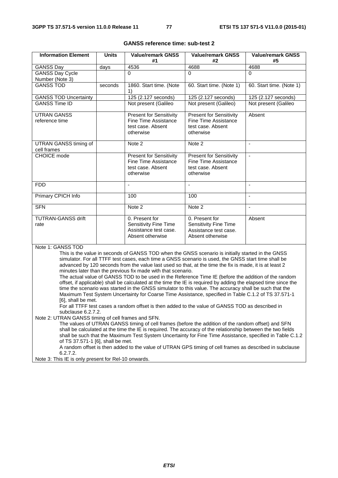| <b>Information Element</b>                                               | <b>Units</b>                                                                                            | <b>Value/remark GNSS</b><br>#1                                                                                                                                          | <b>Value/remark GNSS</b><br>#2 | <b>Value/remark GNSS</b><br>#5 |
|--------------------------------------------------------------------------|---------------------------------------------------------------------------------------------------------|-------------------------------------------------------------------------------------------------------------------------------------------------------------------------|--------------------------------|--------------------------------|
| GANSS Day                                                                | days                                                                                                    | 4536                                                                                                                                                                    | 4688                           | 4688                           |
| <b>GANSS Day Cycle</b>                                                   |                                                                                                         | $\Omega$                                                                                                                                                                | $\Omega$                       | $\Omega$                       |
| Number (Note 3)                                                          |                                                                                                         |                                                                                                                                                                         |                                |                                |
| <b>GANSS TOD</b>                                                         | seconds                                                                                                 | 1860. Start time. (Note<br>1)                                                                                                                                           | 60. Start time. (Note 1)       | 60. Start time. (Note 1)       |
| <b>GANSS TOD Uncertainty</b>                                             |                                                                                                         | 125 (2.127 seconds)                                                                                                                                                     | 125 (2.127 seconds)            | 125 (2.127 seconds)            |
| <b>GANSS Time ID</b>                                                     |                                                                                                         | Not present (Galileo                                                                                                                                                    | Not present (Galileo)          | Not present (Galileo           |
| <b>UTRAN GANSS</b>                                                       |                                                                                                         | <b>Present for Sensitivity</b>                                                                                                                                          | <b>Present for Sensitivity</b> | Absent                         |
| reference time                                                           |                                                                                                         | Fine Time Assistance                                                                                                                                                    | <b>Fine Time Assistance</b>    |                                |
|                                                                          |                                                                                                         | test case. Absent                                                                                                                                                       | test case. Absent              |                                |
|                                                                          |                                                                                                         | otherwise                                                                                                                                                               | otherwise                      |                                |
| UTRAN GANSS timing of<br>cell frames                                     |                                                                                                         | Note 2                                                                                                                                                                  | Note $\overline{2}$            | $\blacksquare$                 |
| <b>CHOICE</b> mode                                                       |                                                                                                         | <b>Present for Sensitivity</b>                                                                                                                                          | <b>Present for Sensitivity</b> | $\blacksquare$                 |
|                                                                          |                                                                                                         | Fine Time Assistance                                                                                                                                                    | <b>Fine Time Assistance</b>    |                                |
|                                                                          |                                                                                                         | test case. Absent<br>otherwise                                                                                                                                          | test case. Absent<br>otherwise |                                |
|                                                                          |                                                                                                         |                                                                                                                                                                         |                                |                                |
| <b>FDD</b>                                                               |                                                                                                         | $\blacksquare$                                                                                                                                                          | ÷.                             | $\blacksquare$                 |
| Primary CPICH Info                                                       |                                                                                                         | 100                                                                                                                                                                     | 100                            |                                |
| <b>SFN</b>                                                               |                                                                                                         | Note 2                                                                                                                                                                  | Note 2                         | $\blacksquare$                 |
| <b>TUTRAN-GANSS drift</b>                                                |                                                                                                         | 0. Present for                                                                                                                                                          | 0. Present for                 | Absent                         |
| rate                                                                     |                                                                                                         | <b>Sensitivity Fine Time</b>                                                                                                                                            | Sensitivity Fine Time          |                                |
|                                                                          |                                                                                                         | Assistance test case.                                                                                                                                                   | Assistance test case.          |                                |
|                                                                          |                                                                                                         | Absent otherwise                                                                                                                                                        | Absent otherwise               |                                |
| Note 1: GANSS TOD                                                        |                                                                                                         |                                                                                                                                                                         |                                |                                |
|                                                                          |                                                                                                         | This is the value in seconds of GANSS TOD when the GNSS scenario is initially started in the GNSS                                                                       |                                |                                |
|                                                                          |                                                                                                         | simulator. For all TTFF test cases, each time a GNSS scenario is used, the GNSS start time shall be                                                                     |                                |                                |
|                                                                          |                                                                                                         | advanced by 120 seconds from the value last used so that, at the time the fix is made, it is at least 2<br>minutes later than the previous fix made with that scenario. |                                |                                |
|                                                                          |                                                                                                         | The actual value of GANSS TOD to be used in the Reference Time IE (before the addition of the random                                                                    |                                |                                |
|                                                                          |                                                                                                         | offset, if applicable) shall be calculated at the time the IE is required by adding the elapsed time since the                                                          |                                |                                |
|                                                                          |                                                                                                         | time the scenario was started in the GNSS simulator to this value. The accuracy shall be such that the                                                                  |                                |                                |
|                                                                          |                                                                                                         | Maximum Test System Uncertainty for Coarse Time Assistance, specified in Table C.1.2 of TS 37.571-1                                                                     |                                |                                |
| [6], shall be met.                                                       |                                                                                                         |                                                                                                                                                                         |                                |                                |
|                                                                          |                                                                                                         | For all TTFF test cases a random offset is then added to the value of GANSS TOD as described in                                                                         |                                |                                |
| subclause 6.2.7.2.<br>Note 2: UTRAN GANSS timing of cell frames and SFN. |                                                                                                         |                                                                                                                                                                         |                                |                                |
|                                                                          |                                                                                                         | The values of UTRAN GANSS timing of cell frames (before the addition of the random offset) and SFN                                                                      |                                |                                |
|                                                                          |                                                                                                         | shall be calculated at the time the IE is required. The accuracy of the relationship between the two fields                                                             |                                |                                |
|                                                                          |                                                                                                         | shall be such that the Maximum Test System Uncertainty for Fine Time Assistance, specified in Table C.1.2                                                               |                                |                                |
| of TS 37.571-1 [6], shall be met.                                        |                                                                                                         |                                                                                                                                                                         |                                |                                |
|                                                                          | A random offset is then added to the value of UTRAN GPS timing of cell frames as described in subclause |                                                                                                                                                                         |                                |                                |
| 6.2.7.2.                                                                 |                                                                                                         |                                                                                                                                                                         |                                |                                |
| Note 3: This IE is only present for Rel-10 onwards.                      |                                                                                                         |                                                                                                                                                                         |                                |                                |

## **GANSS reference time: sub-test 2**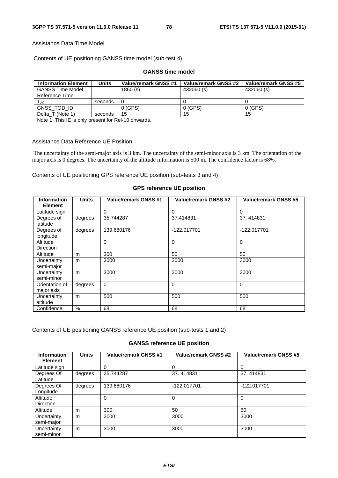### Assistance Data Time Model

Contents of UE positioning GANSS time model (sub-test 4)

| <b>Information Element</b>                          | <b>Units</b> | Value/remark GNSS #1 | Value/remark GNSS #2 | Value/remark GNSS #5 |
|-----------------------------------------------------|--------------|----------------------|----------------------|----------------------|
| <b>GANSS Time Model</b>                             |              | 1860(s)              | 432060 (s)           | 432060 (s)           |
| Reference Time                                      |              |                      |                      |                      |
| $T_{\sf A0}$                                        | seconds      | -0                   |                      |                      |
| GNSS TOD ID                                         |              | $0$ (GPS)            | 0(GPS)               | $0$ (GPS)            |
| Delta T (Note 1)                                    | seconds      | -15                  | 15                   | 15                   |
| Note 1: This IE is only present for Rel-10 onwards. |              |                      |                      |                      |

#### **GANSS time model**

### Assistance Data Reference UE Position

 The uncertainty of the semi-major axis is 3 km. The uncertainty of the semi-minor axis is 3 km. The orientation of the major axis is 0 degrees. The uncertainty of the altitude information is 500 m. The confidence factor is 68%.

Contents of UE positioning GPS reference UE position (sub-tests 3 and 4)

#### **Information Element Units Value/remark GNSS #1 Value/remark GNSS #2 Value/remark GNSS #5** Latitude sign  $\begin{vmatrix} 0 & 0 & 0 \\ 0 & 0 & 0 \\ 0 & 0 & 0 \\ 0 & 0 & 0 \\ 0 & 0 & 0 \\ 0 & 0 & 0 \\ 0 & 0 & 0 \\ 0 & 0 & 0 \\ 0 & 0 & 0 \\ 0 & 0 & 0 \\ 0 & 0 & 0 \\ 0 & 0 & 0 \\ 0 & 0 & 0 \\ 0 & 0 & 0 & 0 \\ 0 & 0 & 0 & 0 \\ 0 & 0 & 0 & 0 \\ 0 & 0 & 0 & 0 \\ 0 & 0 & 0 & 0 & 0 \\ 0 & 0 & 0 & 0 & 0 \\ 0 & 0 &$ Degrees of latitude degrees 35.744287 37.414831 37.414831 Degrees of longitude degrees 139.680176 | -122.017701 | -122.017701 **Altitude** Direction<br>Altitude 0 0 0 0 Altitude | m | 300 50 50 50 50 **Uncertainty** semi-major m | 3000 | 3000 | 3000 | 3000 **Uncertainty** semi-minor m | 3000 | 3000 | 3000 | 3000 Orientation of major axis degrees 0 0 0 0 0 0 **Uncertainty** altitude m | 500 | 500 | 500 | 500 Confidence % 68 68 68

#### **GPS reference UE position**

Contents of UE positioning GANSS reference UE position (sub-tests 1 and 2)

## **GANSS reference UE position**

| <b>Information</b><br><b>Element</b> | <b>Units</b> | Value/remark GNSS #1 | <b>Value/remark GNSS #2</b> | Value/remark GNSS #5 |
|--------------------------------------|--------------|----------------------|-----------------------------|----------------------|
| Latitude sign                        |              | 0                    | 0                           | 0                    |
| Degrees Of<br>Latitude               | degrees      | 35.744287            | 37.414831                   | 37.414831            |
| Degrees Of<br>Longitude              | degrees      | 139.680176           | -122.017701                 | -122.017701          |
| Altitude<br><b>Direction</b>         |              | 0                    | 0                           | $\Omega$             |
| Altitude                             | m            | 300                  | 50                          | 50                   |
| Uncertainty<br>semi-major            | m            | 3000                 | 3000                        | 3000                 |
| Uncertainty<br>semi-minor            | m            | 3000                 | 3000                        | 3000                 |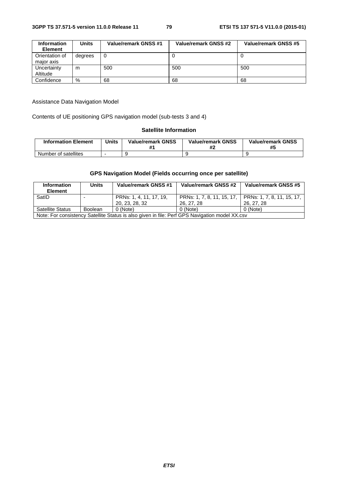| <b>Information</b><br><b>Element</b> | Units   | Value/remark GNSS #1 | Value/remark GNSS #2 | Value/remark GNSS #5 |
|--------------------------------------|---------|----------------------|----------------------|----------------------|
| Orientation of<br>major axis         | degrees | 0                    |                      |                      |
| Uncertainty<br>Altitude              | m       | 500                  | 500                  | 500                  |
| Confidence                           | %       | 68                   | 68                   | 68                   |

### Assistance Data Navigation Model

Contents of UE positioning GPS navigation model (sub-tests 3 and 4)

## **Satellite Information**

| <b>Information Element</b> | Units | <b>Value/remark GNSS</b><br>₩. | <b>Value/remark GNSS</b> | <b>Value/remark GNSS</b><br>#5 |
|----------------------------|-------|--------------------------------|--------------------------|--------------------------------|
| Number of satellites       |       |                                |                          |                                |

# **GPS Navigation Model (Fields occurring once per satellite)**

| <b>Information</b>                                                                             | <b>Units</b> | Value/remark GNSS #1    | Value/remark GNSS #2       | Value/remark GNSS #5       |  |  |
|------------------------------------------------------------------------------------------------|--------------|-------------------------|----------------------------|----------------------------|--|--|
| <b>Element</b>                                                                                 |              |                         |                            |                            |  |  |
| SatID                                                                                          |              | PRNs: 1, 4, 11, 17, 19, | PRNs: 1, 7, 8, 11, 15, 17, | PRNs: 1, 7, 8, 11, 15, 17, |  |  |
|                                                                                                |              | 20, 23, 28, 32          | 26, 27, 28                 | 26, 27, 28                 |  |  |
| <b>Satellite Status</b><br>0 (Note)<br>0 (Note)<br>0 (Note)<br><b>Boolean</b>                  |              |                         |                            |                            |  |  |
| Note: For consistency Satellite Status is also given in file: Perf GPS Navigation model XX.csv |              |                         |                            |                            |  |  |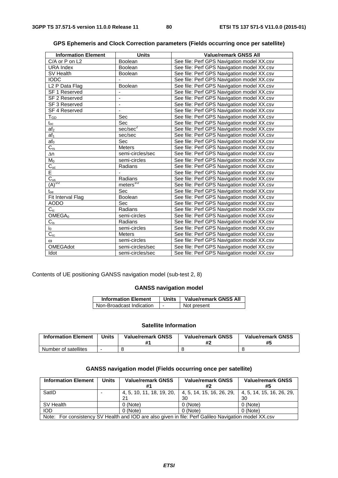| <b>Information Element</b> | <b>Units</b>         | <b>Value/remark GNSS All</b>               |
|----------------------------|----------------------|--------------------------------------------|
| C/A or P on L2             | <b>Boolean</b>       | See file: Perf GPS Navigation model XX.csv |
| <b>URA Index</b>           | <b>Boolean</b>       | See file: Perf GPS Navigation model XX.csv |
| SV Health                  | <b>Boolean</b>       | See file: Perf GPS Navigation model XX.csv |
| <b>IODC</b>                |                      | See file: Perf GPS Navigation model XX.csv |
| L <sub>2</sub> P Data Flag | <b>Boolean</b>       | See file: Perf GPS Navigation model XX.csv |
| SF 1 Reserved              |                      | See file: Perf GPS Navigation model XX.csv |
| SF 2 Reserved              |                      | See file: Perf GPS Navigation model XX.csv |
| SF 3 Reserved              | $\blacksquare$       | See file: Perf GPS Navigation model XX.csv |
| SF 4 Reserved              |                      | See file: Perf GPS Navigation model XX.csv |
| $T_{GD}$                   | Sec                  | See file: Perf GPS Navigation model XX.csv |
| $t_{oc}$                   | Sec                  | See file: Perf GPS Navigation model XX.csv |
| af <sub>2</sub>            | sec/sec <sup>2</sup> | See file: Perf GPS Navigation model XX.csv |
| af <sub>1</sub>            | sec/sec              | See file: Perf GPS Navigation model XX.csv |
| af <sub>0</sub>            | <b>Sec</b>           | See file: Perf GPS Navigation model XX.csv |
| $C_{\rm rs}$               | <b>Meters</b>        | See file: Perf GPS Navigation model XX.csv |
| $\Delta n$                 | semi-circles/sec     | See file: Perf GPS Navigation model XX.csv |
| $M_0$                      | semi-circles         | See file: Perf GPS Navigation model XX.csv |
| $C_{uc}$                   | Radians              | See file: Perf GPS Navigation model XX.csv |
| E                          |                      | See file: Perf GPS Navigation model XX.csv |
| $C_{us}$                   | Radians              | See file: Perf GPS Navigation model XX.csv |
| $(A)^{1/2}$                | meters $^{1/2}$      | See file: Perf GPS Navigation model XX.csv |
| $t_{\rm oe}$               | Sec                  | See file: Perf GPS Navigation model XX.csv |
| Fit Interval Flag          | Boolean              | See file: Perf GPS Navigation model XX.csv |
| <b>AODO</b>                | Sec                  | See file: Perf GPS Navigation model XX.csv |
| $C_{ic}$                   | Radians              | See file: Perf GPS Navigation model XX.csv |
| OMEGA <sub>0</sub>         | semi-circles         | See file: Perf GPS Navigation model XX.csv |
| $C_{is}$                   | Radians              | See file: Perf GPS Navigation model XX.csv |
| $i_0$                      | semi-circles         | See file: Perf GPS Navigation model XX.csv |
| $C_{rc}$                   | <b>Meters</b>        | See file: Perf GPS Navigation model XX.csv |
| $\omega$                   | semi-circles         | See file: Perf GPS Navigation model XX.csv |
| OMEGAdot                   | semi-circles/sec     | See file: Perf GPS Navigation model XX.csv |
| Idot                       | semi-circles/sec     | See file: Perf GPS Navigation model XX.csv |

| GPS Ephemeris and Clock Correction parameters (Fields occurring once per satellite) |
|-------------------------------------------------------------------------------------|
|-------------------------------------------------------------------------------------|

Contents of UE positioning GANSS navigation model (sub-test 2, 8)

# **GANSS navigation model**

| <b>Information Element</b> | Units | <b>Value/remark GNSS All</b> |
|----------------------------|-------|------------------------------|
| Non-Broadcast Indication   | -     | Not present                  |

## **Satellite Information**

| <b>Information Element</b> | Units | <b>Value/remark GNSS</b> | <b>Value/remark GNSS</b><br>Ħ. | <b>Value/remark GNSS</b><br>#5 |
|----------------------------|-------|--------------------------|--------------------------------|--------------------------------|
| Number of satellites       |       |                          |                                |                                |

## **GANSS navigation model (Fields occurring once per satellite)**

| <b>Information Element</b>                                                                           | <b>Units</b> | <b>Value/remark GNSS</b> | <b>Value/remark GNSS</b><br>#2                                | <b>Value/remark GNSS</b><br>#5  |  |
|------------------------------------------------------------------------------------------------------|--------------|--------------------------|---------------------------------------------------------------|---------------------------------|--|
| SatID                                                                                                |              | 21                       | 4, 5, 10, 11, 18, 19, 20,   4, 5, 14, 15, 16, 26, 29,  <br>30 | 4, 5, 14, 15, 16, 26, 29,<br>30 |  |
| SV Health                                                                                            |              | 0 (Note)                 | 0 (Note)                                                      | 0 (Note)                        |  |
| <b>IOD</b>                                                                                           |              | 0 (Note)                 | 0 (Note)                                                      | 0 (Note)                        |  |
| Note: For consistency SV Health and IOD are also given in file: Perf Galileo Navigation model XX.csv |              |                          |                                                               |                                 |  |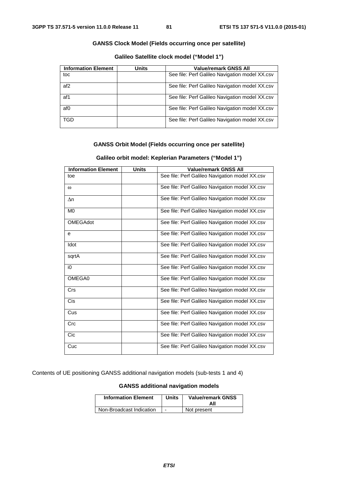### **GANSS Clock Model (Fields occurring once per satellite)**

**Galileo Satellite clock model ("Model 1")** 

| <b>Information Element</b> | Units | <b>Value/remark GNSS All</b>                   |
|----------------------------|-------|------------------------------------------------|
| toc                        |       | See file: Perf Galileo Navigation model XX.csv |
| af <sub>2</sub>            |       | See file: Perf Galileo Navigation model XX.csv |
| af1                        |       | See file: Perf Galileo Navigation model XX.csv |
| af0                        |       | See file: Perf Galileo Navigation model XX.csv |
| TGD                        |       | See file: Perf Galileo Navigation model XX.csv |

## **GANSS Orbit Model (Fields occurring once per satellite)**

| <b>Information Element</b> | <b>Units</b> | <b>Value/remark GNSS All</b>                   |
|----------------------------|--------------|------------------------------------------------|
| toe                        |              | See file: Perf Galileo Navigation model XX.csv |
| $\omega$                   |              | See file: Perf Galileo Navigation model XX.csv |
| Δn                         |              | See file: Perf Galileo Navigation model XX.csv |
| M <sub>0</sub>             |              | See file: Perf Galileo Navigation model XX.csv |
| <b>OMEGAdot</b>            |              | See file: Perf Galileo Navigation model XX.csv |
| e                          |              | See file: Perf Galileo Navigation model XX.csv |
| Idot                       |              | See file: Perf Galileo Navigation model XX.csv |
| sqrtA                      |              | See file: Perf Galileo Navigation model XX.csv |
| i0                         |              | See file: Perf Galileo Navigation model XX.csv |
| OMEGA0                     |              | See file: Perf Galileo Navigation model XX.csv |
| Crs                        |              | See file: Perf Galileo Navigation model XX.csv |
| <b>Cis</b>                 |              | See file: Perf Galileo Navigation model XX.csv |
| Cus                        |              | See file: Perf Galileo Navigation model XX.csv |
| Crc                        |              | See file: Perf Galileo Navigation model XX.csv |
| Cic                        |              | See file: Perf Galileo Navigation model XX.csv |
| Cuc                        |              | See file: Perf Galileo Navigation model XX.csv |

### **Galileo orbit model: Keplerian Parameters ("Model 1")**

Contents of UE positioning GANSS additional navigation models (sub-tests 1 and 4)

### **GANSS additional navigation models**

| <b>Information Element</b> | <b>Units</b> | <b>Value/remark GNSS</b><br>All |
|----------------------------|--------------|---------------------------------|
| Non-Broadcast Indication   | ۰            | Not present                     |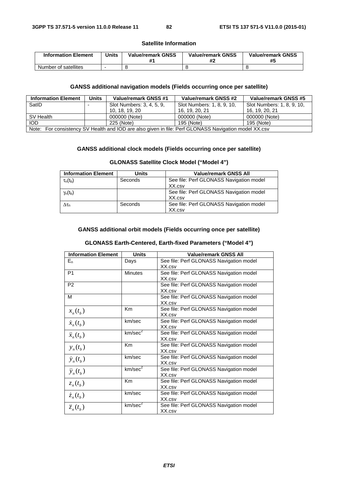### **Satellite Information**

| <b>Information Element</b> | <b>Units</b> | <b>Value/remark GNSS</b> | <b>Value/remark GNSS</b> | <b>Value/remark GNSS</b><br>#5 |
|----------------------------|--------------|--------------------------|--------------------------|--------------------------------|
| Number of satellites       |              |                          |                          |                                |

## **GANSS additional navigation models (Fields occurring once per satellite)**

| <b>Information Element</b>                                                                           | Units                    | Value/remark GNSS #1      | Value/remark GNSS #2       | <b>Value/remark GNSS #5</b> |
|------------------------------------------------------------------------------------------------------|--------------------------|---------------------------|----------------------------|-----------------------------|
| SatID                                                                                                | $\overline{\phantom{0}}$ | Slot Numbers: 3, 4, 5, 9, | Slot Numbers: 1, 8, 9, 10, | Slot Numbers: 1, 8, 9, 10,  |
|                                                                                                      |                          | 10, 18, 19, 20            | 16, 19, 20, 21             | 16. 19. 20. 21              |
| SV Health                                                                                            |                          | 000000 (Note)             | 000000 (Note)              | 000000 (Note)               |
| <b>IOD</b>                                                                                           |                          | 225 (Note)                | 195 (Note)                 | 195 (Note)                  |
| Note: For consistency SV Health and IOD are also given in file: Perf GLONASS Navigation model XX.csv |                          |                           |                            |                             |

### **GANSS additional clock models (Fields occurring once per satellite)**

# **GLONASS Satellite Clock Model ("Model 4")**

| <b>Information Element</b> | <b>Units</b> | <b>Value/remark GNSS All</b>            |
|----------------------------|--------------|-----------------------------------------|
| $\tau_{n}(t_{b})$          | Seconds      | See file: Perf GLONASS Navigation model |
|                            |              | XX.csv                                  |
| $\gamma_n(t_b)$            |              | See file: Perf GLONASS Navigation model |
|                            |              | XX.csv                                  |
| $\Delta\tau_{\rm n}$       | Seconds      | See file: Perf GLONASS Navigation model |
|                            |              | XX.csv                                  |

### **GANSS additional orbit models (Fields occurring once per satellite)**

## **GLONASS Earth-Centered, Earth-fixed Parameters ("Model 4")**

| <b>Information Element</b> | <b>Units</b>        | <b>Value/remark GNSS All</b>            |
|----------------------------|---------------------|-----------------------------------------|
| $E_n$                      | Days                | See file: Perf GLONASS Navigation model |
|                            |                     | XX.csv                                  |
| P <sub>1</sub>             | <b>Minutes</b>      | See file: Perf GLONASS Navigation model |
|                            |                     | XX.csv                                  |
| P <sub>2</sub>             |                     | See file: Perf GLONASS Navigation model |
|                            |                     | XX.csv                                  |
| м                          |                     | See file: Perf GLONASS Navigation model |
|                            |                     | XX.csv                                  |
| $x_n(t_h)$                 | <b>Km</b>           | See file: Perf GLONASS Navigation model |
|                            |                     | XX.csv                                  |
| $\dot{x}_n(t_b)$           | km/sec              | See file: Perf GLONASS Navigation model |
|                            |                     | XX.csv                                  |
| $\ddot{x}_n(t_h)$          | km/sec <sup>2</sup> | See file: Perf GLONASS Navigation model |
|                            |                     | XX.csv                                  |
| $y_n(t_h)$                 | K <sub>m</sub>      | See file: Perf GLONASS Navigation model |
|                            |                     | XX.csv                                  |
| $\dot{y}_n(t_h)$           | km/sec              | See file: Perf GLONASS Navigation model |
|                            |                     | XX.csv                                  |
| $\ddot{y}_n(t_h)$          | km/sec <sup>2</sup> | See file: Perf GLONASS Navigation model |
|                            |                     | XX.csv                                  |
| $z_n(t_h)$                 | Km                  | See file: Perf GLONASS Navigation model |
|                            |                     | XX.csv                                  |
| $\dot{z}_n(t_b)$           | km/sec              | See file: Perf GLONASS Navigation model |
|                            |                     | XX.csv                                  |
| $\ddot{z}_n(t_h)$          | km/sec <sup>2</sup> | See file: Perf GLONASS Navigation model |
|                            |                     | XX.csv                                  |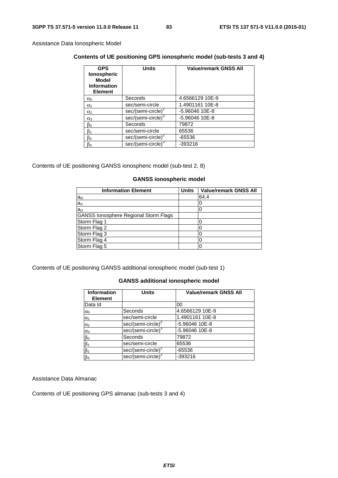Assistance Data Ionospheric Model

## **Contents of UE positioning GPS ionospheric model (sub-tests 3 and 4)**

| <b>GPS</b><br>lonospheric<br><b>Model</b><br><b>Information</b><br><b>Element</b> | <b>Units</b>                   | <b>Value/remark GNSS All</b> |
|-----------------------------------------------------------------------------------|--------------------------------|------------------------------|
| $\alpha_0$                                                                        | Seconds                        | 4.6566129 10E-9              |
| $\alpha_1$                                                                        | sec/semi-circle                | 1.4901161 10E-8              |
| $\alpha_2$                                                                        | sec/(semi-circle) $2^2$        | -5.96046 10E-8               |
| $\alpha_3$                                                                        | sec/(semi-circle) <sup>3</sup> | -5.96046 10E-8               |
| βo                                                                                | Seconds                        | 79872                        |
| ß1                                                                                | sec/semi-circle                | 65536                        |
| ß2                                                                                | sec/(semi-circle) <sup>2</sup> | -65536                       |
| β3                                                                                | sec/(semi-circle) <sup>3</sup> | $-393216$                    |

Contents of UE positioning GANSS ionospheric model (sub-test 2, 8)

## **GANSS ionospheric model**

| <b>Information Element</b>                   | <b>Units</b> | <b>Value/remark GNSS All</b> |
|----------------------------------------------|--------------|------------------------------|
| $a_{i0}$                                     |              | 64.4                         |
| $a_{i1}$                                     |              |                              |
| $a_{i2}$                                     |              |                              |
| <b>GANSS lonosphere Regional Storm Flags</b> |              |                              |
| Storm Flag 1                                 |              |                              |
| Storm Flag 2                                 |              |                              |
| Storm Flag 3                                 |              |                              |
| Storm Flag 4                                 |              |                              |
| Storm Flag 5                                 |              |                              |

Contents of UE positioning GANSS additional ionospheric model (sub-test 1)

## **GANSS additional ionospheric model**

| <b>Information</b><br><b>Element</b> | <b>Units</b>                   | <b>Value/remark GNSS All</b> |
|--------------------------------------|--------------------------------|------------------------------|
| Data Id                              |                                | 00                           |
| $\alpha_0$                           | Seconds                        | 4.6566129 10E-9              |
| $\alpha_1$                           | sec/semi-circle                | 1.4901161 10E-8              |
| $\alpha_2$                           | $sec/(semi-circle)^2$          | -5.96046 10E-8               |
| $\alpha_3$                           | sec/(semi-circle) <sup>3</sup> | -5.96046 10E-8               |
| $\beta_0$                            | Seconds                        | 79872                        |
| $\beta_1$                            | sec/semi-circle                | 65536                        |
| $\beta_2$                            | sec/(semi-circle) <sup>2</sup> | -65536                       |
| $\beta_3$                            | sec/(semi-circle) <sup>3</sup> | -393216                      |

Assistance Data Almanac

Contents of UE positioning GPS almanac (sub-tests 3 and 4)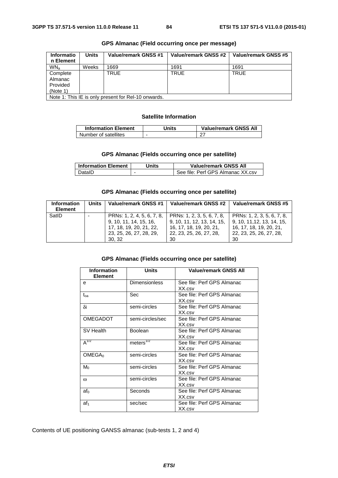| <b>Informatio</b><br>n Element                      | Units | Value/remark GNSS #1 | Value/remark GNSS #2 | Value/remark GNSS #5 |
|-----------------------------------------------------|-------|----------------------|----------------------|----------------------|
| WN <sub>a</sub>                                     | Weeks | 1669                 | 1691                 | 1691                 |
| Complete<br>Almanac<br>Provided<br>(Note 1)         |       | TRUE                 | <b>TRUE</b>          | <b>TRUE</b>          |
| Note 1: This IE is only present for Rel-10 onwards. |       |                      |                      |                      |

### **GPS Almanac (Field occurring once per message)**

### **Satellite Information**

| <b>Information Element</b> | Jnits | <b>Value/remark GNSS All</b> |
|----------------------------|-------|------------------------------|
| Number of satellites       |       |                              |

## **GPS Almanac (Fields occurring once per satellite)**

| <b>Information Element</b> | Jnits | <b>Value/remark GNSS All</b>      |
|----------------------------|-------|-----------------------------------|
| DataID                     | -     | See file: Perf GPS Almanac XX.csv |

## **GPS Almanac (Fields occurring once per satellite)**

| <b>Information</b><br><b>Element</b> | Units | Value/remark GNSS #1                                                                                                | Value/remark GNSS #2                                                                                                 | Value/remark GNSS #5                                                                                                 |
|--------------------------------------|-------|---------------------------------------------------------------------------------------------------------------------|----------------------------------------------------------------------------------------------------------------------|----------------------------------------------------------------------------------------------------------------------|
| SatID                                |       | PRNs: 1, 2, 4, 5, 6, 7, 8,<br>9, 10, 11, 14, 15, 16,<br>17, 18, 19, 20, 21, 22,<br>23, 25, 26, 27, 28, 29,<br>30.32 | PRNs: 1, 2, 3, 5, 6, 7, 8,<br>9, 10, 11, 12, 13, 14, 15,<br>16, 17, 18, 19, 20, 21,<br>22, 23, 25, 26, 27, 28,<br>30 | PRNs: 1, 2, 3, 5, 6, 7, 8,<br>9, 10, 11, 12, 13, 14, 15,<br>16, 17, 18, 19, 20, 21,<br>22, 23, 25, 26, 27, 28,<br>30 |

## **GPS Almanac (Fields occurring once per satellite)**

| <b>Information</b><br><b>Element</b> | <b>Units</b>           | <b>Value/remark GNSS All</b>         |
|--------------------------------------|------------------------|--------------------------------------|
| e                                    | Dimensionless          | See file: Perf GPS Almanac<br>XX.csv |
| $t_{oa}$                             | Sec                    | See file: Perf GPS Almanac<br>XX.csv |
| δi                                   | semi-circles           | See file: Perf GPS Almanac<br>XX.csv |
| <b>OMEGADOT</b>                      | semi-circles/sec       | See file: Perf GPS Almanac<br>XX.csv |
| SV Health                            | Boolean                | See file: Perf GPS Almanac<br>XX.csv |
| $A^{\frac{7}{2}}$                    | meters $\sqrt[7/2]{ }$ | See file: Perf GPS Almanac<br>XX.csv |
| OMEGA <sub>0</sub>                   | semi-circles           | See file: Perf GPS Almanac<br>XX.csv |
| $M_0$                                | semi-circles           | See file: Perf GPS Almanac<br>XX.csv |
| $\omega$                             | semi-circles           | See file: Perf GPS Almanac<br>XX.csv |
| $af_0$                               | Seconds                | See file: Perf GPS Almanac<br>XX.csv |
| af <sub>1</sub>                      | sec/sec                | See file: Perf GPS Almanac<br>XX.csv |

Contents of UE positioning GANSS almanac (sub-tests 1, 2 and 4)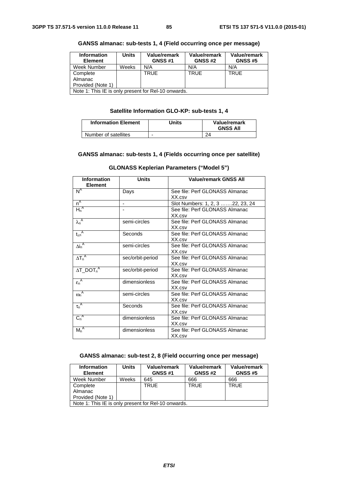| <b>Information</b><br><b>Element</b>                | <b>Units</b> | Value/remark<br><b>GNSS #1</b> | Value/remark<br><b>GNSS#2</b> | <b>Value/remark</b><br><b>GNSS #5</b> |
|-----------------------------------------------------|--------------|--------------------------------|-------------------------------|---------------------------------------|
| Week Number                                         | Weeks        | N/A                            | N/A                           | N/A                                   |
| Complete                                            |              | <b>TRUE</b>                    | <b>TRUE</b>                   | <b>TRUE</b>                           |
| Almanac                                             |              |                                |                               |                                       |
| Provided (Note 1)                                   |              |                                |                               |                                       |
| Note 1: This IE is only present for Rel-10 onwards. |              |                                |                               |                                       |

### **GANSS almanac: sub-tests 1, 4 (Field occurring once per message)**

## **Satellite Information GLO-KP: sub-tests 1, 4**

| <b>Information Element</b> | Units | Value/remark<br><b>GNSS All</b> |
|----------------------------|-------|---------------------------------|
| Number of satellites       |       |                                 |

### **GANSS almanac: sub-tests 1, 4 (Fields occurring once per satellite)**

| <b>Information</b>         | <b>Units</b>     | <b>Value/remark GNSS All</b>     |
|----------------------------|------------------|----------------------------------|
| <b>Element</b>             |                  |                                  |
| $N^A$                      | Days             | See file: Perf GLONASS Almanac   |
|                            |                  | XX.csv                           |
| $n^A$                      | ٠                | Slot Numbers: 1, 2, 3 22, 23, 24 |
| $H_n^A$                    |                  | See file: Perf GLONASS Almanac   |
|                            |                  | XX.csv                           |
| $\lambda_n^A$              | semi-circles     | See file: Perf GLONASS Almanac   |
|                            |                  | XX.csv                           |
| $t_{\lambda n}^{\text{A}}$ | Seconds          | See file: Perf GLONASS Almanac   |
|                            |                  | XX.csv                           |
| $\Delta i_n^A$             | semi-circles     | See file: Perf GLONASS Almanac   |
|                            |                  | XX.csv                           |
| $\Delta T_n^A$             | sec/orbit-period | See file: Perf GLONASS Almanac   |
|                            |                  | XX.csv                           |
| $\Delta T\_DOT_n^A$        | sec/orbit-period | See file: Perf GLONASS Almanac   |
|                            |                  | XX.csv                           |
| $\epsilon_n^A$             | dimensionless    | See file: Perf GLONASS Almanac   |
|                            |                  | XX.csv                           |
| $\omega_n^A$               | semi-circles     | See file: Perf GLONASS Almanac   |
|                            |                  | XX.csv                           |
| $\tau_n^A$                 | Seconds          | See file: Perf GLONASS Almanac   |
|                            |                  | XX.csv                           |
| $C_n^A$                    | dimensionless    | See file: Perf GLONASS Almanac   |
|                            |                  | XX.csv                           |
| $M_n^A$                    | dimensionless    | See file: Perf GLONASS Almanac   |
|                            |                  | XX.csv                           |

## **GLONASS Keplerian Parameters ("Model 5")**

## **GANSS almanac: sub-test 2, 8 (Field occurring once per message)**

| <b>Information</b><br><b>Element</b>                | <b>Units</b> | Value/remark<br><b>GNSS #1</b> | <b>Value/remark</b><br><b>GNSS #2</b> | Value/remark<br><b>GNSS #5</b> |
|-----------------------------------------------------|--------------|--------------------------------|---------------------------------------|--------------------------------|
| Week Number                                         | Weeks        | 645                            | 666                                   | 666                            |
| Complete                                            |              | <b>TRUE</b>                    | <b>TRUE</b>                           | <b>TRUE</b>                    |
| Almanac                                             |              |                                |                                       |                                |
| Provided (Note 1)                                   |              |                                |                                       |                                |
| Note 1: This IE is only present for Rel-10 onwards. |              |                                |                                       |                                |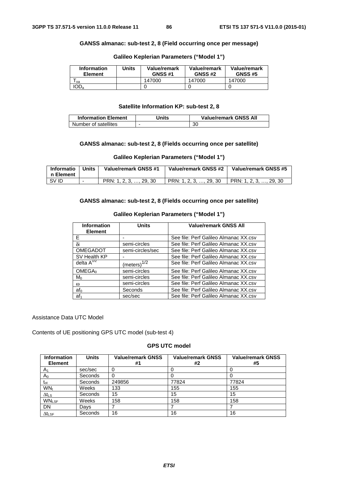### **GANSS almanac: sub-test 2, 8 (Field occurring once per message)**

| <b>Information</b><br><b>Element</b> | Units | Value/remark<br><b>GNSS #1</b> | Value/remark<br><b>GNSS #2</b> | Value/remark<br><b>GNSS #5</b> |
|--------------------------------------|-------|--------------------------------|--------------------------------|--------------------------------|
| 0 <sub>a</sub>                       |       | 147000                         | 147000                         | 147000                         |
| IOD <sub>a</sub>                     |       |                                |                                |                                |

## **Galileo Keplerian Parameters ("Model 1")**

#### **Satellite Information KP: sub-test 2, 8**

| <b>Information Element</b> | Jnits | <b>Value/remark GNSS All</b> |
|----------------------------|-------|------------------------------|
| Number of satellites       |       | 30                           |

### **GANSS almanac: sub-test 2, 8 (Fields occurring once per satellite)**

### **Galileo Keplerian Parameters ("Model 1")**

| Informatio<br>∣n Element | <b>Units</b> | Value/remark GNSS #1   | Value/remark GNSS #2   | Value/remark GNSS #5   |
|--------------------------|--------------|------------------------|------------------------|------------------------|
| I SV ID                  |              | PRN: 1, 2, 3, , 29, 30 | PRN: 1, 2, 3, , 29, 30 | PRN: 1, 2, 3, , 29, 30 |

# **GANSS almanac: sub-test 2, 8 (Fields occurring once per satellite)**

### **Galileo Keplerian Parameters ("Model 1")**

| <b>Information</b><br><b>Element</b> | <b>Units</b>     | <b>Value/remark GNSS All</b>          |
|--------------------------------------|------------------|---------------------------------------|
| F                                    |                  | See file: Perf Galileo Almanac XX.csv |
| δi                                   | semi-circles     | See file: Perf Galileo Almanac XX.csv |
| <b>OMEGADOT</b>                      | semi-circles/sec | See file: Perf Galileo Almanac XX.csv |
| SV Health KP                         |                  | See file: Perf Galileo Almanac XX.csv |
| delta $A^{1/2}$                      | $(meters)^{1/2}$ | See file: Perf Galileo Almanac XX.csv |
| OMEGA <sub>0</sub>                   | semi-circles     | See file: Perf Galileo Almanac XX.csv |
| Mo                                   | semi-circles     | See file: Perf Galileo Almanac XX.csv |
| $\omega$                             | semi-circles     | See file: Perf Galileo Almanac XX.csv |
| af <sub>0</sub>                      | Seconds          | See file: Perf Galileo Almanac XX.csv |
| af <sub>1</sub>                      | sec/sec          | See file: Perf Galileo Almanac XX.csv |

Assistance Data UTC Model

Contents of UE positioning GPS UTC model (sub-test 4)

## **GPS UTC model**

| <b>Information</b><br><b>Element</b> | <b>Units</b> | <b>Value/remark GNSS</b><br>#1 | <b>Value/remark GNSS</b><br>#2 | <b>Value/remark GNSS</b><br>#5 |
|--------------------------------------|--------------|--------------------------------|--------------------------------|--------------------------------|
| $A_1$                                | sec/sec      |                                |                                |                                |
| $A_0$                                | Seconds      |                                |                                |                                |
| $t_{\rm ot}$                         | Seconds      | 249856                         | 77824                          | 77824                          |
| WN <sub>t</sub>                      | Weeks        | 133                            | 155                            | 155                            |
| $\Delta t_{LS}$                      | Seconds      | 15                             | 15                             | 15                             |
| <b>WNLSF</b>                         | Weeks        | 158                            | 158                            | 158                            |
| <b>DN</b>                            | Days         |                                |                                |                                |
| $\Delta t_{\text{LSF}}$              | Seconds      | 16                             | 16                             | 16                             |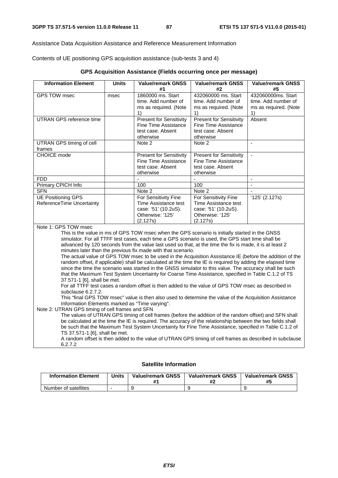Assistance Data Acquisition Assistance and Reference Measurement Information

Contents of UE positioning GPS acquisition assistance (sub-tests 3 and 4)

| GPS Acquisition Assistance (Fields occurring once per message) |  |  |  |
|----------------------------------------------------------------|--|--|--|
|                                                                |  |  |  |

| <b>Information Element</b>                                                                             | <b>Units</b> | <b>Value/remark GNSS</b>                                                                                    | <b>Value/remark GNSS</b>                               | <b>Value/remark GNSS</b> |  |
|--------------------------------------------------------------------------------------------------------|--------------|-------------------------------------------------------------------------------------------------------------|--------------------------------------------------------|--------------------------|--|
|                                                                                                        |              | #1                                                                                                          | #2                                                     | #5                       |  |
| <b>GPS TOW msec</b>                                                                                    | msec         | 1860000 ms. Start                                                                                           | 432060000 ms. Start                                    | 432060000ms. Start       |  |
|                                                                                                        |              | time. Add number of                                                                                         | time. Add number of                                    | time. Add number of      |  |
|                                                                                                        |              | ms as required. (Note                                                                                       | ms as required. (Note                                  | ms as required. (Note    |  |
| <b>UTRAN GPS reference time</b>                                                                        |              | 1)                                                                                                          | 1)                                                     | 1)<br>Absent             |  |
|                                                                                                        |              | <b>Present for Sensitivity</b>                                                                              | <b>Present for Sensitivity</b><br>Fine Time Assistance |                          |  |
|                                                                                                        |              | Fine Time Assistance<br>test case. Absent                                                                   | test case. Absent                                      |                          |  |
|                                                                                                        |              | otherwise                                                                                                   | otherwise                                              |                          |  |
| UTRAN GPS timing of cell                                                                               |              | Note 2                                                                                                      | Note 2                                                 | $\sim$                   |  |
| frames                                                                                                 |              |                                                                                                             |                                                        |                          |  |
| CHOICE mode                                                                                            |              | Present for Sensitivity                                                                                     | <b>Present for Sensitivity</b>                         | $\blacksquare$           |  |
|                                                                                                        |              | <b>Fine Time Assistance</b>                                                                                 | Fine Time Assistance                                   |                          |  |
|                                                                                                        |              | test case. Absent                                                                                           | test case. Absent                                      |                          |  |
|                                                                                                        |              | otherwise                                                                                                   | otherwise                                              |                          |  |
| <b>FDD</b>                                                                                             |              | ÷.                                                                                                          | $\overline{a}$                                         | $\mathbf{r}$             |  |
| Primary CPICH Info                                                                                     |              | 100                                                                                                         | 100                                                    |                          |  |
| <b>SFN</b>                                                                                             |              | Note 2                                                                                                      | Note 2                                                 | $\sim$                   |  |
| <b>UE Positioning GPS</b>                                                                              |              | For Sensitivity Fine                                                                                        | For Sensitivity Fine                                   | $'125'$ (2.127s)         |  |
| ReferenceTime Uncertainty                                                                              |              | Time Assistance test                                                                                        | Time Assistance test                                   |                          |  |
|                                                                                                        |              | case: '51' (10.2uS).<br>Otherwise: '125'                                                                    | case: '51' (10.2uS).<br>Otherwise: '125'               |                          |  |
|                                                                                                        |              | (2.127s)                                                                                                    | (2.127s)                                               |                          |  |
| Note 1: GPS TOW msec                                                                                   |              |                                                                                                             |                                                        |                          |  |
|                                                                                                        |              | This is the value in ms of GPS TOW msec when the GPS scenario is initially started in the GNSS              |                                                        |                          |  |
|                                                                                                        |              | simulator. For all TTFF test cases, each time a GPS scenario is used, the GPS start time shall be           |                                                        |                          |  |
|                                                                                                        |              | advanced by 120 seconds from the value last used so that, at the time the fix is made, it is at least 2     |                                                        |                          |  |
|                                                                                                        |              | minutes later than the previous fix made with that scenario.                                                |                                                        |                          |  |
|                                                                                                        |              | The actual value of GPS TOW msec to be used in the Acquisition Assistance IE (before the addition of the    |                                                        |                          |  |
|                                                                                                        |              | random offset, if applicable) shall be calculated at the time the IE is required by adding the elapsed time |                                                        |                          |  |
|                                                                                                        |              | since the time the scenario was started in the GNSS simulator to this value. The accuracy shall be such     |                                                        |                          |  |
|                                                                                                        |              | that the Maximum Test System Uncertainty for Coarse Time Assistance, specified in Table C.1.2 of TS         |                                                        |                          |  |
| 37.571-1 [6], shall be met.                                                                            |              | For all TTFF test cases a random offset is then added to the value of GPS TOW msec as described in          |                                                        |                          |  |
| subclause 6.2.7.2.                                                                                     |              |                                                                                                             |                                                        |                          |  |
| This "final GPS TOW msec" value is then also used to determine the value of the Acquisition Assistance |              |                                                                                                             |                                                        |                          |  |
| Information Elements marked as "Time varying".                                                         |              |                                                                                                             |                                                        |                          |  |
| Note 2: UTRAN GPS timing of cell frames and SFN                                                        |              |                                                                                                             |                                                        |                          |  |
|                                                                                                        |              | The values of UTRAN GPS timing of cell frames (before the addition of the random offset) and SFN shall      |                                                        |                          |  |
|                                                                                                        |              | be calculated at the time the IE is required. The accuracy of the relationship between the two fields shall |                                                        |                          |  |
|                                                                                                        |              | be such that the Maximum Test System Uncertainty for Fine Time Assistance, specified in Table C.1.2 of      |                                                        |                          |  |
| TS 37.571-1 [6], shall be met.                                                                         |              |                                                                                                             |                                                        |                          |  |
|                                                                                                        |              | A random offset is then added to the value of UTRAN GPS timing of cell frames as described in subclause     |                                                        |                          |  |
| 6.2.7.2                                                                                                |              |                                                                                                             |                                                        |                          |  |

## **Satellite Information**

| <b>Information Element</b> | Units | <b>Value/remark GNSS</b> | <b>Value/remark GNSS</b> | <b>Value/remark GNSS</b><br>#5 |
|----------------------------|-------|--------------------------|--------------------------|--------------------------------|
| Number of satellites       |       |                          |                          |                                |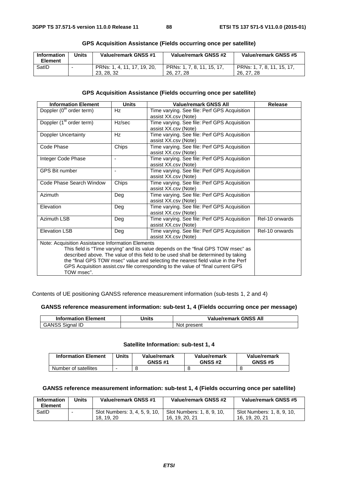| <b>Information</b><br>Element | Units | Value/remark GNSS #1                      | Value/remark GNSS #2                     | Value/remark GNSS #5                     |
|-------------------------------|-------|-------------------------------------------|------------------------------------------|------------------------------------------|
| SatID                         | -     | PRNs: 1, 4, 11, 17, 19, 20,<br>23, 28, 32 | PRNs: 1, 7, 8, 11, 15, 17,<br>26, 27, 28 | PRNs: 1, 7, 8, 11, 15, 17,<br>26, 27, 28 |

### **GPS Acquisition Assistance (Fields occurring once per satellite)**

## **GPS Acquisition Assistance (Fields occurring once per satellite)**

| <b>Information Element</b>                                                        | <b>Units</b>             | <b>Value/remark GNSS All</b>                                                     | <b>Release</b> |  |  |  |  |
|-----------------------------------------------------------------------------------|--------------------------|----------------------------------------------------------------------------------|----------------|--|--|--|--|
| Doppler (0 <sup>th</sup> order term)                                              | Hz                       | Time varying. See file: Perf GPS Acquisition                                     |                |  |  |  |  |
|                                                                                   |                          | assist XX.csv (Note)                                                             |                |  |  |  |  |
| Doppler (1 <sup>st</sup> order term)                                              | Hz/sec                   | Time varying. See file: Perf GPS Acquisition                                     |                |  |  |  |  |
|                                                                                   |                          | assist XX.csv (Note)                                                             |                |  |  |  |  |
| Doppler Uncertainty                                                               | Hz                       | Time varying. See file: Perf GPS Acquisition                                     |                |  |  |  |  |
|                                                                                   |                          | assist XX.csv (Note)                                                             |                |  |  |  |  |
| Code Phase                                                                        | Chips                    | Time varying. See file: Perf GPS Acquisition                                     |                |  |  |  |  |
|                                                                                   |                          | assist XX.csv (Note)                                                             |                |  |  |  |  |
| Integer Code Phase                                                                | $\overline{\phantom{a}}$ | Time varying. See file: Perf GPS Acquisition                                     |                |  |  |  |  |
|                                                                                   |                          | assist XX.csv (Note)                                                             |                |  |  |  |  |
| <b>GPS Bit number</b>                                                             | ä,                       | Time varying. See file: Perf GPS Acquisition                                     |                |  |  |  |  |
|                                                                                   |                          | assist XX.csv (Note)                                                             |                |  |  |  |  |
| Code Phase Search Window                                                          | Chips                    | Time varying. See file: Perf GPS Acquisition                                     |                |  |  |  |  |
|                                                                                   |                          | assist XX.csv (Note)                                                             |                |  |  |  |  |
| Azimuth                                                                           | Deg                      | Time varying. See file: Perf GPS Acquisition                                     |                |  |  |  |  |
|                                                                                   |                          | assist XX.csv (Note)                                                             |                |  |  |  |  |
| Elevation                                                                         | Deg                      | Time varying. See file: Perf GPS Acquisition                                     |                |  |  |  |  |
|                                                                                   |                          | assist XX.csv (Note)                                                             |                |  |  |  |  |
| Azimuth LSB                                                                       | Deg                      | Time varying. See file: Perf GPS Acquisition                                     | Rel-10 onwards |  |  |  |  |
|                                                                                   |                          | assist XX.csv (Note)                                                             |                |  |  |  |  |
| <b>Elevation LSB</b>                                                              | Deg                      | Time varying. See file: Perf GPS Acquisition                                     | Rel-10 onwards |  |  |  |  |
|                                                                                   |                          | assist XX.csv (Note)                                                             |                |  |  |  |  |
| Note: Acquisition Assistance Information Elements                                 |                          |                                                                                  |                |  |  |  |  |
| This field is "Time varying" and its value depends on the "final GPS TOW msec" as |                          |                                                                                  |                |  |  |  |  |
| described above. The value of this field to be used shall be determined by taking |                          |                                                                                  |                |  |  |  |  |
|                                                                                   |                          | the "final GPS TOW msec" value and selecting the nearest field value in the Perf |                |  |  |  |  |
|                                                                                   |                          | GPS Acquisition assist.csv file corresponding to the value of "final current GPS |                |  |  |  |  |
| TOW msec".                                                                        |                          |                                                                                  |                |  |  |  |  |

Contents of UE positioning GANSS reference measurement information (sub-tests 1, 2 and 4)

### **GANSS reference measurement information: sub-test 1, 4 (Fields occurring once per message)**

| <b>Information Element</b> | Jnits | <b>Value/remark GNSS All</b> |
|----------------------------|-------|------------------------------|
| <b>GANSS Signal ID</b>     |       | Not present                  |

## **Satellite Information: sub-test 1, 4**

| <b>Information Element</b> | Units | Value/remark<br><b>GNSS #1</b> | Value/remark<br><b>GNSS #2</b> | Value/remark<br><b>GNSS #5</b> |
|----------------------------|-------|--------------------------------|--------------------------------|--------------------------------|
| Number of satellites       |       |                                |                                |                                |

## **GANSS reference measurement information: sub-test 1, 4 (Fields occurring once per satellite)**

| <b>Information</b><br>Element | Units | Value/remark GNSS #1                      | Value/remark GNSS #2                         | Value/remark GNSS #5                         |
|-------------------------------|-------|-------------------------------------------|----------------------------------------------|----------------------------------------------|
| SatID                         |       | Slot Numbers: 3, 4, 5, 9, 10,<br>18.19.20 | Slot Numbers: 1, 8, 9, 10,<br>16, 19, 20, 21 | Slot Numbers: 1, 8, 9, 10,<br>16, 19, 20, 21 |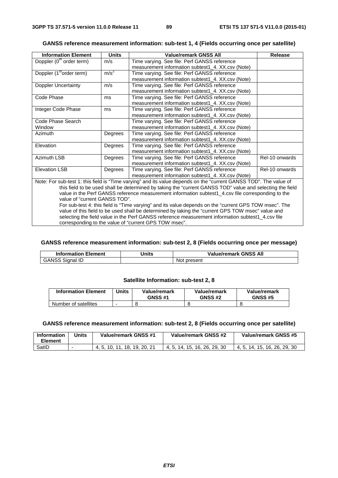| GANSS reference measurement information: sub-test 1, 4 (Fields occurring once per satellite) |  |  |  |
|----------------------------------------------------------------------------------------------|--|--|--|
|----------------------------------------------------------------------------------------------|--|--|--|

| <b>Information Element</b>           | <b>Units</b>                                                                                                      | Value/remark GNSS All                             | Release        |  |  |
|--------------------------------------|-------------------------------------------------------------------------------------------------------------------|---------------------------------------------------|----------------|--|--|
| Doppler $(0th order term)$           | m/s                                                                                                               | Time varying. See file: Perf GANSS reference      |                |  |  |
|                                      |                                                                                                                   | measurement information subtest1_4. XX.csv (Note) |                |  |  |
| Doppler (1 <sup>st</sup> order term) | m/s <sup>2</sup>                                                                                                  | Time varying. See file: Perf GANSS reference      |                |  |  |
|                                      |                                                                                                                   | measurement information subtest1_4. XX.csv (Note) |                |  |  |
| Doppler Uncertainty                  | m/s                                                                                                               | Time varying. See file: Perf GANSS reference      |                |  |  |
|                                      |                                                                                                                   | measurement information subtest1_4. XX.csv (Note) |                |  |  |
| Code Phase                           | ms                                                                                                                | Time varying. See file: Perf GANSS reference      |                |  |  |
|                                      |                                                                                                                   | measurement information subtest1 4. XX.csv (Note) |                |  |  |
| Integer Code Phase                   | ms                                                                                                                | Time varying. See file: Perf GANSS reference      |                |  |  |
|                                      |                                                                                                                   | measurement information subtest1_4. XX.csv (Note) |                |  |  |
| Code Phase Search                    |                                                                                                                   | Time varying. See file: Perf GANSS reference      |                |  |  |
| Window                               |                                                                                                                   | measurement information subtest1_4. XX.csv (Note) |                |  |  |
| <b>Azimuth</b>                       | Degrees                                                                                                           | Time varying. See file: Perf GANSS reference      |                |  |  |
|                                      |                                                                                                                   | measurement information subtest1_4. XX.csv (Note) |                |  |  |
| Elevation                            | Degrees                                                                                                           | Time varying. See file: Perf GANSS reference      |                |  |  |
|                                      |                                                                                                                   | measurement information subtest1 4. XX.csv (Note) |                |  |  |
| <b>Azimuth LSB</b>                   | Degrees                                                                                                           | Time varying. See file: Perf GANSS reference      | Rel-10 onwards |  |  |
|                                      |                                                                                                                   | measurement information subtest1_4. XX.csv (Note) |                |  |  |
| <b>Elevation LSB</b>                 | Degrees                                                                                                           | Time varying. See file: Perf GANSS reference      | Rel-10 onwards |  |  |
|                                      |                                                                                                                   | measurement information subtest1_4. XX.csv (Note) |                |  |  |
|                                      | Note: For sub-test 1: this field is "Time varying" and its value depends on the "current GANSS TOD". The value of |                                                   |                |  |  |

this field to be used shall be determined by taking the "current GANSS TOD" value and selecting the field value in the Perf GANSS reference measurement information subtest1\_4.csv file corresponding to the value of "current GANSS TOD".

For sub-test 4: this field is "Time varying" and its value depends on the "current GPS TOW msec". The value of this field to be used shall be determined by taking the "current GPS TOW msec" value and selecting the field value in the Perf GANSS reference measurement information subtest1\_4.csv file corresponding to the value of "current GPS TOW msec".

### **GANSS reference measurement information: sub-test 2, 8 (Fields occurring once per message)**

| Information<br>Element             | <b>Inits</b> | 3 All<br><b>GNSS</b><br>Value/remark |
|------------------------------------|--------------|--------------------------------------|
| - 11<br>ANS.<br>sianal<br>ᄔ<br>כטע |              | present<br>NO                        |

#### **Satellite Information: sub-test 2, 8**

| <b>Information Element</b> | Jnits | Value/remark<br><b>GNSS #1</b> | Value/remark<br><b>GNSS #2</b> | Value/remark<br><b>GNSS #5</b> |
|----------------------------|-------|--------------------------------|--------------------------------|--------------------------------|
| Number of satellites       |       |                                |                                |                                |

#### **GANSS reference measurement information: sub-test 2, 8 (Fields occurring once per satellite)**

| Information<br>Element | Units | Value/remark GNSS #1       | Value/remark GNSS #2         | Value/remark GNSS #5              |
|------------------------|-------|----------------------------|------------------------------|-----------------------------------|
| SatID                  |       | . 18. 19. 20. 21<br>10.11. | 4, 5, 14, 15, 16, 26, 29, 30 | . 16. 26. 29. 30<br>4, 5, 14, 15, |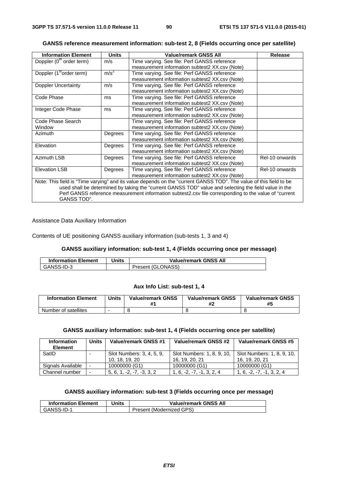| <b>Information Element</b>                                                                                         | <b>Units</b>     | <b>Value/remark GNSS All</b>                   | <b>Release</b> |  |
|--------------------------------------------------------------------------------------------------------------------|------------------|------------------------------------------------|----------------|--|
| Doppler (0 <sup>th</sup> order term)                                                                               | m/s              | Time varying. See file: Perf GANSS reference   |                |  |
|                                                                                                                    |                  | measurement information subtest2 XX.csv (Note) |                |  |
| Doppler (1 <sup>st</sup> order term)                                                                               | m/s <sup>2</sup> | Time varying. See file: Perf GANSS reference   |                |  |
|                                                                                                                    |                  | measurement information subtest2 XX.csv (Note) |                |  |
| Doppler Uncertainty                                                                                                | m/s              | Time varying. See file: Perf GANSS reference   |                |  |
|                                                                                                                    |                  | measurement information subtest2 XX.csv (Note) |                |  |
| Code Phase                                                                                                         | ms               | Time varying. See file: Perf GANSS reference   |                |  |
|                                                                                                                    |                  | measurement information subtest2 XX.csv (Note) |                |  |
| Integer Code Phase                                                                                                 | ms               | Time varying. See file: Perf GANSS reference   |                |  |
|                                                                                                                    |                  | measurement information subtest2 XX.csv (Note) |                |  |
| Code Phase Search                                                                                                  |                  | Time varying. See file: Perf GANSS reference   |                |  |
| Window                                                                                                             |                  | measurement information subtest2 XX.csv (Note) |                |  |
| <b>Azimuth</b>                                                                                                     | Degrees          | Time varying. See file: Perf GANSS reference   |                |  |
|                                                                                                                    |                  | measurement information subtest2 XX.csv (Note) |                |  |
| Elevation                                                                                                          | Degrees          | Time varying. See file: Perf GANSS reference   |                |  |
|                                                                                                                    |                  | measurement information subtest2 XX.csv (Note) |                |  |
| <b>Azimuth LSB</b>                                                                                                 | Degrees          | Time varying. See file: Perf GANSS reference   | Rel-10 onwards |  |
|                                                                                                                    |                  | measurement information subtest2 XX.csv (Note) |                |  |
| <b>Elevation LSB</b>                                                                                               | Degrees          | Time varying. See file: Perf GANSS reference   | Rel-10 onwards |  |
|                                                                                                                    |                  | measurement information subtest2 XX.csv (Note) |                |  |
| Note: This field is "Time varying" and its value depends on the "current GANSS TOD". The value of this field to be |                  |                                                |                |  |
| used shall be determined by taking the "current GANSS TOD" value and selecting the field value in the              |                  |                                                |                |  |
| Perf GANSS reference measurement information subtest2.csv file corresponding to the value of "current"             |                  |                                                |                |  |

#### **GANSS reference measurement information: sub-test 2, 8 (Fields occurring once per satellite)**

Assistance Data Auxiliary Information

GANSS TOD".

Contents of UE positioning GANSS auxiliary information (sub-tests 1, 3 and 4)

### **GANSS auxiliary information: sub-test 1, 4 (Fields occurring once per message)**

| <b>Information Element</b> | Jnits | <b>Value/remark GNSS All</b> |
|----------------------------|-------|------------------------------|
| GANSS-ID-3                 |       | Present (GLONASS)            |

#### **Aux Info List: sub-test 1, 4**

| <b>Information Element</b> | Units | <b>Value/remark GNSS</b> | <b>Value/remark GNSS</b><br>#2 | <b>Value/remark GNSS</b><br>#5 |
|----------------------------|-------|--------------------------|--------------------------------|--------------------------------|
| Number of satellites       |       |                          |                                |                                |

# **GANSS auxiliary information: sub-test 1, 4 (Fields occurring once per satellite)**

| <b>Information</b><br><b>Element</b> | Units                    | Value/remark GNSS #1        | Value/remark GNSS #2        | Value/remark GNSS #5        |
|--------------------------------------|--------------------------|-----------------------------|-----------------------------|-----------------------------|
| SatID                                |                          | Slot Numbers: 3, 4, 5, 9,   | Slot Numbers: 1, 8, 9, 10,  | Slot Numbers: 1, 8, 9, 10,  |
|                                      |                          | 10, 18, 19, 20              | 16, 19, 20, 21              | 16, 19, 20, 21              |
| Signals Available                    |                          | 10000000 (G1)               | 10000000 (G1)               | 10000000 (G1)               |
| Channel number                       | $\overline{\phantom{a}}$ | $5, 6, 1, -2, -7, -3, 3, 2$ | $1, 6, -2, -7, -1, 3, 2, 4$ | $1, 6, -2, -7, -1, 3, 2, 4$ |

## **GANSS auxiliary information: sub-test 3 (Fields occurring once per message)**

| <b>Information Element</b> | Jnits | <b>Value/remark GNSS All</b> |
|----------------------------|-------|------------------------------|
| GANSS-ID-1                 |       | Present (Modernized GPS)     |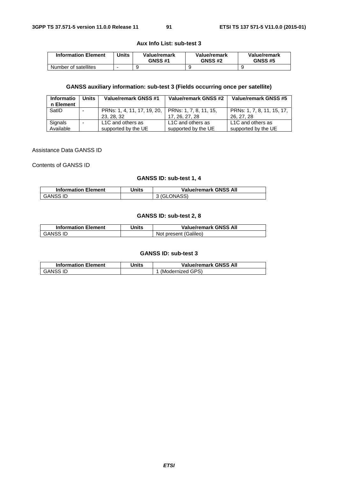### **Aux Info List: sub-test 3**

| <b>Information Element</b> | Units | Value/remark<br><b>GNSS #1</b> | Value/remark<br><b>GNSS #2</b> | Value/remark<br><b>GNSS #5</b> |
|----------------------------|-------|--------------------------------|--------------------------------|--------------------------------|
| Number of satellites       |       |                                |                                |                                |

## **GANSS auxiliary information: sub-test 3 (Fields occurring once per satellite)**

| Informatio<br>n Element | Units | Value/remark GNSS #1                                             | Value/remark GNSS #2                     | Value/remark GNSS #5                     |
|-------------------------|-------|------------------------------------------------------------------|------------------------------------------|------------------------------------------|
| SatID                   |       | PRNs: 1, 4, 11, 17, 19, 20, PRNs: 1, 7, 8, 11, 15,<br>23, 28, 32 | 17, 26, 27, 28                           | PRNs: 1, 7, 8, 11, 15, 17,<br>26, 27, 28 |
| Signals<br>Available    |       | L1C and others as<br>supported by the UE                         | L1C and others as<br>supported by the UE | L1C and others as<br>supported by the UE |

#### Assistance Data GANSS ID

Contents of GANSS ID

# **GANSS ID: sub-test 1, 4**

| <b>Information Element</b> | Jnits | <b>Value/remark GNSS All</b> |
|----------------------------|-------|------------------------------|
| GANSS ID                   |       | 3 (GLONASS)                  |

### **GANSS ID: sub-test 2, 8**

| <b>Information Element</b> | Units | <b>Value/remark GNSS All</b> |
|----------------------------|-------|------------------------------|
| GANSS ID                   |       | Not present (Galileo)        |

### **GANSS ID: sub-test 3**

| <b>Information Element</b> | Units | <b>Value/remark GNSS All</b> |
|----------------------------|-------|------------------------------|
| <b>GANSS ID</b>            |       | (Modernized GPS)             |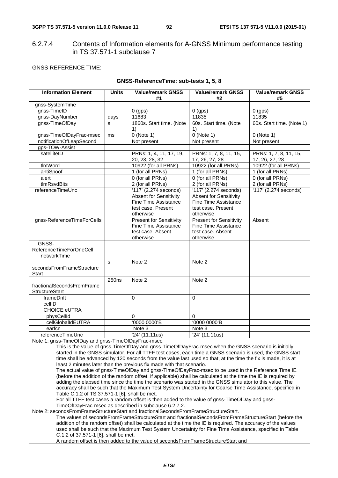# 6.2.7.4 Contents of Information elements for A-GNSS Minimum performance testing in TS 37.571-1 subclause 7

### GNSS REFERENCE TIME:

| <b>Information Element</b> | <b>Units</b>      | Value/remark GNSS              | <b>Value/remark GNSS</b>       | <b>Value/remark GNSS</b>      |
|----------------------------|-------------------|--------------------------------|--------------------------------|-------------------------------|
|                            |                   | #1                             | #2                             | #5                            |
| gnss-SystemTime            |                   |                                |                                |                               |
| gnss-TimeID                |                   | $0$ (gps)                      | $0$ (gps)                      | $0$ (gps)                     |
| gnss-DayNumber             | days              | 11683                          | 11835                          | 11835                         |
| gnss-TimeOfDay             | s                 | 1860s. Start time. (Note       | 60s. Start time. (Note         | 60s. Start time. (Note 1)     |
|                            |                   | 1)                             | 1)                             |                               |
| gnss-TimeOfDayFrac-msec    | ms                | $0$ (Note 1)                   | $0$ (Note 1)                   | $0$ (Note 1)                  |
| notificationOfLeapSecond   |                   | Not present                    | Not present                    | Not present                   |
| gps-TOW-Assist             |                   |                                |                                |                               |
| satelliteID                |                   | PRNs: 1, 4, 11, 17, 19,        | PRNs: 1, 7, 8, 11, 15,         | PRNs: 1, 7, 8, 11, 15,        |
|                            |                   | 20, 23, 28, 32                 | 17, 26, 27, 28                 | 17, 26, 27, 28                |
| tlmWord                    |                   | 10922 (for all PRNs)           | 10922 (for all PRNs)           | 10922 (for all PRNs)          |
| antiSpoof                  |                   | 1 (for all PRNs)               | $\overline{1}$ (for all PRNs)  | $\overline{1}$ (for all PRNs) |
| alert                      |                   | 0 (for all PRNs)               | 0 (for all PRNs)               | 0 (for all PRNs)              |
| tlmRsvdBits                |                   | 2 (for all PRNs)               | 2 (for all PRNs)               | 2 (for all PRNs)              |
| referenceTimeUnc           |                   | 117' (2.274 seconds)           | '117' (2.274 seconds)          | 117' (2.274 seconds)          |
|                            |                   | <b>Absent for Sensitivity</b>  | <b>Absent for Sensitivity</b>  |                               |
|                            |                   | Fine Time Assistance           | Fine Time Assistance           |                               |
|                            |                   | test case. Present             | test case. Present             |                               |
|                            |                   | otherwise                      | otherwise                      |                               |
| gnss-ReferenceTimeForCells |                   | <b>Present for Sensitivity</b> | <b>Present for Sensitivity</b> | Absent                        |
|                            |                   | Fine Time Assistance           | Fine Time Assistance           |                               |
|                            |                   | test case. Absent              | test case. Absent              |                               |
|                            |                   | otherwise                      | otherwise                      |                               |
| GNSS-                      |                   |                                |                                |                               |
| ReferenceTimeForOneCell    |                   |                                |                                |                               |
| networkTime                |                   |                                |                                |                               |
|                            | S                 | Note 2                         | Note 2                         |                               |
| secondsFromFrameStructure  |                   |                                |                                |                               |
| <b>Start</b>               |                   |                                |                                |                               |
|                            | 250 <sub>ns</sub> | Note 2                         | Note 2                         |                               |
| fractionalSecondsFromFrame |                   |                                |                                |                               |
| <b>StructureStart</b>      |                   |                                |                                |                               |
| frameDrift                 |                   | $\Omega$                       | $\mathbf 0$                    |                               |
| cellID                     |                   |                                |                                |                               |
| <b>CHOICE eUTRA</b>        |                   |                                |                                |                               |
| physCellId                 |                   | $\Omega$                       | $\Omega$                       |                               |
| cellGlobalIdEUTRA          |                   | '0000 0000'B                   | '0000 0000'B                   |                               |
| earfcn                     |                   | Note 3                         | Note 3                         |                               |
| referenceTimeUnc           |                   | 24' (11.11us)                  | '24' (11.11us)                 |                               |

### **GNSS-ReferenceTime: sub-tests 1, 5, 8**

Note 1: gnss-TimeOfDay and gnss-TimeOfDayFrac-msec.

This is the value of gnss-TimeOfDay and gnss-TimeOfDayFrac-msec when the GNSS scenario is initially started in the GNSS simulator. For all TTFF test cases, each time a GNSS scenario is used, the GNSS start time shall be advanced by 120 seconds from the value last used so that, at the time the fix is made, it is at least 2 minutes later than the previous fix made with that scenario.

The actual value of gnss-TimeOfDay and gnss-TimeOfDayFrac-msec to be used in the Reference Time IE (before the addition of the random offset, if applicable) shall be calculated at the time the IE is required by adding the elapsed time since the time the scenario was started in the GNSS simulator to this value. The accuracy shall be such that the Maximum Test System Uncertainty for Coarse Time Assistance, specified in Table C.1.2 of TS 37.571-1 [6], shall be met.

For all TTFF test cases a random offset is then added to the value of gnss-TimeOfDay and gnss-TimeOfDayFrac-msec as described in subclause 6.2.7.2.

Note 2: secondsFromFrameStructureStart and fractionalSecondsFromFrameStructureStart.

The values of secondsFromFrameStructureStart and fractionalSecondsFromFrameStructureStart (before the addition of the random offset) shall be calculated at the time the IE is required. The accuracy of the values used shall be such that the Maximum Test System Uncertainty for Fine Time Assistance, specified in Table C.1.2 of 37.571-1 [6], shall be met.

A random offset is then added to the value of secondsFromFrameStructureStart and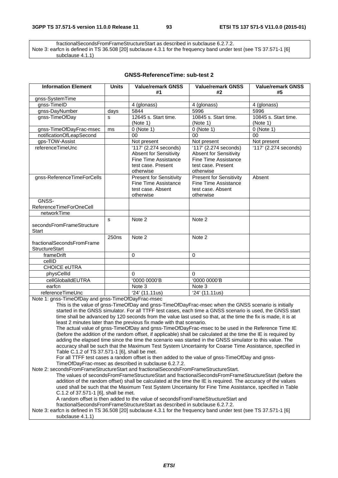fractionalSecondsFromFrameStructureStart as described in subclause 6.2.7.2. Note 3: earfcn is defined in TS 36.508 [20] subclause 4.3.1 for the frequency band under test (see TS 37.571-1 [6] subclause 4.1.1)

| <b>GNSS-ReferenceTime: sub-test 2</b> |  |
|---------------------------------------|--|
|---------------------------------------|--|

| <b>Information Element</b>                         | <b>Units</b>      | <b>Value/remark GNSS</b><br>#1 | <b>Value/remark GNSS</b><br>#2 | <b>Value/remark GNSS</b><br>#5 |  |  |  |
|----------------------------------------------------|-------------------|--------------------------------|--------------------------------|--------------------------------|--|--|--|
| gnss-SystemTime                                    |                   |                                |                                |                                |  |  |  |
| gnss-TimeID                                        |                   | 4 (glonass)                    | 4 (glonass)                    | 4 (glonass)                    |  |  |  |
|                                                    |                   | 5844                           | 5996                           | 5996                           |  |  |  |
| gnss-DayNumber                                     | days              | 12645 s. Start time.           | 10845 s. Start time.           | 10845 s. Start time.           |  |  |  |
| gnss-TimeOfDay                                     | s                 |                                |                                |                                |  |  |  |
|                                                    |                   | (Note 1)                       | (Note 1)                       | (Note 1)                       |  |  |  |
| gnss-TimeOfDayFrac-msec                            | ms                | $0$ (Note 1)                   | $0$ (Note 1)                   | $0$ (Note 1)                   |  |  |  |
| notificationOfLeapSecond                           |                   | 00                             | 00                             | $00\,$                         |  |  |  |
| gps-TOW-Assist                                     |                   | Not present                    | Not present                    | Not present                    |  |  |  |
| referenceTimeUnc                                   |                   | '117' (2.274 seconds)          | '117' (2.274 seconds)          | $'117'$ (2.274 seconds)        |  |  |  |
|                                                    |                   | <b>Absent for Sensitivity</b>  | <b>Absent for Sensitivity</b>  |                                |  |  |  |
|                                                    |                   | Fine Time Assistance           | Fine Time Assistance           |                                |  |  |  |
|                                                    |                   | test case. Present             | test case. Present             |                                |  |  |  |
|                                                    |                   | otherwise                      | otherwise                      |                                |  |  |  |
| gnss-ReferenceTimeForCells                         |                   | <b>Present for Sensitivity</b> | <b>Present for Sensitivity</b> | Absent                         |  |  |  |
|                                                    |                   | Fine Time Assistance           | <b>Fine Time Assistance</b>    |                                |  |  |  |
|                                                    |                   | test case. Absent              | test case. Absent              |                                |  |  |  |
|                                                    |                   | otherwise                      | otherwise                      |                                |  |  |  |
| GNSS-                                              |                   |                                |                                |                                |  |  |  |
| ReferenceTimeForOneCell                            |                   |                                |                                |                                |  |  |  |
| networkTime                                        |                   |                                |                                |                                |  |  |  |
|                                                    | s.                | Note 2                         | Note 2                         |                                |  |  |  |
| secondsFromFrameStructure                          |                   |                                |                                |                                |  |  |  |
| Start                                              |                   |                                |                                |                                |  |  |  |
|                                                    | 250 <sub>ns</sub> | Note 2                         | Note 2                         |                                |  |  |  |
| fractionalSecondsFromFrame                         |                   |                                |                                |                                |  |  |  |
| <b>StructureStart</b>                              |                   |                                |                                |                                |  |  |  |
| frameDrift                                         |                   | $\Omega$                       | $\Omega$                       |                                |  |  |  |
| cellID                                             |                   |                                |                                |                                |  |  |  |
| <b>CHOICE eUTRA</b>                                |                   |                                |                                |                                |  |  |  |
| physCellId                                         |                   | $\Omega$                       | $\Omega$                       |                                |  |  |  |
| cellGlobalIdEUTRA                                  |                   | '0000 0000'B                   | '0000 0000'B                   |                                |  |  |  |
| earfcn                                             |                   | Note 3                         | Note 3                         |                                |  |  |  |
| referenceTimeUnc                                   |                   | '24' (11.11us)                 | $\sqrt{24'}$ (11.11us)         |                                |  |  |  |
| Note 1: gnss-TimeOfDay and gnss-TimeOfDayFrac-msec |                   |                                |                                |                                |  |  |  |

This is the value of gnss-TimeOfDay and gnss-TimeOfDayFrac-msec when the GNSS scenario is initially started in the GNSS simulator. For all TTFF test cases, each time a GNSS scenario is used, the GNSS start time shall be advanced by 120 seconds from the value last used so that, at the time the fix is made, it is at least 2 minutes later than the previous fix made with that scenario.

The actual value of gnss-TimeOfDay and gnss-TimeOfDayFrac-msec to be used in the Reference Time IE (before the addition of the random offset, if applicable) shall be calculated at the time the IE is required by adding the elapsed time since the time the scenario was started in the GNSS simulator to this value. The accuracy shall be such that the Maximum Test System Uncertainty for Coarse Time Assistance, specified in Table C.1.2 of TS 37.571-1 [6], shall be met.

For all TTFF test cases a random offset is then added to the value of gnss-TimeOfDay and gnss-

TimeOfDayFrac-msec as described in subclause 6.2.7.2.

Note 2: secondsFromFrameStructureStart and fractionalSecondsFromFrameStructureStart.

The values of secondsFromFrameStructureStart and fractionalSecondsFromFrameStructureStart (before the addition of the random offset) shall be calculated at the time the IE is required. The accuracy of the values used shall be such that the Maximum Test System Uncertainty for Fine Time Assistance, specified in Table C.1.2 of 37.571-1 [6], shall be met.

A random offset is then added to the value of secondsFromFrameStructureStart and

fractionalSecondsFromFrameStructureStart as described in subclause 6.2.7.2.

Note 3: earfcn is defined in TS 36.508 [20] subclause 4.3.1 for the frequency band under test (see TS 37.571-1 [6] subclause 4.1.1)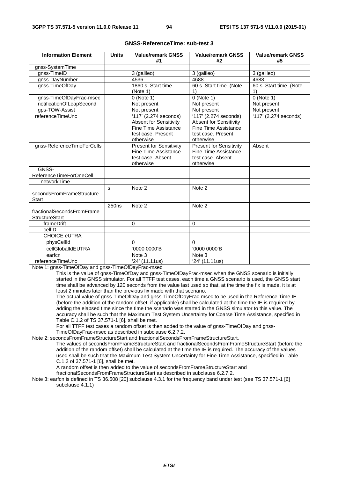| <b>Information Element</b>                                                                                                                                                                                                                                                                                                                                                                                                                                                                                                                                                                                                                                                                                                                                                                                                                                                                                                                                                                                                                                          | <b>Units</b>      | <b>Value/remark GNSS</b><br>#1                                                                                             | <b>Value/remark GNSS</b><br>#2                                                                                          | <b>Value/remark GNSS</b><br>#5 |  |
|---------------------------------------------------------------------------------------------------------------------------------------------------------------------------------------------------------------------------------------------------------------------------------------------------------------------------------------------------------------------------------------------------------------------------------------------------------------------------------------------------------------------------------------------------------------------------------------------------------------------------------------------------------------------------------------------------------------------------------------------------------------------------------------------------------------------------------------------------------------------------------------------------------------------------------------------------------------------------------------------------------------------------------------------------------------------|-------------------|----------------------------------------------------------------------------------------------------------------------------|-------------------------------------------------------------------------------------------------------------------------|--------------------------------|--|
| gnss-SystemTime                                                                                                                                                                                                                                                                                                                                                                                                                                                                                                                                                                                                                                                                                                                                                                                                                                                                                                                                                                                                                                                     |                   |                                                                                                                            |                                                                                                                         |                                |  |
| gnss-TimeID                                                                                                                                                                                                                                                                                                                                                                                                                                                                                                                                                                                                                                                                                                                                                                                                                                                                                                                                                                                                                                                         |                   | 3 (galileo)                                                                                                                | 3 (galileo)                                                                                                             | 3 (galileo)                    |  |
| gnss-DayNumber                                                                                                                                                                                                                                                                                                                                                                                                                                                                                                                                                                                                                                                                                                                                                                                                                                                                                                                                                                                                                                                      |                   | 4536                                                                                                                       | 4688                                                                                                                    | 4688                           |  |
| gnss-TimeOfDay                                                                                                                                                                                                                                                                                                                                                                                                                                                                                                                                                                                                                                                                                                                                                                                                                                                                                                                                                                                                                                                      |                   | 1860 s. Start time.<br>(Note 1)                                                                                            | 60 s. Start time. (Note<br>1)                                                                                           | 60 s. Start time. (Note<br>1)  |  |
| gnss-TimeOfDayFrac-msec                                                                                                                                                                                                                                                                                                                                                                                                                                                                                                                                                                                                                                                                                                                                                                                                                                                                                                                                                                                                                                             |                   | $0$ (Note 1)                                                                                                               | $0$ (Note 1)                                                                                                            | $0$ (Note 1)                   |  |
| notificationOfLeapSecond                                                                                                                                                                                                                                                                                                                                                                                                                                                                                                                                                                                                                                                                                                                                                                                                                                                                                                                                                                                                                                            |                   | Not present                                                                                                                | Not present                                                                                                             | Not present                    |  |
| gps-TOW-Assist                                                                                                                                                                                                                                                                                                                                                                                                                                                                                                                                                                                                                                                                                                                                                                                                                                                                                                                                                                                                                                                      |                   | Not present                                                                                                                | Not present                                                                                                             | Not present                    |  |
| referenceTimeUnc                                                                                                                                                                                                                                                                                                                                                                                                                                                                                                                                                                                                                                                                                                                                                                                                                                                                                                                                                                                                                                                    |                   | $'117'$ (2.274 seconds)<br><b>Absent for Sensitivity</b><br><b>Fine Time Assistance</b><br>test case. Present<br>otherwise | 117' (2.274 seconds)<br><b>Absent for Sensitivity</b><br><b>Fine Time Assistance</b><br>test case. Present<br>otherwise | '117' (2.274 seconds)          |  |
| gnss-ReferenceTimeForCells                                                                                                                                                                                                                                                                                                                                                                                                                                                                                                                                                                                                                                                                                                                                                                                                                                                                                                                                                                                                                                          |                   | <b>Present for Sensitivity</b><br>Fine Time Assistance<br>test case. Absent<br>otherwise                                   | <b>Present for Sensitivity</b><br>Fine Time Assistance<br>test case. Absent<br>otherwise                                | Absent                         |  |
| GNSS-                                                                                                                                                                                                                                                                                                                                                                                                                                                                                                                                                                                                                                                                                                                                                                                                                                                                                                                                                                                                                                                               |                   |                                                                                                                            |                                                                                                                         |                                |  |
| ReferenceTimeForOneCell                                                                                                                                                                                                                                                                                                                                                                                                                                                                                                                                                                                                                                                                                                                                                                                                                                                                                                                                                                                                                                             |                   |                                                                                                                            |                                                                                                                         |                                |  |
| networkTime                                                                                                                                                                                                                                                                                                                                                                                                                                                                                                                                                                                                                                                                                                                                                                                                                                                                                                                                                                                                                                                         |                   |                                                                                                                            |                                                                                                                         |                                |  |
| secondsFromFrameStructure<br>Start                                                                                                                                                                                                                                                                                                                                                                                                                                                                                                                                                                                                                                                                                                                                                                                                                                                                                                                                                                                                                                  | s                 | Note 2                                                                                                                     | Note 2                                                                                                                  |                                |  |
| fractionalSecondsFromFrame<br><b>StructureStart</b>                                                                                                                                                                                                                                                                                                                                                                                                                                                                                                                                                                                                                                                                                                                                                                                                                                                                                                                                                                                                                 | 250 <sub>ns</sub> | Note 2                                                                                                                     | Note 2                                                                                                                  |                                |  |
| frameDrift                                                                                                                                                                                                                                                                                                                                                                                                                                                                                                                                                                                                                                                                                                                                                                                                                                                                                                                                                                                                                                                          |                   | $\Omega$                                                                                                                   | $\Omega$                                                                                                                |                                |  |
| cellID                                                                                                                                                                                                                                                                                                                                                                                                                                                                                                                                                                                                                                                                                                                                                                                                                                                                                                                                                                                                                                                              |                   |                                                                                                                            |                                                                                                                         |                                |  |
| <b>CHOICE eUTRA</b>                                                                                                                                                                                                                                                                                                                                                                                                                                                                                                                                                                                                                                                                                                                                                                                                                                                                                                                                                                                                                                                 |                   |                                                                                                                            |                                                                                                                         |                                |  |
| physCellId                                                                                                                                                                                                                                                                                                                                                                                                                                                                                                                                                                                                                                                                                                                                                                                                                                                                                                                                                                                                                                                          |                   | $\Omega$                                                                                                                   | 0                                                                                                                       |                                |  |
| cellGlobalIdEUTRA                                                                                                                                                                                                                                                                                                                                                                                                                                                                                                                                                                                                                                                                                                                                                                                                                                                                                                                                                                                                                                                   |                   | '0000 0000'B                                                                                                               | '0000 0000'B                                                                                                            |                                |  |
| earfcn                                                                                                                                                                                                                                                                                                                                                                                                                                                                                                                                                                                                                                                                                                                                                                                                                                                                                                                                                                                                                                                              |                   | Note 3                                                                                                                     | Note 3                                                                                                                  |                                |  |
| referenceTimeUnc                                                                                                                                                                                                                                                                                                                                                                                                                                                                                                                                                                                                                                                                                                                                                                                                                                                                                                                                                                                                                                                    |                   | $\sqrt{24'}$ (11.11us)                                                                                                     | $\sqrt{24'}$ (11.11us)                                                                                                  |                                |  |
| Note 1: gnss-TimeOfDay and gnss-TimeOfDayFrac-msec<br>This is the value of gnss-TimeOfDay and gnss-TimeOfDayFrac-msec when the GNSS scenario is initially<br>started in the GNSS simulator. For all TTFF test cases, each time a GNSS scenario is used, the GNSS start<br>time shall be advanced by 120 seconds from the value last used so that, at the time the fix is made, it is at<br>least 2 minutes later than the previous fix made with that scenario.<br>The actual value of gnss-TimeOfDay and gnss-TimeOfDayFrac-msec to be used in the Reference Time IE<br>(before the addition of the random offset, if applicable) shall be calculated at the time the IE is required by<br>adding the elapsed time since the time the scenario was started in the GNSS simulator to this value. The<br>accuracy shall be such that the Maximum Test System Uncertainty for Coarse Time Assistance, specified in<br>Table C.1.2 of TS 37.571-1 [6], shall be met.<br>For all TTFF test cases a random offset is then added to the value of gnss-TimeOfDay and gnss- |                   |                                                                                                                            |                                                                                                                         |                                |  |
| TimeOfDayFrac-msec as described in subclause 6.2.7.2.<br>Note 2: secondsFromFrameStructureStart and fractionalSecondsFromFrameStructureStart.<br>The values of secondsFromFrameStructureStart and fractionalSecondsFromFrameStructureStart (before the<br>addition of the random offset) shall be calculated at the time the IE is required. The accuracy of the values<br>used shall be such that the Maximum Test System Uncertainty for Fine Time Assistance, specified in Table<br>C.1.2 of 37.571-1 [6], shall be met.<br>A random offset is then added to the value of secondsFromFrameStructureStart and                                                                                                                                                                                                                                                                                                                                                                                                                                                     |                   |                                                                                                                            |                                                                                                                         |                                |  |

## **GNSS-ReferenceTime: sub-test 3**

fractionalSecondsFromFrameStructureStart as described in subclause 6.2.7.2.

Note 3: earfcn is defined in TS 36.508 [20] subclause 4.3.1 for the frequency band under test (see TS 37.571-1 [6] subclause 4.1.1)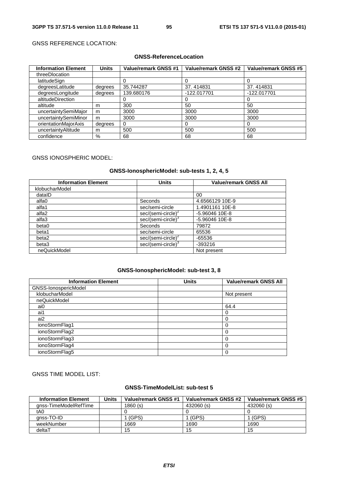## GNSS REFERENCE LOCATION:

## **GNSS-ReferenceLocation**

| <b>Information Element</b> | <b>Units</b> | <b>Value/remark GNSS #1</b> | <b>Value/remark GNSS #2</b> | Value/remark GNSS #5 |
|----------------------------|--------------|-----------------------------|-----------------------------|----------------------|
| threeDlocation             |              |                             |                             |                      |
| latitudeSign               |              |                             |                             |                      |
| degreesLatitude            | degrees      | 35.744287                   | 37.414831                   | 37.414831            |
| degreesLongitude           | degrees      | 139.680176                  | $-122.017701$               | -122.017701          |
| altitudeDirection          |              |                             | 0                           | $\mathbf{0}$         |
| altitude                   | m            | 300                         | 50                          | 50                   |
| uncertaintySemiMajor       | m            | 3000                        | 3000                        | 3000                 |
| uncertaintySemiMinor       | m            | 3000                        | 3000                        | 3000                 |
| orientationMajorAxis       | degrees      | 0                           | 0                           |                      |
| uncertaintyAltitude        | m            | 500                         | 500                         | 500                  |
| confidence                 | $\%$         | 68                          | 68                          | 68                   |

### GNSS IONOSPHERIC MODEL:

## **GNSS-IonosphericModel: sub-tests 1, 2, 4, 5**

| <b>Information Element</b> | <b>Units</b>                   | <b>Value/remark GNSS All</b> |
|----------------------------|--------------------------------|------------------------------|
| klobucharModel             |                                |                              |
| dataID                     |                                | 00                           |
| alfa0                      | Seconds                        | 4.6566129 10E-9              |
| alfa1                      | sec/semi-circle                | 1.4901161 10E-8              |
| alfa2                      | sec/(semi-circle) <sup>*</sup> | $-5.96046$ 10E-8             |
| alfa3                      | sec/(semi-circle) <sup>3</sup> | $-5.96046$ 10E-8             |
| beta0                      | Seconds                        | 79872                        |
| beta1                      | sec/semi-circle                | 65536                        |
| beta2                      | sec/(semi-circle) <sup>2</sup> | $-65536$                     |
| beta3                      | sec/(semi-circle) <sup>3</sup> | $-393216$                    |
| neQuickModel               |                                | Not present                  |

### **GNSS-IonosphericModel: sub-test 3, 8**

| <b>Information Element</b> | Units | Value/remark GNSS All |
|----------------------------|-------|-----------------------|
| GNSS-IonospericModel       |       |                       |
| klobucharModel             |       | Not present           |
| neQuickModel               |       |                       |
| ai0                        |       | 64.4                  |
| ai1                        |       |                       |
| ai2                        |       |                       |
| ionoStormFlag1             |       | $\theta$              |
| ionoStormFlag2             |       |                       |
| ionoStormFlag3             |       |                       |
| ionoStormFlag4             |       |                       |
| ionoStormFlag5             |       | $\Omega$              |

## GNSS TIME MODEL LIST:

### **GNSS-TimeModelList: sub-test 5**

| <b>Information Element</b> | Units | Value/remark GNSS #1 | Value/remark GNSS #2 | Value/remark GNSS #5 |
|----------------------------|-------|----------------------|----------------------|----------------------|
| anss-TimeModelRefTime      |       | 1860(s)              | 432060(s)            | 432060 (s)           |
| tA0                        |       |                      |                      |                      |
| anss-TO-ID                 |       | (GPS)                | (GPS)                | (GPS)                |
| weekNumber                 |       | 1669                 | 1690                 | 1690                 |
| deltaT                     |       | 15                   | 15                   | 15                   |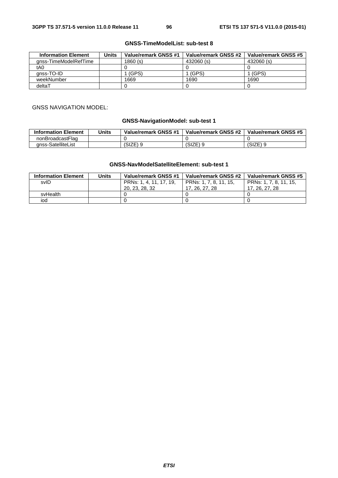### **GNSS-TimeModelList: sub-test 8**

| <b>Information Element</b> | Units | Value/remark GNSS #1 | Value/remark GNSS #2 | Value/remark GNSS #5 |
|----------------------------|-------|----------------------|----------------------|----------------------|
| anss-TimeModelRefTime      |       | 1860 (s)             | 432060 (s)           | 432060 (s)           |
| tA0                        |       |                      |                      |                      |
| anss-TO-ID                 |       | (GPS)                | (GPS)                | (GPS) ،              |
| weekNumber                 |       | 1669                 | 1690                 | 1690                 |
| deltaT                     |       |                      |                      |                      |

#### GNSS NAVIGATION MODEL:

## **GNSS-NavigationModel: sub-test 1**

| <b>Information Element</b> | Units | Value/remark GNSS #1 | Value/remark GNSS #2 | Value/remark GNSS #5 |
|----------------------------|-------|----------------------|----------------------|----------------------|
| nonBroadcastFlag           |       |                      |                      |                      |
| anss-SatelliteList         |       | (SIZE)               | (SIZE)               | ১৷∠চ                 |

### **GNSS-NavModelSatelliteElement: sub-test 1**

| <b>Information Element</b> | Units | Value/remark GNSS #1    | Value/remark GNSS #2   | Value/remark GNSS #5   |
|----------------------------|-------|-------------------------|------------------------|------------------------|
| svID                       |       | PRNs: 1, 4, 11, 17, 19, | PRNs: 1, 7, 8, 11, 15, | PRNs: 1, 7, 8, 11, 15, |
|                            |       | 20, 23, 28, 32          | 17, 26, 27, 28         | 17, 26, 27, 28         |
| svHealth                   |       |                         |                        |                        |
| iod                        |       |                         |                        |                        |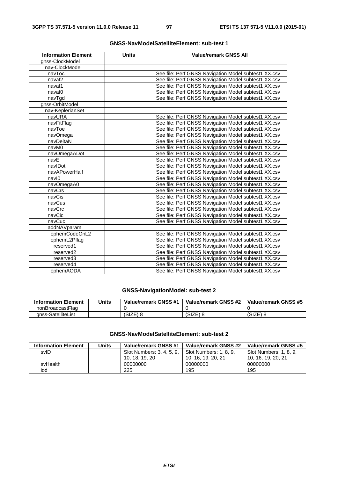| <b>Information Element</b> | <b>Units</b> | <b>Value/remark GNSS All</b>                         |
|----------------------------|--------------|------------------------------------------------------|
| gnss-ClockModel            |              |                                                      |
| nav-ClockModel             |              |                                                      |
| navToc                     |              | See file: Perf GNSS Navigation Model subtest1 XX.csv |
| navaf <sub>2</sub>         |              | See file: Perf GNSS Navigation Model subtest1 XX.csv |
| navaf1                     |              | See file: Perf GNSS Navigation Model subtest1 XX.csv |
| navaf0                     |              | See file: Perf GNSS Navigation Model subtest1 XX.csv |
| navTgd                     |              | See file: Perf GNSS Navigation Model subtest1 XX.csv |
| gnss-OrbitModel            |              |                                                      |
| nav-KeplerianSet           |              |                                                      |
| navURA                     |              | See file: Perf GNSS Navigation Model subtest1 XX.csv |
| navFitFlag                 |              | See file: Perf GNSS Navigation Model subtest1 XX.csv |
| navToe                     |              | See file: Perf GNSS Navigation Model subtest1 XX.csv |
| navOmega                   |              | See file: Perf GNSS Navigation Model subtest1 XX.csv |
| navDeltaN                  |              | See file: Perf GNSS Navigation Model subtest1 XX.csv |
| navM0                      |              | See file: Perf GNSS Navigation Model subtest1 XX.csv |
| navOmegaADot               |              | See file: Perf GNSS Navigation Model subtest1 XX.csv |
| navE                       |              | See file: Perf GNSS Navigation Model subtest1 XX.csv |
| navIDot                    |              | See file: Perf GNSS Navigation Model subtest1 XX.csv |
| navAPowerHalf              |              | See file: Perf GNSS Navigation Model subtest1 XX.csv |
| navl0                      |              | See file: Perf GNSS Navigation Model subtest1 XX.csv |
| navOmegaA0                 |              | See file: Perf GNSS Navigation Model subtest1 XX.csv |
| navCrs                     |              | See file: Perf GNSS Navigation Model subtest1 XX.csv |
| navCis                     |              | See file: Perf GNSS Navigation Model subtest1 XX.csv |
| navCus                     |              | See file: Perf GNSS Navigation Model subtest1 XX.csv |
| navCrc                     |              | See file: Perf GNSS Navigation Model subtest1 XX.csv |
| navCic                     |              | See file: Perf GNSS Navigation Model subtest1 XX.csv |
| navCuc                     |              | See file: Perf GNSS Navigation Model subtest1 XX.csv |
| addNAVparam                |              |                                                      |
| ephemCodeOnL2              |              | See file: Perf GNSS Navigation Model subtest1 XX.csv |
| ephemL2Pflag               |              | See file: Perf GNSS Navigation Model subtest1 XX.csv |
| reserved1                  |              | See file: Perf GNSS Navigation Model subtest1 XX.csv |
| reserved2                  |              | See file: Perf GNSS Navigation Model subtest1 XX.csv |
| reserved3                  |              | See file: Perf GNSS Navigation Model subtest1 XX.csv |
| reserved4                  |              | See file: Perf GNSS Navigation Model subtest1 XX.csv |
| ephemAODA                  |              | See file: Perf GNSS Navigation Model subtest1 XX.csv |

## **GNSS-NavigationModel: sub-test 2**

| <b>Information Element</b> | Units | Value/remark GNSS #1 | Value/remark GNSS #2 | Value/remark GNSS #5 |
|----------------------------|-------|----------------------|----------------------|----------------------|
| nonBroadcastFlag           |       |                      |                      |                      |
| anss-SatelliteList         |       | (SIZE)               | (SIZE)               | $(SIZE)$ 8           |

## **GNSS-NavModelSatelliteElement: sub-test 2**

| <b>Information Element</b> | Units | Value/remark GNSS #1      | Value/remark GNSS #2   | Value/remark GNSS #5   |
|----------------------------|-------|---------------------------|------------------------|------------------------|
| svID                       |       | Slot Numbers: 3, 4, 5, 9, | Slot Numbers: 1, 8, 9. | Slot Numbers: 1, 8, 9, |
|                            |       | 10, 18, 19, 20            | 10, 16, 19, 20, 21     | 10, 16, 19, 20, 21     |
| svHealth                   |       | 00000000                  | 00000000               | 00000000               |
| iod                        |       | 225                       | 195                    | 195                    |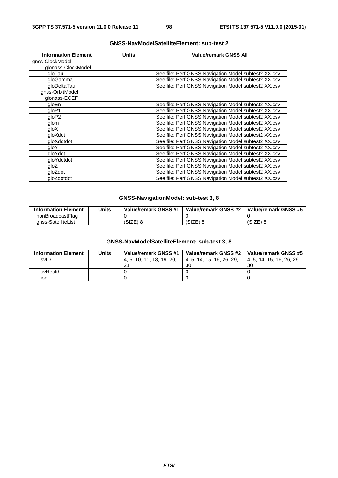| <b>Information Element</b> | Units | <b>Value/remark GNSS All</b>                         |
|----------------------------|-------|------------------------------------------------------|
| gnss-ClockModel            |       |                                                      |
| glonass-ClockModel         |       |                                                      |
| gloTau                     |       | See file: Perf GNSS Navigation Model subtest2 XX.csv |
| gloGamma                   |       | See file: Perf GNSS Navigation Model subtest2 XX.csv |
| gloDeltaTau                |       | See file: Perf GNSS Navigation Model subtest2 XX.csv |
| gnss-OrbitModel            |       |                                                      |
| glonass-ECEF               |       |                                                      |
| gloEn                      |       | See file: Perf GNSS Navigation Model subtest2 XX.csv |
| gloP1                      |       | See file: Perf GNSS Navigation Model subtest2 XX.csv |
| gloP <sub>2</sub>          |       | See file: Perf GNSS Navigation Model subtest2 XX.csv |
| glom                       |       | See file: Perf GNSS Navigation Model subtest2 XX.csv |
| qloX                       |       | See file: Perf GNSS Navigation Model subtest2 XX.csv |
| gloXdot                    |       | See file: Perf GNSS Navigation Model subtest2 XX.csv |
| gloXdotdot                 |       | See file: Perf GNSS Navigation Model subtest2 XX.csv |
| qloY                       |       | See file: Perf GNSS Navigation Model subtest2 XX.csv |
| gloYdot                    |       | See file: Perf GNSS Navigation Model subtest2 XX.csv |
| gloYdotdot                 |       | See file: Perf GNSS Navigation Model subtest2 XX.csv |
| gloZ                       |       | See file: Perf GNSS Navigation Model subtest2 XX.csv |
| gloZdot                    |       | See file: Perf GNSS Navigation Model subtest2 XX.csv |
| gloZdotdot                 |       | See file: Perf GNSS Navigation Model subtest2 XX.csv |

## **GNSS-NavigationModel: sub-test 3, 8**

| <b>Information Element</b> | Units | Value/remark GNSS #1 | Value/remark GNSS #2 | Value/remark GNSS #5 |
|----------------------------|-------|----------------------|----------------------|----------------------|
| nonBroadcastFlag           |       |                      |                      |                      |
| anss-SatelliteList         |       | (SIZE)               | (SIZE) 8             | (SIZE)               |

## **GNSS-NavModelSatelliteElement: sub-test 3, 8**

| <b>Information Element</b> | Units | Value/remark GNSS #1 | Value/remark GNSS #2      | Value/remark GNSS #5 |
|----------------------------|-------|----------------------|---------------------------|----------------------|
| svID                       |       | 4.5.10.11.18.19.20.  | 4. 5. 14. 15. 16. 26. 29. | 4.5.14.15.16.26.29.  |
|                            |       | - 21                 | 30                        | 30                   |
| svHealth                   |       |                      |                           |                      |
| iod                        |       |                      |                           |                      |

## *ETSI*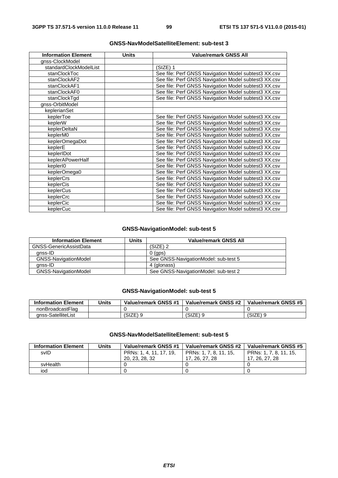| <b>Information Element</b> | <b>Units</b> | <b>Value/remark GNSS All</b>                         |
|----------------------------|--------------|------------------------------------------------------|
| gnss-ClockModel            |              |                                                      |
| standardClockModelList     |              | $(SIZE)$ 1                                           |
| stanClockToc               |              | See file: Perf GNSS Navigation Model subtest3 XX.csv |
| stanClockAF2               |              | See file: Perf GNSS Navigation Model subtest3 XX.csv |
| stanClockAF1               |              | See file: Perf GNSS Navigation Model subtest3 XX.csv |
| stanClockAF0               |              | See file: Perf GNSS Navigation Model subtest3 XX.csv |
| stanClockTqd               |              | See file: Perf GNSS Navigation Model subtest3 XX.csv |
| gnss-OrbitModel            |              |                                                      |
| keplerianSet               |              |                                                      |
| keplerToe                  |              | See file: Perf GNSS Navigation Model subtest3 XX.csv |
| keplerW                    |              | See file: Perf GNSS Navigation Model subtest3 XX.csv |
| keplerDeltaN               |              | See file: Perf GNSS Navigation Model subtest3 XX.csv |
| keplerM0                   |              | See file: Perf GNSS Navigation Model subtest3 XX.csv |
| keplerOmegaDot             |              | See file: Perf GNSS Navigation Model subtest3 XX.csv |
| keplerE                    |              | See file: Perf GNSS Navigation Model subtest3 XX.csv |
| keplerIDot                 |              | See file: Perf GNSS Navigation Model subtest3 XX.csv |
| keplerAPowerHalf           |              | See file: Perf GNSS Navigation Model subtest3 XX.csv |
| keplerI0                   |              | See file: Perf GNSS Navigation Model subtest3 XX.csv |
| keplerOmega0               |              | See file: Perf GNSS Navigation Model subtest3 XX.csv |
| keplerCrs                  |              | See file: Perf GNSS Navigation Model subtest3 XX.csv |
| keplerCis                  |              | See file: Perf GNSS Navigation Model subtest3 XX.csv |
| keplerCus                  |              | See file: Perf GNSS Navigation Model subtest3 XX.csv |
| keplerCrc                  |              | See file: Perf GNSS Navigation Model subtest3 XX.csv |
| keplerCic                  |              | See file: Perf GNSS Navigation Model subtest3 XX.csv |
| keplerCuc                  |              | See file: Perf GNSS Navigation Model subtest3 XX.csv |

## **GNSS-NavigationModel: sub-test 5**

| <b>Information Element</b>  | <b>Units</b> | <b>Value/remark GNSS All</b>         |
|-----------------------------|--------------|--------------------------------------|
| GNSS-GenericAssistData      |              | $(SIZE)$ 2                           |
| anss-ID                     |              | $0$ (aps)                            |
| <b>GNSS-NavigationModel</b> |              | See GNSS-NavigationModel: sub-test 5 |
| anss-ID                     |              | 4 (glonass)                          |
| <b>GNSS-NavigationModel</b> |              | See GNSS-NavigationModel: sub-test 2 |

## **GNSS-NavigationModel: sub-test 5**

| <b>Information Element</b> | <b>Units</b> | Value/remark GNSS #1 | Value/remark GNSS #2 | Value/remark GNSS #5 |
|----------------------------|--------------|----------------------|----------------------|----------------------|
| nonBroadcastFlag           |              |                      |                      |                      |
| anss-SatelliteList         |              | SIZE)                | (SIZE)               | $(SIZE)$ or          |

## **GNSS-NavModelSatelliteElement: sub-test 5**

| <b>Information Element</b> | Units | Value/remark GNSS #1    | Value/remark GNSS #2   | Value/remark GNSS #5   |
|----------------------------|-------|-------------------------|------------------------|------------------------|
| svID                       |       | PRNs: 1, 4, 11, 17, 19, | PRNs: 1, 7, 8, 11, 15, | PRNs: 1, 7, 8, 11, 15, |
|                            |       | 20, 23, 28, 32          | 17, 26, 27, 28         | 17, 26, 27, 28         |
| svHealth                   |       |                         |                        |                        |
| iod                        |       |                         |                        |                        |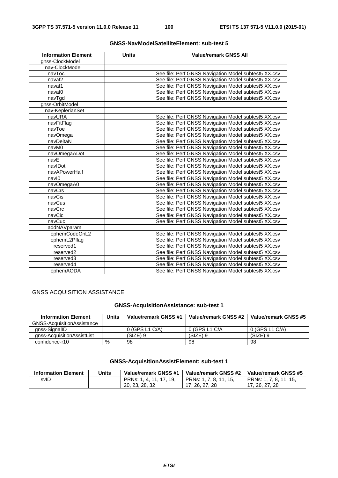| <b>Information Element</b> | <b>Units</b> | <b>Value/remark GNSS All</b>                         |
|----------------------------|--------------|------------------------------------------------------|
| gnss-ClockModel            |              |                                                      |
| nav-ClockModel             |              |                                                      |
| navToc                     |              | See file: Perf GNSS Navigation Model subtest5 XX.csv |
| navaf <sub>2</sub>         |              | See file: Perf GNSS Navigation Model subtest5 XX.csv |
| navaf1                     |              | See file: Perf GNSS Navigation Model subtest5 XX.csv |
| navaf <sub>0</sub>         |              | See file: Perf GNSS Navigation Model subtest5 XX.csv |
| navTgd                     |              | See file: Perf GNSS Navigation Model subtest5 XX.csv |
| gnss-OrbitModel            |              |                                                      |
| nav-KeplerianSet           |              |                                                      |
| navURA                     |              | See file: Perf GNSS Navigation Model subtest5 XX.csv |
| navFitFlag                 |              | See file: Perf GNSS Navigation Model subtest5 XX.csv |
| navToe                     |              | See file: Perf GNSS Navigation Model subtest5 XX.csv |
| navOmega                   |              | See file: Perf GNSS Navigation Model subtest5 XX.csv |
| navDeltaN                  |              | See file: Perf GNSS Navigation Model subtest5 XX.csv |
| navM0                      |              | See file: Perf GNSS Navigation Model subtest5 XX.csv |
| navOmegaADot               |              | See file: Perf GNSS Navigation Model subtest5 XX.csv |
| navE                       |              | See file: Perf GNSS Navigation Model subtest5 XX.csv |
| navIDot                    |              | See file: Perf GNSS Navigation Model subtest5 XX.csv |
| navAPowerHalf              |              | See file: Perf GNSS Navigation Model subtest5 XX.csv |
| navl0                      |              | See file: Perf GNSS Navigation Model subtest5 XX.csv |
| navOmegaA0                 |              | See file: Perf GNSS Navigation Model subtest5 XX.csv |
| navCrs                     |              | See file: Perf GNSS Navigation Model subtest5 XX.csv |
| navCis                     |              | See file: Perf GNSS Navigation Model subtest5 XX.csv |
| navCus                     |              | See file: Perf GNSS Navigation Model subtest5 XX.csv |
| navCrc                     |              | See file: Perf GNSS Navigation Model subtest5 XX.csv |
| navCic                     |              | See file: Perf GNSS Navigation Model subtest5 XX.csv |
| navCuc                     |              | See file: Perf GNSS Navigation Model subtest5 XX.csv |
| addNAVparam                |              |                                                      |
| ephemCodeOnL2              |              | See file: Perf GNSS Navigation Model subtest5 XX.csv |
| ephemL2Pflag               |              | See file: Perf GNSS Navigation Model subtest5 XX.csv |
| reserved1                  |              | See file: Perf GNSS Navigation Model subtest5 XX.csv |
| reserved2                  |              | See file: Perf GNSS Navigation Model subtest5 XX.csv |
| reserved3                  |              | See file: Perf GNSS Navigation Model subtest5 XX.csv |
| reserved4                  |              | See file: Perf GNSS Navigation Model subtest5 XX.csv |
| ephemAODA                  |              | See file: Perf GNSS Navigation Model subtest5 XX.csv |

# GNSS ACQUISITION ASSISTANCE:

## **GNSS-AcquisitionAssistance: sub-test 1**

| <b>Information Element</b>        | Units | Value/remark GNSS #1 | Value/remark GNSS #2 | Value/remark GNSS #5 |
|-----------------------------------|-------|----------------------|----------------------|----------------------|
| <b>GNSS-AcquisitionAssistance</b> |       |                      |                      |                      |
| anss-SignallD                     |       | $0$ (GPS L1 C/A)     | 0 (GPS L1 C/A        | 0 (GPS L1 C/A)       |
| anss-AcquisitionAssistList        |       | $(SIZE)$ 9           | (SIZE) 9             | (SIZE) 9             |
| confidence-r10                    | $\%$  | 98                   | 98                   | 98                   |

## **GNSS-AcquisitionAssistElement: sub-test 1**

| <b>Information Element</b> | Units | Value/remark GNSS #1    | Value/remark GNSS #2   | Value/remark GNSS #5   |
|----------------------------|-------|-------------------------|------------------------|------------------------|
| svID                       |       | PRNs: 1, 4, 11, 17, 19, | PRNs: 1, 7, 8, 11, 15, | PRNs: 1, 7, 8, 11, 15, |
|                            |       | 20, 23, 28, 32          | 17, 26, 27, 28         | 17. 26. 27. 28         |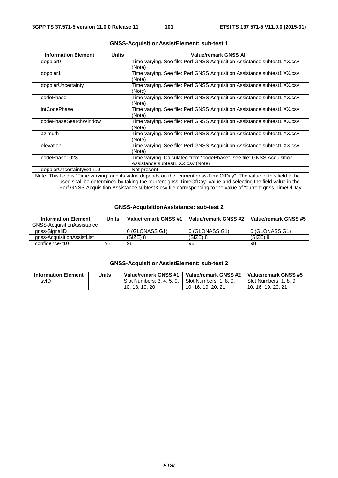| <b>Information Element</b>                                                                                              | <b>Units</b> | <b>Value/remark GNSS All</b>                                                                               |  |  |
|-------------------------------------------------------------------------------------------------------------------------|--------------|------------------------------------------------------------------------------------------------------------|--|--|
| doppler <sub>0</sub>                                                                                                    |              | Time varying. See file: Perf GNSS Acquisition Assistance subtest1 XX.csv<br>(Note)                         |  |  |
| doppler1                                                                                                                |              | Time varying. See file: Perf GNSS Acquisition Assistance subtest1 XX.csv<br>(Note)                         |  |  |
| dopplerUncertainty                                                                                                      |              | Time varying. See file: Perf GNSS Acquisition Assistance subtest1 XX.csv<br>(Note)                         |  |  |
| codePhase                                                                                                               |              | Time varying. See file: Perf GNSS Acquisition Assistance subtest1 XX.csv<br>(Note)                         |  |  |
| intCodePhase                                                                                                            |              | Time varying. See file: Perf GNSS Acquisition Assistance subtest1 XX.csv<br>(Note)                         |  |  |
| codePhaseSearchWindow                                                                                                   |              | Time varying. See file: Perf GNSS Acquisition Assistance subtest1 XX.csv<br>(Note)                         |  |  |
| azimuth                                                                                                                 |              | Time varying. See file: Perf GNSS Acquisition Assistance subtest1 XX.csv<br>(Note)                         |  |  |
| elevation                                                                                                               |              | Time varying. See file: Perf GNSS Acquisition Assistance subtest1 XX.csv<br>(Note)                         |  |  |
| codePhase1023                                                                                                           |              | Time varying. Calculated from "codePhase", see file: GNSS Acquisition<br>Assistance subtest1 XX.csv (Note) |  |  |
| dopplerUncertaintyExt-r10                                                                                               |              | Not present                                                                                                |  |  |
| Note: This field is "Time varying" and its value depends on the "current gnss-TimeOfDay". The value of this field to be |              |                                                                                                            |  |  |
| used shall be determined by taking the "current gnss-TimeOfDay" value and selecting the field value in the              |              |                                                                                                            |  |  |
|                                                                                                                         |              | Perf GNSS Acquisition Assistance subtestX.csv file corresponding to the value of "current gnss-TimeOfDay". |  |  |

## **GNSS-AcquisitionAssistElement: sub-test 1**

### **GNSS-AcquisitionAssistance: sub-test 2**

| <b>Information Element</b> | Units | Value/remark GNSS #1 | Value/remark GNSS #2 | Value/remark GNSS #5 |
|----------------------------|-------|----------------------|----------------------|----------------------|
| GNSS-AcquisitionAssistance |       |                      |                      |                      |
| anss-SignallD              |       | 0 (GLONASS G1)       | 0 (GLONASS G1)       | 0 (GLONASS G1)       |
| gnss-AcquisitionAssistList |       | $(SIZE)$ 8           | (SIZE) 8             | $(SIZE)$ 8           |
| confidence-r10             | $\%$  | 98                   | 98                   | 98                   |

## **GNSS-AcquisitionAssistElement: sub-test 2**

| <b>Information Element</b> | Units | Value/remark GNSS #1                             | Value/remark GNSS #2 | Value/remark GNSS #5   |
|----------------------------|-------|--------------------------------------------------|----------------------|------------------------|
| svID                       |       | Slot Numbers: 3, 4, 5, 9, Slot Numbers: 1, 8, 9, |                      | Slot Numbers: 1, 8, 9, |
|                            |       | 10, 18, 19, 20                                   | 10, 16, 19, 20, 21   | 10, 16, 19, 20, 21     |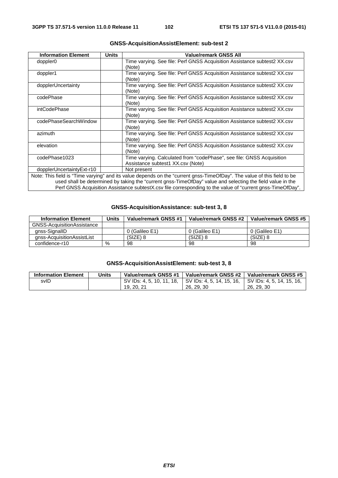| <b>Information Element</b>                                                                                 | <b>Units</b>                                                                                               | <b>Value/remark GNSS All</b>                                                                                            |  |  |
|------------------------------------------------------------------------------------------------------------|------------------------------------------------------------------------------------------------------------|-------------------------------------------------------------------------------------------------------------------------|--|--|
| doppler <sub>0</sub>                                                                                       |                                                                                                            | Time varying. See file: Perf GNSS Acquisition Assistance subtest2 XX.csv<br>(Note)                                      |  |  |
| doppler1                                                                                                   |                                                                                                            | Time varying. See file: Perf GNSS Acquisition Assistance subtest2 XX.csv<br>(Note)                                      |  |  |
| dopplerUncertainty                                                                                         |                                                                                                            | Time varying. See file: Perf GNSS Acquisition Assistance subtest2 XX.csv<br>(Note)                                      |  |  |
| codePhase                                                                                                  |                                                                                                            | Time varying. See file: Perf GNSS Acquisition Assistance subtest2 XX.csv<br>(Note)                                      |  |  |
| intCodePhase                                                                                               |                                                                                                            | Time varying. See file: Perf GNSS Acquisition Assistance subtest2 XX.csv<br>(Note)                                      |  |  |
| codePhaseSearchWindow                                                                                      |                                                                                                            | Time varying. See file: Perf GNSS Acquisition Assistance subtest2 XX.csv<br>(Note)                                      |  |  |
| azimuth                                                                                                    |                                                                                                            | Time varying. See file: Perf GNSS Acquisition Assistance subtest2 XX.csv<br>(Note)                                      |  |  |
| elevation                                                                                                  |                                                                                                            | Time varying. See file: Perf GNSS Acquisition Assistance subtest2 XX.csv<br>(Note)                                      |  |  |
| codePhase1023                                                                                              |                                                                                                            | Time varying. Calculated from "codePhase", see file: GNSS Acquisition<br>Assistance subtest1 XX.csv (Note)              |  |  |
| dopplerUncertaintyExt-r10                                                                                  |                                                                                                            | Not present                                                                                                             |  |  |
|                                                                                                            |                                                                                                            | Note: This field is "Time varying" and its value depends on the "current gnss-TimeOfDay". The value of this field to be |  |  |
| used shall be determined by taking the "current gnss-TimeOfDay" value and selecting the field value in the |                                                                                                            |                                                                                                                         |  |  |
|                                                                                                            | Perf GNSS Acquisition Assistance subtestX.csv file corresponding to the value of "current gnss-TimeOfDay". |                                                                                                                         |  |  |

## **GNSS-AcquisitionAssistElement: sub-test 2**

### **GNSS-AcquisitionAssistance: sub-test 3, 8**

| <b>Information Element</b> | Units | Value/remark GNSS #1 | Value/remark GNSS #2 | Value/remark GNSS #5 |
|----------------------------|-------|----------------------|----------------------|----------------------|
| GNSS-AcquisitionAssistance |       |                      |                      |                      |
| anss-SignallD              |       | 0 (Galileo E1)       | 0 (Galileo E1)       | 0 (Galileo E1)       |
| anss-AcquisitionAssistList |       | (SIZE) 8             | $(SIZE)$ 8           | $(SIZE)$ 8           |
| confidence-r10             | %     | 98                   | 98                   | 98                   |

## **GNSS-AcquisitionAssistElement: sub-test 3, 8**

| <b>Information Element</b> | Units | Value/remark GNSS #1                                | Value/remark GNSS #2 | Value/remark GNSS #5      |
|----------------------------|-------|-----------------------------------------------------|----------------------|---------------------------|
| svID                       |       | SV IDs: 4, 5, 10, 11, 18, SV IDs: 4, 5, 14, 15, 16, |                      | SV IDs: 4, 5, 14, 15, 16, |
|                            |       | 19, 20, 21                                          | 26, 29, 30           | 26, 29, 30                |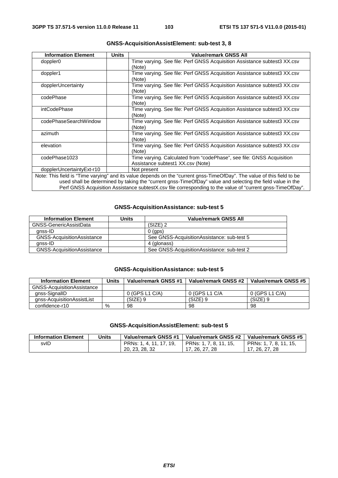| <b>Information Element</b> | <b>Units</b> | Value/remark GNSS All                                                                                                   |
|----------------------------|--------------|-------------------------------------------------------------------------------------------------------------------------|
| doppler <sub>0</sub>       |              | Time varying. See file: Perf GNSS Acquisition Assistance subtest3 XX.csv<br>(Note)                                      |
| doppler1                   |              | Time varying. See file: Perf GNSS Acquisition Assistance subtest3 XX.csv<br>(Note)                                      |
| dopplerUncertainty         |              | Time varying. See file: Perf GNSS Acquisition Assistance subtest3 XX.csv<br>(Note)                                      |
| codePhase                  |              | Time varying. See file: Perf GNSS Acquisition Assistance subtest3 XX.csv<br>(Note)                                      |
| intCodePhase               |              | Time varying. See file: Perf GNSS Acquisition Assistance subtest3 XX.csv<br>(Note)                                      |
| codePhaseSearchWindow      |              | Time varying. See file: Perf GNSS Acquisition Assistance subtest3 XX.csv<br>(Note)                                      |
| azimuth                    |              | Time varying. See file: Perf GNSS Acquisition Assistance subtest3 XX.csv<br>(Note)                                      |
| elevation                  |              | Time varying. See file: Perf GNSS Acquisition Assistance subtest3 XX.csv<br>(Note)                                      |
| codePhase1023              |              | Time varying. Calculated from "codePhase", see file: GNSS Acquisition<br>Assistance subtest1 XX.csv (Note)              |
| dopplerUncertaintyExt-r10  |              | Not present                                                                                                             |
|                            |              | Note: This field is "Time varying" and its value depends on the "current gnss-TimeOfDay". The value of this field to be |
|                            |              | used shall be determined by taking the "current gnss-TimeOfDay" value and selecting the field value in the              |

### **GNSS-AcquisitionAssistElement: sub-test 3, 8**

used shall be determined by taking the "current gnss-TimeOfDay" value and selecting the field value in the Perf GNSS Acquisition Assistance subtestX.csv file corresponding to the value of "current gnss-TimeOfDay".

### **GNSS-AcquisitionAssistance: sub-test 5**

| <b>Information Element</b>        | Units | <b>Value/remark GNSS All</b>                |
|-----------------------------------|-------|---------------------------------------------|
| GNSS-GenericAssistData            |       | $(SIZE)$ 2                                  |
| anss-ID                           |       | $0$ (aps)                                   |
| <b>GNSS-AcquisitionAssistance</b> |       | See GNSS-Acquisition Assistance: sub-test 5 |
| anss-ID                           |       | 4 (glonass)                                 |
| <b>GNSS-AcquisitionAssistance</b> |       | See GNSS-AcquisitionAssistance: sub-test 2  |

### **GNSS-AcquisitionAssistance: sub-test 5**

| <b>Information Element</b> | Units | Value/remark GNSS #1 | Value/remark GNSS #2 | Value/remark GNSS #5 |
|----------------------------|-------|----------------------|----------------------|----------------------|
| GNSS-AcquisitionAssistance |       |                      |                      |                      |
| qnss-SignallD              |       | 0 (GPS L1 C/A)       | 0 (GPS L1 C/A        | 0 (GPS L1 C/A)       |
| anss-AcquisitionAssistList |       | $(SIZE)$ 9           | $(SIZE)$ 9           | $(SIZE)$ 9           |
| confidence-r10             | $\%$  | 98                   | 98                   | 98                   |

### **GNSS-AcquisitionAssistElement: sub-test 5**

| <b>Information Element</b> | Units | Value/remark GNSS #1    | Value/remark GNSS #2   | Value/remark GNSS #5   |
|----------------------------|-------|-------------------------|------------------------|------------------------|
| svID                       |       | PRNs: 1, 4, 11, 17, 19, | PRNs: 1, 7, 8, 11, 15, | PRNs: 1, 7, 8, 11, 15, |
|                            |       | 20, 23, 28, 32          | 17, 26, 27, 28         | 17. 26. 27. 28         |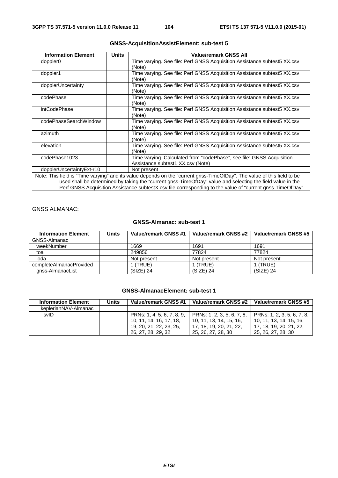| <b>Information Element</b> | <b>Units</b> | <b>Value/remark GNSS All</b>                                                                                            |
|----------------------------|--------------|-------------------------------------------------------------------------------------------------------------------------|
| doppler <sub>0</sub>       |              | Time varying. See file: Perf GNSS Acquisition Assistance subtest5 XX.csv<br>(Note)                                      |
| doppler1                   |              | Time varying. See file: Perf GNSS Acquisition Assistance subtest5 XX.csv<br>(Note)                                      |
| dopplerUncertainty         |              | Time varying. See file: Perf GNSS Acquisition Assistance subtest5 XX.csv<br>(Note)                                      |
| codePhase                  |              | Time varying. See file: Perf GNSS Acquisition Assistance subtest5 XX.csv<br>(Note)                                      |
| intCodePhase               |              | Time varying. See file: Perf GNSS Acquisition Assistance subtest5 XX.csv<br>(Note)                                      |
| codePhaseSearchWindow      |              | Time varying. See file: Perf GNSS Acquisition Assistance subtest5 XX.csv<br>(Note)                                      |
| azimuth                    |              | Time varying. See file: Perf GNSS Acquisition Assistance subtest5 XX.csv<br>(Note)                                      |
| elevation                  |              | Time varying. See file: Perf GNSS Acquisition Assistance subtest5 XX.csv<br>(Note)                                      |
| codePhase1023              |              | Time varying. Calculated from "codePhase", see file: GNSS Acquisition<br>Assistance subtest1 XX.csv (Note)              |
| dopplerUncertaintyExt-r10  |              | Not present                                                                                                             |
|                            |              | Note: This field is "Time varying" and its value depends on the "current gnss-TimeOfDay". The value of this field to be |
|                            |              | $\mu$ nead shall ha datarminad by taking tha "currant anss. Time OfDay" yalua and salacting tha field valua in tha      |

### **GNSS-AcquisitionAssistElement: sub-test 5**

used shall be determined by taking the "current gnss-TimeOfDay" value and selecting the field value in the Perf GNSS Acquisition Assistance subtestX.csv file corresponding to the value of "current gnss-TimeOfDay".

## GNSS ALMANAC:

### **GNSS-Almanac: sub-test 1**

| <b>Information Element</b> | Units | Value/remark GNSS #1 | Value/remark GNSS #2 | Value/remark GNSS #5 |
|----------------------------|-------|----------------------|----------------------|----------------------|
| GNSS-Almanac               |       |                      |                      |                      |
| weekNumber                 |       | 1669                 | 1691                 | 1691                 |
| toa                        |       | 249856               | 77824                | 77824                |
| ioda                       |       | Not present          | Not present          | Not present          |
| completeAlmanacProvided    |       | (TRUE)               | (TRUE)               | (TRUE)               |
| anss-AlmanacList           |       | $(SIZE)$ 24          | $(SIZE)$ 24          | $(SIZE)$ 24          |

## **GNSS-AlmanacElement: sub-test 1**

| <b>Information Element</b> | Units | Value/remark GNSS #1       | Value/remark GNSS #2       | Value/remark GNSS #5       |
|----------------------------|-------|----------------------------|----------------------------|----------------------------|
| keplerianNAV-Almanac       |       |                            |                            |                            |
| svID                       |       | PRNs: 1, 4, 5, 6, 7, 8, 9, | PRNs: 1, 2, 3, 5, 6, 7, 8, | PRNs: 1, 2, 3, 5, 6, 7, 8, |
|                            |       | 10, 11, 14, 16, 17, 18,    | 10. 11. 13. 14. 15. 16.    | 10. 11. 13. 14. 15. 16.    |
|                            |       | 19, 20, 21, 22, 23, 25,    | 17. 18. 19. 20. 21. 22.    | l 17. 18. 19. 20. 21. 22.  |
|                            |       | 26, 27, 28, 29, 32         | 25, 26, 27, 28, 30         | 25, 26, 27, 28, 30         |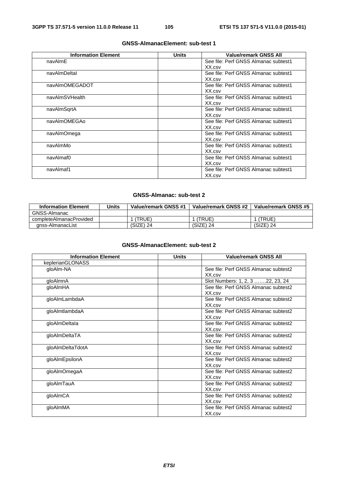#### **Information Element Units Value/remark GNSS All** navAlmE See file: Perf GNSS Almanac subtest1 XX.csv navAlmDeltaI See file: Perf GNSS Almanac subtest1 XX.csv navAlmOMEGADOT See file: Perf GNSS Almanac subtest1 XX.csv navAlmSVHealth See file: Perf GNSS Almanac subtest1 XX.csv navAlmSqrtA See file: Perf GNSS Almanac subtest1 XX.csv navAlmOMEGAo See file: Perf GNSS Almanac subtest1 XX.csv navAlmOmega See file: Perf GNSS Almanac subtest1 XX.csv navAlmMo **See file: Perf GNSS Almanac subtest1** XX.csv navAlmaf0 See file: Perf GNSS Almanac subtest1 XX.csv navAlmaf1 See file: Perf GNSS Almanac subtest1 XX.csv

### **GNSS-AlmanacElement: sub-test 1**

#### **GNSS-Almanac: sub-test 2**

| <b>Information Element</b> | Units | Value/remark GNSS #1 | Value/remark GNSS #2 | Value/remark GNSS #5 |
|----------------------------|-------|----------------------|----------------------|----------------------|
| GNSS-Almanac               |       |                      |                      |                      |
| completeAlmanacProvided    |       | (TRUE)               | 'TRUE)               | (TRUE)               |
| anss-AlmanacList           |       | (SIZE) 24            | $(SIZE)$ 24          | $(SIZE)$ 24          |

### **GNSS-AlmanacElement: sub-test 2**

| <b>Information Element</b> | <b>Units</b> | <b>Value/remark GNSS All</b>         |
|----------------------------|--------------|--------------------------------------|
| keplerianGLONASS           |              |                                      |
| gloAlm-NA                  |              | See file: Perf GNSS Almanac subtest2 |
|                            |              | XX.csv                               |
| gloAlmnA                   |              | Slot Numbers: 1, 2, 3 22, 23, 24     |
| qloAlmHA                   |              | See file: Perf GNSS Almanac subtest2 |
|                            |              | XX.csv                               |
| gloAlmLambdaA              |              | See file: Perf GNSS Almanac subtest2 |
|                            |              | XX.csv                               |
| gloAlmtlambdaA             |              | See file: Perf GNSS Almanac subtest2 |
|                            |              | XX.csv                               |
| gloAlmDeltala              |              | See file: Perf GNSS Almanac subtest2 |
|                            |              | XX.csv                               |
| gloAlmDeltaTA              |              | See file: Perf GNSS Almanac subtest2 |
|                            |              | XX.csv                               |
| gloAlmDeltaTdotA           |              | See file: Perf GNSS Almanac subtest2 |
|                            |              | XX.csv                               |
| gloAlmEpsilonA             |              | See file: Perf GNSS Almanac subtest2 |
|                            |              | XX.csv                               |
| gloAlmOmegaA               |              | See file: Perf GNSS Almanac subtest2 |
|                            |              | XX.csv                               |
| gloAlmTauA                 |              | See file: Perf GNSS Almanac subtest2 |
|                            |              | XX.csv                               |
| gloAlmCA                   |              | See file: Perf GNSS Almanac subtest2 |
|                            |              | XX.csv                               |
| qloAlmMA                   |              | See file: Perf GNSS Almanac subtest2 |
|                            |              | XX.csv                               |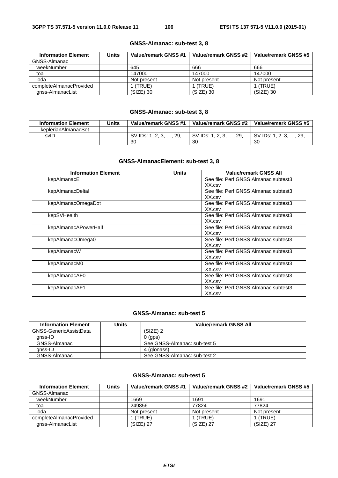### **GNSS-Almanac: sub-test 3, 8**

| <b>Information Element</b> | <b>Units</b> | Value/remark GNSS #1 | Value/remark GNSS #2 | Value/remark GNSS #5 |
|----------------------------|--------------|----------------------|----------------------|----------------------|
| GNSS-Almanac               |              |                      |                      |                      |
| weekNumber                 |              | 645                  | 666                  | 666                  |
| toa                        |              | 147000               | 147000               | 147000               |
| ioda                       |              | Not present          | Not present          | Not present          |
| completeAlmanacProvided    |              | (TRUE)               | (TRUE)               | 1 (TRUE)             |
| gnss-AlmanacList           |              | $(SIZE)$ 30          | $(SIZE)$ 30          | $(SIZE)$ 30          |

## **GNSS-Almanac: sub-test 3, 8**

| <b>Information Element</b> | Jnits | Value/remark GNSS #1   | Value/remark GNSS #2   | Value/remark GNSS #5   |
|----------------------------|-------|------------------------|------------------------|------------------------|
| keplerianAlmanacSet        |       |                        |                        |                        |
| svID                       |       | SV IDs: 1, 2, 3, , 29, | SV IDs: 1, 2, 3, , 29, | SV IDs: 1, 2, 3, , 29, |
|                            |       | 30                     | 30                     | 30                     |

## **GNSS-AlmanacElement: sub-test 3, 8**

| <b>Information Element</b> | <b>Units</b> | <b>Value/remark GNSS All</b>         |
|----------------------------|--------------|--------------------------------------|
| kepAlmanacE                |              | See file: Perf GNSS Almanac subtest3 |
|                            |              | XX.csv                               |
| kepAlmanacDeltal           |              | See file: Perf GNSS Almanac subtest3 |
|                            |              | XX.csv                               |
| kepAlmanacOmegaDot         |              | See file: Perf GNSS Almanac subtest3 |
|                            |              | XX.csv                               |
| kepSVHealth                |              | See file: Perf GNSS Almanac subtest3 |
|                            |              | XX.csv                               |
| kepAlmanacAPowerHalf       |              | See file: Perf GNSS Almanac subtest3 |
|                            |              | XX.csv                               |
| kepAlmanacOmega0           |              | See file: Perf GNSS Almanac subtest3 |
|                            |              | XX.csv                               |
| kepAlmanacW                |              | See file: Perf GNSS Almanac subtest3 |
|                            |              | XX.csv                               |
| kepAlmanacM0               |              | See file: Perf GNSS Almanac subtest3 |
|                            |              | XX.csv                               |
| kepAlmanacAF0              |              | See file: Perf GNSS Almanac subtest3 |
|                            |              | XX.csv                               |
| kepAlmanacAF1              |              | See file: Perf GNSS Almanac subtest3 |
|                            |              | XX.csv                               |

## **GNSS-Almanac: sub-test 5**

| <b>Information Element</b> | Units | Value/remark GNSS All        |
|----------------------------|-------|------------------------------|
| GNSS-GenericAssistData     |       | $(SIZE)$ 2                   |
| anss-ID                    |       | $0$ (gps)                    |
| GNSS-Almanac               |       | See GNSS-Almanac: sub-test 5 |
| anss-ID                    |       | 4 (glonass)                  |
| GNSS-Almanac               |       | See GNSS-Almanac: sub-test 2 |

## **GNSS-Almanac: sub-test 5**

| <b>Information Element</b> | <b>Units</b> | Value/remark GNSS #1 | Value/remark GNSS #2 | Value/remark GNSS #5 |
|----------------------------|--------------|----------------------|----------------------|----------------------|
| GNSS-Almanac               |              |                      |                      |                      |
| weekNumber                 |              | 1669                 | 1691                 | 1691                 |
| toa                        |              | 249856               | 77824                | 77824                |
| ioda                       |              | Not present          | Not present          | Not present          |
| completeAlmanacProvided    |              | (TRUE)               | (TRUE)               | (TRUE)               |
| gnss-AlmanacList           |              | $(SIZE)$ 27          | $(SIZE)$ 27          | $(SIZE)$ 27          |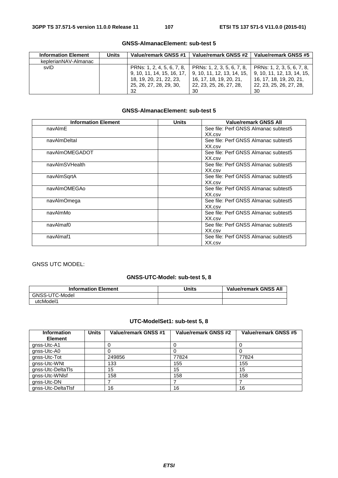| <b>Information Element</b> | Units | Value/remark GNSS #1                                                                                                 | Value/remark GNSS #2                                                                                                 | Value/remark GNSS #5                                                                                                     |
|----------------------------|-------|----------------------------------------------------------------------------------------------------------------------|----------------------------------------------------------------------------------------------------------------------|--------------------------------------------------------------------------------------------------------------------------|
| keplerianNAV-Almanac       |       |                                                                                                                      |                                                                                                                      |                                                                                                                          |
| svID                       |       | PRNs: 1, 2, 4, 5, 6, 7, 8,<br>9, 10, 11, 14, 15, 16, 17,<br>18, 19, 20, 21, 22, 23,<br>25, 26, 27, 28, 29, 30,<br>32 | PRNs: 1, 2, 3, 5, 6, 7, 8,<br>9, 10, 11, 12, 13, 14, 15,<br>16, 17, 18, 19, 20, 21,<br>22, 23, 25, 26, 27, 28,<br>30 | $\vert$ PRNs: 1, 2, 3, 5, 6, 7, 8,<br>  9.10.11.12.13.14.15.<br>16, 17, 18, 19, 20, 21,<br>22, 23, 25, 26, 27, 28,<br>30 |

### **GNSS-AlmanacElement: sub-test 5**

## **GNSS-AlmanacElement: sub-test 5**

| <b>Information Element</b> | <b>Units</b> | <b>Value/remark GNSS All</b>         |
|----------------------------|--------------|--------------------------------------|
| navAlmE                    |              | See file: Perf GNSS Almanac subtest5 |
|                            |              | XX.csv                               |
| navAlmDeltal               |              | See file: Perf GNSS Almanac subtest5 |
|                            |              | XX.csv                               |
| navAlmOMEGADOT             |              | See file: Perf GNSS Almanac subtest5 |
|                            |              | XX.csv                               |
| navAlmSVHealth             |              | See file: Perf GNSS Almanac subtest5 |
|                            |              | XX.csv                               |
| navAlmSqrtA                |              | See file: Perf GNSS Almanac subtest5 |
|                            |              | XX.csv                               |
| navAlmOMEGAo               |              | See file: Perf GNSS Almanac subtest5 |
|                            |              | XX.csv                               |
| navAlmOmega                |              | See file: Perf GNSS Almanac subtest5 |
|                            |              | XX.csv                               |
| navAlmMo                   |              | See file: Perf GNSS Almanac subtest5 |
|                            |              | XX.csv                               |
| navAlmaf0                  |              | See file: Perf GNSS Almanac subtest5 |
|                            |              | XX.csv                               |
| navAlmaf1                  |              | See file: Perf GNSS Almanac subtest5 |
|                            |              | XX.csv                               |

## GNSS UTC MODEL:

## **GNSS-UTC-Model: sub-test 5, 8**

| <b>Information Element</b> | Units | <b>Value/remark GNSS All</b> |
|----------------------------|-------|------------------------------|
| GNSS-UTC-Model             |       |                              |
| utcModel1                  |       |                              |

## **UTC-ModelSet1: sub-test 5, 8**

| <b>Information</b> | <b>Units</b> | Value/remark GNSS #1 | Value/remark GNSS #2 | Value/remark GNSS #5 |
|--------------------|--------------|----------------------|----------------------|----------------------|
| <b>Element</b>     |              |                      |                      |                      |
| gnss-Utc-A1        |              |                      |                      |                      |
| gnss-Utc-A0        |              |                      |                      |                      |
| gnss-Utc-Tot       |              | 249856               | 77824                | 77824                |
| gnss-Utc-WNt       |              | 133                  | 155                  | 155                  |
| gnss-Utc-DeltaTls  |              | 15                   | 15                   | 15                   |
| gnss-Utc-WNIsf     |              | 158                  | 158                  | 158                  |
| gnss-Utc-DN        |              |                      |                      |                      |
| gnss-Utc-DeltaTIsf |              | 16                   | 16                   | 16                   |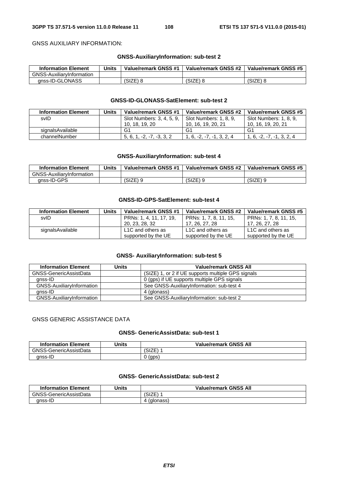GNSS AUXILIARY INFORMATION:

### **GNSS-AuxiliaryInformation: sub-test 2**

| <b>Information Element</b>       | Units | Value/remark GNSS #1 | Value/remark GNSS #2 | Value/remark GNSS #5 |
|----------------------------------|-------|----------------------|----------------------|----------------------|
| <b>GNSS-AuxiliarvInformation</b> |       |                      |                      |                      |
| anss-ID-GLONASS                  |       | (SIZE) 8             | (SIZE) 8             | $(SIZE)$ 8           |

#### **GNSS-ID-GLONASS-SatElement: sub-test 2**

| <b>Information Element</b> | Units | Value/remark GNSS #1      | Value/remark GNSS #2   | Value/remark GNSS #5    |
|----------------------------|-------|---------------------------|------------------------|-------------------------|
| svID                       |       | Slot Numbers: 3, 4, 5, 9, | Slot Numbers: 1, 8, 9. | Slot Numbers: 1, 8, 9.  |
|                            |       | 10, 18, 19, 20            | 10, 16, 19, 20, 21     | 10, 16, 19, 20, 21      |
| signalsAvailable           |       | G1                        | G1                     | G1                      |
| channelNumber              |       | $-2$<br>-3.3.2<br>5.6.    | .6.<br>$-2$            | -1.3.2.4<br>$1, 6, -2.$ |

### **GNSS-AuxiliaryInformation: sub-test 4**

| <b>Information Element</b>       | <b>Units</b> | Value/remark GNSS #1 | Value/remark GNSS #2 | Value/remark GNSS #5 |
|----------------------------------|--------------|----------------------|----------------------|----------------------|
| <b>GNSS-AuxiliarvInformation</b> |              |                      |                      |                      |
| anss-ID-GPS                      |              | 'SIZE) 9             | (SIZE)               | (SIZE) 9             |

### **GNSS-ID-GPS-SatElement: sub-test 4**

| <b>Information Element</b> | Units | Value/remark GNSS #1           | Value/remark GNSS #2   | Value/remark GNSS #5   |
|----------------------------|-------|--------------------------------|------------------------|------------------------|
| svID                       |       | PRNs: 1, 4, 11, 17, 19,        | PRNs: 1, 7, 8, 11, 15, | PRNs: 1, 7, 8, 11, 15, |
|                            |       | 20, 23, 28, 32                 | 17, 26, 27, 28         | 17, 26, 27, 28         |
| signalsAvailable           |       | L <sub>1</sub> C and others as | L1C and others as      | L1C and others as      |
|                            |       | supported by the UE            | supported by the UE    | supported by the UE    |

### **GNSS- AuxiliaryInformation: sub-test 5**

| <b>Information Element</b> | Units | <b>Value/remark GNSS All</b>                       |  |
|----------------------------|-------|----------------------------------------------------|--|
| GNSS-GenericAssistData     |       | (SIZE) 1, or 2 if UE supports multiple GPS signals |  |
| gnss-ID                    |       | 0 (gps) if UE supports multiple GPS signals        |  |
| GNSS-AuxiliaryInformation  |       | See GNSS-AuxiliaryInformation: sub-test 4          |  |
| anss-ID                    |       | 4 (glonass)                                        |  |
| GNSS-AuxiliaryInformation  |       | See GNSS-AuxiliaryInformation: sub-test 2          |  |

#### GNSS GENERIC ASSISTANCE DATA

### **GNSS- GenericAssistData: sub-test 1**

| <b>Information Element</b> | <b>Units</b> | <b>Value/remark GNSS All</b> |
|----------------------------|--------------|------------------------------|
| GNSS-GenericAssistData     |              | 기7다.<br>(SIZE                |
| anss-ID                    |              | (gps)                        |

### **GNSS- GenericAssistData: sub-test 2**

| <b>Information Element</b> | Units | <b>Value/remark GNSS All</b> |  |
|----------------------------|-------|------------------------------|--|
| GNSS-GenericAssistData     |       | :17다<br>ا علا                |  |
| anss-ID                    |       | (glonass)                    |  |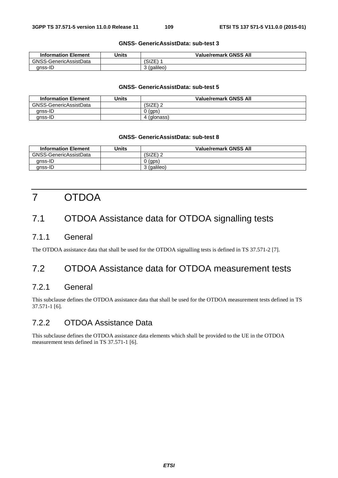### **GNSS- GenericAssistData: sub-test 3**

| <b>Information Element</b> | Jnits | <b>Value/remark GNSS All</b> |
|----------------------------|-------|------------------------------|
| GNSS-GenericAssistData     |       | (SIZE)                       |
| anss-ID                    |       | (galileo)                    |

#### **GNSS- GenericAssistData: sub-test 5**

| <b>Information Element</b> | Units | <b>Value/remark GNSS All</b> |
|----------------------------|-------|------------------------------|
| GNSS-GenericAssistData     |       | (SIZE) 2                     |
| anss-ID                    |       | 0(qps)                       |
| gnss-ID                    |       | 4 (glonass)                  |

#### **GNSS- GenericAssistData: sub-test 8**

| <b>Information Element</b> | Units | <b>Value/remark GNSS All</b> |
|----------------------------|-------|------------------------------|
| GNSS-GenericAssistData     |       | (SIZE) 2                     |
| anss-ID                    |       | າ (gps)                      |
| anss-ID                    |       | 3 (galileo)                  |

# 7 OTDOA

### 7.1 OTDOA Assistance data for OTDOA signalling tests

### 7.1.1 General

The OTDOA assistance data that shall be used for the OTDOA signalling tests is defined in TS 37.571-2 [7].

### 7.2 OTDOA Assistance data for OTDOA measurement tests

### 7.2.1 General

This subclause defines the OTDOA assistance data that shall be used for the OTDOA measurement tests defined in TS 37.571-1 [6].

### 7.2.2 OTDOA Assistance Data

This subclause defines the OTDOA assistance data elements which shall be provided to the UE in the OTDOA measurement tests defined in TS 37.571-1 [6].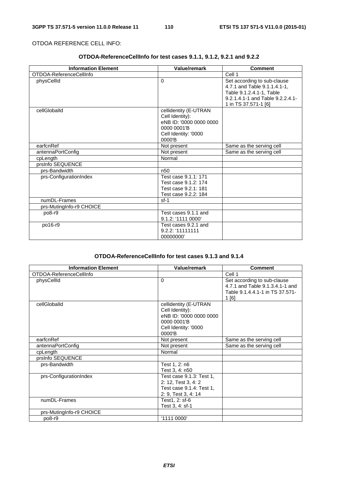### OTDOA REFERENCE CELL INFO:

### **OTDOA-ReferenceCellInfo for test cases 9.1.1, 9.1.2, 9.2.1 and 9.2.2**

| <b>Information Element</b> | Value/remark                                                                                                            | <b>Comment</b>                                                                                                                                      |
|----------------------------|-------------------------------------------------------------------------------------------------------------------------|-----------------------------------------------------------------------------------------------------------------------------------------------------|
| OTDOA-ReferenceCellInfo    |                                                                                                                         | Cell 1                                                                                                                                              |
| physCellId                 | $\Omega$                                                                                                                | Set according to sub-clause<br>4.7.1 and Table 9.1.1.4.1-1,<br>Table 9.1.2.4.1-1, Table<br>9.2.1.4.1-1 and Table 9.2.2.4.1-<br>1 in TS 37.571-1 [6] |
| cellGloballd               | cellidentity (E-UTRAN<br>Cell Identity):<br>eNB ID: '0000 0000 0000<br>0000 0001'B<br>Cell Identity: '0000<br>$0000'$ B |                                                                                                                                                     |
| earfcnRef                  | Not present                                                                                                             | Same as the serving cell                                                                                                                            |
| antennaPortConfig          | Not present                                                                                                             | Same as the serving cell                                                                                                                            |
| cpLength                   | Normal                                                                                                                  |                                                                                                                                                     |
| prsInfo SEQUENCE           |                                                                                                                         |                                                                                                                                                     |
| prs-Bandwidth              | n <sub>50</sub>                                                                                                         |                                                                                                                                                     |
| prs-ConfigurationIndex     | Test case 9.1.1: 171<br>Test case 9.1.2: 174<br>Test case 9.2.1: 181<br>Test case 9.2.2: 184                            |                                                                                                                                                     |
| numDL-Frames               | $sf-1$                                                                                                                  |                                                                                                                                                     |
| prs-MutingInfo-r9 CHOICE   |                                                                                                                         |                                                                                                                                                     |
| po8-r9                     | Test cases 9.1.1 and<br>9.1.2: '1111 0000'                                                                              |                                                                                                                                                     |
| po16-r9                    | Test cases 9.2.1 and<br>9.2.2: '111111111<br>00000000'                                                                  |                                                                                                                                                     |

### **OTDOA-ReferenceCellInfo for test cases 9.1.3 and 9.1.4**

| <b>Information Element</b> | <b>Value/remark</b>                                                                                                  | <b>Comment</b>                                                                                             |
|----------------------------|----------------------------------------------------------------------------------------------------------------------|------------------------------------------------------------------------------------------------------------|
| OTDOA-ReferenceCellInfo    |                                                                                                                      | Cell 1                                                                                                     |
| physCellId                 | $\Omega$                                                                                                             | Set according to sub-clause<br>4.7.1 and Table 9.1.3.4.1-1 and<br>Table 9.1.4.4.1-1 in TS 37.571-<br>1 [6] |
| cellGloballd               | cellidentity (E-UTRAN<br>Cell Identity):<br>eNB ID: '0000 0000 0000<br>0000 0001'B<br>Cell Identity: '0000<br>0000'B |                                                                                                            |
| earfcnRef                  | Not present                                                                                                          | Same as the serving cell                                                                                   |
| antennaPortConfig          | Not present                                                                                                          | Same as the serving cell                                                                                   |
| cpLength                   | Normal                                                                                                               |                                                                                                            |
| prsInfo SEQUENCE           |                                                                                                                      |                                                                                                            |
| prs-Bandwidth              | Test 1, 2: n6<br>Test 3, 4: n50                                                                                      |                                                                                                            |
| prs-ConfigurationIndex     | Test case 9.1.3: Test 1,<br>2: 12, Test 3, 4: 2<br>Test case 9.1.4: Test 1,<br>2: 9, Test 3, 4: 14                   |                                                                                                            |
| numDL-Frames               | Test1, 2: sf-6<br>Test 3, 4: sf-1                                                                                    |                                                                                                            |
| prs-MutingInfo-r9 CHOICE   |                                                                                                                      |                                                                                                            |
| po8-r9                     | '1111 0000'                                                                                                          |                                                                                                            |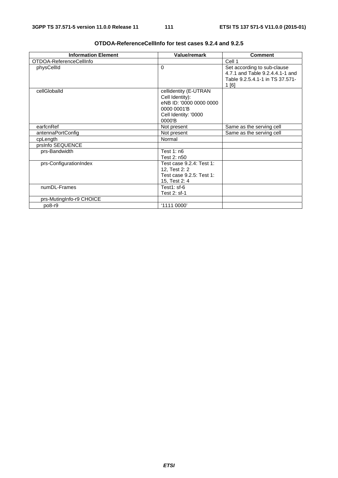| <b>Information Element</b> | <b>Value/remark</b>                                                                                                     | <b>Comment</b>                                                                                            |
|----------------------------|-------------------------------------------------------------------------------------------------------------------------|-----------------------------------------------------------------------------------------------------------|
| OTDOA-ReferenceCellInfo    |                                                                                                                         | Cell 1                                                                                                    |
| physCellId                 | $\Omega$                                                                                                                | Set according to sub-clause<br>4.7.1 and Table 9.2.4.4.1-1 and<br>Table 9.2.5.4.1-1 in TS 37.571-<br>1[6] |
| cellGloballd               | cellidentity (E-UTRAN<br>Cell Identity):<br>eNB ID: '0000 0000 0000<br>0000 0001 B<br>Cell Identity: '0000<br>$0000'$ B |                                                                                                           |
| earfcnRef                  | Not present                                                                                                             | Same as the serving cell                                                                                  |
| antennaPortConfig          | Not present                                                                                                             | Same as the serving cell                                                                                  |
| cpLength                   | Normal                                                                                                                  |                                                                                                           |
| prsInfo SEQUENCE           |                                                                                                                         |                                                                                                           |
| prs-Bandwidth              | Test $1: n6$<br>Test 2: n50                                                                                             |                                                                                                           |
| prs-ConfigurationIndex     | Test case 9.2.4: Test 1:<br>12, Test 2: 2<br>Test case 9.2.5: Test 1:<br>15, Test 2: 4                                  |                                                                                                           |
| numDL-Frames               | Test1: $sf-6$<br>Test 2: sf-1                                                                                           |                                                                                                           |
| prs-MutingInfo-r9 CHOICE   |                                                                                                                         |                                                                                                           |
| po8-r9                     | '1111 0000'                                                                                                             |                                                                                                           |

### **OTDOA-ReferenceCellInfo for test cases 9.2.4 and 9.2.5**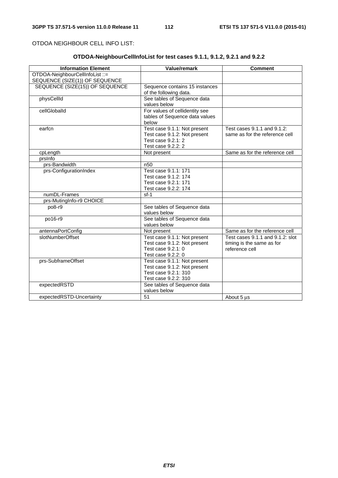OTDOA NEIGHBOUR CELL INFO LIST:

### **OTDOA-NeighbourCellInfoList for test cases 9.1.1, 9.1.2, 9.2.1 and 9.2.2**

| <b>Information Element</b>      | Value/remark                   | <b>Comment</b>                   |
|---------------------------------|--------------------------------|----------------------------------|
| OTDOA-NeighbourCellInfoList ::= |                                |                                  |
| SEQUENCE (SIZE(1)) OF SEQUENCE  |                                |                                  |
| SEQUENCE (SIZE(15)) OF SEQUENCE | Sequence contains 15 instances |                                  |
|                                 | of the following data.         |                                  |
| physCellId                      | See tables of Sequence data    |                                  |
|                                 | values below                   |                                  |
| cellGloballd                    | For values of cellidentity see |                                  |
|                                 | tables of Sequence data values |                                  |
|                                 | below                          |                                  |
| earfcn                          | Test case 9.1.1: Not present   | Test cases 9.1.1 and 9.1.2:      |
|                                 | Test case 9.1.2: Not present   | same as for the reference cell   |
|                                 | Test case 9.2.1: 2             |                                  |
|                                 | Test case 9.2.2: 2             |                                  |
| cpLength                        | Not present                    | Same as for the reference cell   |
| prsinfo                         |                                |                                  |
| prs-Bandwidth                   | n <sub>50</sub>                |                                  |
| prs-ConfigurationIndex          | Test case 9.1.1: 171           |                                  |
|                                 | Test case 9.1.2: 174           |                                  |
|                                 | Test case 9.2.1: 171           |                                  |
|                                 | Test case 9.2.2: 174           |                                  |
| numDL-Frames                    | $sf-1$                         |                                  |
| prs-MutingInfo-r9 CHOICE        |                                |                                  |
| po8-r9                          | See tables of Sequence data    |                                  |
|                                 | values below                   |                                  |
| po16-r9                         | See tables of Sequence data    |                                  |
|                                 | values below                   |                                  |
| antennaPortConfig               | Not present                    | Same as for the reference cell   |
| slotNumberOffset                | Test case 9.1.1: Not present   | Test cases 9.1.1 and 9.1.2: slot |
|                                 | Test case 9.1.2: Not present   | timing is the same as for        |
|                                 | Test case 9.2.1: 0             | reference cell                   |
|                                 | Test case 9.2.2: 0             |                                  |
| prs-SubframeOffset              | Test case 9.1.1: Not present   |                                  |
|                                 | Test case 9.1.2: Not present   |                                  |
|                                 | Test case 9.2.1: 310           |                                  |
|                                 | Test case 9.2.2: 310           |                                  |
| expectedRSTD                    | See tables of Sequence data    |                                  |
|                                 | values below                   |                                  |
| expectedRSTD-Uncertainty        | 51                             | About 5 us                       |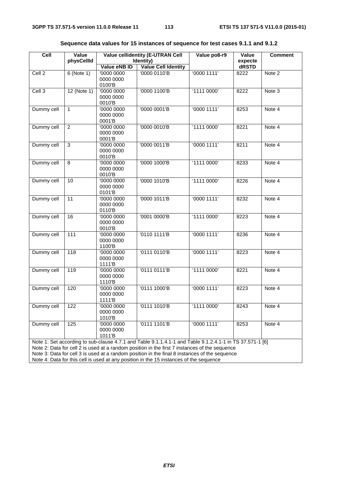| Cell              | Value<br>physCellId | <b>Value cellidentity (E-UTRAN Cell</b><br>Identity) |                                                                                                          | Value po8-r9 | Value<br>expecte | <b>Comment</b> |  |
|-------------------|---------------------|------------------------------------------------------|----------------------------------------------------------------------------------------------------------|--------------|------------------|----------------|--|
|                   |                     | Value eNB ID                                         | <b>Value Cell Identity</b>                                                                               |              | dRSTD            |                |  |
| Cell <sub>2</sub> | $6$ (Note 1)        | '0000 0000                                           | '0000 0110'B                                                                                             | '00001111'   | 8222             | Note 2         |  |
|                   |                     | 0000 0000                                            |                                                                                                          |              |                  |                |  |
|                   |                     | 0100'B                                               |                                                                                                          |              |                  |                |  |
| Cell <sub>3</sub> | $12$ (Note 1)       | '0000 0000                                           | '0000 1100'B                                                                                             | '1111 0000'  | 8222             | Note 3         |  |
|                   |                     | 0000 0000                                            |                                                                                                          |              |                  |                |  |
| Dummy cell        | $\mathbf{1}$        | 0010'B<br>'0000 0000                                 | '0000 0001'B                                                                                             | '00001111'   | 8253             | Note 4         |  |
|                   |                     | 0000 0000                                            |                                                                                                          |              |                  |                |  |
|                   |                     | 0001'B                                               |                                                                                                          |              |                  |                |  |
| Dummy cell        | $\overline{2}$      | '0000 0000                                           | '0000 0010'B                                                                                             | '1111 0000'  | 8221             | Note 4         |  |
|                   |                     | 0000 0000                                            |                                                                                                          |              |                  |                |  |
|                   |                     | 0001'B                                               |                                                                                                          |              |                  |                |  |
| Dummy cell        | 3                   | '0000 0000                                           | '0000 0011'B                                                                                             | '00001111'   | 8211             | Note 4         |  |
|                   |                     | 0000 0000                                            |                                                                                                          |              |                  |                |  |
|                   |                     | 0010'B                                               |                                                                                                          |              |                  |                |  |
| Dummy cell        | $\overline{8}$      | '0000 0000<br>0000 0000                              | '0000 1000'B                                                                                             | '1111 0000'  | 8233             | Note 4         |  |
|                   |                     | 0010'B                                               |                                                                                                          |              |                  |                |  |
| Dummy cell        | 10                  | '0000 0000                                           | '0000 1010'B                                                                                             | '1111 0000'  | 8226             | Note 4         |  |
|                   |                     | 0000 0000                                            |                                                                                                          |              |                  |                |  |
|                   |                     | 0101'B                                               |                                                                                                          |              |                  |                |  |
| Dummy cell        | 11                  | '0000 0000                                           | '0000 1011'B                                                                                             | '00001111'   | 8232             | Note 4         |  |
|                   |                     | 0000 0000                                            |                                                                                                          |              |                  |                |  |
|                   |                     | 0110'B                                               |                                                                                                          |              |                  |                |  |
| Dummy cell        | 16                  | '0000 0000<br>0000 0000                              | '0001 0000'B                                                                                             | '1111 0000'  | 8223             | Note 4         |  |
|                   |                     | 0010'B                                               |                                                                                                          |              |                  |                |  |
| Dummy cell        | 111                 | '0000 0000                                           | '0110 1111'B                                                                                             | '0000 1111'  | 8236             | Note 4         |  |
|                   |                     | 0000 0000                                            |                                                                                                          |              |                  |                |  |
|                   |                     | 1100'B                                               |                                                                                                          |              |                  |                |  |
| Dummy cell        | $\overline{118}$    | '0000 0000                                           | '0111 0110'B                                                                                             | '00001111'   | 8223             | Note 4         |  |
|                   |                     | 0000 0000                                            |                                                                                                          |              |                  |                |  |
|                   |                     | 1111'B                                               |                                                                                                          |              |                  |                |  |
| Dummy cell        | 119                 | '0000 0000<br>0000 0000                              | '0111 0111'B                                                                                             | '1111 0000'  | 8221             | Note 4         |  |
|                   |                     | 1110'B                                               |                                                                                                          |              |                  |                |  |
| Dummy cell        | 120                 | '0000 0000                                           | '0111 1000'B                                                                                             | '0000 1111'  | 8223             | Note 4         |  |
|                   |                     | 0000 0000                                            |                                                                                                          |              |                  |                |  |
|                   |                     | 1111'B                                               |                                                                                                          |              |                  |                |  |
| Dummy cell        | 122                 | '0000 0000                                           | '0111 1010'B                                                                                             | 11110000'    | 8243             | Note 4         |  |
|                   |                     | 0000 0000                                            |                                                                                                          |              |                  |                |  |
|                   |                     | 1010'B                                               |                                                                                                          |              |                  |                |  |
| Dummy cell        | 125                 | '0000 0000                                           | '0111 1101'B                                                                                             | '00001111'   | 8253             | Note 4         |  |
|                   |                     | 0000 0000<br>1011'B                                  |                                                                                                          |              |                  |                |  |
|                   |                     |                                                      | Note 1: Set according to sub-clause 4.7.1 and Table 9.1.1.4.1-1 and Table 9.1.2.4.1-1 in TS 37.571-1 [6] |              |                  |                |  |
|                   |                     |                                                      | Note 2: Data for cell 2 is used at a random position in the first 7 instances of the sequence            |              |                  |                |  |
|                   |                     |                                                      | Note 3: Data for cell 3 is used at a random position in the final 8 instances of the sequence            |              |                  |                |  |

**Sequence data values for 15 instances of sequence for test cases 9.1.1 and 9.1.2** 

Note 4: Data for this cell is used at any position in the 15 instances of the sequence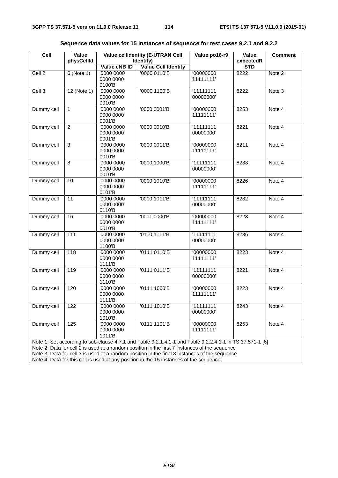| Cell                   | Value<br>physCellId                                                                                                                                                                     | <b>Value cellidentity (E-UTRAN Cell</b><br>Identity) |                                                                                                          | Value po16-r9 | Value<br>expectedR | <b>Comment</b> |  |  |  |
|------------------------|-----------------------------------------------------------------------------------------------------------------------------------------------------------------------------------------|------------------------------------------------------|----------------------------------------------------------------------------------------------------------|---------------|--------------------|----------------|--|--|--|
|                        |                                                                                                                                                                                         | Value eNB ID                                         | <b>Value Cell Identity</b>                                                                               |               | <b>STD</b>         |                |  |  |  |
| Cell <sub>2</sub>      | $6$ (Note 1)                                                                                                                                                                            | '0000 0000                                           | '0000 0110'B                                                                                             | '00000000     | 8222               | Note 2         |  |  |  |
|                        |                                                                                                                                                                                         | 0000 0000                                            |                                                                                                          | 11111111'     |                    |                |  |  |  |
|                        |                                                                                                                                                                                         | 0100'B                                               |                                                                                                          |               |                    |                |  |  |  |
| Cell <sub>3</sub>      | $12$ (Note 1)                                                                                                                                                                           | '0000 0000                                           | '0000 1100'B                                                                                             | 11111111      | 8222               | Note 3         |  |  |  |
|                        |                                                                                                                                                                                         | 0000 0000                                            |                                                                                                          | 00000000'     |                    |                |  |  |  |
| Dummy cell             | $\mathbf{1}$                                                                                                                                                                            | 0010'B<br>'0000 0000                                 | '0000 0001'B                                                                                             | '00000000     | 8253               | Note 4         |  |  |  |
|                        |                                                                                                                                                                                         | 0000 0000                                            |                                                                                                          | 11111111'     |                    |                |  |  |  |
|                        |                                                                                                                                                                                         | 0001'B                                               |                                                                                                          |               |                    |                |  |  |  |
| Dummy cell             | $\overline{2}$                                                                                                                                                                          | '0000 0000                                           | '0000 0010'B                                                                                             | 11111111      | 8221               | Note 4         |  |  |  |
|                        |                                                                                                                                                                                         | 0000 0000                                            |                                                                                                          | 00000000'     |                    |                |  |  |  |
|                        |                                                                                                                                                                                         | 0001'B                                               |                                                                                                          |               |                    |                |  |  |  |
| Dummy cell             | 3                                                                                                                                                                                       | '0000 0000                                           | '0000 0011'B                                                                                             | '00000000     | 8211               | Note 4         |  |  |  |
|                        |                                                                                                                                                                                         | 0000 0000                                            |                                                                                                          | 11111111'     |                    |                |  |  |  |
|                        |                                                                                                                                                                                         | 0010'B                                               |                                                                                                          |               |                    |                |  |  |  |
| Dummy cell             | $\overline{8}$                                                                                                                                                                          | '0000 0000                                           | '0000 1000'B                                                                                             | 11111111      | 8233               | Note 4         |  |  |  |
|                        |                                                                                                                                                                                         | 0000 0000<br>0010'B                                  |                                                                                                          | 00000000'     |                    |                |  |  |  |
| Dummy cell             | 10                                                                                                                                                                                      | '0000 0000                                           | '0000 1010'B                                                                                             | '00000000     | 8226               | Note 4         |  |  |  |
|                        |                                                                                                                                                                                         | 0000 0000                                            |                                                                                                          | 11111111'     |                    |                |  |  |  |
|                        |                                                                                                                                                                                         | 0101'B                                               |                                                                                                          |               |                    |                |  |  |  |
| Dummy cell             | 11                                                                                                                                                                                      | '0000 0000                                           | '0000 1011'B                                                                                             | 11111111      | 8232               | Note 4         |  |  |  |
|                        |                                                                                                                                                                                         | 0000 0000                                            |                                                                                                          | 00000000'     |                    |                |  |  |  |
|                        |                                                                                                                                                                                         | 0110'B                                               |                                                                                                          |               |                    |                |  |  |  |
| Dummy cell             | 16                                                                                                                                                                                      | '0000 0000                                           | '0001 0000'B                                                                                             | '00000000     | 8223               | Note 4         |  |  |  |
|                        |                                                                                                                                                                                         | 0000 0000<br>0010'B                                  |                                                                                                          | 11111111'     |                    |                |  |  |  |
| Dummy cell             | 111                                                                                                                                                                                     | '0000 0000                                           | '0110 1111'B                                                                                             | 11111111      | 8236               | Note 4         |  |  |  |
|                        |                                                                                                                                                                                         | 0000 0000                                            |                                                                                                          | 00000000'     |                    |                |  |  |  |
|                        |                                                                                                                                                                                         | 1100'B                                               |                                                                                                          |               |                    |                |  |  |  |
| Dummy cell             | 118                                                                                                                                                                                     | '0000 0000                                           | '0111 0110'B                                                                                             | '00000000     | 8223               | Note 4         |  |  |  |
|                        |                                                                                                                                                                                         | 0000 0000                                            |                                                                                                          | 11111111'     |                    |                |  |  |  |
|                        |                                                                                                                                                                                         | 1111'B                                               |                                                                                                          |               |                    |                |  |  |  |
| Dummy cell             | 119                                                                                                                                                                                     | '0000 0000                                           | '0111 0111'B                                                                                             | 11111111      | 8221               | Note 4         |  |  |  |
|                        |                                                                                                                                                                                         | 0000 0000<br>1110'B                                  |                                                                                                          | 00000000'     |                    |                |  |  |  |
| Dummy cell             | 120                                                                                                                                                                                     | '0000 0000                                           | '0111 1000'B                                                                                             | '00000000     | 8223               | Note 4         |  |  |  |
|                        |                                                                                                                                                                                         | 0000 0000                                            |                                                                                                          | 11111111'     |                    |                |  |  |  |
|                        |                                                                                                                                                                                         | 1111'B                                               |                                                                                                          |               |                    |                |  |  |  |
| Dummy cell             | 122                                                                                                                                                                                     | '0000 0000                                           | '0111 1010'B                                                                                             | '11111111     | 8243               | Note 4         |  |  |  |
|                        |                                                                                                                                                                                         | 0000 0000                                            |                                                                                                          | 00000000'     |                    |                |  |  |  |
|                        |                                                                                                                                                                                         | 1010'B                                               |                                                                                                          |               |                    |                |  |  |  |
| Dummy cell             | 125                                                                                                                                                                                     | '0000 0000                                           | '0111 1101'B                                                                                             | '00000000     | 8253               | Note 4         |  |  |  |
| 0000 0000<br>11111111' |                                                                                                                                                                                         |                                                      |                                                                                                          |               |                    |                |  |  |  |
|                        |                                                                                                                                                                                         | 1011'B                                               | Note 1: Set according to sub-clause 4.7.1 and Table 9.2.1.4.1-1 and Table 9.2.2.4.1-1 in TS 37.571-1 [6] |               |                    |                |  |  |  |
|                        |                                                                                                                                                                                         |                                                      | Note 2: Data for cell 2 is used at a random position in the first 7 instances of the sequence            |               |                    |                |  |  |  |
|                        |                                                                                                                                                                                         |                                                      |                                                                                                          |               |                    |                |  |  |  |
|                        | Note 3: Data for cell 3 is used at a random position in the final 8 instances of the sequence<br>Note 4: Data for this cell is used at any position in the 15 instances of the sequence |                                                      |                                                                                                          |               |                    |                |  |  |  |

| Sequence data values for 15 instances of sequence for test cases 9.2.1 and 9.2.2 |  |  |  |
|----------------------------------------------------------------------------------|--|--|--|
|----------------------------------------------------------------------------------|--|--|--|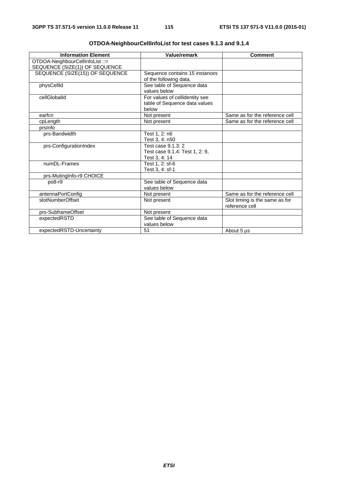| <b>Information Element</b>                                        | Value/remark                                                             | <b>Comment</b>                                   |
|-------------------------------------------------------------------|--------------------------------------------------------------------------|--------------------------------------------------|
| OTDOA-NeighbourCellInfoList ::=<br>SEQUENCE (SIZE(1)) OF SEQUENCE |                                                                          |                                                  |
| SEQUENCE (SIZE(15)) OF SEQUENCE                                   | Sequence contains 15 instances<br>of the following data.                 |                                                  |
| physCellId                                                        | See table of Sequence data<br>values below                               |                                                  |
| cellGloballd                                                      | For values of cellidentity see<br>table of Sequence data values<br>below |                                                  |
| earfcn                                                            | Not present                                                              | Same as for the reference cell                   |
| cpLength                                                          | Not present                                                              | Same as for the reference cell                   |
| prsinfo                                                           |                                                                          |                                                  |
| prs-Bandwidth                                                     | Test 1, 2: n6<br>Test 3, 4: n50                                          |                                                  |
| prs-ConfigurationIndex                                            | Test case 9.1.3: 2<br>Test case 9.1.4: Test 1, 2: 9,<br>Test 3, 4: 14    |                                                  |
| numDL-Frames                                                      | Test 1, 2: sf-6<br>Test 3, 4: sf-1                                       |                                                  |
| prs-MutingInfo-r9 CHOICE                                          |                                                                          |                                                  |
| po8-r9                                                            | See table of Sequence data<br>values below                               |                                                  |
| antennaPortConfig                                                 | Not present                                                              | Same as for the reference cell                   |
| slotNumberOffset                                                  | Not present                                                              | Slot timing is the same as for<br>reference cell |
| prs-SubframeOffset                                                | Not present                                                              |                                                  |
| expectedRSTD                                                      | See table of Sequence data<br>values below                               |                                                  |
| expectedRSTD-Uncertainty                                          | 51                                                                       | About 5 us                                       |

| OTDOA-NeighbourCellInfoList for test cases 9.1.3 and 9.1.4 |  |
|------------------------------------------------------------|--|
|                                                            |  |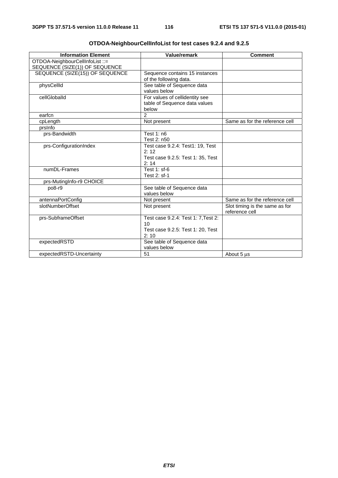| <b>Information Element</b>      | Value/remark                        | <b>Comment</b>                 |
|---------------------------------|-------------------------------------|--------------------------------|
| OTDOA-NeighbourCellInfoList ::= |                                     |                                |
| SEQUENCE (SIZE(1)) OF SEQUENCE  |                                     |                                |
| SEQUENCE (SIZE(15)) OF SEQUENCE | Sequence contains 15 instances      |                                |
|                                 | of the following data.              |                                |
| physCellId                      | See table of Sequence data          |                                |
|                                 | values below                        |                                |
| cellGloballd                    | For values of cellidentity see      |                                |
|                                 | table of Sequence data values       |                                |
|                                 | below                               |                                |
| earfcn                          | $\mathcal{P}$                       |                                |
| cpLength                        | Not present                         | Same as for the reference cell |
| prsinfo                         |                                     |                                |
| prs-Bandwidth                   | Test 1: n6                          |                                |
|                                 | Test 2: n50                         |                                |
| prs-ConfigurationIndex          | Test case 9.2.4: Test1: 19, Test    |                                |
|                                 | 2:12                                |                                |
|                                 | Test case 9.2.5: Test 1: 35, Test   |                                |
|                                 | 2:14                                |                                |
| numDL-Frames                    | Test 1: sf-6                        |                                |
|                                 | Test 2: sf-1                        |                                |
| prs-MutingInfo-r9 CHOICE        |                                     |                                |
| po8-r9                          | See table of Sequence data          |                                |
|                                 | values below                        |                                |
| antennaPortConfig               | Not present                         | Same as for the reference cell |
| slotNumberOffset                | Not present                         | Slot timing is the same as for |
|                                 |                                     | reference cell                 |
| prs-SubframeOffset              | Test case 9.2.4: Test 1: 7, Test 2: |                                |
|                                 | 10 <sup>1</sup>                     |                                |
|                                 | Test case 9.2.5: Test 1: 20, Test   |                                |
|                                 | 2:10                                |                                |
| expectedRSTD                    | See table of Sequence data          |                                |
|                                 | values below                        |                                |
| expectedRSTD-Uncertainty        | 51                                  | About 5 us                     |

| OTDOA-NeighbourCellInfoList for test cases 9.2.4 and 9.2.5 |  |  |  |  |  |
|------------------------------------------------------------|--|--|--|--|--|
|------------------------------------------------------------|--|--|--|--|--|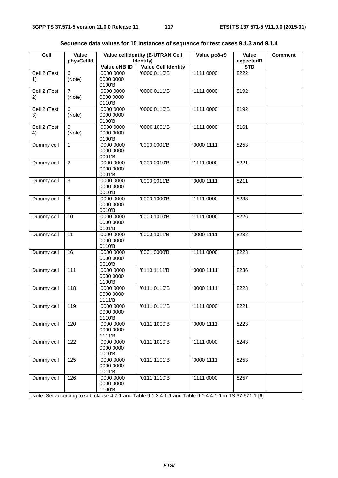| Cell               | Value                    | <b>Value cellidentity (E-UTRAN Cell</b> |                                                                                                        | Value po8-r9            | Value              | <b>Comment</b> |  |
|--------------------|--------------------------|-----------------------------------------|--------------------------------------------------------------------------------------------------------|-------------------------|--------------------|----------------|--|
|                    | physCellId               |                                         | Identity)                                                                                              |                         | expectedR          |                |  |
| Cell 2 (Test       | 6                        | Value eNB ID<br>'0000 0000              | <b>Value Cell Identity</b><br>'0000 0110'B                                                             | '1111 0000'             | <b>STD</b><br>8222 |                |  |
| 1)                 | (Note)                   | 0000 0000<br>0100'B                     |                                                                                                        |                         |                    |                |  |
| Cell 2 (Test<br>2) | $\overline{7}$<br>(Note) | '0000 0000<br>0000 0000<br>0110'B       | '0000 0111'B                                                                                           | '1111 0000'             | 8192               |                |  |
| Cell 2 (Test<br>3) | 6<br>(Note)              | '0000 0000<br>0000 0000<br>0100'B       | '0000 0110'B                                                                                           | '1111 0000'             | 8192               |                |  |
| Cell 2 (Test<br>4) | 9<br>(Note)              | '0000 0000<br>0000 0000<br>0100'B       | '0000 1001'B                                                                                           | '1111 0000'             | 8161               |                |  |
| Dummy cell         | $\mathbf{1}$             | '0000 0000<br>0000 0000<br>0001'B       | '0000 0001'B                                                                                           | '0000 1111'             | 8253               |                |  |
| Dummy cell         | $\overline{2}$           | '0000 0000<br>0000 0000<br>0001'B       | '0000 0010'B                                                                                           | '1111 0000'             | 8221               |                |  |
| Dummy cell         | $\overline{3}$           | '0000 0000<br>0000 0000<br>0010'B       | '0000 0011'B                                                                                           | '00001111'              | 8211               |                |  |
| Dummy cell         | 8                        | '0000 0000<br>0000 0000<br>0010'B       | '0000 1000'B                                                                                           | '11110000'              | 8233               |                |  |
| Dummy cell         | 10                       | '0000 0000<br>0000 0000<br>0101'B       | '0000 1010'B                                                                                           | '1111 0000'             | 8226               |                |  |
| Dummy cell         | 11                       | '0000 0000<br>0000 0000<br>0110'B       | '0000 1011'B                                                                                           | $\overline{0000}$ 1111' | 8232               |                |  |
| Dummy cell         | 16                       | '0000 0000<br>0000 0000<br>0010'B       | '0001 0000'B                                                                                           | '1111 0000'             | 8223               |                |  |
| Dummy cell         | 111                      | '0000 0000<br>0000 0000<br>1100'B       | '0110 1111'B                                                                                           | '00001111'              | 8236               |                |  |
| Dummy cell         | 118                      | '0000 0000<br>0000 0000<br>1111'B       | '0111 0110'B                                                                                           | '0000 1111'             | 8223               |                |  |
| Dummy cell         | 119                      | '0000 0000<br>0000 0000<br>1110'B       | '0111 0111'B                                                                                           | '1111 0000'             | 8221               |                |  |
| Dummy cell         | 120                      | '0000 0000<br>0000 0000<br>1111'B       | '0111 1000'B                                                                                           | '00001111'              | 8223               |                |  |
| Dummy cell         | 122                      | '0000 0000<br>0000 0000<br>1010'B       | '0111 1010'B                                                                                           | '1111 0000'             | 8243               |                |  |
| Dummy cell         | 125                      | '0000 0000<br>0000 0000<br>1011'B       | '0111 1101'B                                                                                           | '0000 1111'             | 8253               |                |  |
| Dummy cell         | 126                      | '0000 0000<br>0000 0000<br>1100'B       | '01111110'B                                                                                            | '1111 0000'             | 8257               |                |  |
|                    |                          |                                         | Note: Set according to sub-clause 4.7.1 and Table 9.1.3.4.1-1 and Table 9.1.4.4.1-1 in TS 37.571-1 [6] |                         |                    |                |  |

|  |  | Sequence data values for 15 instances of sequence for test cases 9.1.3 and 9.1.4 |  |  |  |  |
|--|--|----------------------------------------------------------------------------------|--|--|--|--|
|  |  |                                                                                  |  |  |  |  |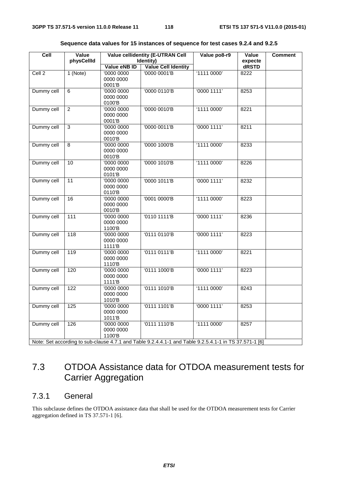| Cell<br>Value<br>physCellId |                  |                                               | <b>Value cellidentity (E-UTRAN Cell</b><br>Identity)                                                   | Value po8-r9 | Value<br>expecte | <b>Comment</b> |
|-----------------------------|------------------|-----------------------------------------------|--------------------------------------------------------------------------------------------------------|--------------|------------------|----------------|
|                             |                  | Value eNB ID                                  | Value Cell Identity                                                                                    |              | dRSTD            |                |
| Cell <sub>2</sub>           | $1$ (Note)       | '0000 0000<br>0000 0000<br>0001'B             | '0000 0001'B                                                                                           | '11110000'   | 8222             |                |
| Dummy cell                  | 6                | '0000 0000<br>0000 0000<br>0100'B             | '0000 0110'B                                                                                           | '00001111'   | 8253             |                |
| Dummy cell                  | $\overline{2}$   | '0000 0000<br>0000 0000<br>0001'B             | '0000 0010'B                                                                                           | 11110000'    | 8221             |                |
| Dummy cell                  | $\overline{3}$   | '0000 0000<br>0000 0000<br>0010'B             | '0000 0011'B                                                                                           | '00001111'   | 8211             |                |
| Dummy cell                  | 8                | '0000 0000<br>0000 0000<br>0010'B             | '0000 1000'B                                                                                           | '1111 0000'  | 8233             |                |
| Dummy cell                  | 10               | '0000 0000<br>0000 0000<br>0101'B             | '0000 1010'B                                                                                           | '1111 0000'  | 8226             |                |
| Dummy cell                  | 11               | '0000 0000<br>0000 0000<br>0110'B             | '0000 1011'B                                                                                           | '00001111'   | 8232             |                |
| Dummy cell                  | 16               | '0000 0000<br>0000 0000<br>0010'B             | '0001 0000'B                                                                                           | '11110000'   | 8223             |                |
| Dummy cell                  | $\frac{111}{11}$ | 00000000<br>0000 0000<br>1100'B               | '0110 1111'B                                                                                           | '00001111'   | 8236             |                |
| Dummy cell                  | 118              | '0000 0000<br>0000 0000<br>1111 <sup>'B</sup> | '0111 0110'B                                                                                           | '00001111'   | 8223             |                |
| Dummy cell                  | 119              | '0000 0000<br>0000 0000<br>1110'B             | '01110111'B                                                                                            | '11110000'   | 8221             |                |
| Dummy cell                  | 120              | '0000 0000<br>0000 0000<br>1111 <sup>'B</sup> | '0111 1000'B                                                                                           | '00001111'   | 8223             |                |
| Dummy cell                  | 122              | '0000 0000<br>0000 0000<br>1010'B             | '0111 1010'B                                                                                           | '1111 0000'  | 8243             |                |
| Dummy cell                  | $\frac{1}{25}$   | '0000 0000<br>0000 0000<br>1011'B             | '0111 1101'B                                                                                           | '0000 1111'  | 8253             |                |
| Dummy cell                  | 126              | '0000 0000<br>0000 0000<br>1100'B             | '0111 1110'B                                                                                           | '1111 0000'  | 8257             |                |
|                             |                  |                                               | Note: Set according to sub-clause 4.7.1 and Table 9.2.4.4.1-1 and Table 9.2.5.4.1-1 in TS 37.571-1 [6] |              |                  |                |

### 7.3 OTDOA Assistance data for OTDOA measurement tests for Carrier Aggregation

### 7.3.1 General

This subclause defines the OTDOA assistance data that shall be used for the OTDOA measurement tests for Carrier aggregation defined in TS 37.571-1 [6].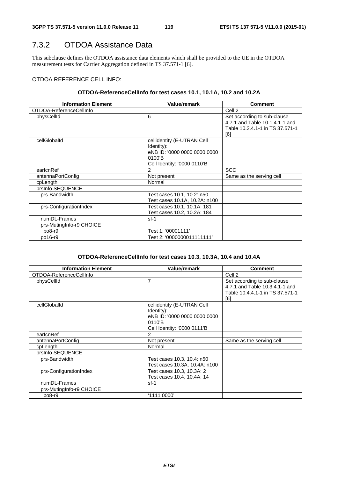### 7.3.2 OTDOA Assistance Data

This subclause defines the OTDOA assistance data elements which shall be provided to the UE in the OTDOA measurement tests for Carrier Aggregation defined in TS 37.571-1 [6].

### OTDOA REFERENCE CELL INFO:

### **OTDOA-ReferenceCellInfo for test cases 10.1, 10.1A, 10.2 and 10.2A**

| <b>Information Element</b> | Value/remark                  | <b>Comment</b>                  |
|----------------------------|-------------------------------|---------------------------------|
| OTDOA-ReferenceCellInfo    |                               | Cell <sub>2</sub>               |
| physCellId                 | 6                             | Set according to sub-clause     |
|                            |                               | 4.7.1 and Table 10.1.4.1-1 and  |
|                            |                               | Table 10.2.4.1-1 in TS 37.571-1 |
|                            |                               | [6]                             |
| cellGloballd               | cellidentity (E-UTRAN Cell    |                                 |
|                            | Identity):                    |                                 |
|                            | eNB ID: '0000 0000 0000 0000  |                                 |
|                            | 0100'B                        |                                 |
|                            | Cell Identity: '0000 0110'B   |                                 |
| earfcnRef                  | 2                             | <b>SCC</b>                      |
| antennaPortConfig          | Not present                   | Same as the serving cell        |
| cpLength                   | Normal                        |                                 |
| prsInfo SEQUENCE           |                               |                                 |
| prs-Bandwidth              | Test cases 10.1, 10.2: n50    |                                 |
|                            | Test cases 10.1A, 10.2A: n100 |                                 |
| prs-ConfigurationIndex     | Test cases 10.1, 10.1A: 181   |                                 |
|                            | Test cases 10.2, 10.2A: 184   |                                 |
| numDL-Frames               | $sf-1$                        |                                 |
| prs-MutingInfo-r9 CHOICE   |                               |                                 |
| po8-r9                     | Test 1: '00001111'            |                                 |
| po16-r9                    | Test 2: '0000000011111111'    |                                 |

### **OTDOA-ReferenceCellInfo for test cases 10.3, 10.3A, 10.4 and 10.4A**

| <b>Information Element</b> | <b>Value/remark</b>           | <b>Comment</b>                  |
|----------------------------|-------------------------------|---------------------------------|
|                            |                               |                                 |
| OTDOA-ReferenceCellInfo    |                               | Cell 2                          |
| physCellId                 | 7                             | Set according to sub-clause     |
|                            |                               | 4.7.1 and Table 10.3.4.1-1 and  |
|                            |                               | Table 10.4.4.1-1 in TS 37.571-1 |
|                            |                               | [6]                             |
| cellGloballd               | cellidentity (E-UTRAN Cell    |                                 |
|                            | Identity):                    |                                 |
|                            | eNB ID: '0000 0000 0000 0000  |                                 |
|                            | 0110'B                        |                                 |
|                            | Cell Identity: '0000 0111'B   |                                 |
| earfcnRef                  | $\mathfrak{p}$                |                                 |
| antennaPortConfig          | Not present                   | Same as the serving cell        |
| cpLength                   | Normal                        |                                 |
| prsInfo SEQUENCE           |                               |                                 |
| prs-Bandwidth              | Test cases 10.3, 10.4: n50    |                                 |
|                            | Test cases 10.3A, 10.4A: n100 |                                 |
| prs-ConfigurationIndex     | Test cases 10.3, 10.3A: 2     |                                 |
|                            | Test cases 10.4, 10.4A: 14    |                                 |
| numDL-Frames               | sf-1                          |                                 |
| prs-MutingInfo-r9 CHOICE   |                               |                                 |
| $po8-r9$                   | '1111 0000'                   |                                 |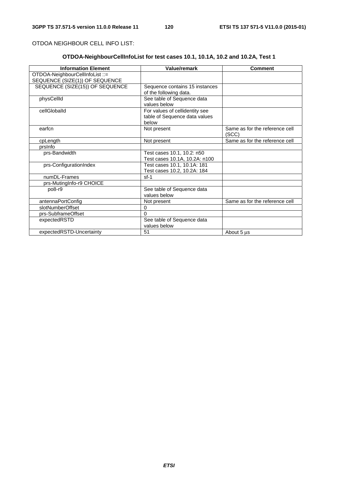OTDOA NEIGHBOUR CELL INFO LIST:

### **OTDOA-NeighbourCellInfoList for test cases 10.1, 10.1A, 10.2 and 10.2A, Test 1**

| <b>Information Element</b>      | Value/remark                   | <b>Comment</b>                 |
|---------------------------------|--------------------------------|--------------------------------|
| OTDOA-NeighbourCellInfoList ::= |                                |                                |
| SEQUENCE (SIZE(1)) OF SEQUENCE  |                                |                                |
| SEQUENCE (SIZE(15)) OF SEQUENCE | Sequence contains 15 instances |                                |
|                                 | of the following data.         |                                |
| physCellId                      | See table of Sequence data     |                                |
|                                 | values below                   |                                |
| cellGloballd                    | For values of cellidentity see |                                |
|                                 | table of Sequence data values  |                                |
|                                 | below                          |                                |
| earfcn                          | Not present                    | Same as for the reference cell |
|                                 |                                | (SCC)                          |
| cpLength                        | Not present                    | Same as for the reference cell |
| prsinfo                         |                                |                                |
| prs-Bandwidth                   | Test cases 10.1, 10.2: n50     |                                |
|                                 | Test cases 10.1A, 10.2A: n100  |                                |
| prs-ConfigurationIndex          | Test cases 10.1, 10.1A: 181    |                                |
|                                 | Test cases 10.2, 10.2A: 184    |                                |
| numDL-Frames                    | $sf-1$                         |                                |
| prs-MutingInfo-r9 CHOICE        |                                |                                |
| po8-r9                          | See table of Sequence data     |                                |
|                                 | values below                   |                                |
| antennaPortConfig               | Not present                    | Same as for the reference cell |
| slotNumberOffset                | 0                              |                                |
| prs-SubframeOffset              | $\Omega$                       |                                |
| expectedRSTD                    | See table of Sequence data     |                                |
|                                 | values below                   |                                |
| expectedRSTD-Uncertainty        | 51                             | About 5 µs                     |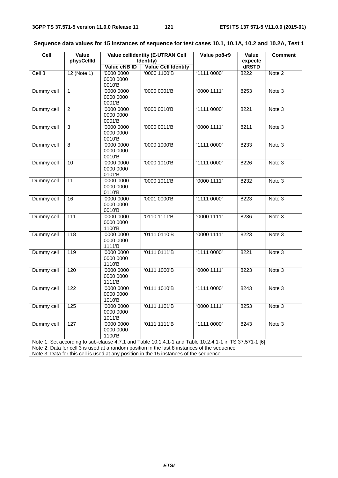| Cell       | Value<br><b>Value cellidentity (E-UTRAN Cell</b> |                                   |                                                                                                                                                                                        | Value po8-r9 | Value            | <b>Comment</b> |
|------------|--------------------------------------------------|-----------------------------------|----------------------------------------------------------------------------------------------------------------------------------------------------------------------------------------|--------------|------------------|----------------|
|            | physCellId                                       | Value eNB ID                      | Identity)<br><b>Value Cell Identity</b>                                                                                                                                                |              | expecte<br>dRSTD |                |
| Cell 3     | $12$ (Note 1)                                    | '0000 0000<br>0000 0000<br>0010'B | '0000 1100'B                                                                                                                                                                           | '1111 0000'  | 8222             | Note 2         |
| Dummy cell | 1                                                | '0000 0000<br>0000 0000<br>0001'B | '0000 0001'B                                                                                                                                                                           | '0000 1111'  | 8253             | Note 3         |
| Dummy cell | $\overline{c}$                                   | '0000 0000<br>0000 0000<br>0001'B | '0000 0010'B                                                                                                                                                                           | '1111 0000'  | 8221             | Note 3         |
| Dummy cell | 3                                                | '0000 0000<br>0000 0000<br>0010'B | '0000 0011'B                                                                                                                                                                           | '0000 1111'  | 8211             | Note 3         |
| Dummy cell | $\overline{8}$                                   | '0000 0000<br>0000 0000<br>0010'B | '0000 1000'B                                                                                                                                                                           | '1111 0000'  | 8233             | Note 3         |
| Dummy cell | 10                                               | '0000 0000<br>0000 0000<br>0101'B | '0000 1010'B                                                                                                                                                                           | '1111 0000'  | 8226             | Note 3         |
| Dummy cell | 11                                               | '0000 0000<br>0000 0000<br>0110'B | '0000 1011'B                                                                                                                                                                           | '0000 1111'  | 8232             | Note 3         |
| Dummy cell | 16                                               | '0000 0000<br>0000 0000<br>0010'B | '0001 0000'B                                                                                                                                                                           | '1111 0000'  | 8223             | Note 3         |
| Dummy cell | 111                                              | '0000 0000<br>0000 0000<br>1100'B | '0110 1111'B                                                                                                                                                                           | '0000 1111'  | 8236             | Note 3         |
| Dummy cell | 118                                              | '0000 0000<br>0000 0000<br>1111'B | '0111 0110'B                                                                                                                                                                           | '0000 1111'  | 8223             | Note 3         |
| Dummy cell | 119                                              | '0000 0000<br>0000 0000<br>1110'B | '0111 0111'B                                                                                                                                                                           | '1111 0000'  | 8221             | Note 3         |
| Dummy cell | 120                                              | '0000 0000<br>0000 0000<br>1111'B | '0111 1000'B                                                                                                                                                                           | '0000 1111'  | 8223             | Note 3         |
| Dummy cell | 122                                              | '0000 0000<br>0000 0000<br>1010'B | '0111 1010'B                                                                                                                                                                           | '1111 0000'  | 8243             | Note 3         |
| Dummy cell | 125                                              | '0000 0000<br>0000 0000<br>1011'B | '0111 1101'B                                                                                                                                                                           | '00001111'   | 8253             | Note 3         |
| Dummy cell | 127                                              | '0000 0000<br>0000 0000<br>1100'B | '0111 1111'B                                                                                                                                                                           | '1111 0000'  | 8243             | Note 3         |
|            |                                                  |                                   | Note 1: Set according to sub-clause 4.7.1 and Table 10.1.4.1-1 and Table 10.2.4.1-1 in TS 37.571-1 [6]                                                                                 |              |                  |                |
|            |                                                  |                                   | Note 2: Data for cell 3 is used at a random position in the last 8 instances of the sequence<br>Note 3: Data for this cell is used at any position in the 15 instances of the sequence |              |                  |                |
|            |                                                  |                                   |                                                                                                                                                                                        |              |                  |                |

### **Sequence data values for 15 instances of sequence for test cases 10.1, 10.1A, 10.2 and 10.2A, Test 1**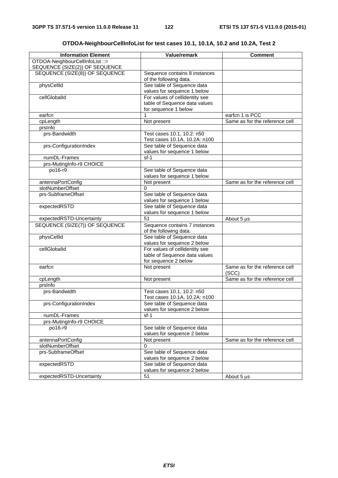| <b>Information Element</b>                                        | Value/remark                                         | <b>Comment</b>                 |
|-------------------------------------------------------------------|------------------------------------------------------|--------------------------------|
| OTDOA-NeighbourCellInfoList ::=<br>SEQUENCE (SIZE(2)) OF SEQUENCE |                                                      |                                |
| SEQUENCE (SIZE(8)) OF SEQUENCE                                    | Sequence contains 8 instances                        |                                |
|                                                                   | of the following data.                               |                                |
| physCellId                                                        | See table of Sequence data                           |                                |
|                                                                   | values for sequence 1 below                          |                                |
| cellGloballd                                                      | For values of cellidentity see                       |                                |
|                                                                   | table of Sequence data values                        |                                |
|                                                                   | for sequence 1 below                                 |                                |
| earfcn                                                            |                                                      | earfcn 1 is PCC                |
| cpLength                                                          | Not present                                          | Same as for the reference cell |
| prsinfo                                                           |                                                      |                                |
| prs-Bandwidth                                                     | Test cases 10.1, 10.2: n50                           |                                |
|                                                                   | Test cases 10.1A, 10.2A: n100                        |                                |
| prs-ConfigurationIndex                                            | See table of Sequence data                           |                                |
|                                                                   | values for sequence 1 below                          |                                |
| numDL-Frames                                                      | $sf-1$                                               |                                |
| prs-MutingInfo-r9 CHOICE                                          |                                                      |                                |
| po16-r9                                                           | See table of Sequence data                           |                                |
|                                                                   | values for sequence 1 below                          |                                |
| antennaPortConfig                                                 | Not present                                          | Same as for the reference cell |
| slotNumberOffset                                                  | $\Omega$                                             |                                |
| prs-SubframeOffset                                                | See table of Sequence data                           |                                |
|                                                                   | values for sequence 1 below                          |                                |
| expectedRSTD                                                      | See table of Sequence data                           |                                |
|                                                                   | values for sequence 1 below                          |                                |
| expectedRSTD-Uncertainty                                          | 51                                                   | About 5 µs                     |
| SEQUENCE (SIZE(7)) OF SEQUENCE                                    | Sequence contains 7 instances                        |                                |
|                                                                   | of the following data.<br>See table of Sequence data |                                |
| physCellId                                                        | values for sequence 2 below                          |                                |
| cellGloballd                                                      | For values of cellidentity see                       |                                |
|                                                                   | table of Sequence data values                        |                                |
|                                                                   | for sequence 2 below                                 |                                |
| earfcn                                                            | Not present                                          | Same as for the reference cell |
|                                                                   |                                                      | (SCC)                          |
| cpLength                                                          | Not present                                          | Same as for the reference cell |
| prsinfo                                                           |                                                      |                                |
| prs-Bandwidth                                                     | Test cases 10.1, 10.2: n50                           |                                |
|                                                                   | Test cases 10.1A, 10.2A: n100                        |                                |
| prs-ConfigurationIndex                                            | See table of Sequence data                           |                                |
|                                                                   | values for sequence 2 below                          |                                |
| numDL-Frames                                                      | sf-1                                                 |                                |
| prs-MutingInfo-r9 CHOICE                                          |                                                      |                                |
| po16-r9                                                           | See table of Sequence data                           |                                |
|                                                                   | values for sequence 2 below                          |                                |
| antennaPortConfig                                                 | Not present                                          | Same as for the reference cell |
| slotNumberOffset                                                  | 0                                                    |                                |
| prs-SubframeOffset                                                | See table of Sequence data                           |                                |
|                                                                   | values for sequence 2 below                          |                                |
| expectedRSTD                                                      | See table of Sequence data                           |                                |
|                                                                   | values for sequence 2 below                          |                                |
| expectedRSTD-Uncertainty                                          | 51                                                   | About 5 µs                     |

### **OTDOA-NeighbourCellInfoList for test cases 10.1, 10.1A, 10.2 and 10.2A, Test 2**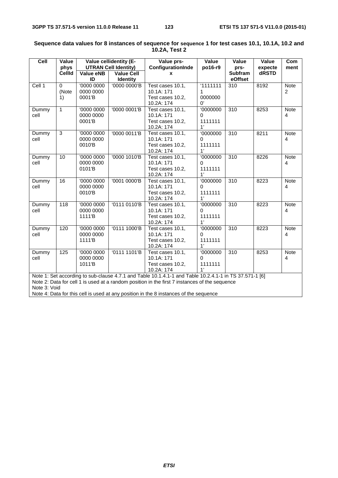| ceil          | Value<br>phys           |                                   | Value cellidentity (E-<br><b>UTRAN Cell Identity)</b> | Value prs-<br>ConfigurationInde                                                                                                                                                                         | Value<br>po16-r9                      | Value<br>prs-             | Value<br>expecte | Com<br>ment                   |
|---------------|-------------------------|-----------------------------------|-------------------------------------------------------|---------------------------------------------------------------------------------------------------------------------------------------------------------------------------------------------------------|---------------------------------------|---------------------------|------------------|-------------------------------|
|               | <b>CellId</b>           | Value eNB<br>ID                   | <b>Value Cell</b><br><b>Identity</b>                  | $\mathbf{x}$                                                                                                                                                                                            |                                       | <b>Subfram</b><br>eOffset | dRSTD            |                               |
| Cell 1        | $\Omega$<br>(Note<br>1) | '0000 0000<br>0000 0000<br>0001'B | '0000 0000'B                                          | Test cases 10.1,<br>10.1A: 171<br>Test cases 10.2.<br>10.2A: 174                                                                                                                                        | 1111111<br>1<br>0000000<br>0'         | 310                       | 8192             | <b>Note</b><br>$\overline{c}$ |
| Dummy<br>cell | $\mathbf{1}$            | '0000 0000<br>0000 0000<br>0001'B | '0000 0001'B                                          | Test cases 10.1,<br>10.1A: 171<br>Test cases 10.2.<br>10.2A: 174                                                                                                                                        | '0000000<br>$\Omega$<br>1111111<br>1' | $\overline{310}$          | 8253             | <b>Note</b><br>$\overline{4}$ |
| Dummy<br>cell | 3                       | '0000 0000<br>0000 0000<br>0010'B | '0000 0011'B                                          | Test cases 10.1,<br>10.1A: 171<br>Test cases 10.2,<br>10.2A: 174                                                                                                                                        | '0000000<br>0<br>1111111<br>1'        | $\overline{310}$          | 8211             | Note<br>4                     |
| Dummy<br>cell | 10                      | '0000 0000<br>0000 0000<br>0101'B | '0000 1010'B                                          | Test cases 10.1,<br>10.1A: 171<br>Test cases 10.2,<br>10.2A: 174                                                                                                                                        | '0000000<br>0<br>1111111<br>1'        | 310                       | 8226             | Note<br>4                     |
| Dummy<br>cell | 16                      | '0000 0000<br>0000 0000<br>0010'B | '0001 0000'B                                          | Test cases 10.1,<br>10.1A: 171<br>Test cases 10.2.<br>10.2A: 174                                                                                                                                        | '0000000<br>$\Omega$<br>1111111<br>1' | $\overline{310}$          | 8223             | <b>Note</b><br>$\overline{4}$ |
| Dummy<br>cell | 118                     | '0000 0000<br>0000 0000<br>1111'B | '0111 0110'B                                          | Test cases 10.1,<br>10.1A: 171<br>Test cases 10.2,<br>10.2A: 174                                                                                                                                        | '0000000<br>0<br>1111111<br>1'        | $\overline{310}$          | 8223             | Note<br>4                     |
| Dummy<br>cell | 120                     | '0000 0000<br>0000 0000<br>1111'B | '0111 1000'B                                          | Test cases 10.1,<br>10.1A: 171<br>Test cases 10.2,<br>10.2A: 174                                                                                                                                        | 0000000<br>$\Omega$<br>1111111<br>1'  | $\overline{310}$          | 8223             | <b>Note</b><br>4              |
| Dummy<br>cell | 125                     | '0000 0000<br>0000 0000<br>1011'B | '0111 1101'B                                          | Test cases 10.1,<br>10.1A: 171<br>Test cases 10.2,<br>10.2A: 174                                                                                                                                        | '0000000<br>0<br>1111111<br>1'        | 310                       | 8253             | <b>Note</b><br>4              |
| Note 3: Void  |                         |                                   |                                                       | Note 1: Set according to sub-clause 4.7.1 and Table 10.1.4.1-1 and Table 10.2.4.1-1 in TS 37.571-1 [6]<br>Note 2: Data for cell 1 is used at a random position in the first 7 instances of the sequence |                                       |                           |                  |                               |

#### **Sequence data values for 8 instances of sequence for sequence 1 for test cases 10.1, 10.1A, 10.2 and 10.2A, Test 2**

Note 4: Data for this cell is used at any position in the 8 instances of the sequence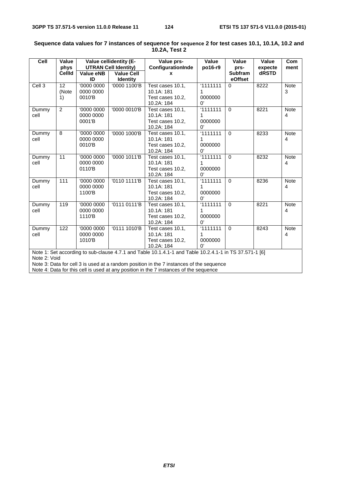| Cell                    | Value          |                             | Value cellidentity (E- | Value prs-                                                                                             | Value                 | Value          | Value   | Com         |
|-------------------------|----------------|-----------------------------|------------------------|--------------------------------------------------------------------------------------------------------|-----------------------|----------------|---------|-------------|
|                         | phys           | <b>UTRAN Cell Identity)</b> |                        | ConfigurationInde                                                                                      | po16-r9               | prs-           | expecte | ment        |
|                         | <b>CellId</b>  | Value eNB                   | <b>Value Cell</b>      | x                                                                                                      |                       | <b>Subfram</b> | dRSTD   |             |
|                         |                | ID                          | <b>Identity</b>        |                                                                                                        |                       | eOffset        |         |             |
| Cell <sub>3</sub>       | 12             | '0000 0000                  | '0000 1100'B           | Test cases 10.1,                                                                                       | 11111111              | $\Omega$       | 8222    | <b>Note</b> |
|                         | (Note          | 0000 0000                   |                        | 10.1A: 181                                                                                             | 1                     |                |         | 3           |
|                         | 1)             | 0010'B                      |                        | Test cases 10.2,                                                                                       | 0000000               |                |         |             |
|                         |                |                             |                        | 10.2A: 184                                                                                             | 0'                    |                |         |             |
| Dummy                   | $\overline{2}$ | '0000 0000                  | '0000 0010'B           | Test cases 10.1,                                                                                       | 1111111               | $\Omega$       | 8221    | <b>Note</b> |
| cell                    |                | 0000 0000                   |                        | 10.1A: 181                                                                                             | 1                     |                |         | 4           |
|                         |                | 0001'B                      |                        | Test cases 10.2,                                                                                       | 0000000               |                |         |             |
|                         |                |                             |                        | 10.2A: 184                                                                                             | $\Omega'$             |                |         |             |
| Dummy                   | 8              | '0000 0000                  | '0000 1000'B           | Test cases 10.1.                                                                                       | 1111111               | $\Omega$       | 8233    | <b>Note</b> |
| cell                    |                | 0000 0000                   |                        | 10.1A: 181                                                                                             | 1                     |                |         | 4           |
|                         |                | 0010'B                      |                        | Test cases 10.2.                                                                                       | 0000000               |                |         |             |
|                         |                |                             |                        | 10.2A: 184                                                                                             | $\Omega'$             |                |         |             |
| Dummy                   | 11             | '0000 0000                  | '0000 1011'B           | Test cases 10.1.                                                                                       | 11111111              | $\Omega$       | 8232    | <b>Note</b> |
| cell                    |                | 0000 0000                   |                        | 10.1A: 181                                                                                             | 1                     |                |         | 4           |
|                         |                | 0110'B                      |                        | Test cases 10.2.                                                                                       | 0000000               |                |         |             |
|                         |                |                             |                        | 10.2A: 184                                                                                             | 0'                    |                |         |             |
| Dummy                   | 111            | '0000 0000                  | '0110 1111'B           | Test cases 10.1,                                                                                       | 1111111               | $\Omega$       | 8236    | <b>Note</b> |
| cell                    |                | 0000 0000                   |                        | 10.1A: 181                                                                                             | 1                     |                |         | 4           |
|                         |                | 1100'B                      |                        | Test cases 10.2,                                                                                       | 0000000               |                |         |             |
|                         |                |                             |                        | 10.2A: 184                                                                                             | $\mathbf{0}^{\prime}$ |                |         |             |
| Dummy                   | 119            | '0000 0000                  | '0111 0111'B           | Test cases 10.1,                                                                                       | 1111111               | $\Omega$       | 8221    | <b>Note</b> |
| cell                    |                | 0000 0000                   |                        | 10.1A: 181                                                                                             | 1                     |                |         | 4           |
|                         |                | 1110'B                      |                        | Test cases 10.2.                                                                                       | 0000000               |                |         |             |
|                         |                |                             |                        | 10.2A: 184                                                                                             | $^{\prime}$           |                |         |             |
| Dummy                   | 122            | '0000 0000                  | '0111 1010'B           | Test cases 10.1,                                                                                       | 1111111               | $\Omega$       | 8243    | <b>Note</b> |
| cell                    |                | 0000 0000                   |                        | 10.1A: 181                                                                                             | 1                     |                |         | 4           |
|                         |                | 1010'B                      |                        | Test cases 10.2.                                                                                       | 0000000               |                |         |             |
| 10.2A: 184<br>$\Omega'$ |                |                             |                        |                                                                                                        |                       |                |         |             |
|                         |                |                             |                        | Note 1: Set according to sub-clause 4.7.1 and Table 10.1.4.1-1 and Table 10.2.4.1-1 in TS 37.571-1 [6] |                       |                |         |             |
| Note 2: Void            |                |                             |                        |                                                                                                        |                       |                |         |             |
|                         |                |                             |                        | Note 3: Data for cell 3 is used at a random position in the 7 instances of the sequence                |                       |                |         |             |
|                         |                |                             |                        | Note 4: Data for this cell is used at any position in the 7 instances of the sequence                  |                       |                |         |             |

#### **Sequence data values for 7 instances of sequence for sequence 2 for test cases 10.1, 10.1A, 10.2 and 10.2A, Test 2**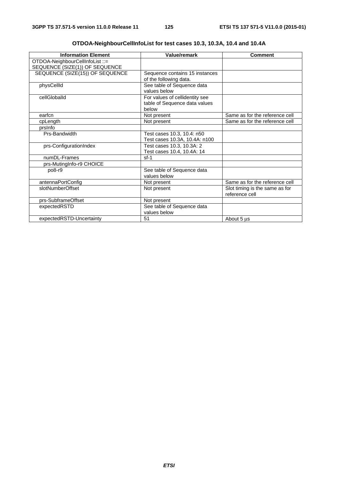| <b>Information Element</b>                                        | Value/remark                                                             | <b>Comment</b>                                   |
|-------------------------------------------------------------------|--------------------------------------------------------------------------|--------------------------------------------------|
| OTDOA-NeighbourCellInfoList ::=<br>SEQUENCE (SIZE(1)) OF SEQUENCE |                                                                          |                                                  |
| SEQUENCE (SIZE(15)) OF SEQUENCE                                   | Sequence contains 15 instances<br>of the following data.                 |                                                  |
| physCellId                                                        | See table of Sequence data<br>values below                               |                                                  |
| cellGloballd                                                      | For values of cellidentity see<br>table of Sequence data values<br>below |                                                  |
| earfcn                                                            | Not present                                                              | Same as for the reference cell                   |
| cpLength                                                          | Not present                                                              | Same as for the reference cell                   |
| prsinfo                                                           |                                                                          |                                                  |
| Prs-Bandwidth                                                     | Test cases 10.3, 10.4: n50<br>Test cases 10.3A, 10.4A: n100              |                                                  |
| prs-ConfigurationIndex                                            | Test cases 10.3, 10.3A: 2<br>Test cases 10.4, 10.4A: 14                  |                                                  |
| numDL-Frames                                                      | $sf-1$                                                                   |                                                  |
| prs-MutingInfo-r9 CHOICE                                          |                                                                          |                                                  |
| po8-r9                                                            | See table of Sequence data<br>values below                               |                                                  |
| antennaPortConfig                                                 | Not present                                                              | Same as for the reference cell                   |
| slotNumberOffset                                                  | Not present                                                              | Slot timing is the same as for<br>reference cell |
| prs-SubframeOffset                                                | Not present                                                              |                                                  |
| expectedRSTD                                                      | See table of Sequence data<br>values below                               |                                                  |
| expectedRSTD-Uncertainty                                          | 51                                                                       | About 5 us                                       |

|  |  |  | OTDOA-NeighbourCellInfoList for test cases 10.3, 10.3A, 10.4 and 10.4A |
|--|--|--|------------------------------------------------------------------------|
|--|--|--|------------------------------------------------------------------------|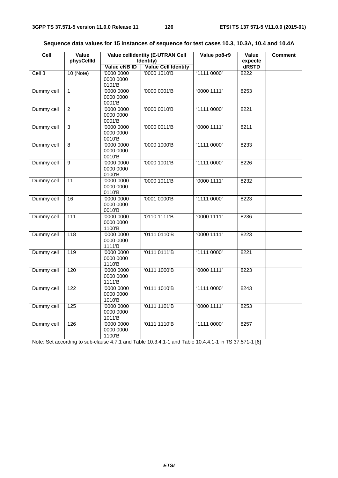| Cell       | Value<br>physCellId | <b>Value cellidentity (E-UTRAN Cell</b><br>Identity) |                                                                                                      | Value po8-r9 | Value<br>expecte | <b>Comment</b> |
|------------|---------------------|------------------------------------------------------|------------------------------------------------------------------------------------------------------|--------------|------------------|----------------|
|            |                     | Value eNB ID                                         | Value Cell Identity                                                                                  |              | dRSTD            |                |
| Cell 3     | $10$ (Note)         | '0000 0000                                           | '0000 1010'B                                                                                         | '1111 0000'  | 8222             |                |
|            |                     | 0000 0000                                            |                                                                                                      |              |                  |                |
|            |                     | 0101'B                                               |                                                                                                      |              |                  |                |
| Dummy cell | $\mathbf{1}$        | '0000 0000                                           | '0000 0001'B                                                                                         | '00001111'   | 8253             |                |
|            |                     | 0000 0000                                            |                                                                                                      |              |                  |                |
|            |                     | 0001'B                                               |                                                                                                      |              |                  |                |
| Dummy cell | $\overline{2}$      | 00000000                                             | '0000 0010'B                                                                                         | '11110000'   | 8221             |                |
|            |                     | 0000 0000                                            |                                                                                                      |              |                  |                |
| Dummy cell | 3                   | 0001'B<br>'0000 0000                                 | '0000 0011'B                                                                                         | '00001111'   | 8211             |                |
|            |                     | 0000 0000                                            |                                                                                                      |              |                  |                |
|            |                     | 0010'B                                               |                                                                                                      |              |                  |                |
| Dummy cell | 8                   | '0000 0000                                           | '0000 1000'B                                                                                         | '1111 0000'  | 8233             |                |
|            |                     | 0000 0000                                            |                                                                                                      |              |                  |                |
|            |                     | 0010'B                                               |                                                                                                      |              |                  |                |
| Dummy cell | 9                   | '0000 0000                                           | '0000 1001'B                                                                                         | '1111 0000'  | 8226             |                |
|            |                     | 0000 0000                                            |                                                                                                      |              |                  |                |
|            |                     | 0100'B                                               |                                                                                                      |              |                  |                |
| Dummy cell | 11                  | '0000 0000                                           | '0000 1011'B                                                                                         | '0000 1111'  | 8232             |                |
|            |                     | 0000 0000<br>0110'B                                  |                                                                                                      |              |                  |                |
| Dummy cell | 16                  | '0000 0000                                           | '0001 0000'B                                                                                         | '1111 0000'  | 8223             |                |
|            |                     | 0000 0000                                            |                                                                                                      |              |                  |                |
|            |                     | 0010'B                                               |                                                                                                      |              |                  |                |
| Dummy cell | 111                 | '0000 0000                                           | '0110 1111'B                                                                                         | '00001111'   | 8236             |                |
|            |                     | 0000 0000                                            |                                                                                                      |              |                  |                |
|            |                     | 1100'B                                               |                                                                                                      |              |                  |                |
| Dummy cell | $\overline{118}$    | '0000 0000                                           | '0111 0110'B                                                                                         | '00001111'   | 8223             |                |
|            |                     | 0000 0000                                            |                                                                                                      |              |                  |                |
|            |                     | 1111'B                                               |                                                                                                      |              |                  |                |
| Dummy cell | 119                 | '0000 0000<br>0000 0000                              | '0111 0111'B                                                                                         | '1111 0000'  | 8221             |                |
|            |                     | 1110'B                                               |                                                                                                      |              |                  |                |
| Dummy cell | 120                 | '0000 0000                                           | '0111 1000'B                                                                                         | '00001111'   | 8223             |                |
|            |                     | 0000 0000                                            |                                                                                                      |              |                  |                |
|            |                     | 1111 <sup>'</sup> B                                  |                                                                                                      |              |                  |                |
| Dummy cell | 122                 | '0000 0000                                           | '0111 1010'B                                                                                         | '1111 0000'  | 8243             |                |
|            |                     | 0000 0000                                            |                                                                                                      |              |                  |                |
|            |                     | 1010'B                                               |                                                                                                      |              |                  |                |
| Dummy cell | $\frac{1}{25}$      | '0000 0000                                           | '0111 1101'B                                                                                         | '00001111'   | 8253             |                |
|            |                     | 0000 0000                                            |                                                                                                      |              |                  |                |
|            |                     | 1011'B                                               |                                                                                                      |              |                  |                |
| Dummy cell | 126                 | '0000 0000                                           | '0111 1110'B                                                                                         | '1111 0000'  | 8257             |                |
|            |                     | 0000 0000<br>1100'B                                  |                                                                                                      |              |                  |                |
|            |                     |                                                      | Note: Set according to sub-clause 4.7.1 and Table 10.3.4.1-1 and Table 10.4.4.1-1 in TS 37.571-1 [6] |              |                  |                |
|            |                     |                                                      |                                                                                                      |              |                  |                |

| Sequence data values for 15 instances of sequence for test cases 10.3, 10.3A, 10.4 and 10.4A |  |  |  |
|----------------------------------------------------------------------------------------------|--|--|--|
|----------------------------------------------------------------------------------------------|--|--|--|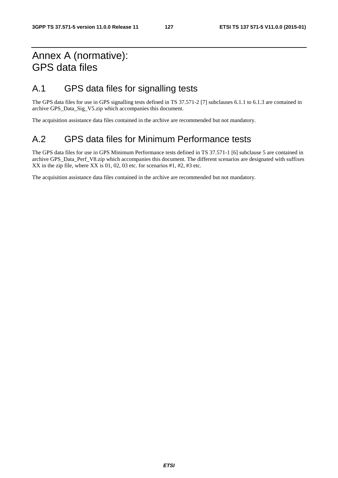## Annex A (normative): GPS data files

### A.1 GPS data files for signalling tests

The GPS data files for use in GPS signalling tests defined in TS 37.571-2 [7] subclauses 6.1.1 to 6.1.3 are contained in archive GPS\_Data\_Sig\_V5.zip which accompanies this document.

The acquisition assistance data files contained in the archive are recommended but not mandatory.

### A.2 GPS data files for Minimum Performance tests

The GPS data files for use in GPS Minimum Performance tests defined in TS 37.571-1 [6] subclause 5 are contained in archive GPS\_Data\_Perf\_V8.zip which accompanies this document. The different scenarios are designated with suffixes XX in the zip file, where XX is 01, 02, 03 etc. for scenarios #1, #2, #3 etc.

The acquisition assistance data files contained in the archive are recommended but not mandatory.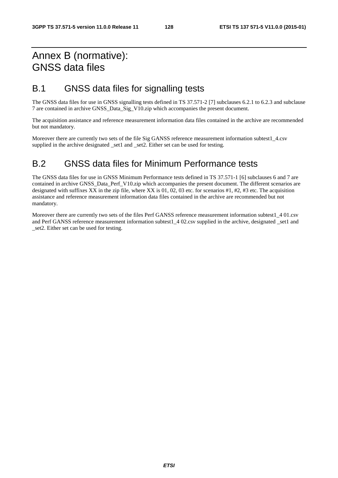## Annex B (normative): GNSS data files

### B.1 GNSS data files for signalling tests

The GNSS data files for use in GNSS signalling tests defined in TS 37.571-2 [7] subclauses 6.2.1 to 6.2.3 and subclause 7 are contained in archive GNSS\_Data\_Sig\_V10.zip which accompanies the present document.

The acquisition assistance and reference measurement information data files contained in the archive are recommended but not mandatory.

Moreover there are currently two sets of the file Sig GANSS reference measurement information subtest1\_4.csv supplied in the archive designated \_set1 and \_set2. Either set can be used for testing.

### B.2 GNSS data files for Minimum Performance tests

The GNSS data files for use in GNSS Minimum Performance tests defined in TS 37.571-1 [6] subclauses 6 and 7 are contained in archive GNSS\_Data\_Perf\_V10.zip which accompanies the present document. The different scenarios are designated with suffixes XX in the zip file, where XX is 01, 02, 03 etc. for scenarios #1, #2, #3 etc. The acquisition assistance and reference measurement information data files contained in the archive are recommended but not mandatory.

Moreover there are currently two sets of the files Perf GANSS reference measurement information subtest1\_4 01.csv and Perf GANSS reference measurement information subtest1 4 02.csv supplied in the archive, designated set1 and set2. Either set can be used for testing.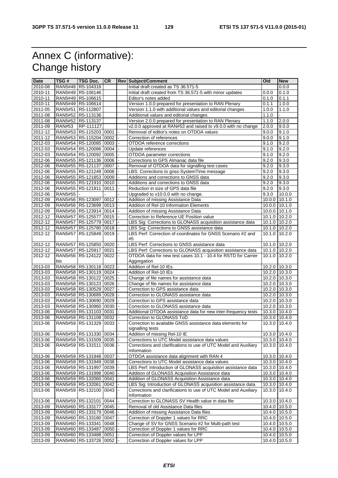# Annex C (informative): Change history

| <b>Date</b> | TSG#          | <b>TSG Doc.</b>               | <b>CR</b> | <b>Rev Subject/Comment</b>                                       | Old                | <b>New</b> |
|-------------|---------------|-------------------------------|-----------|------------------------------------------------------------------|--------------------|------------|
| $2010 - 08$ |               | RAN5#48 R5-104318             |           | Initial draft created as TS 36.571-5                             |                    | 0.0.0      |
| 2010-11     |               | RAN5#49 R5-106146             |           | Initial draft created from TS 36.571-5 with minor updates        | 0.0.0              | 0.1.0      |
| 2010-11     |               | RAN5#49 R5-106615             |           | Editor's notes added                                             | 0.1.0              | 0.1.1      |
| 2010-11     |               | RAN5#49 R5-106614             |           | Version 1.0.0 prepared for presentation to RAN Plenary           | 0.1.1              | 1.0.0      |
| 2011-05     |               | RAN5#51 R5-112807             |           | Version 1.1.0 with additional values and editorial changes       | 1.0.0              | 1.1.0      |
| 2011-08     |               | RAN5#52 R5-113136             |           | Additional values and editorial changes                          | 1.1.0              |            |
| 2011-08     |               | RAN5#52 R5-113137             |           | Version 2.0.0 prepared for presentation to RAN Plenary           | 1.1.0              | 2.0.0      |
| 2011-09     | <b>RAN#53</b> | RP-111127                     |           | v2.0.0 approved at RAN#53 and raised to v9.0.0 with no change    | 2.0.0              | 9.0.0      |
| 2011-12     |               | RAN5#53 R5-115203 0001        |           | Removal of editor's notes on OTDOA values                        | 9.0.0              | 9.1.0      |
| 2011-12     |               | RAN5#53 R5-115204 0002        |           | Correction of references                                         | 9.0.0              | 9.1.0      |
| 2012-03     |               | RAN5#54 R5-120085 0003        |           | OTDOA reference corrections                                      | 9.1.0              | 9.2.0      |
| 2012-03     |               | RAN5#54 R5-120086 0004        |           | Update references                                                | $\overline{9}.1.0$ | 9.2.0      |
| 2012-03     |               | RAN5#54 R5-120092 0005        |           | OTDOA parameter corrections                                      | 9.1.0              | 9.2.0      |
| 2012-06     |               | RAN5#55 R5-121136 0006        |           | Corrections to GPS Almanac data file                             | 9.2.0              | 9.3.0      |
| 2012-06     |               | RAN5#55   R5-121137   0007    |           | Removal of OTDOA data for signalling test cases                  | 9.2.0              | 9.3.0      |
| 2012-06     |               | RAN5#55 R5-121249 0008        |           | LBS: Corrections to gnss-SystemTime message                      | 9.2.0              | 9.3.0      |
| 2012-06     |               | RAN5#55 R5-121853 0009        |           | Additions and corrections to GNSS data                           | 9.2.0              | 9.3.0      |
| 2012-06     |               | RAN5#55 R5-121910 0010        |           | Additions and corrections to GNSS data                           | 9.2.0              | 9.3.0      |
| 2012-06     |               | RAN5#55 R5-121911 0011        |           | Reduction in size of GPS data file                               | 9.2.0              | 9.3.0      |
| 2012-06     | RAN5#55 -     |                               |           | Upgraded to v10.0.0 with no change.                              | 9.3.0              | 10.0.0     |
| 2012-09     |               | RAN5#56   R5-123097   0012    |           | Addition of missing Assistance Data                              | 10.0.0 10.1.0      |            |
| 2012-09     |               | RAN5#56 R5-123699 0013        |           | Addition of Rel-10 Information Elements                          | 10.0.0 10.1.0      |            |
| 2012-09     |               | RAN5#56   R5-123914   0014    |           | Addition of missing Assistance Data                              | 10.0.0 10.1.0      |            |
| 2012-12     |               | RAN5#57 R5-125577 0015        |           | Correction to Reference UE Position value                        | 10.1.0 10.2.0      |            |
| 2012-12     |               | RAN5#57   R5-125779   0017    |           | LBS Sig: Corrections to GLONASS acquisition assistance data      | 10.1.0 10.2.0      |            |
| 2012-12     |               | RAN5#57   R5-125780   0018    |           | LBS Sig: Corrections to GNSS assistance data                     | 10.1.0 10.2.0      |            |
| 2012-12     |               | RAN5#57 R5-125849 0019 -      |           | LBS Perf: Correction of coordinates for GNSS Scenario #2 and     | 10.1.0 10.2.0      |            |
|             |               |                               |           | #5                                                               |                    |            |
| 2012-12     |               | RAN5#57 R5-125850 0020        |           | LBS Perf: Corrections to GNSS assistance data                    | 10.1.0 10.2.0      |            |
| 2012-12     |               | RAN5#57   R5-125917   0021    |           | LBS Perf: Corrections to GLONASS acquisition assistance data     | 10.1.0 10.2.0      |            |
| 2012-12     | bis           | RAN5#56 R5-124122 0022        |           | OTDOA data for new test cases 10.1 - 10.4 for RSTD for Carrier   | 10.1.0 10.2.0      |            |
| 2013-03     |               | RAN5#58   R5-130118   0023    |           | Aggregation<br>Addition of Rel-10 IEs                            | 10.2.0 10.3.0      |            |
| 2013-03     |               | RAN5#58   R5-130119   0024    |           | Addition of Rel-10 IEs                                           | 10.2.0 10.3.0      |            |
| 2013-03     |               | RAN5#58   R5-130122   0025    |           | Change of file names for assistance data                         | 10.2.0 10.3.0      |            |
| 2013-03     |               | RAN5#58   R5-130123   0026    |           | Change of file names for assistance data                         | 10.2.0 10.3.0      |            |
| 2013-03     |               | RAN5#58   R5-130529   0027    |           | Correction to GPS assistance data                                | 10.2.0 10.3.0      |            |
| 2013-03     |               | RAN5#58 R5-130689 0028        |           | Correction to GLONASS assistance data                            | 10.2.0 10.3.0      |            |
| 2013-03     |               | RAN5#58 R5-130690 0029        |           | Correction to GPS assistance data                                | 10.2.0 10.3.0      |            |
| 2013-03     |               | RAN5#58   R5-130960   0030    |           | Correction to GLONASS assistance data                            | 10.2.0 10.3.0      |            |
| 2013-06     |               | RAN5#59 R5-131103 0031        |           | Additional OTDOA assistance data for new inter-frequency tests   | 10.3.0 10.4.0      |            |
| 2013-06     |               | RAN5#59 R5-131108 0032        |           | Correction to GLONASS ToD                                        | 10.3.0 10.4.0      |            |
| 2013-06     |               | RAN5#59 R5-131329             | 0033      | Correction to available GNSS assistance data elements for        | 10.3.0 10.4.0      |            |
|             |               |                               |           | signalling tests                                                 |                    |            |
| 2013-06     |               | RAN5#59 R5-131330 0034 -      |           | Addition of missing Rel-10 IE                                    | 10.3.0 10.4.0      |            |
| 2013-06     |               | RAN5#59 R5-131509 0035        |           | Corrections to UTC Model assistance data values                  | 10.3.0 10.4.0      |            |
| 2013-06     |               | RAN5#59 R5-131511 0036        |           | Corrections and clarifications to use of UTC Model and Auxiliary | 10.3.0 10.4.0      |            |
|             |               |                               |           | Information                                                      |                    |            |
| 2013-06     |               | RAN5#59 R5-131948 0037        |           | OTDOA assistance data alignment with RAN 4                       | 10.3.0 10.4.0      |            |
| 2013-06     |               | RAN5#59   R5-131949   0038    |           | Corrections to UTC Model assistance data values                  | 10.3.0 10.4.0      |            |
| 2013-06     |               | RAN5#59   R5-131997           | 0039      | LBS Perf: Introduction of GLONASS acquisition assistance data    | 10.3.0 10.4.0      |            |
| 2013-06     |               | RAN5#59 R5-131998 0040        |           | Addition of GLONASS Acquisition Assistance data                  | 10.3.0 10.4.0      |            |
| 2013-06     |               | RAN5#59 R5-132060 0041        |           | Addition of GLONASS Acquisition Assistance data                  | 10.3.0 10.4.0      |            |
| 2013-06     |               | RAN5#59 R5-132061 0042        |           | LBS Sig: Introduction of GLONASS acquisition assistance data     | 10.3.0 10.4.0      |            |
| 2013-06     |               | RAN5#59   R5-132100   0043  - |           | Corrections and clarifications to use of UTC Model and Auxiliary | 10.3.0 10.4.0      |            |
|             |               |                               |           | Information                                                      |                    |            |
| 2013-06     |               | RAN5#59   R5-132101   0044    |           | Correction to GLONASS SV Health value in data file               | 10.3.0 10.4.0      |            |
| 2013-09     |               | RAN5#60 R5-133177 0045        |           | Removal of old Assistance Data files                             | $10.4.0$ 10.5.0    |            |
| 2013-09     |               | RAN5#60 R5-133179 0046        |           | Addition of missing Assistance Data files                        | 10.4.0 10.5.0      |            |
| 2013-09     |               | RAN5#60   R5-133180   0047    |           | Correction of Doppler 1 values for RRC                           | 10.4.0 10.5.0      |            |
| 2013-09     |               | RAN5#60 R5-133341 0048        |           | Change of SV for GNSS Scenario #2 for Multi-path test            | 10.4.0 10.5.0      |            |
| 2013-09     |               | RAN5#60 R5-133487 0050        |           | Correction of Doppler 1 values for RRC                           | 10.4.0 10.5.0      |            |
| 2013-09     |               | RAN5#60   R5-133488   0051    |           | Correction of Doppler values for LPP                             | 10.4.0 10.5.0      |            |
| 2013-09     |               | RAN5#60 R5-133726 0052        |           | Correction of Doppler values for LPP                             | 10.4.0 10.5.0      |            |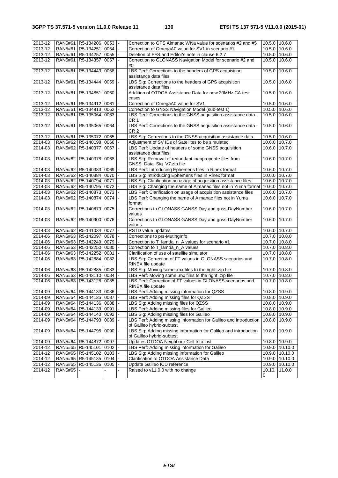| 2013-12 |                | RAN5#61 R5-134206 0053         |           | Correction to GPS Almanac WNa value for scenarios #2 and #5                                   | 10.5.0 10.6.0 |                |
|---------|----------------|--------------------------------|-----------|-----------------------------------------------------------------------------------------------|---------------|----------------|
| 2013-12 |                | RAN5#61   R5-134251   0054     |           | Correction of OmegaA0 value for SV1 in scenario #1                                            | 10.5.0        | 10.6.0         |
| 2013-12 |                | RAN5#61   R5-134257   0055     |           | Deletion of FFS and Editor's note in clause 6.2.7                                             | 10.5.0        | 10.6.0         |
| 2013-12 |                | RAN5#61   R5-134357   0057   - |           | Correction to GLONASS Navigation Model for scenario #2 and                                    | 10.5.0 10.6.0 |                |
|         |                |                                |           | #5                                                                                            |               |                |
| 2013-12 |                | RAN5#61 R5-134443 0058         |           | LBS Perf: Corrections to the headers of GPS acquisition<br>assistance data files              | 10.5.0        | 10.6.0         |
| 2013-12 |                | RAN5#61   R5-134444            | 0059      | LBS Sig: Corrections to the headers of GPS acquisition<br>assistance data files               | 10.5.0        | 10.6.0         |
| 2013-12 |                | RAN5#61 R5-134851 0060         |           | Addition of OTDOA Assistance Data for new 20MHz CA test<br>cases                              | 10.5.0        | 10.6.0         |
| 2013-12 |                | RAN5#61   R5-134912   0061     |           | Correction of OmegaA0 value for SV1                                                           | 10.5.0        | 10.6.0         |
| 2013-12 |                | RAN5#61 R5-134913 0062         |           | Correction to GNSS Navigation Model (sub-test 1)                                              | 10.5.0        | 10.6.0         |
| 2013-12 |                | RAN5#61   R5-135064   0063     |           | LBS Perf: Corrections to the GNSS acquisition assistance data -                               | 10.5.0        | 10.6.0         |
|         |                |                                |           | CR 1                                                                                          |               |                |
| 2013-12 |                | RAN5#61   R5-135065   0064     |           | LBS Perf: Corrections to the GNSS acquisition assistance data -<br>CR 2                       | 10.5.0        | 10.6.0         |
| 2013-12 |                | RAN5#61   R5-135072   0065     |           | LBS Sig: Corrections to the GNSS acquisition assistance data                                  | 10.5.0        | 10.6.0         |
| 2014-03 |                | RAN5#62 R5-140198 0066         |           | Adjustment of SV IDs of Satellites to be simulated                                            | 10.6.0 10.7.0 |                |
| 2014-03 |                | RAN5#62   R5-140377   0067     |           | LBS Perf: Update of headers of some GNSS acquisition<br>assistance data files                 | 10.6.0        | 10.7.0         |
| 2014-03 |                | RAN5#62 R5-140378 0068         |           | LBS Sig: Removal of redundant inappropriate files from<br>GNSS_Data_Sig_V7.zip file           | 10.6.0        | 10.7.0         |
| 2014-03 |                | RAN5#62 R5-140383 0069         |           | LBS Perf: Introducing Ephemeris files in Rinex format                                         | 10.6.0        | 10.7.0         |
| 2014-03 |                | RAN5#62 R5-140384 0070         |           | LBS Sig: Introducing Ephemeris files in Rinex format                                          | 10.6.0 10.7.0 |                |
| 2014-03 |                | RAN5#62 R5-140794 0071         |           | LBS Sig: Clarification on usage of acquisition assistance files                               | 10.6.0 10.7.0 |                |
| 2014-03 |                | RAN5#62 R5-140795 0072         |           | LBS Sig: Changing the name of Almanac files not in Yuma format 10.6.0 10.7.0                  |               |                |
| 2014-03 |                | RAN5#62 R5-140873 0073         |           | LBS Perf: Clarification on usage of acquisition assistance files                              | 10.6.0 10.7.0 |                |
| 2014-03 |                | RAN5#62 R5-140874 0074         |           | LBS Perf: Changing the name of Almanac files not in Yuma                                      | 10.6.0        | 10.7.0         |
|         |                |                                |           | format                                                                                        |               |                |
| 2014-03 |                | RAN5#62 R5-140879 0075         |           | Corrections to GLONASS GANSS Day and gnss-DayNumber<br>values                                 | 10.6.0        | 10.7.0         |
| 2014-03 |                | RAN5#62 R5-140900 0076         |           | Corrections to GLONASS GANSS Day and gnss-DayNumber<br>values                                 | 10.6.0        | 10.7.0         |
| 2014-03 |                | RAN5#62 R5-141034 0077         |           | RSTD value updates                                                                            | 10.6.0 10.7.0 |                |
| 2014-06 |                | RAN5#63   R5-142097   0078     |           | Corrections to prs-MutingInfo                                                                 | 10.7.0 10.8.0 |                |
| 2014-06 |                | RAN5#63   R5-142249   0079     |           | Correction to T_lamda_n_A values for scenario #1                                              | 10.7.0 10.8.0 |                |
| 2014-06 |                | RAN5#63 R5-142250 0080         |           | Correction to T_lamda_n_A values                                                              | 10.7.0 10.8.0 |                |
| 2014-06 |                | RAN5#63   R5-142252            | 0081      | Clarification of use of satellite simulator                                                   | 10.7.0        | 10.8.0         |
| 2014-06 |                | RAN5#63 R5-142884 0082         |           | LBS Sig: Correction of FT values in GLONASS scenarios and<br>RINEX file update                | 10.7.0        | 10.8.0         |
| 2014-06 |                | RAN5#63   R5-142885   0083     |           | LBS Sig: Moving some .rnx files to the right .zip file                                        | 10.7.0        | 10.8.0         |
| 2014-06 |                | RAN5#63 R5-143110 0084         |           | LBS Perf: Moving some .rnx files to the right .zip file                                       | 10.7.0        | 10.8.0         |
| 2014-06 |                | RAN5#63 R5-143128 0085         |           | LBS Perf: Correction of FT values in GLONASS scenarios and<br>RINEX file update               | 10.7.0        | 10.8.0         |
| 2014-09 |                | RAN5#64 R5-144133 0086 -       |           | LBS Perf: Adding missing information for QZSS                                                 | 10.8.0 10.9.0 |                |
| 2014-09 |                | RAN5#64 R5-144135 0087  -      |           | LBS Perf: Adding missing files for QZSS                                                       | 10.8.0 10.9.0 |                |
| 2014-09 |                | RAN5#64   R5-144136   0088     |           | LBS Sig: Adding missing files for QZSS                                                        | 10.8.0        | 10.9.0         |
| 2014-09 |                | RAN5#64   R5-144139   0091     |           | LBS Perf: Adding missing files for Galileo                                                    | 10.8.0 10.9.0 |                |
| 2014-09 |                | RAN5#64 R5-144140 0092         |           | LBS Sig: Adding missing files for Galileo                                                     | 10.8.0        | 10.9.0         |
|         |                | RAN5#64 R5-144793 0089         |           | LBS Perf: Adding missing information for Galileo and introduction                             |               |                |
| 2014-09 |                |                                |           | of Galileo hybrid-subtest                                                                     | 10.8.0        | 10.9.0         |
| 2014-09 |                | RAN5#64   R5-144795            | $0090$  - | LBS Sig: Adding missing information for Galileo and introduction<br>of Galileo hybrid-subtest | 10.8.0        | 10.9.0         |
| 2014-09 |                | RAN5#64 R5-144872 0097         |           | Updates OTDOA Neighbour Cell Info List                                                        | 10.8.0        | 10.9.0         |
| 2014-12 |                | RAN5#65 R5-145101 0102         |           | LBS Perf: Adding missing information for Galileo                                              | 10.9.0        | 10.10.0        |
| 2014-12 |                | RAN5#65   R5-145102   0103     |           | LBS Sig: Adding missing information for Galileo                                               |               | 10.9.0 10.10.0 |
| 2014-12 |                | RAN5#65   R5-145135   0104     |           | Clarification to OTDOA Assistance Data                                                        |               | 10.9.0 10.10.0 |
| 2014-12 |                | RAN5#65   R5-145136   0105     |           | Update Galileo ICD reference                                                                  | 10.9.0        | 10.10.0        |
| 2014-12 | <b>RAN5#65</b> |                                |           | Raised to v11.0.0 with no change                                                              | 10.10.        | 11.0.0         |
|         |                |                                |           |                                                                                               | 0             |                |